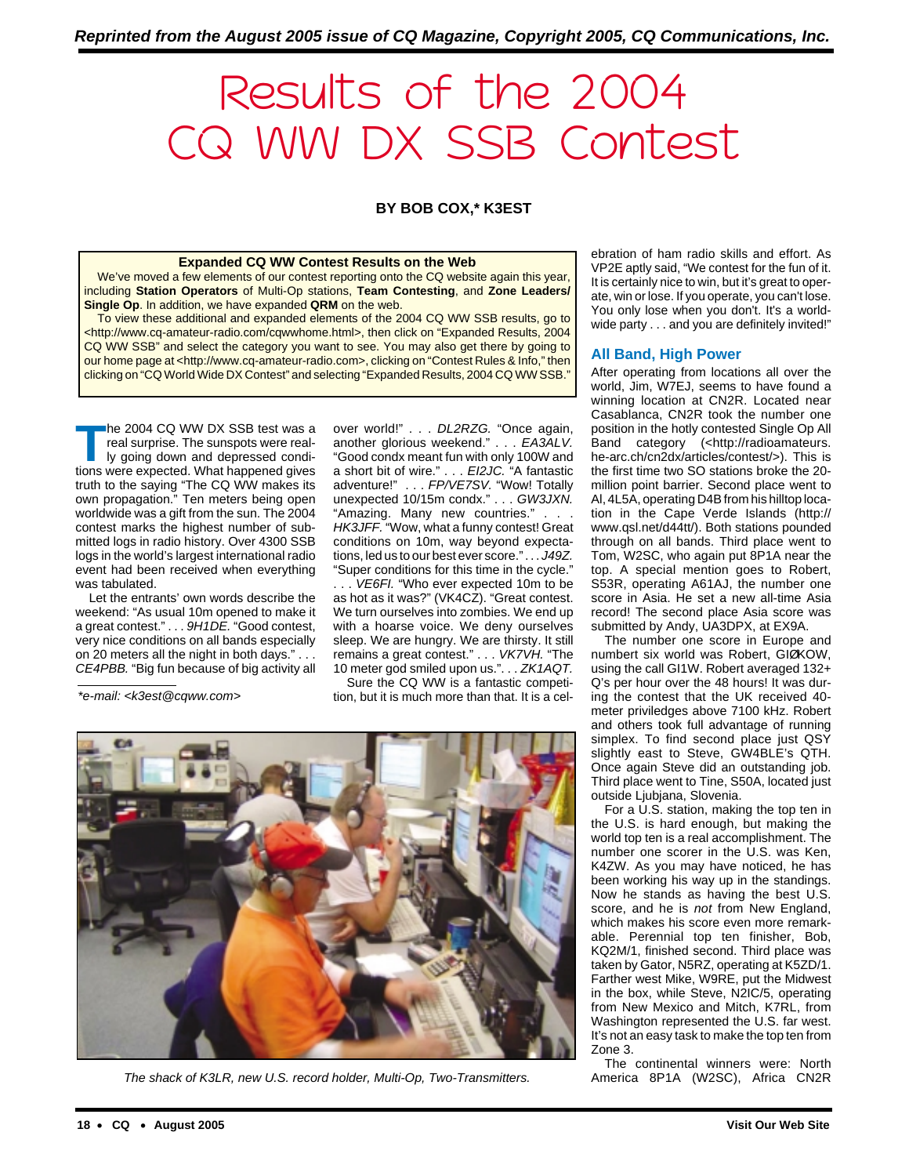# Results of the 2004 CQ WW DX SSB Contest

**BY BOB COX,\* K3EST**

#### **Expanded CQ WW Contest Results on the Web**

We've moved a few elements of our contest reporting onto the CQ website again this year, including **Station Operators** of Multi-Op stations, **Team Contesting**, and **Zone Leaders/ Single Op**. In addition, we have expanded **QRM** on the web.

To view these additional and expanded elements of the 2004 CQ WW SSB results, go to <http://www.cq-amateur-radio.com/cqwwhome.html>, then click on "Expanded Results, 2004 CQ WW SSB" and select the category you want to see. You may also get there by going to our home page at <http://www.cq-amateur-radio.com>, clicking on "Contest Rules & Info," then clicking on "CQ World Wide DX Contest" and selecting "Expanded Results, 2004 CQ WW SSB."

The 2004 CQ WW DX SSB test was a<br>
real surprise. The sunspots were real-<br>
ly going down and depressed condi-<br>
tions were nexted What been and gives real surprise. The sunspots were realtions were expected. What happened gives truth to the saying "The CQ WW makes its own propagation." Ten meters being open worldwide was a gift from the sun. The 2004 contest marks the highest number of submitted logs in radio history. Over 4300 SSB logs in the world's largest international radio event had been received when everything was tabulated.

Let the entrants' own words describe the weekend: "As usual 10m opened to make it a great contest." . . . 9H1DE. "Good contest, very nice conditions on all bands especially on 20 meters all the night in both days." . . . CE4PBB. "Big fun because of big activity all

\*e-mail: <k3est@cqww.com>

over world!" . . . DL2RZG. "Once again, another glorious weekend." . . . EA3ALV. "Good condx meant fun with only 100W and a short bit of wire." . . . EI2JC. "A fantastic adventure!" . . . FP/VE7SV. "Wow! Totally unexpected 10/15m condx." . . . GW3JXN. "Amazing. Many new countries." . . . HK3JFF. "Wow, what a funny contest! Great conditions on 10m, way beyond expectations, led us to our best ever score." . . . J49Z. "Super conditions for this time in the cycle."

... VE6FI. "Who ever expected 10m to be as hot as it was?" (VK4CZ). "Great contest. We turn ourselves into zombies. We end up with a hoarse voice. We deny ourselves sleep. We are hungry. We are thirsty. It still remains a great contest." . . . VK7VH. "The 10 meter god smiled upon us.". . . ZK1AQT.

Sure the CQ WW is a fantastic competition, but it is much more than that. It is a cel-

The shack of K3LR, new U.S. record holder, Multi-Op, Two-Transmitters.

ebration of ham radio skills and effort. As VP2E aptly said, "We contest for the fun of it. It is certainly nice to win, but it's great to operate, win or lose. If you operate, you can't lose. You only lose when you don't. It's a worldwide party . . . and you are definitely invited!"

#### **All Band, High Power**

After operating from locations all over the world, Jim, W7EJ, seems to have found a winning location at CN2R. Located near Casablanca, CN2R took the number one position in the hotly contested Single Op All Band category (<http://radioamateurs. he-arc.ch/cn2dx/articles/contest/>). This is the first time two SO stations broke the 20 million point barrier. Second place went to Al, 4L5A, operating D4B from his hilltop location in the Cape Verde Islands (http:// www.qsl.net/d44tt/). Both stations pounded through on all bands. Third place went to Tom, W2SC, who again put 8P1A near the top. A special mention goes to Robert, S53R, operating A61AJ, the number one score in Asia. He set a new all-time Asia record! The second place Asia score was submitted by Andy, UA3DPX, at EX9A.

The number one score in Europe and numbert six world was Robert, GIØKOW, using the call GI1W. Robert averaged 132+ Q's per hour over the 48 hours! It was during the contest that the UK received 40 meter priviledges above 7100 kHz. Robert and others took full advantage of running simplex. To find second place just QSY slightly east to Steve, GW4BLE's QTH. Once again Steve did an outstanding job. Third place went to Tine, S50A, located just outside Ljubjana, Slovenia.

For a U.S. station, making the top ten in the U.S. is hard enough, but making the world top ten is a real accomplishment. The number one scorer in the U.S. was Ken, K4ZW. As you may have noticed, he has been working his way up in the standings. Now he stands as having the best U.S. score, and he is not from New England, which makes his score even more remarkable. Perennial top ten finisher, Bob, KQ2M/1, finished second. Third place was taken by Gator, N5RZ, operating at K5ZD/1. Farther west Mike, W9RE, put the Midwest in the box, while Steve, N2IC/5, operating from New Mexico and Mitch, K7RL, from Washington represented the U.S. far west. It's not an easy task to make the top ten from Zone 3.

The continental winners were: North America 8P1A (W2SC), Africa CN2R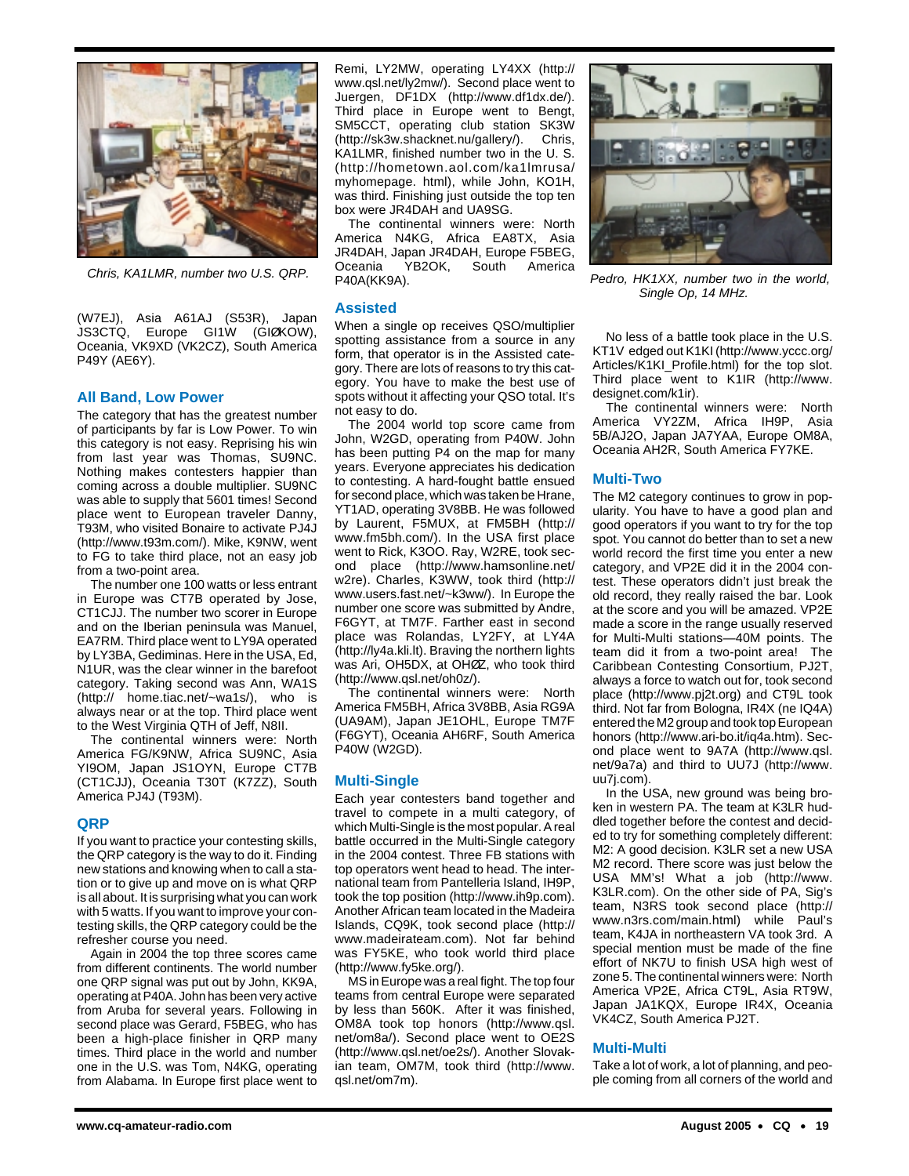

(W7EJ), Asia A61AJ (S53R), Japan JS3CTQ, Europe GI1W (GIØKOW), Oceania, VK9XD (VK2CZ), South America P49Y (AE6Y).

#### **All Band, Low Power**

The category that has the greatest number of participants by far is Low Power. To win this category is not easy. Reprising his win from last year was Thomas, SU9NC. Nothing makes contesters happier than coming across a double multiplier. SU9NC was able to supply that 5601 times! Second place went to European traveler Danny, T93M, who visited Bonaire to activate PJ4J (http://www.t93m.com/). Mike, K9NW, went to FG to take third place, not an easy job from a two-point area.

The number one 100 watts or less entrant in Europe was CT7B operated by Jose, CT1CJJ. The number two scorer in Europe and on the Iberian peninsula was Manuel, EA7RM. Third place went to LY9A operated by LY3BA, Gediminas. Here in the USA, Ed, N1UR, was the clear winner in the barefoot category. Taking second was Ann, WA1S (http:// home.tiac.net/~wa1s/), who is always near or at the top. Third place went to the West Virginia QTH of Jeff, N8II.

The continental winners were: North America FG/K9NW, Africa SU9NC, Asia YI9OM, Japan JS1OYN, Europe CT7B (CT1CJJ), Oceania T30T (K7ZZ), South America PJ4J (T93M).

#### **QRP**

If you want to practice your contesting skills, the QRP category is the way to do it. Finding new stations and knowing when to call a station or to give up and move on is what QRP is all about. It is surprising what you can work with 5 watts. If you want to improve your contesting skills, the QRP category could be the refresher course you need.

Again in 2004 the top three scores came from different continents. The world number one QRP signal was put out by John, KK9A, operating at P40A. John has been very active from Aruba for several years. Following in second place was Gerard, F5BEG, who has been a high-place finisher in QRP many times. Third place in the world and number one in the U.S. was Tom, N4KG, operating from Alabama. In Europe first place went to

Remi, LY2MW, operating LY4XX (http:// www.qsl.net/ly2mw/). Second place went to Juergen, DF1DX (http://www.df1dx.de/). Third place in Europe went to Bengt, SM5CCT, operating club station SK3W (http://sk3w.shacknet.nu/gallery/). Chris, KA1LMR, finished number two in the U. S. (http://hometown.aol.com/ka1lmrusa/ myhomepage. html), while John, KO1H, was third. Finishing just outside the top ten box were JR4DAH and UA9SG.

The continental winners were: North America N4KG, Africa EA8TX, Asia JR4DAH, Japan JR4DAH, Europe F5BEG, Oceania YB2OK, South America P40A(KK9A). Chris, KA1LMR, number two U.S. QRP. Pedro, HK1XX, number two in the world,

#### **Assisted**

When a single op receives QSO/multiplier spotting assistance from a source in any form, that operator is in the Assisted category. There are lots of reasons to try this category. You have to make the best use of spots without it affecting your QSO total. It's not easy to do.

The 2004 world top score came from John, W2GD, operating from P40W. John has been putting P4 on the map for many years. Everyone appreciates his dedication to contesting. A hard-fought battle ensued for second place, which was taken be Hrane, YT1AD, operating 3V8BB. He was followed by Laurent, F5MUX, at FM5BH (http:// www.fm5bh.com/). In the USA first place went to Rick, K3OO. Ray, W2RE, took second place (http://www.hamsonline.net/ w2re). Charles, K3WW, took third (http:// www.users.fast.net/~k3ww/). In Europe the number one score was submitted by Andre, F6GYT, at TM7F. Farther east in second place was Rolandas, LY2FY, at LY4A (http://ly4a.kli.lt). Braving the northern lights was Ari, OH5DX, at OHØZ, who took third (http://www.qsl.net/oh0z/).

The continental winners were: North America FM5BH, Africa 3V8BB, Asia RG9A (UA9AM), Japan JE1OHL, Europe TM7F (F6GYT), Oceania AH6RF, South America P40W (W2GD).

#### **Multi-Single**

Each year contesters band together and travel to compete in a multi category, of which Multi-Single is the most popular. A real battle occurred in the Multi-Single category in the 2004 contest. Three FB stations with top operators went head to head. The international team from Pantelleria Island, IH9P, took the top position (http://www.ih9p.com). Another African team located in the Madeira Islands, CQ9K, took second place (http:// www.madeirateam.com). Not far behind was FY5KE, who took world third place (http://www.fy5ke.org/).

MS in Europe was a real fight. The top four teams from central Europe were separated by less than 560K. After it was finished, OM8A took top honors (http://www.qsl. net/om8a/). Second place went to OE2S (http://www.qsl.net/oe2s/). Another Slovakian team, OM7M, took third (http://www. qsl.net/om7m).



Single Op, 14 MHz.

No less of a battle took place in the U.S. KT1V edged out K1KI (http://www.yccc.org/ Articles/K1KI\_Profile.html) for the top slot. Third place went to K1IR (http://www. designet.com/k1ir).

The continental winners were: North America VY2ZM, Africa IH9P, Asia 5B/AJ2O, Japan JA7YAA, Europe OM8A, Oceania AH2R, South America FY7KE.

#### **Multi-Two**

The M2 category continues to grow in popularity. You have to have a good plan and good operators if you want to try for the top spot. You cannot do better than to set a new world record the first time you enter a new category, and VP2E did it in the 2004 contest. These operators didn't just break the old record, they really raised the bar. Look at the score and you will be amazed. VP2E made a score in the range usually reserved for Multi-Multi stations—40M points. The team did it from a two-point area! The Caribbean Contesting Consortium, PJ2T, always a force to watch out for, took second place (http://www.pj2t.org) and CT9L took third. Not far from Bologna, IR4X (ne IQ4A) entered the M2 group and took top European honors (http://www.ari-bo.it/iq4a.htm). Second place went to 9A7A (http://www.qsl. net/9a7a) and third to UU7J (http://www. uu7j.com).

In the USA, new ground was being broken in western PA. The team at K3LR huddled together before the contest and decided to try for something completely different: M2: A good decision. K3LR set a new USA M2 record. There score was just below the USA MM's! What a job (http://www. K3LR.com). On the other side of PA, Sig's team, N3RS took second place (http:// www.n3rs.com/main.html) while Paul's team, K4JA in northeastern VA took 3rd. A special mention must be made of the fine effort of NK7U to finish USA high west of zone 5. The continental winners were: North America VP2E, Africa CT9L, Asia RT9W, Japan JA1KQX, Europe IR4X, Oceania VK4CZ, South America PJ2T.

#### **Multi-Multi**

Take a lot of work, a lot of planning, and people coming from all corners of the world and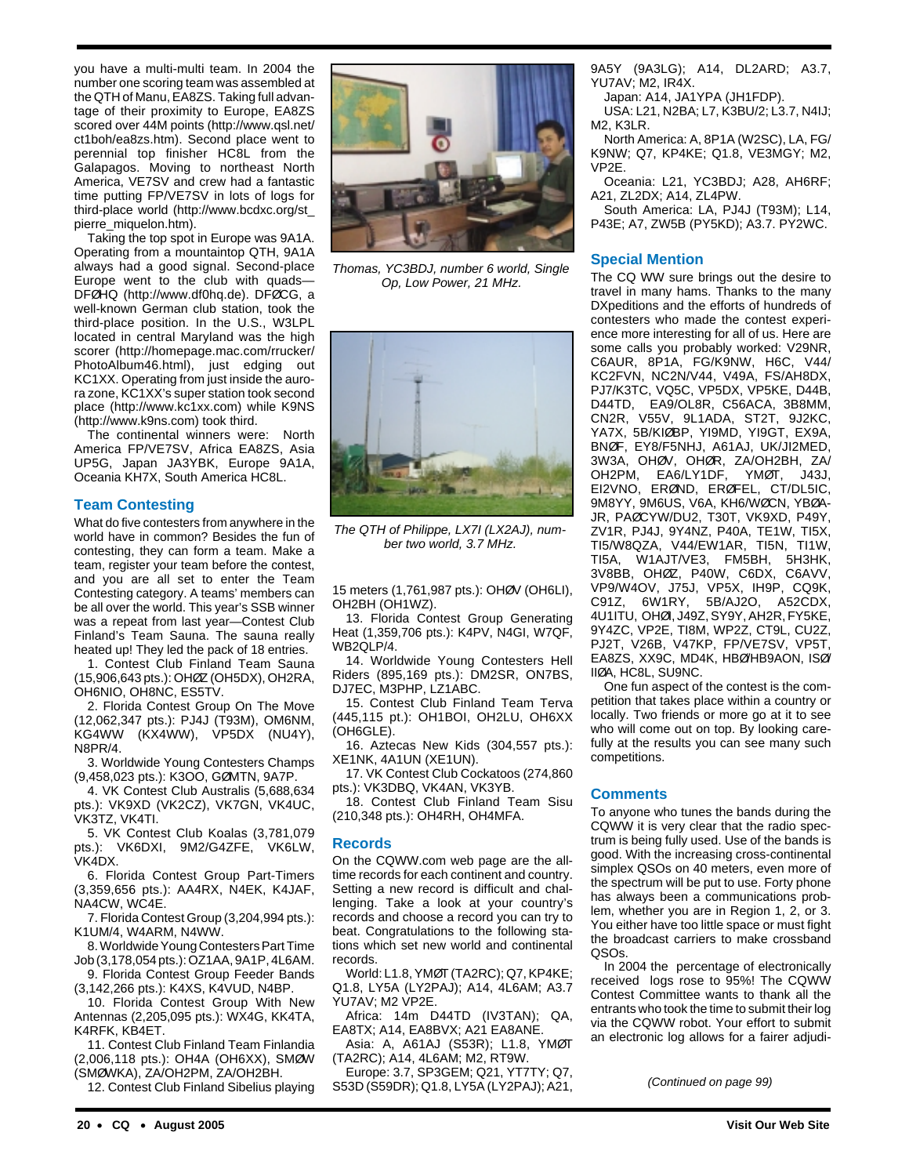you have a multi-multi team. In 2004 the number one scoring team was assembled at the QTH of Manu, EA8ZS. Taking full advantage of their proximity to Europe, EA8ZS scored over 44M points (http://www.qsl.net/ ct1boh/ea8zs.htm). Second place went to perennial top finisher HC8L from the Galapagos. Moving to northeast North America, VE7SV and crew had a fantastic time putting FP/VE7SV in lots of logs for third-place world (http://www.bcdxc.org/st\_ pierre\_miquelon.htm).

Taking the top spot in Europe was 9A1A. Operating from a mountaintop QTH, 9A1A always had a good signal. Second-place Europe went to the club with quads— DFØHQ (http://www.df0hq.de). DFØCG, a well-known German club station, took the third-place position. In the U.S., W3LPL located in central Maryland was the high scorer (http://homepage.mac.com/rrucker/ PhotoAlbum46.html), just edging out KC1XX. Operating from just inside the aurora zone, KC1XX's super station took second place (http://www.kc1xx.com) while K9NS (http://www.k9ns.com) took third.

The continental winners were: North America FP/VE7SV, Africa EA8ZS, Asia UP5G, Japan JA3YBK, Europe 9A1A, Oceania KH7X, South America HC8L.

#### **Team Contesting**

What do five contesters from anywhere in the world have in common? Besides the fun of contesting, they can form a team. Make a team, register your team before the contest, and you are all set to enter the Team Contesting category. A teams' members can be all over the world. This year's SSB winner was a repeat from last year—Contest Club Finland's Team Sauna. The sauna really heated up! They led the pack of 18 entries.

1. Contest Club Finland Team Sauna (15,906,643 pts.): OHØZ (OH5DX), OH2RA, OH6NIO, OH8NC, ES5TV.

2. Florida Contest Group On The Move (12,062,347 pts.): PJ4J (T93M), OM6NM, KG4WW (KX4WW), VP5DX (NU4Y), N8PR/4.

3. Worldwide Young Contesters Champs (9,458,023 pts.): K3OO, GØMTN, 9A7P.

4. VK Contest Club Australis (5,688,634 pts.): VK9XD (VK2CZ), VK7GN, VK4UC, VK3TZ, VK4TI.

5. VK Contest Club Koalas (3,781,079 pts.): VK6DXI, 9M2/G4ZFE, VK6LW, VK4DX.

6. Florida Contest Group Part-Timers (3,359,656 pts.): AA4RX, N4EK, K4JAF, NA4CW, WC4E.

7. Florida Contest Group (3,204,994 pts.): K1UM/4, W4ARM, N4WW.

8. Worldwide Young Contesters Part Time Job (3,178,054 pts.): OZ1AA, 9A1P, 4L6AM.

9. Florida Contest Group Feeder Bands (3,142,266 pts.): K4XS, K4VUD, N4BP.

10. Florida Contest Group With New Antennas (2,205,095 pts.): WX4G, KK4TA, K4RFK, KB4ET.

11. Contest Club Finland Team Finlandia (2,006,118 pts.): OH4A (OH6XX), SMØW (SMØWKA), ZA/OH2PM, ZA/OH2BH.

12. Contest Club Finland Sibelius playing



Thomas, YC3BDJ, number 6 world, Single Op, Low Power, 21 MHz.



The QTH of Philippe, LX7I (LX2AJ), number two world, 3.7 MHz.

15 meters (1,761,987 pts.): OHØV (OH6LI), OH2BH (OH1WZ).

13. Florida Contest Group Generating Heat (1,359,706 pts.): K4PV, N4GI, W7QF, WB2QLP/4.

14. Worldwide Young Contesters Hell Riders (895,169 pts.): DM2SR, ON7BS, DJ7EC, M3PHP, LZ1ABC.

15. Contest Club Finland Team Terva (445,115 pt.): OH1BOI, OH2LU, OH6XX (OH6GLE).

16. Aztecas New Kids (304,557 pts.): XE1NK, 4A1UN (XE1UN).

17. VK Contest Club Cockatoos (274,860 pts.): VK3DBQ, VK4AN, VK3YB.

18. Contest Club Finland Team Sisu (210,348 pts.): OH4RH, OH4MFA.

#### **Records**

On the CQWW.com web page are the alltime records for each continent and country. Setting a new record is difficult and challenging. Take a look at your country's records and choose a record you can try to beat. Congratulations to the following stations which set new world and continental records.

World: L1.8, YMØT (TA2RC); Q7, KP4KE; Q1.8, LY5A (LY2PAJ); A14, 4L6AM; A3.7 YU7AV; M2 VP2E.

Africa: 14m D44TD (IV3TAN); QA, EA8TX; A14, EA8BVX; A21 EA8ANE.

Asia: A, A61AJ (S53R); L1.8, YMØT (TA2RC); A14, 4L6AM; M2, RT9W.

Europe: 3.7, SP3GEM; Q21, YT7TY; Q7, S53D (S59DR); Q1.8, LY5A (LY2PAJ); A21, 9A5Y (9A3LG); A14, DL2ARD; A3.7, YU7AV; M2, IR4X.

Japan: A14, JA1YPA (JH1FDP).

USA: L21, N2BA; L7, K3BU/2; L3.7, N4IJ; M2, K3LR.

North America: A, 8P1A (W2SC), LA, FG/ K9NW; Q7, KP4KE; Q1.8, VE3MGY; M2, VP2E.

Oceania: L21, YC3BDJ; A28, AH6RF; A21, ZL2DX; A14, ZL4PW.

South America: LA, PJ4J (T93M); L14, P43E; A7, ZW5B (PY5KD); A3.7. PY2WC.

#### **Special Mention**

The CQ WW sure brings out the desire to travel in many hams. Thanks to the many DXpeditions and the efforts of hundreds of contesters who made the contest experience more interesting for all of us. Here are some calls you probably worked: V29NR, C6AUR, 8P1A, FG/K9NW, H6C, V44/ KC2FVN, NC2N/V44, V49A, FS/AH8DX, PJ7/K3TC, VQ5C, VP5DX, VP5KE, D44B, D44TD, EA9/OL8R, C56ACA, 3B8MM, CN2R, V55V, 9L1ADA, ST2T, 9J2KC, YA7X, 5B/KIØBP, YI9MD, YI9GT, EX9A, BNØF, EY8/F5NHJ, A61AJ, UK/JI2MED, 3W3A, OHØV, OHØR, ZA/OH2BH, ZA/ OH2PM, EA6/LY1DF, YMØT, J43J, EI2VNO, ERØND, ERØFEL, CT/DL5IC, 9M8YY, 9M6US, V6A, KH6/WØCN, YBØA-JR, PAØCYW/DU2, T30T, VK9XD, P49Y, ZV1R, PJ4J, 9Y4NZ, P40A, TE1W, TI5X, TI5/W8QZA, V44/EW1AR, TI5N, TI1W, TI5A, W1AJT/VE3, FM5BH, 5H3HK, 3V8BB, OHØZ, P40W, C6DX, C6AVV, VP9/W4OV, J75J, VP5X, IH9P, CQ9K, C91Z, 6W1RY, 5B/AJ2O, A52CDX, 4U1ITU, OHØI, J49Z, SY9Y, AH2R, FY5KE, 9Y4ZC, VP2E, TI8M, WP2Z, CT9L, CU2Z, PJ2T, V26B, V47KP, FP/VE7SV, VP5T, EA8ZS, XX9C, MD4K, HBØ/HB9AON, ISØ/ IIØA, HC8L, SU9NC.

One fun aspect of the contest is the competition that takes place within a country or locally. Two friends or more go at it to see who will come out on top. By looking carefully at the results you can see many such competitions.

#### **Comments**

To anyone who tunes the bands during the CQWW it is very clear that the radio spectrum is being fully used. Use of the bands is good. With the increasing cross-continental simplex QSOs on 40 meters, even more of the spectrum will be put to use. Forty phone has always been a communications problem, whether you are in Region 1, 2, or 3. You either have too little space or must fight the broadcast carriers to make crossband QSOs.

In 2004 the percentage of electronically received logs rose to 95%! The CQWW Contest Committee wants to thank all the entrants who took the time to submit their log via the CQWW robot. Your effort to submit an electronic log allows for a fairer adjudi-

(Continued on page 99)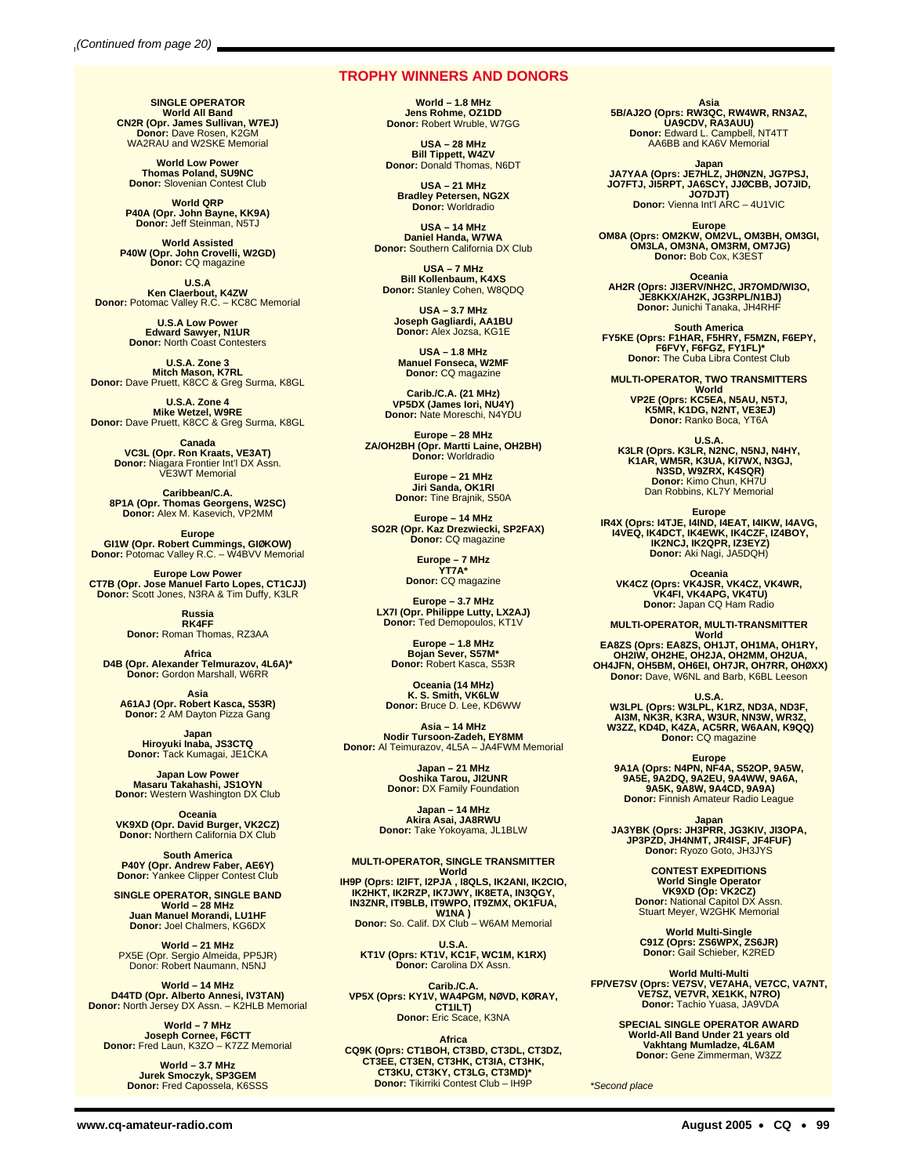#### **TROPHY WINNERS AND DONORS**

**SINGLE OPERATOR World All Band CN2R (Opr. James Sullivan, W7EJ) Donor:** Dave Rosen, K2GM WA2RAU and W2SKE Memorial

**World Low Power Thomas Poland, SU9NC Donor:** Slovenian Contest Club

**World QRP P40A (Opr. John Bayne, KK9A) Donor:** Jeff Steinman, N5TJ

**World Assisted P40W (Opr. John Crovelli, W2GD) Donor:** CQ magazine

**U.S.A Ken Claerbout, K4ZW Donor:** Potomac Valley R.C. – KC8C Memorial

**U.S.A Low Power Edward Sawyer, N1UR Donor:** North Coast Contesters

**U.S.A. Zone 3 Mitch Mason, K7RL Donor:** Dave Pruett, K8CC & Greg Surma, K8GL

**U.S.A. Zone 4<br>Mike Wetzel, W9RE<br>Donor: Dave Pruett, K8CC & Greg Surma, K8GL** 

**Canada VC3L (Opr. Ron Kraats, VE3AT) Donor:** Niagara Frontier Int'l DX Assn. VE3WT Memorial

**Caribbean/C.A. 8P1A (Opr. Thomas Georgens, W2SC) Donor:** Alex M. Kasevich, VP2MM

**Europe GI1W (Opr. Robert Cummings, GIØKOW) Donor:** Potomac Valley R.C. – W4BVV Memorial

**Europe Low Power CT7B (Opr. Jose Manuel Farto Lopes, CT1CJJ) Donor:** Scott Jones, N3RA & Tim Duffy, K3LR

**Russia RK4FF Donor:** Roman Thomas, RZ3AA

**Africa D4B (Opr. Alexander Telmurazov, 4L6A)\* Donor:** Gordon Marshall, W6RR

**Asia<br><b>A61AJ (Opr. Robert Kasca, S53R)**<br>Donor: 2 AM Dayton Pizza Gang

**Japan Hiroyuki Inaba, JS3CTQ Donor:** Tack Kumagai, JE1CKA

**Japan Low Power<br>Masaru Takahashi, JS1OYN<br>Donor: Western Washington DX Club** 

**Oceania VK9XD (Opr. David Burger, VK2CZ) Donor:** Northern California DX Club

**South America P40Y (Opr. Andrew Faber, AE6Y) Donor:** Yankee Clipper Contest Club

**SINGLE OPERATOR, SINGLE BAND World – 28 MHz Juan Manuel Morandi, LU1HF Donor:** Joel Chalmers, KG6DX

**World – 21 MHz** PX5E (Opr. Sergio Almeida, PP5JR) Donor: Robert Naumann, N5NJ

**World – 14 MHz D44TD (Opr. Alberto Annesi, IV3TAN) Donor:** North Jersey DX Assn. – K2HLB Memorial

**World – 7 MHz Joseph Cornee, F6CTT Donor:** Fred Laun, K3ZO – K7ZZ Memorial

**World – 3.7 MHz Jurek Smoczyk, SP3GEM Donor:** Fred Capossela, K6SSS

**World – 1.8 MHz Jens Rohme, OZ1DD Donor:** Robert Wruble, W7GG

**USA – 28 MHz Bill Tippett, W4ZV Donor:** Donald Thomas, N6DT

**USA – 21 MHz Bradley Petersen, NG2X Donor:** Worldradio

**USA – 14 MHz Daniel Handa, W7WA Donor:** Southern California DX Club

**USA – 7 MHz Bill Kollenbaum, K4XS Donor:** Stanley Cohen, W8QDQ

**USA – 3.7 MHz Joseph Gagliardi, AA1BU Donor:** Alex Jozsa, KG1E

**USA – 1.8 MHz Manuel Fonseca, W2MF Donor:** CQ magazine

**Carib./C.A. (21 MHz) VP5DX (James Iori, NU4Y) Donor:** Nate Moreschi, N4YDU

**Europe – 28 MHz ZA/OH2BH (Opr. Martti Laine, OH2BH) Donor:** Worldradio

**Europe – 21 MHz Jiri Sanda, OK1RI Donor:** Tine Brajnik, S50A

**Europe – 14 MHz SO2R (Opr. Kaz Drezwiecki, SP2FAX) Donor:** CQ magazine

> **Europe – 7 MHz YT7A\* Donor:** CQ magazine

**Europe – 3.7 MHz LX7I (Opr. Philippe Lutty, LX2AJ) Donor:** Ted Demopoulos, KT1V

**Europe – 1.8 MHz Bojan Sever, S57M\* Donor:** Robert Kasca, S53R

**Oceania (14 MHz) K. S. Smith, VK6LW Donor:** Bruce D. Lee, KD6WW

**Asia – 14 MHz Nodir Tursoon-Zadeh, EY8MM Donor:** Al Teimurazov, 4L5A – JA4FWM Memorial

**Japan – 21 MHz Ooshika Tarou, JI2UNR Donor:** DX Family Foundation

**Japan – 14 MHz Akira Asai, JA8RWU Donor:** Take Yokoyama, JL1BLW

**MULTI-OPERATOR, SINGLE TRANSMITTER World IH9P (Oprs: I2IFT, I2PJA , I8QLS, IK2ANI, IK2CIO, IK2HKT, IK2RZP, IK7JWY, IK8ETA, IN3QGY, IN3ZNR, IT9BLB, IT9WPO, IT9ZMX, OK1FUA,**

**W1NA ) Donor:** So. Calif. DX Club – W6AM Memorial

**U.S.A. KT1V (Oprs: KT1V, KC1F, WC1M, K1RX) Donor:** Carolina DX Assn.

**Carib./C.A. VP5X (Oprs: KY1V, WA4PGM, NØVD, KØRAY, CT1ILT) Donor:** Eric Scace, K3NA

Africa<br> **CQ9K (Oprs: CT1BOH, CT3BD, CT3DL, CT3DZ,<br>
CT3EE, CT3EN, CT3HK, CT3IA, CT3HK,<br>
CT3KU, CT3KY, CT3LG, CT3MD)\*<br>
Donor: Tikirriki Contest Club – IH9P** 

**Asia 5B/AJ2O (Oprs: RW3QC, RW4WR, RN3AZ, UA9CDV, RA3AUU) Donor:** Edward L. Campbell, NT4TT AA6BB and KA6V Memorial

**Japan JA7YAA (Oprs: JE7HLZ, JHØNZN, JG7PSJ, JO7FTJ, JI5RPT, JA6SCY, JJØCBB, JO7JID, JO7DJT) Donor:** Vienna Int'l ARC – 4U1VIC

**Europe OM8A (Oprs: OM2KW, OM2VL, OM3BH, OM3GI, OM3LA, OM3NA, OM3RM, OM7JG) Donor:** Bob Cox, K3EST

**Oceania AH2R (Oprs: JI3ERV/NH2C, JR7OMD/WI3O, JE8KKX/AH2K, JG3RPL/N1BJ) Donor:** Junichi Tanaka, JH4RHF

South America<br>FY5KE (Oprs: F1HAR, F5HRY, F5MZN, F6EPY,<br>F6FVY, F6FGZ, FY1FL)\*<br>Donor: The Cuba Libra Contest Club

**MULTI-OPERATOR, TWO TRANSMITTERS World VP2E (Oprs: KC5EA, N5AU, N5TJ, K5MR, K1DG, N2NT, VE3EJ) Donor:** Ranko Boca, YT6A

U.S.A.<br>K3LR (Oprs. K3LR, N2NC, N5NJ, N4HY,<br>K1AR, WM5R, K3UA, KI7WX, N3GJ,<br>N3SD, W9ZRX, K4SQR) **Donor:** Kimo Chun, KH7U Dan Robbins, KL7Y Memorial

**Europe IR4X (Oprs: I4TJE, I4IND, I4EAT, I4IKW, I4AVG, I4VEQ, IK4DCT, IK4EWK, IK4CZF, IZ4BOY, IK2NCJ, IK2QPR, IZ3EYZ) Donor:** Aki Nagi, JA5DQH)

**Oceania VK4CZ (Oprs: VK4JSR, VK4CZ, VK4WR, VK4FI, VK4APG, VK4TU) Donor:** Japan CQ Ham Radio

**MULTI-OPERATOR, MULTI-TRANSMITTER** World<br> **EA8ZS (Oprs: EA8ZS, OH1JT, OH1MA, OH1RY,<br>
OH2IW, OH2HE, OH2JA, OH2MM, OH2UA,<br>
OH4JFN, OH5BM, OH6EI, OH7JR, OH7RR, OHØXX)<br>
Donor: Dave, W6NL and Barb, K6BL Leeson** 

U.S.A.<br> **W3LPL (Oprs: W3LPL, K1RZ, ND3A, ND3F,<br>
AI3M, NK3R, K3RA, W3UR, NN3W, WR3Z,<br>
W3ZZ, KD4D, K4ZA, AC5RR, W6AAN, K9QQ)<br>
Donor: CQ magazine** 

**Europe 9A1A (Oprs: N4PN, NF4A, S52OP, 9A5W, 9A5E, 9A2DQ, 9A2EU, 9A4WW, 9A6A, 9A5K, 9A8W, 9A4CD, 9A9A) Donor:** Finnish Amateur Radio League

**Japan JA3YBK (Oprs: JH3PRR, JG3KIV, JI3OPA, JP3PZD, JH4NMT, JR4ISF, JF4FUF) Donor:** Ryozo Goto, JH3JYS

**CONTEST EXPEDITIONS World Single Operator VK9XD (Op: VK2CZ) Donor:** National Capitol DX Assn. Stuart Meyer, W2GHK Memorial

**World Multi-Single C91Z (Oprs: ZS6WPX, ZS6JR) Donor:** Gail Schieber, K2RED

World Multi-Multi<br>FP/VE7SV (Oprs: VE7SV, VE7AHA, VE7CC, VA7NT,<br>VE7SZ, VE7VR, XE1KK, N7RO)<br>Donor: Tachio Yuasa, JA9VDA

**SPECIAL SINGLE OPERATOR AWARD World-All Band Under 21 years old Vakhtang Mumladze, 4L6AM Donor:** Gene Zimmerman, W3ZZ

\*Second place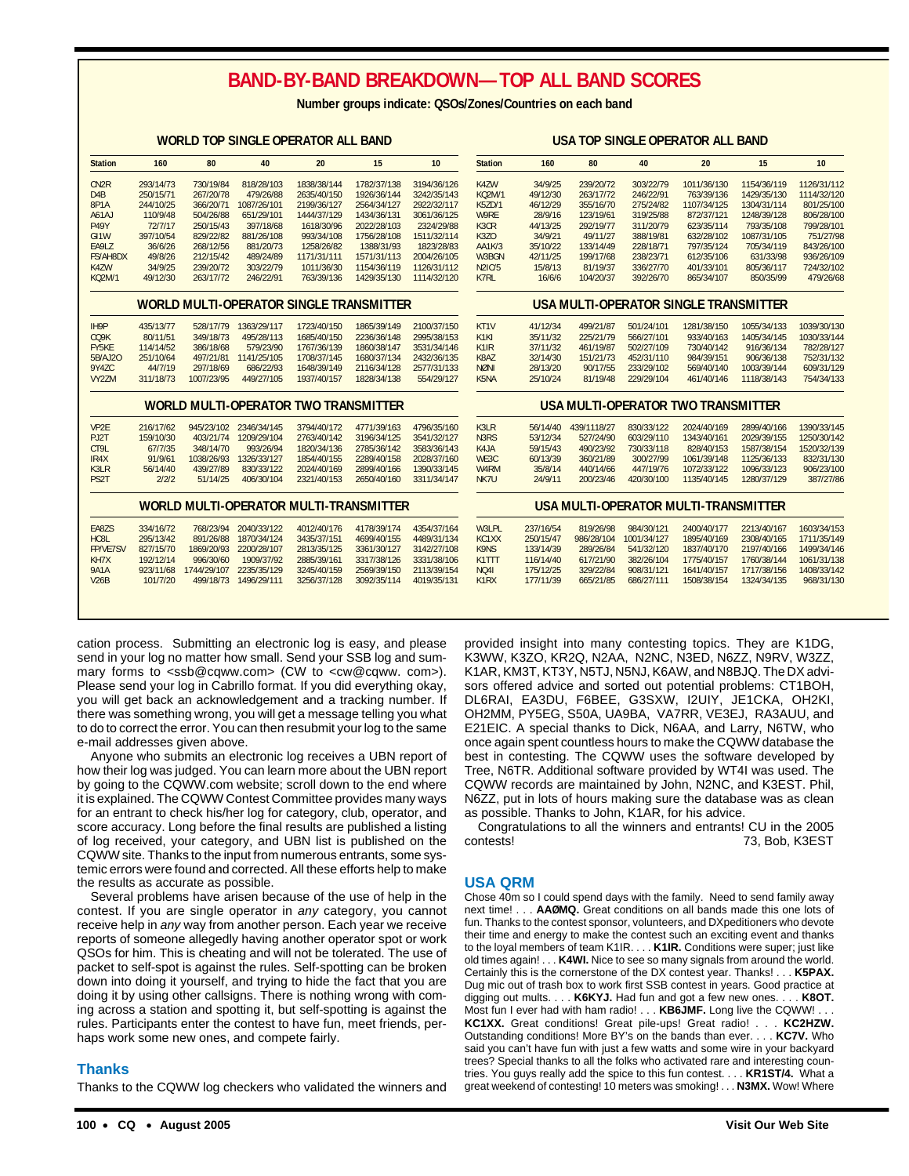### **BAND-BY-BAND BREAKDOWN—TOP ALL BAND SCORES**

**Number groups indicate: QSOs/Zones/Countries on each band**

|                   |           |             |                        | WORLD TOP SINGLE OPERATOR ALL DAIND            |             |             |                               |           |             |             | USA TUP SINGLE UPERATUR ALL BAND      |             |             |
|-------------------|-----------|-------------|------------------------|------------------------------------------------|-------------|-------------|-------------------------------|-----------|-------------|-------------|---------------------------------------|-------------|-------------|
| <b>Station</b>    | 160       | 80          | 40                     | 20                                             | 15          | 10          | <b>Station</b>                | 160       | 80          | 40          | 20                                    | 15          | 10          |
| CN <sub>2R</sub>  | 293/14/73 | 730/19/84   | 818/28/103             | 1838/38/144                                    | 1782/37/138 | 3194/36/126 | K4ZW                          | 34/9/25   | 239/20/72   | 303/22/79   | 1011/36/130                           | 1154/36/119 | 1126/31/112 |
| D <sub>4</sub> B  | 250/15/71 | 267/20/78   | 479/26/88              | 2635/40/150                                    | 1926/36/144 | 3242/35/143 | <b>KQ2M/1</b>                 | 49/12/30  | 263/17/72   | 246/22/91   | 763/39/136                            | 1429/35/130 | 1114/32/120 |
| 8P1A              | 244/10/25 | 366/20/71   | 1087/26/101            | 2199/36/127                                    | 2564/34/127 | 2922/32/117 | <b>K5ZD/1</b>                 | 46/12/29  | 355/16/70   | 275/24/82   | 1107/34/125                           | 1304/31/114 | 801/25/100  |
| A61AJ             | 110/9/48  | 504/26/88   | 651/29/101             | 1444/37/129                                    | 1434/36/131 | 3061/36/125 | W9RE                          | 28/9/16   | 123/19/61   | 319/25/88   | 872/37/121                            | 1248/39/128 | 806/28/100  |
| <b>P49Y</b>       | 72/7/17   | 250/15/43   | 397/18/68              | 1618/30/96                                     | 2022/28/103 | 2324/29/88  | K3CR                          | 44/13/25  | 292/19/77   | 311/20/79   | 623/35/114                            | 793/35/108  | 799/28/101  |
| GI <sub>1</sub> W | 397/10/54 | 829/22/82   | 881/26/108             | 993/34/108                                     | 1756/28/108 | 1511/32/114 | K3ZO                          | 34/9/21   | 49/11/27    | 388/19/81   | 632/28/102                            | 1087/31/105 | 751/27/98   |
| EA9LZ             | 36/6/26   | 268/12/56   | 881/20/73              | 1258/26/82                                     | 1388/31/93  | 1823/28/83  | AA1K/3                        | 35/10/22  | 133/14/49   | 228/18/71   | 797/35/124                            | 705/34/119  | 843/26/100  |
| <b>FS/AH8DX</b>   | 49/8/26   | 212/15/42   | 489/24/89              | 1171/31/111                                    | 1571/31/113 | 2004/26/105 | W3BGN                         | 42/11/25  | 199/17/68   | 238/23/71   | 612/35/106                            | 631/33/98   | 936/26/109  |
| K4ZW              | 34/9/25   | 239/20/72   | 303/22/79              | 1011/36/30                                     | 1154/36/119 | 1126/31/112 | <b>N2IC/5</b>                 | 15/8/13   | 81/19/37    | 336/27/70   | 401/33/101                            | 805/36/117  | 724/32/102  |
| <b>KQ2M/1</b>     | 49/12/30  | 263/17/72   | 246/22/91              | 763/39/136                                     | 1429/35/130 | 1114/32/120 | K7RL                          | 16/6/6    | 104/20/37   | 392/26/70   | 865/34/107                            | 850/35/99   | 479/26/68   |
|                   |           |             |                        | <b>WORLD MULTI-OPERATOR SINGLE TRANSMITTER</b> |             |             |                               |           |             |             | USA MULTI-OPERATOR SINGLE TRANSMITTER |             |             |
| IH9P              | 435/13/77 |             | 528/17/79 1363/29/117  | 1723/40/150                                    | 1865/39/149 | 2100/37/150 | KT1V                          | 41/12/34  | 499/21/87   | 501/24/101  | 1281/38/150                           | 1055/34/133 | 1039/30/130 |
| CQ9K              | 80/11/51  | 349/18/73   | 495/28/113             | 1685/40/150                                    | 2236/36/148 | 2995/38/153 | K <sub>1</sub> KI             | 35/11/32  | 225/21/79   | 566/27/101  | 933/40/163                            | 1405/34/145 | 1030/33/144 |
| FY5KE             | 114/14/52 | 386/18/68   | 579/23/90              | 1767/36/139                                    | 1860/38/147 | 3531/34/146 | K <sub>1</sub> IR             | 37/11/32  | 461/19/87   | 502/27/109  | 730/40/142                            | 916/36/134  | 782/28/127  |
| 5B/AJ20           | 251/10/64 | 497/21/81   | 1141/25/105            | 1708/37/145                                    | 1680/37/134 | 2432/36/135 | K8AZ                          | 32/14/30  | 151/21/73   | 452/31/110  | 984/39/151                            | 906/36/138  | 752/31/132  |
| 9Y4ZC             | 44/7/19   | 297/18/69   | 686/22/93              | 1648/39/149                                    | 2116/34/128 | 2577/31/133 | <b>NØNI</b>                   | 28/13/20  | 90/17/55    | 233/29/102  | 569/40/140                            | 1003/39/144 | 609/31/129  |
| VY2ZM             | 311/18/73 | 1007/23/95  | 449/27/105             | 1937/40/157                                    | 1828/34/138 | 554/29/127  | K5NA                          | 25/10/24  | 81/19/48    | 229/29/104  | 461/40/146                            | 1118/38/143 | 754/34/133  |
|                   |           |             |                        | <b>WORLD MULTI-OPERATOR TWO TRANSMITTER</b>    |             |             |                               |           |             |             | USA MULTI-OPERATOR TWO TRANSMITTER    |             |             |
| VP <sub>2E</sub>  | 216/17/62 |             | 945/23/102 2346/34/145 | 3794/40/172                                    | 4771/39/163 | 4796/35/160 | K3LR                          | 56/14/40  | 439/1118/27 | 830/33/122  | 2024/40/169                           | 2899/40/166 | 1390/33/145 |
| PJ2T              | 159/10/30 | 403/21/74   | 1209/29/104            | 2763/40/142                                    | 3196/34/125 | 3541/32/127 | N3RS                          | 53/12/34  | 527/24/90   | 603/29/110  | 1343/40/161                           | 2029/39/155 | 1250/30/142 |
| CT9L              | 67/7/35   | 348/14/70   | 993/26/94              | 1820/34/136                                    | 2785/36/142 | 3583/36/143 | K4JA                          | 59/15/43  | 490/23/92   | 730/33/118  | 828/40/153                            | 1587/38/154 | 1520/32/139 |
| IR4X              | 91/9/61   | 1038/26/93  | 1326/33/127            | 1854/40/155                                    | 2289/40/158 | 2028/37/160 | WE3C                          | 60/13/39  | 360/21/89   | 300/27/99   | 1061/39/148                           | 1125/36/133 | 832/31/130  |
| K3LR              | 56/14/40  | 439/27/89   | 830/33/122             | 2024/40/169                                    | 2899/40/166 | 1390/33/145 | W <sub>4</sub> RM             | 35/8/14   | 440/14/66   | 447/19/76   | 1072/33/122                           | 1096/33/123 | 906/23/100  |
| PS2T              | 2/2/2     | 51/14/25    | 406/30/104             | 2321/40/153                                    | 2650/40/160 | 3311/34/147 | NK7U                          | 24/9/11   | 200/23/46   | 420/30/100  | 1135/40/145                           | 1280/37/129 | 387/27/86   |
|                   |           |             |                        | <b>WORLD MULTI-OPERATOR MULTI-TRANSMITTER</b>  |             |             |                               |           |             |             | USA MULTI-OPERATOR MULTI-TRANSMITTER  |             |             |
| EA8ZS             | 334/16/72 |             | 768/23/94 2040/33/122  | 4012/40/176                                    | 4178/39/174 | 4354/37/164 | W3LPL                         | 237/16/54 | 819/26/98   | 984/30/121  | 2400/40/177                           | 2213/40/167 | 1603/34/153 |
| HC8L              | 295/13/42 | 891/26/88   | 1870/34/124            | 3435/37/151                                    | 4699/40/155 | 4489/31/134 | KC1XX                         | 250/15/47 | 986/28/104  | 1001/34/127 | 1895/40/169                           | 2308/40/165 | 1711/35/149 |
| <b>FP/VE7SV</b>   | 827/15/70 | 1869/20/93  | 2200/28/107            | 2813/35/125                                    | 3361/30/127 | 3142/27/108 | K9NS                          | 133/14/39 | 289/26/84   | 541/32/120  | 1837/40/170                           | 2197/40/166 | 1499/34/146 |
| KH7X              | 192/12/14 | 996/30/60   | 1909/37/92             | 2885/39/161                                    | 3317/38/126 | 3331/38/106 | K1TTT                         | 116/14/40 | 617/21/90   | 382/26/104  | 1775/40/157                           | 1760/38/144 | 1061/31/138 |
| <b>9A1A</b>       | 923/11/68 | 1744/29/107 | 2235/35/129            | 3245/40/159                                    | 2569/39/150 | 2113/39/154 | <b>NQ41</b>                   | 175/12/25 | 329/22/84   | 908/31/121  | 1641/40/157                           | 1717/38/156 | 1408/33/142 |
| <b>V26B</b>       | 101/7/20  |             | 499/18/73 1496/29/111  | 3256/37/128                                    | 3092/35/114 | 4019/35/131 | K <sub>1</sub> R <sub>X</sub> | 177/11/39 | 665/21/85   | 686/27/111  | 1508/38/154                           | 1324/34/135 | 968/31/130  |
|                   |           |             |                        |                                                |             |             |                               |           |             |             |                                       |             |             |

cation process. Submitting an electronic log is easy, and please send in your log no matter how small. Send your SSB log and summary forms to <ssb@cqww.com> (CW to <cw@cqww.com>). Please send your log in Cabrillo format. If you did everything okay, you will get back an acknowledgement and a tracking number. If there was something wrong, you will get a message telling you what to do to correct the error. You can then resubmit your log to the same e-mail addresses given above.

**WORLD TOP SINGLE OPERATOR ALL BAND**

Anyone who submits an electronic log receives a UBN report of how their log was judged. You can learn more about the UBN report by going to the CQWW.com website; scroll down to the end where it is explained. The CQWW Contest Committee provides many ways for an entrant to check his/her log for category, club, operator, and score accuracy. Long before the final results are published a listing of log received, your category, and UBN list is published on the CQWW site. Thanks to the input from numerous entrants, some systemic errors were found and corrected. All these efforts help to make the results as accurate as possible.

Several problems have arisen because of the use of help in the contest. If you are single operator in any category, you cannot receive help in any way from another person. Each year we receive reports of someone allegedly having another operator spot or work QSOs for him. This is cheating and will not be tolerated. The use of packet to self-spot is against the rules. Self-spotting can be broken down into doing it yourself, and trying to hide the fact that you are doing it by using other callsigns. There is nothing wrong with coming across a station and spotting it, but self-spotting is against the rules. Participants enter the contest to have fun, meet friends, perhaps work some new ones, and compete fairly.

#### **Thanks**

Thanks to the CQWW log checkers who validated the winners and

provided insight into many contesting topics. They are K1DG, K3WW, K3ZO, KR2Q, N2AA, N2NC, N3ED, N6ZZ, N9RV, W3ZZ, K1AR, KM3T, KT3Y, N5TJ, N5NJ, K6AW, and N8BJQ. The DX advisors offered advice and sorted out potential problems: CT1BOH, DL6RAI, EA3DU, F6BEE, G3SXW, I2UIY, JE1CKA, OH2KI, OH2MM, PY5EG, S50A, UA9BA, VA7RR, VE3EJ, RA3AUU, and E21EIC. A special thanks to Dick, N6AA, and Larry, N6TW, who once again spent countless hours to make the CQWW database the best in contesting. The CQWW uses the software developed by Tree, N6TR. Additional software provided by WT4I was used. The CQWW records are maintained by John, N2NC, and K3EST. Phil, N6ZZ, put in lots of hours making sure the database was as clean as possible. Thanks to John, K1AR, for his advice.

**USA TOP SINGLE OPERATOR ALL BAND**

Congratulations to all the winners and entrants! CU in the 2005 contests! 73, Bob, K3EST

#### **USA QRM**

Chose 40m so I could spend days with the family. Need to send family away next time! . . . **AAØMQ.** Great conditions on all bands made this one lots of fun. Thanks to the contest sponsor, volunteers, and DXpeditioners who devote their time and energy to make the contest such an exciting event and thanks to the loyal members of team K1IR. . . . **K1IR.** Conditions were super; just like old times again! . . . **K4WI.** Nice to see so many signals from around the world. Certainly this is the cornerstone of the DX contest year. Thanks! . . . **K5PAX.** Dug mic out of trash box to work first SSB contest in years. Good practice at digging out mults. . . . **K6KYJ.** Had fun and got a few new ones. . . . **K8OT.** Most fun I ever had with ham radio! . . . **KB6JMF.** Long live the CQWW! . . . **KC1XX.** Great conditions! Great pile-ups! Great radio! . . . **KC2HZW.** Outstanding conditions! More BY's on the bands than ever. . . . **KC7V.** Who said you can't have fun with just a few watts and some wire in your backyard trees? Special thanks to all the folks who activated rare and interesting countries. You guys really add the spice to this fun contest. . . . **KR1ST/4.** What a great weekend of contesting! 10 meters was smoking! . . . **N3MX.** Wow! Where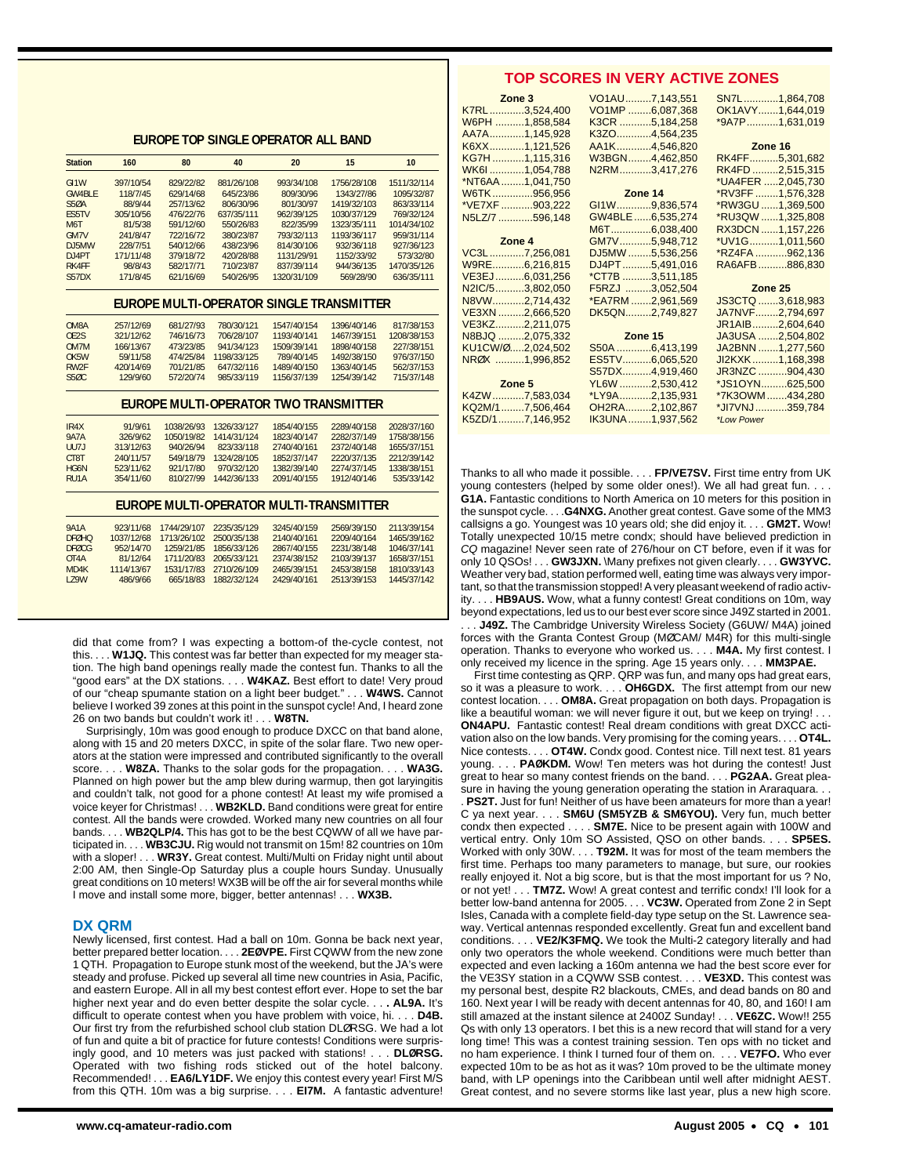**EUROPE TOP SINGLE OPERATOR ALL BAND**

| <b>Station</b>                     | 160                   | 80                     | 40                      | 20                                              | 15                        | 10          |
|------------------------------------|-----------------------|------------------------|-------------------------|-------------------------------------------------|---------------------------|-------------|
|                                    |                       |                        |                         |                                                 |                           | 1511/32/114 |
| GI <sub>1</sub> W<br><b>GW4BIF</b> | 397/10/54<br>118/7/45 | 829/22/82<br>629/14/68 | 881/26/108<br>645/23/86 | 993/34/108<br>809/30/96                         | 1756/28/108<br>1343/27/86 | 1095/32/87  |
| <b>S50A</b>                        | 88/9/44               | 257/13/62              | 806/30/96               | 801/30/97                                       | 1419/32/103               | 863/33/114  |
| <b>FS5TV</b>                       | 305/10/56             | 476/22/76              | 637/35/111              | 962/39/125                                      | 1030/37/129               | 769/32/124  |
| M <sub>6</sub> T                   | 81/5/38               | 591/12/60              | 550/26/83               | 822/35/99                                       | 1323/35/111               | 1014/34/102 |
| <b>GM7V</b>                        | 241/8/47              | 722/16/72              | 380/23/87               | 793/32/113                                      | 1193/36/117               | 959/31/114  |
|                                    |                       |                        |                         |                                                 |                           |             |
| D.J5MW                             | 228/7/51              | 540/12/66              | 438/23/96               | 814/30/106                                      | 932/36/118                | 927/36/123  |
| DJ4PT                              | 171/11/48             | 379/18/72              | 420/28/88               | 1131/29/91                                      | 1152/33/92                | 573/32/80   |
| RK4FF                              | 98/8/43               | 582/17/71              | 710/23/87               | 837/39/114                                      | 944/36/135                | 1470/35/126 |
| S57DX                              | 171/8/45              | 621/16/69              | 540/26/95               | 1320/31/109                                     | 569/28/90                 | 636/35/111  |
|                                    |                       |                        |                         | <b>FUROPE MULTI-OPERATOR SINGLE TRANSMITTER</b> |                           |             |
| OM8A                               | 257/12/69             | 681/27/93              | 780/30/121              | 1547/40/154                                     | 1396/40/146               | 817/38/153  |
| OE2S                               | 321/12/62             | 746/16/73              | 706/28/107              | 1193/40/141                                     | 1467/39/151               | 1208/38/153 |
| OM7M                               | 166/13/67             | 473/23/85              | 941/34/123              | 1509/39/141                                     | 1898/40/158               | 227/38/151  |
| OK5W                               | 59/11/58              | 474/25/84              | 1198/33/125             | 789/40/145                                      | 1492/38/150               | 976/37/150  |
| RW <sub>2F</sub>                   | 420/14/69             | 701/21/85              | 647/32/116              | 1489/40/150                                     | 1363/40/145               | 562/37/153  |
| S5ØC                               | 129/9/60              | 572/20/74              | 985/33/119              | 1156/37/139                                     | 1254/39/142               | 715/37/148  |
|                                    |                       |                        |                         | <b>FUROPE MULTI-OPERATOR TWO TRANSMITTER</b>    |                           |             |
| IR4X                               | 91/9/61               | 1038/26/93             | 1326/33/127             | 1854/40/155                                     | 2289/40/158               | 2028/37/160 |
| <b>9A7A</b>                        | 326/9/62              | 1050/19/82             | 1414/31/124             | 1823/40/147                                     | 2282/37/149               | 1758/38/156 |
| UU7J                               | 313/12/63             | 940/26/94              | 823/33/118              | 2740/40/161                                     | 2372/40/148               | 1655/37/151 |
| CT8T                               | 240/11/57             | 549/18/79              | 1324/28/105             | 1852/37/147                                     | 2220/37/135               | 2212/39/142 |
| HG6N                               | 523/11/62             | 921/17/80              | 970/32/120              | 1382/39/140                                     | 2274/37/145               | 1338/38/151 |
| RU <sub>1</sub> A                  | 354/11/60             | 810/27/99              | 1442/36/133             | 2091/40/155                                     | 1912/40/146               | 535/33/142  |
|                                    |                       |                        |                         | <b>EUROPE MULTI-OPERATOR MULTI-TRANSMITTER</b>  |                           |             |
| <b>9A1A</b>                        | 923/11/68             | 1744/29/107            | 2235/35/129             | 3245/40/159                                     | 2569/39/150               | 2113/39/154 |
| <b>DFØHO</b>                       | 1037/12/68            | 1713/26/102            | 2500/35/138             | 2140/40/161                                     | 2209/40/164               | 1465/39/162 |

| <b>9A1A</b>       |            | 923/11/68 1744/29/107 2235/35/129 |                         | 3245/40/159 | 2569/39/150 | 2113/39/154 |
|-------------------|------------|-----------------------------------|-------------------------|-------------|-------------|-------------|
| <b>DEQHO</b>      | 1037/12/68 |                                   | 1713/26/102 2500/35/138 | 2140/40/161 | 2209/40/164 | 1465/39/162 |
| <b>DEØCG</b>      | 952/14/70  |                                   | 1259/21/85 1856/33/126  | 2867/40/155 | 2231/38/148 | 1046/37/141 |
| OT <sub>4</sub> A | 81/12/64   |                                   | 1711/20/83 2065/33/121  | 2374/38/152 | 2103/39/137 | 1658/37/151 |
| MD4K              | 1114/13/67 |                                   | 1531/17/83 2710/26/109  | 2465/39/151 | 2453/38/158 | 1810/33/143 |
| <b>179W</b>       | 486/9/66   |                                   | 665/18/83 1882/32/124   | 2429/40/161 | 2513/39/153 | 1445/37/142 |
|                   |            |                                   |                         |             |             |             |
|                   |            |                                   |                         |             |             |             |

did that come from? I was expecting a bottom-of the-cycle contest, not this. . . . **W1JQ.** This contest was far better than expected for my meager station. The high band openings really made the contest fun. Thanks to all the "good ears" at the DX stations. . . . **W4KAZ.** Best effort to date! Very proud of our "cheap spumante station on a light beer budget." . . . **W4WS.** Cannot believe I worked 39 zones at this point in the sunspot cycle! And, I heard zone 26 on two bands but couldn't work it! . . . **W8TN.**

Surprisingly, 10m was good enough to produce DXCC on that band alone, along with 15 and 20 meters DXCC, in spite of the solar flare. Two new operators at the station were impressed and contributed significantly to the overall score. . . . **W8ZA.** Thanks to the solar gods for the propagation. . . . **WA3G.** Planned on high power but the amp blew during warmup, then got laryingitis and couldn't talk, not good for a phone contest! At least my wife promised a voice keyer for Christmas! . . . **WB2KLD.** Band conditions were great for entire contest. All the bands were crowded. Worked many new countries on all four bands. . . . **WB2QLP/4.** This has got to be the best CQWW of all we have participated in. . . . **WB3CJU.** Rig would not transmit on 15m! 82 countries on 10m with a sloper! . . . **WR3Y.** Great contest. Multi/Multi on Friday night until about 2:00 AM, then Single-Op Saturday plus a couple hours Sunday. Unusually great conditions on 10 meters! WX3B will be off the air for several months while I move and install some more, bigger, better antennas! . . . **WX3B.**

#### **DX QRM**

Newly licensed, first contest. Had a ball on 10m. Gonna be back next year, better prepared better location. . . . **2EØVPE.** First CQWW from the new zone 1 QTH. Propagation to Europe stunk most of the weekend, but the JA's were steady and profuse. Picked up several all time new countries in Asia, Pacific, and eastern Europe. All in all my best contest effort ever. Hope to set the bar higher next year and do even better despite the solar cycle. . . **. AL9A.** It's difficult to operate contest when you have problem with voice, hi. . . . **D4B.** Our first try from the refurbished school club station DLØRSG. We had a lot of fun and quite a bit of practice for future contests! Conditions were surprisingly good, and 10 meters was just packed with stations! . . . **DLØRSG.** Operated with two fishing rods sticked out of the hotel balcony. Recommended! . . . **EA6/LY1DF.** We enjoy this contest every year! First M/S from this QTH. 10m was a big surprise. . . . **EI7M.** A fantastic adventure!

#### **TOP SCORES IN VERY ACTIVE ZONES**

| Zone 3           | VO1AU7,143,551   | SN7L1,864,708     |
|------------------|------------------|-------------------|
| K7RL3,524,400    | VO1MP 6,087,368  | OK1AVY1,644,019   |
| W6PH 1,858,584   | K3CR 5,184,258   | *9A7P1,631,019    |
| AA7A1,145,928    | K3ZO4,564,235    |                   |
| K6XX1,121,526    | AA1K4,546,820    | Zone 16           |
| KG7H 1,115,316   | W3BGN4,462,850   | RK4FF5,301,682    |
| WK6I1,054,788    | N2RM3,417,276    | RK4FD 2,515,315   |
| *NT6AA 1,041,750 |                  | *UA4FER 2,045,730 |
| W6TK956,956      | <b>Zone 14</b>   | *RV3FF 1,576,328  |
| *VE7XF 903,222   | GI1W9,836,574    | *RW3GU 1,369,500  |
| N5LZ/7 596,148   | GW4BLE6,535,274  | *RU3QW 1,325,808  |
|                  | M6T6,038,400     | RX3DCN 1,157,226  |
| Zone 4           | GM7V5,948,712    | *UV1G1,011,560    |
| VC3L 7,256,081   | DJ5MW 5,536,256  | *RZ4FA 962,136    |
| W9RE6,216,815    | DJ4PT5,491,016   | RA6AFB886,830     |
| VE3EJ6,031,256   | *CT7B 3,511,185  |                   |
| N2IC/53,802,050  | F5RZJ 3,052,504  | Zone 25           |
| N8VW2,714,432    | *EA7RM 2,961,569 | JS3CTQ 3,618,983  |
| VE3XN 2,666,520  | DK5QN2,749,827   | JA7NVF2,794,697   |
| VE3KZ2,211,075   |                  | JR1AIB2,604,640   |
| N8BJQ 2,075,332  | Zone 15          | JA3USA 2,504,802  |
| KU1CW/Ø2,024,502 | S50A 6,413,199   | JA2BNN 1,277,560  |
| NRØX 1,996,852   | ES5TV6,065,520   | JI2KXK1,168,398   |
|                  | S57DX4,919,460   | JR3NZC 904,430    |
| Zone 5           | YL6W 2,530,412   | *JS1OYN625.500    |
| K4ZW 7,583,034   | *LY9A2,135,931   | *7K3OWM434,280    |
| KQ2M/17,506,464  | OH2RA2,102,867   | *JI7VNJ359,784    |
| K5ZD/17,146,952  | IK3UNA1,937,562  | *Low Power        |

Thanks to all who made it possible. . . . **FP/VE7SV.** First time entry from UK young contesters (helped by some older ones!). We all had great fun. . **G1A.** Fantastic conditions to North America on 10 meters for this position in the sunspot cycle. . . .**G4NXG.** Another great contest. Gave some of the MM3 callsigns a go. Youngest was 10 years old; she did enjoy it. . . . **GM2T.** Wow! Totally unexpected 10/15 metre condx; should have believed prediction in CQ magazine! Never seen rate of 276/hour on CT before, even if it was for only 10 QSOs! . . . **GW3JXN.** \Many prefixes not given clearly. . . . **GW3YVC.** Weather very bad, station performed well, eating time was always very important, so that the transmission stopped! A very pleasant weekend of radio activity. . . . **HB9AUS.** Wow, what a funny contest! Great conditions on 10m, way beyond expectations, led us to our best ever score since J49Z started in 2001. . J49Z. The Cambridge University Wireless Society (G6UW/ M4A) joined forces with the Granta Contest Group (MØCAM/ M4R) for this multi-single operation. Thanks to everyone who worked us. . . . **M4A.** My first contest. I

only received my licence in the spring. Age 15 years only. . . . **MM3PAE.**  First time contesting as QRP. QRP was fun, and many ops had great ears, so it was a pleasure to work. . . . **OH6GDX.** The first attempt from our new contest location. . . . **OM8A.** Great propagation on both days. Propagation is like a beautiful woman: we will never figure it out, but we keep on trying! . . . **ON4APU.** Fantastic contest! Real dream conditions with great DXCC activation also on the low bands. Very promising for the coming years. . . . **OT4L.** Nice contests. . . . **OT4W.** Condx good. Contest nice. Till next test. 81 years young. . . . **PAØKDM.** Wow! Ten meters was hot during the contest! Just great to hear so many contest friends on the band. . . . **PG2AA.** Great pleasure in having the young generation operating the station in Araraguara..

. **PS2T.** Just for fun! Neither of us have been amateurs for more than a year! C ya next year. . . . **SM6U (SM5YZB & SM6YOU).** Very fun, much better condx then expected . . . . **SM7E.** Nice to be present again with 100W and vertical entry. Only 10m SO Assisted, QSO on other bands. . . . **SP5ES.** Worked with only 30W. . . . **T92M.** It was for most of the team members the first time. Perhaps too many parameters to manage, but sure, our rookies really enjoyed it. Not a big score, but is that the most important for us ? No, or not yet! . . . **TM7Z.** Wow! A great contest and terrific condx! I'll look for a better low-band antenna for 2005. . . . **VC3W.** Operated from Zone 2 in Sept Isles, Canada with a complete field-day type setup on the St. Lawrence seaway. Vertical antennas responded excellently. Great fun and excellent band conditions. . . . **VE2/K3FMQ.** We took the Multi-2 category literally and had only two operators the whole weekend. Conditions were much better than expected and even lacking a 160m antenna we had the best score ever for the VE3SY station in a CQWW SSB contest. . . . **VE3XD.** This contest was my personal best, despite R2 blackouts, CMEs, and dead bands on 80 and 160. Next year I will be ready with decent antennas for 40, 80, and 160! I am still amazed at the instant silence at 2400Z Sunday! . . . **VE6ZC.** Wow!! 255 Qs with only 13 operators. I bet this is a new record that will stand for a very long time! This was a contest training session. Ten ops with no ticket and no ham experience. I think I turned four of them on. . . . **VE7FO.** Who ever expected 10m to be as hot as it was? 10m proved to be the ultimate money band, with LP openings into the Caribbean until well after midnight AEST. Great contest, and no severe storms like last year, plus a new high score.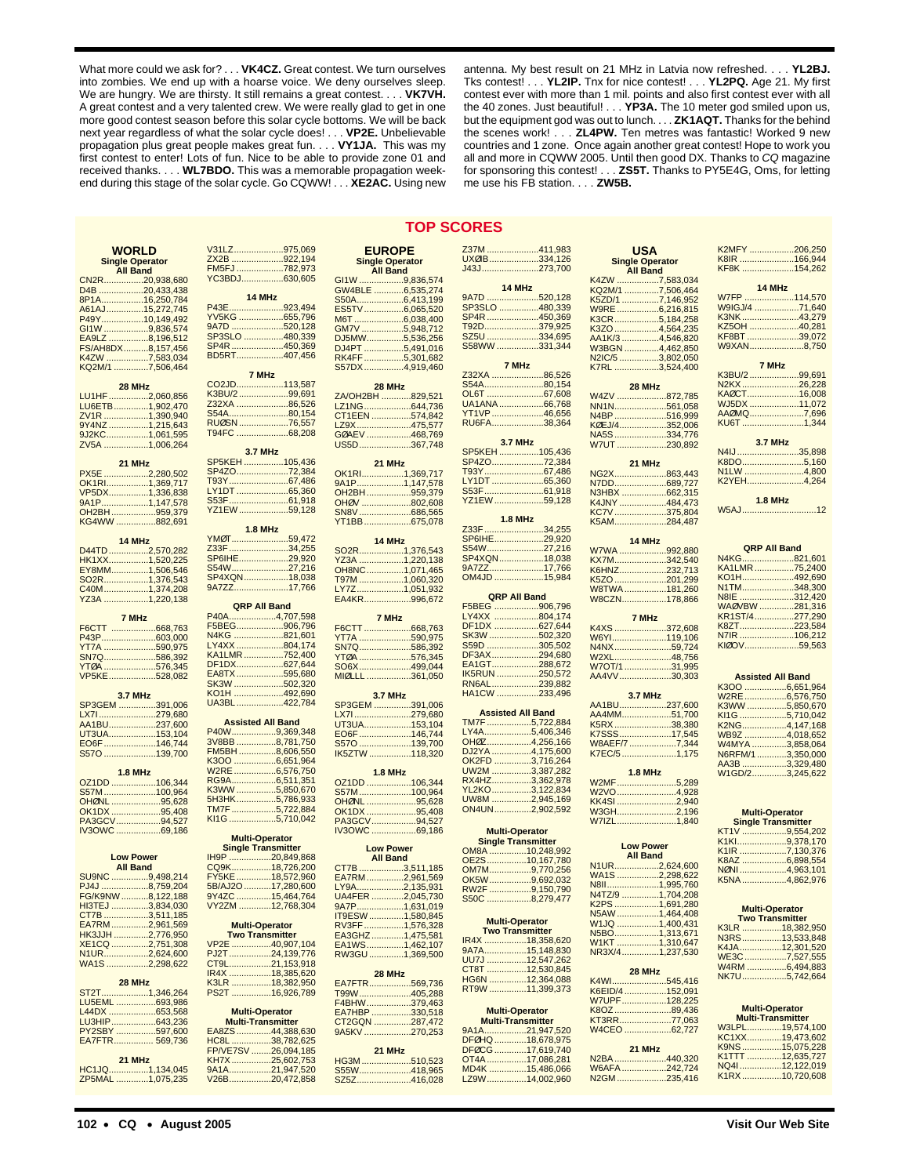What more could we ask for? . . . **VK4CZ.** Great contest. We turn ourselves into zombies. We end up with a hoarse voice. We deny ourselves sleep. We are hungry. We are thirsty. It still remains a great contest. . . . **VK7VH.** A great contest and a very talented crew. We were really glad to get in one more good contest season before this solar cycle bottoms. We will be back next year regardless of what the solar cycle does! . . . **VP2E.** Unbelievable propagation plus great people makes great fun. . . . **VY1JA.** This was my first contest to enter! Lots of fun. Nice to be able to provide zone 01 and received thanks. . . . **WL7BDO.** This was a memorable propagation weekend during this stage of the solar cycle. Go CQWW! . . . **XE2AC.** Using new

antenna. My best result on 21 MHz in Latvia now refreshed. . . . **YL2BJ.** Tks contest! . . . **YL2IP.** Tnx for nice contest! . . . **YL2PQ.** Age 21. My first contest ever with more than 1 mil. points and also first contest ever with all the 40 zones. Just beautiful! . . . **YP3A.** The 10 meter god smiled upon us, but the equipment god was out to lunch. . . . **ZK1AQT.** Thanks for the behind the scenes work! . . . **ZL4PW.** Ten metres was fantastic! Worked 9 new countries and 1 zone. Once again another great contest! Hope to work you all and more in CQWW 2005. Until then good DX. Thanks to CQ magazine for sponsoring this contest! . . . **ZS5T.** Thanks to PY5E4G, Oms, for letting me use his FB station. . . . **ZW5B.**

#### **TOP SCORES**

|                               | V31LZ975,069                  |                                | Z37M 411,983                                       |                        | K2MFY 206,250                             |
|-------------------------------|-------------------------------|--------------------------------|----------------------------------------------------|------------------------|-------------------------------------------|
| WORLD                         | ZX2B 922,194                  | <b>EUROPE</b>                  | UXØIB334,126                                       | <b>USA</b>             | K8IR 166,944                              |
| <b>Single Operator</b>        | FM5FJ782,973                  | <b>Single Operator</b>         | J43J273,700                                        | <b>Single Operator</b> | KF8K 154,262                              |
| <b>All Band</b>               | YC3BDJ630,605                 | <b>All Band</b>                |                                                    | <b>All Band</b>        |                                           |
| CN2R20,938,680                |                               | GI <sub>1</sub> W<br>9.836.574 | 14 MHz                                             | K4ZW 7,583,034         | 14 MHz                                    |
| D4B 20,433,438                | 14 MHz                        | GW4BLE 6,535,274               | 9A7D 520,128                                       | KQ2M/1 7,506,464       | W7FP 114,570                              |
| 8P1A16,250,784                | P43E923,494                   |                                | SP3SLO 480,339                                     | K5ZD/1 7,146,952       | W9IGJ/4 71,640                            |
| A61AJ15,272,745               | YV5KG 655,796                 | ES5TV6,065,520                 | SP4R 450,369                                       | W9RE 6,216,815         | K3NK43,279                                |
| P49Y10,149,492                | 9A7D 520,128                  | M6T 6,038,400                  | <u>792D379,925</u>                                 | K3CR5,184,258          | KZ5OH 40,281                              |
| GI1W 9,836,574                | SP3SLO 480,339                | GM7V 5,948,712                 | SZ5U 334,695                                       | K3ZO 4,564,235         | KF8BT 39,072                              |
| EA9LZ 8,196.512               | SP4R 450,369                  | DJ5MW5.536.256                 | S58WW331,344                                       | AA1K/3 4,546,820       | W9XAN8,750                                |
| FS/AH8DX8,157,456             | BD5RT407,456                  | DJ4PT 5,491,016                |                                                    | W3BGN 4,462,850        |                                           |
| K4ZW 7,583,034                |                               | RK4FF 5,301,682                | 7 MHz                                              | N2IC/5 3,802,050       | 7 MHz                                     |
| KQ2M/1 7,506,464              | 7 MHz                         | S57DX4,919,460                 | Z32XA 86,526                                       | K7RL 3,524,400         | K3BU/2 99,691                             |
|                               | CO2JD113,587                  |                                | S54A80,154                                         |                        | N2KX26,228                                |
| 28 MHz                        | K3BU/2 99,691                 | 28 MHz                         | OL6T 67,608                                        | 28 MHz                 | KAØCT16,008                               |
| LU1HF2,060,856                | Z32XA 86,526                  | ZA/OH2BH 829.521               | UA1ANA66,768                                       | W4ZV 872,785           | WJ5DX 11,072                              |
| LU6ETB1,902,470               | S54A80,154                    | LZ1NG644,736                   | YT1VP 46,656                                       | NN1N561,058            | AAØMQ7,696                                |
| ZV1R 1,390,940                | RUØSN 76,557                  | CT1EEN 574,842                 | RU6FA38,364                                        | N4BP516,999            | KU6T 1,344                                |
| 9Y4NZ1,215,643                | T94FC 68,208                  | LZ9X475,577                    |                                                    | KØEJ/4352,006          |                                           |
| 9J2KC1,061,595                |                               | GØAEV 468,769                  | <b>3.7 MHz</b>                                     | NA5S334,776            | <b>3.7 MHz</b>                            |
| ZV5A 1,006,264                | 3.7 MHz                       | US5D367,748                    | SP5KEH 105,436                                     | W7UT 230,892           | N4IJ35,898                                |
|                               | SP5KEH105,436                 |                                | SP4ZO72,384                                        |                        | K8DO5,160                                 |
| 21 MHz                        | SP4ZO72,384                   | 21 MHz                         | T93Y67,486                                         | 21 MHz                 | N1LW 4,800                                |
| PX5E 2,280,502                | <u>T93Y67,486</u>             | OK1RI1,369,717                 | LY1DT 65,360                                       | NG2X863,443            | K2YEH4,264                                |
| OK1RI1,369,717                | LY1DT 65,360                  | 9A1P1,147,578                  | S53F61,918                                         | N7DD689,727            |                                           |
| VP5DX1,336,838                | S53F61,918                    | OH2BH959,379                   | <u>YZ1EW 59,128</u>                                | N3HBX 662,315          | <b>1.8 MHz</b>                            |
| 9A1P1,147,578                 | YZ1EW59,128                   | OHØV 802,608                   |                                                    | K4JNY 484,473          | W5AJ12                                    |
| OH2BH 959,379                 |                               | SN8V686,565                    | <b>1.8 MHz</b>                                     | KC7V375,804            |                                           |
| KG4WW 882,691                 | <b>1.8 MHz</b>                | YT1BB675,078                   | Z33F 34,255                                        | K5AM284,487            |                                           |
|                               | YM0T59,472                    |                                | SP6IHE29,920                                       |                        |                                           |
| 14 MHz                        | Z33F 34,255                   | 14 MHz                         | <u>S54W27,216</u>                                  | 14 MHz                 | <b>QRP All Band</b>                       |
| D44TD2,570,282                | SP6IHE29,920                  | SO <sub>2</sub> R1,376,543     | SP4XQN18,038                                       | W7WA 992,880           | N4KG821,601                               |
| HK1XX1,520,225                | S54W27,216                    | YZ3A 1,220,138                 | 9A7ZZ17,766                                        | KX7M342,540            | KA1LMR75,2400                             |
| EY8MM1,506,546                | SP4XQN18,038                  | OH8NC1,071,465                 | OM4JD 15,984                                       | K6HNZ232,713           | KO1H492,690                               |
| SO2R1,376,543                 | 9A7ZZ17,766                   | T97M 1,060,320                 |                                                    | K5ZO 201,299           | N1TM348,300                               |
| C40M1,374,208                 |                               | LY7Z1,051,932                  | <b>QRP All Band</b>                                | W8TWA181,260           | N8IE 312,420                              |
| YZ3A 1,220,138                | <b>QRP All Band</b>           | EA4KR996,672                   | F5BEG 906,796                                      | W8CZN178,866           | WAØVBW 281,316                            |
| 7 MHz                         | P40A4,707,598                 |                                | LY4XX 804,174                                      | 7 MHz                  | KR1ST/4277,290                            |
|                               | F5BEG906,796                  | 7 MHz                          | DF1DX 627,644                                      |                        | K8ZT223,584                               |
| F6CTT 668,763                 | N4KG 821,601                  | F6CTT 668,763                  | SK3W 502,320                                       | K4XS 372,608           | N7IR 106,212                              |
| P43P603,000                   | LY4XX 804,174                 | YT7A 590,975                   | S59D 305,502                                       | W6YI119,106            | KIØOV59,563                               |
| YT7A 590,975                  | KA1LMR752,400                 | SN7Q586,392                    | DF3AX294,680                                       | N4NX59,724             |                                           |
| SN7Q586,392                   | DF1DX627,644                  | YTØA 576,345                   | EA1GT288,672                                       | W2XL48,756             |                                           |
| YTØA 576,345                  | EA8TX595,680                  | SO6X499,044                    | IK5RUN 250,572                                     | W7OT/1 31,995          |                                           |
| VP5KE528,082                  | SK3W 502,320                  | MIØLLL 361,050                 | RN6AL239,882                                       | AA4VV30,303            | <b>Assisted All Band</b>                  |
|                               | KO1H 492,690                  |                                | HA1CW 233,496                                      |                        | K3OO 6,651,964                            |
| 3.7 MHz                       | UA3BL422,784                  | <b>3.7 MHz</b>                 |                                                    | <b>3.7 MHz</b>         | W2RE 6,576,750                            |
| SP3GEM 391,006                |                               | SP3GEM 391,006                 | <b>Assisted All Band</b>                           | AA1BU237,600           | K3WW 5,850,670                            |
| LX71279,680                   | <b>Assisted All Band</b>      | LX71279,680                    | TM7F 5,722,884                                     | AA4MM51,700            | KI1G 5,710,042                            |
| AA1BU237,600                  | P40W9,369,348                 | UT3UA153,104                   | LY4A5,406,346                                      | K5RX38,380             | K2NG4,147,168                             |
| UT3UA153,104                  | 3V8BB 8,781,750               | EO6F 146,744                   | OH0Z4,256,166                                      | K7SSS17,545            | WB9Z 4,018,652                            |
| EO6F 146,744                  | FM5BH 8,606,550               | S570 139,700                   | DJ2YA 4,175,600                                    | W8AEF/7 7,344          | W4MYA 3,858,064                           |
| S570 139,700                  | K3OO 6,651,964                | IK5ZTW 118,320                 | OK2FD 3,716,264                                    | K7EC/51,175            | N6RFM/13,350,000                          |
|                               | W2RE 6,576,750                |                                | UW2M 3,387,282                                     | <b>1.8 MHz</b>         | AA3B 3,329,480                            |
| <b>1.8 MHz</b>                | RG9A6,511,351                 | <b>1.8 MHz</b>                 | RX4HZ3,362,978                                     |                        | W1GD/23,245,622                           |
| OZ1DD 106,344                 | K3WW 5,850,670                | OZ1DD 106,344                  | YL2KO 3,122,834                                    | W2MF5,289              |                                           |
| S57M 100,964                  | 5H3HK5,786,933                | S57M100,964                    | UW8M 2,945,169                                     | W2VO4,928              |                                           |
| OHØNL 95,628                  | TM7F 5,722,884                | OHØNL 95,628                   | ON4UN2,902,592                                     | KK4SI 2,940            |                                           |
| OK1DX 95,408                  | KI1G 5,710,042                | OK1DX 95,408                   |                                                    | W3GH2,196              | <b>Multi-Operator</b>                     |
| PA3GCV94,527<br>IV3OWC 69,186 |                               | PA3GCV94,527                   |                                                    | W7IZL1,840             | <b>Single Transmitter</b>                 |
|                               | <b>Multi-Operator</b>         | IV3OWC 69,186                  | <b>Multi-Operator</b><br><b>Single Transmitter</b> |                        | KT1V 9,554,202<br>K1Kl9,378,170           |
|                               | <b>Single Transmitter</b>     | <b>Low Power</b>               |                                                    | <b>Low Power</b>       |                                           |
| <b>Low Power</b>              | IH9P 20,849,868               | <b>All Band</b>                | OM8A 10,248,992<br>OE2S10,167,780                  | <b>All Band</b>        | K1IR 7,130,376<br>K8AZ 6,898,554          |
| <b>All Band</b>               | CQ9K18,726,200                | CT7B<br>3,511,185              |                                                    | N1UR2,624,600          |                                           |
| SU9NC 9,498,214               | FY5KE18,572,960               | EA7RM2,961,569                 | OM7M9,770,256                                      | WA1S2,298,622          | NØNI 4,963,101                            |
| PJ4J 8,759,204                | 5B/AJ2O 17,280,600            | LY9A2,135,931                  | OK5W9,692,032<br>RW2F 9,150,790                    | N8II1,995,760          | K5NA 4,862,976                            |
| FG/K9NW 8,122,188             | 9Y4ZC 15,464,764              | UA4FER 2,045,730               |                                                    | N4TZ/9 1,704,208       |                                           |
| HI3TEJ 3,834,030              | <u>v Y2ZM ………….12,768,304</u> | 9A7P1,631,019                  | S50C 8,279,477                                     | K2PS 1,691,280         | <b>Multi-Operator</b>                     |
| CT7B 3,511,185                |                               | IT9ESW 1,580,845               |                                                    | N5AW 1,464,408         |                                           |
| EA7RM2,961,569                | <b>Multi-Operator</b>         | RV3FF 1,576,328                | <b>Multi-Operator</b>                              | W1JQ 1,400,431         | <b>Two Transmitter</b><br>K3LR 18,382,950 |
| <u> НКЗЈЈН 2,776,950</u>      | <b>Two Transmitter</b>        | EA3GHZ1,475,581                | <b>Two Transmitter</b>                             | N5BO1,313,671          |                                           |
| XE1CQ 2,751,308               | VP2E 40.907.104               | EA1WS1,462,107                 | IR4X 18,358,620                                    | W1KT 1,310,647         | N3RS13,533,848<br>K4JA12,301,520          |
| N1UR2,624,600                 | PJ2T24,139,776                | RW3GU 1,369,500                | 9A7A15,148,830                                     | NR3X/41,237,530        | WE3C7,527,555                             |
| WA1S 2,298,622                | CT9L21,153,918                |                                | UU7J 12,547,262                                    |                        | W4RM 6,494,883                            |
|                               | IR4X 18,385,620               | 28 MHz                         | CT8T 12,530,845                                    | 28 MHz                 | NK7U5,742,664                             |
| 28 MHz                        | K3LR 18,382,950               | EA7FTR569,736                  | HG6N 12,364,088                                    | K4WI545,416            |                                           |
| ST2T1,346,264                 | PS2T 16,926,789               | T99W405,288                    | RT9W 11,399,373                                    | K6EID/4 152,091        |                                           |
| LU5EML 693,986                |                               | F4BHW379,463                   |                                                    | W7UPF128,225           |                                           |
| L44DX 653,568                 | <b>Multi-Operator</b>         | EA7HBP 330,518                 | <b>Multi-Operator</b>                              | K8OZ89,436             | <b>Multi-Operator</b>                     |
| LU3HIP643,236                 | <b>Multi-Transmitter</b>      | CT2GQN 287,472                 | <b>Multi-Transmitter</b>                           | KT3RR77,063            | <b>Multi-Transmitter</b>                  |
| PY2SBY 597,600                | EA8ZS44.388.630               | 9A5KV 270,253                  | 9A1A21,947,520                                     | W4CEO 62,727           | W3LPL19,574,100                           |
| EA7FTR 569,736                | HC8L 38,782,625               |                                | DFØHQ18,678,975                                    |                        | KC1XX19,473,602                           |
|                               | FP/VE7SV 26,094,185           | 21 MHz                         | DFØCG17,619,740                                    | 21 MHz                 | K9NS 15,075,228                           |
| 21 MHz                        | KH7X25,602,753                | HG3M510,523                    | OT4A 17,086,281                                    | N2BA 440,320           | K1TTT 12,635,727                          |
| HC1JQ1,134,045                | 9A1A21,947,520                | S55W418,965                    | MD4K 15,486,066                                    | W6AFA242,724           | NQ4112,122,019                            |
| ZP5MAL 1,075,235              | V26B20,472,858                | SZ5Z416,028                    | LZ9W14,002,960                                     | N2GM235,416            | K1RX10,720,608                            |
|                               |                               |                                |                                                    |                        |                                           |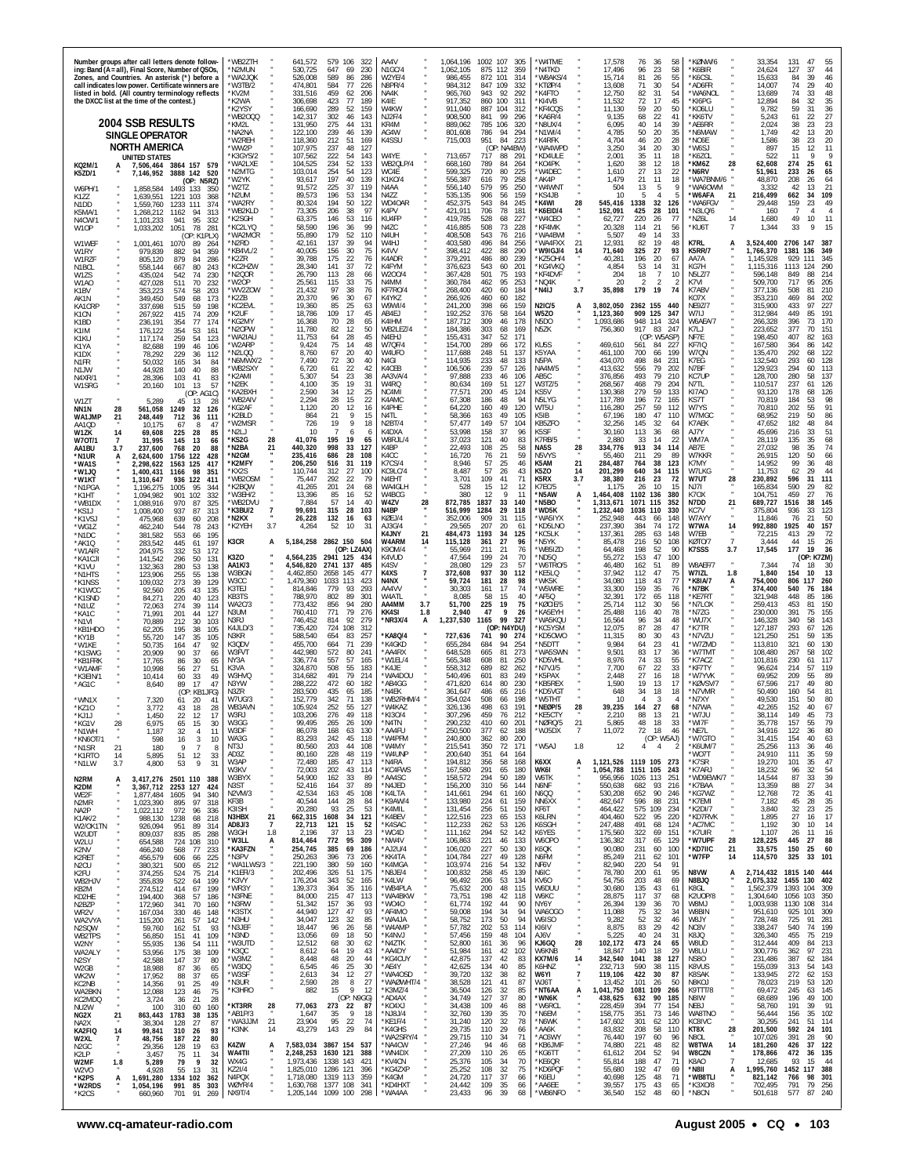|                                                                                                         |                            | the DXCC list at the time of the contest.)                                                     | Number groups after call letters denote follow-<br>ing: Band (A = all), Final Score, Number of QSOs,<br>Zones, and Countries. An asterisk (*) before a<br>call indicates low power. Certificate winners are<br>listed in bold. (All country terminology reflects | *WB2ZTH<br>*N2MUN<br>*WA2JQK<br>*W3TB/2<br>*KV2M<br>*K2WA<br>*K2YSY                                     | 641,572<br>530,725<br>526,008<br>474.801<br>331,516<br>306,698<br>166,690            | 579 106<br>322<br>647<br>230<br>-69<br>589<br>86<br>286<br>584<br>77<br>226<br>459<br>62<br>206<br>77<br>423<br>189<br>289<br>52<br>159                     | AA4V<br>N <sub>1GC</sub> /4<br>W2YE/4<br>N8PR/4<br>NA4K<br>K4IE<br>W4KW                           | 1,064,196<br>1,062,105<br>986,455<br>984.312<br>965,760<br>917,352<br>911,040        | 1002 107<br>875 112<br>872<br>101<br>847 109<br>943<br>92<br>860 100<br>887<br>104                      | 305<br>359<br>314<br>332<br>292<br>311<br>312        | *W4TME<br>'N4TKD<br>'W8AKS/4<br>*KTØP/4<br>*K4FTO<br>*KI4VB<br>'KF4CQS             |                                  | 17,578<br>17,496<br>15,714<br>13,608<br>12,750<br>11,532<br>11,130                      | 76<br>36<br>58<br>96<br>23<br>58<br>81<br>26<br>55<br>71<br>30<br>54<br>82<br>31<br>54<br>72<br>17<br>45<br>59<br>20<br>50                                             | *KØNW/6<br><b>K6BIR</b><br>*K6CSL<br>*AD6FR<br>*WA6NOL<br>*KI6PG<br>KO6LU                              | 33,354<br>24,624<br>15,633<br>14,007<br>13,689<br>12,894<br>9,782                     | 131<br>47<br>37<br>127<br>84<br>39<br>74<br>29<br>74<br>33<br>84<br>32<br>59<br>31                     | 44<br>46<br>40<br>48<br>35<br>36                     |
|---------------------------------------------------------------------------------------------------------|----------------------------|------------------------------------------------------------------------------------------------|------------------------------------------------------------------------------------------------------------------------------------------------------------------------------------------------------------------------------------------------------------------|---------------------------------------------------------------------------------------------------------|--------------------------------------------------------------------------------------|-------------------------------------------------------------------------------------------------------------------------------------------------------------|---------------------------------------------------------------------------------------------------|--------------------------------------------------------------------------------------|---------------------------------------------------------------------------------------------------------|------------------------------------------------------|------------------------------------------------------------------------------------|----------------------------------|-----------------------------------------------------------------------------------------|------------------------------------------------------------------------------------------------------------------------------------------------------------------------|--------------------------------------------------------------------------------------------------------|---------------------------------------------------------------------------------------|--------------------------------------------------------------------------------------------------------|------------------------------------------------------|
|                                                                                                         |                            | 2004 SSB RESULTS<br><b>SINGLE OPERATOR</b><br>NORTH AMERICA<br>UNITED STATES                   |                                                                                                                                                                                                                                                                  | *WB2000<br>*KM2L<br>*NA2NA<br>*W2REH<br>*WW2P<br>*K3GYS/2<br>*WA2LXE                                    | 142,317<br>131,950<br>122,100<br>118,360<br>107,975<br>107,562<br>104,525            | 302<br>46<br>143<br>275<br>44<br>131<br>239<br>46<br>139<br>212<br>51<br>169<br>237<br>48<br>-127<br>222<br>54<br>143<br>234<br>52<br>133                   | <b>NJ2F/4</b><br>KR4M<br>AG4W<br>K4SSU<br>W4YE<br>WB2QLP/4                                        | 908,500<br>889,062<br>801,608<br>715,003<br>713,657<br>668,160                       | 99<br>841<br>785<br>106<br>786<br>94<br>84<br>951<br>(OP: NA4BW)<br>717<br>88<br>789<br>84              | 296<br>320<br>294<br>223<br>291<br>264               | 'KA6R/4<br>N8UX/4<br>`N1WI/4<br>'K4RFK<br>'WA4WPD<br>*KD4ULE<br>*KO4PK             |                                  | 9,135<br>6,095<br>4,785<br>4,704<br>3,250<br>2,001<br>1,620                             | 22<br>68<br>41<br>40<br>14<br>39<br>50<br>20<br>35<br>46<br>20<br>28<br>34<br>20<br>30<br>35<br>11<br>18<br>38<br>12<br>18                                             | *KK6TV<br>AE6RR*<br>*N6MAW<br>'NO6E<br>"W6SJ<br>*K6ZCL<br>*KM6Z<br>28                                  | 5,243<br>2,024<br>1.749<br>1,586<br>897<br>522<br>62,608                              | 61<br>22<br>38<br>23<br>42<br>13<br>38<br>23<br>$\overline{15}$<br>12<br>11<br>g<br>274<br>25          | 27<br>23<br>20<br>20<br>11<br>-9<br>61               |
| KQ2M/1<br><b>K5ZD/1</b><br>W6PH/1<br>K177<br>N1DD<br>K5MA/1<br>N4CW/1                                   |                            | 7,506,464<br>7,146,952<br>1,858,584<br>1,639,551<br>1,559,760<br>1,268,212<br>1,101,233        | 3864 157 579<br>3888 142 520<br>(OP: N5RZ)<br>1493 133<br>- 350<br>1221 103<br>368<br>1233 111<br>374<br>94<br>313<br>1162<br>941<br>95<br>332                                                                                                                   | *N2MTG<br>*W2YK<br>'W2TZ<br>*N2UM<br>'WA2RY<br>*WB2KLD<br>*K2SGH<br>*KC2LYQ                             | 103,014<br>93,617<br>91.572<br>89,573<br>80,324<br>73,305<br>63,375<br>58,590        | 254<br>54<br>123<br>197<br>40<br>139<br>225<br>37<br>119<br>196<br>53<br>134<br>194<br>50<br>122<br>206<br>38<br>97<br>146<br>53<br>116<br>196<br>36<br>99  | WC4F<br>K1K0/4<br>N4AA<br>N4ZZ<br>WD40AR<br>K4PV<br>KU4FP<br>N4ZC                                 | 599,325<br>556,387<br>556,140<br>535,135<br>452,375<br>421,911<br>419,785<br>416,885 | 80<br>720<br>616<br>79<br>579<br>95<br>56<br>906<br>543<br>84<br>706<br>78<br>528<br>68<br>508<br>73    | 225<br>258<br>250<br>159<br>245<br>181<br>227<br>228 | 'W4DEC<br>AK4P'<br>'W4WNT<br>'KS4JB<br><b>K4WI</b><br>'K6EID/4<br>'W4CEO<br>*KF4MK | $\frac{28}{1}$                   | 1,610<br>1,479<br>504<br>10<br>545,416<br>152,091<br>62,727<br>20,328                   | $27\,$<br>13<br>22<br>21<br>11<br>18<br>13<br>-5<br>4<br>1338<br>32<br>126<br>425<br>28<br>101<br>26<br>220<br>77<br>114<br>21<br>56                                   | *N6RV<br>'WA7BNM/6<br>MWOAAW*<br>*W6AFA<br>21<br>*WA6FGV<br>*N3LQ/6<br>*NZ6L<br>14<br>*KU6T            | 51,961<br>48,870<br>3.332<br>216,499<br>29,448<br>160<br>1,680<br>1,344               | 233<br>26<br>208<br>26<br>13<br>42<br>662<br>34<br>23<br>159<br>4<br>49<br>10<br>9<br>33               | 65<br>64<br>21<br>109<br>49<br>11<br>15              |
| W1OP<br>W1WEF<br>W1RY<br>W1RZF<br>N <sub>1</sub> BCL<br>W1ZS<br>W <sub>1</sub> AO                       |                            | 1,033,202<br>1,001,461<br>979,839<br>805,120<br>558,144<br>435,024<br>427,028                  | 1051<br>78<br>281<br>(OP: K1PLX)<br>1070<br>-89<br>264<br>882<br>94<br>359<br>879<br>84<br>286<br>667<br>80<br>243<br>542<br>74<br>230<br>511<br>70<br>232                                                                                                       | *WA2MCR<br>*N2RD<br>*KB4VL/2<br>*K2ZR<br>*KC2HZW<br>'N2QOR<br>*W2OP                                     | 55,890<br>42,161<br>40,005<br>39,788<br>28,340<br>26,790<br>25,561                   | 179<br>52<br>110<br>137<br>39<br>94<br>156<br>30<br>75<br>175<br>22<br>76<br>37<br>141<br>72<br>113<br>28<br>66<br>115<br>33<br>75                          | N4UH<br>W4HJ<br>K4VV<br>K4ADR<br>K4FYM<br>W200/4<br>N4MM                                          | 408,508<br>403,580<br>398,412<br>379,291<br>376,623<br>367,428<br>360,784            | 543<br>76<br>496<br>84<br>422<br>88<br>486<br>80<br>60<br>543<br>501<br>75<br>462<br>95                 | 216<br>256<br>290<br>239<br>201<br>193<br>253        | 'WA4BWI<br>'WA4FXX<br>W9IGJ/4<br>KZ5OH/4<br>'KG4VKQ<br>*KF4DVF<br>*NQ4K            | 21<br>14                         | 5,507<br>12,931<br>71,640<br>40,281<br>4,854<br>204<br>20                               | 33<br>49<br>14<br>82<br>19<br>48<br>27<br>325<br>93<br>196<br>20<br>67<br>53<br>14<br>-31<br>18<br>$\overline{7}$<br>10<br>$\mathfrak{D}$<br>$\overline{2}$<br>2<br>74 | K7RL<br>A<br><b>K5RR/7</b><br>AA7A<br>KG7H<br><b>N5LZ/7</b><br>K7VI                                    | 3,524,400<br>1,766,370<br>1,145,928<br>1,115,316<br>596,148<br>509,700                | 2706 147<br>1381<br>136<br>929<br>111<br>1113<br>124<br>849<br>88<br>717<br>95<br>81                   | 387<br>-349<br>345<br>290<br>214<br>205<br>210       |
| K1BV<br>AK <sub>1</sub> N<br>KA1CRP<br>K <sub>1</sub> C <sub>N</sub><br>K1BD<br>K1IM<br>K1KU<br>K1YA    |                            | 353,223<br>349,450<br>337,698<br>267,922<br>236,191<br>176.122<br>117,174<br>82,688            | 574<br>58<br>203<br>549<br>68<br>173<br>515<br>198<br>59<br>74<br>415<br>209<br>354<br>77<br>174<br>354<br>53<br>161<br>259<br>54<br>123<br>199<br>46<br>106                                                                                                     | *WV2ZOW<br>*K2ZB<br>*KC2EVL<br>*K2UF<br>*KG2MY<br>*N2OPW<br><b>WA2IAU</b><br>'W2ARP                     | 21,432<br>20,370<br>19,360<br>18,786<br>16.368<br>11,780<br>11,753<br>9,424          | 97<br>38<br>76<br>96<br>30<br>67<br>85<br>25<br>63<br>17<br>109<br>45<br>70<br>28<br>65<br>82<br>12<br>50<br>64<br>28<br>45<br>75<br>14<br>48               | KF7RO/4<br>K4YKZ<br>W9WI/4<br>AB4EJ<br>K4IHM<br>WB2LEZ/4<br>N4EHJ<br>W7QF/4                       | 268,400<br>266,926<br>241,200<br>192,252<br>187,712<br>184,386<br>155,431<br>154,700 | 420<br>60<br>60<br>460<br>398<br>66<br>376<br>58<br>309<br>46<br>303<br>68<br>347<br>52<br>289<br>66    | 184<br>182<br>159<br>164<br>178<br>169<br>171<br>172 | *N4IJ<br>N2IC/5<br>W5ZO<br>N5DO<br>N5ZK<br>KU5S                                    | 3.7<br>A                         | 35,898<br>3,802,050<br>1,123,360<br>1.093.686<br>756,360<br>469,610                     | 179<br>19<br>2362 155<br>440<br>909<br>125<br>347<br>948 114<br>324<br>917<br>83<br>247<br>(OP: W5ASP)<br>561<br>84<br>227                                             | K7ABV<br>KO7X<br><b>NE9Z/7</b><br>W7IJ<br>W6AEA/7<br>K7LJ<br>NF7E<br>KF7IQ                             | 377,136<br>353,210<br>315,900<br>312,984<br>266,328<br>223,652<br>198,450<br>167,580  | 508<br>469<br>84<br>433<br>97<br>449<br>85<br>396<br>73<br>377<br>70<br>82<br>407<br>364<br>86         | 202<br>227<br>191<br>170<br>151<br>163<br>142        |
| K1DX<br>N1FR<br>N1JW<br>N4XR/1<br>W1SRG<br>W1ZT<br>NN1N                                                 | 28                         | 78,292<br>50.032<br>44,928<br>28,396<br>20,160<br>5,289<br>561,058                             | 229<br>36<br>112<br>165<br>-34<br>84<br>140<br>40<br>88<br>83<br>103<br>41<br>101<br>13<br>57<br>(OP: AG1C)<br>45<br>13<br>-28<br>1249<br>32<br>126                                                                                                              | *N2LQQ<br>*N6MWX/2<br>*WB2SXY<br>*K2AMI<br>*N2EK<br>'KA2BXH<br>*WB2AIV<br>*KG2AF                        | 8,760<br>7,490<br>6,720<br>5,307<br>4,100<br>2,590<br>2,294<br>1,120                 | 20<br>67<br>40<br>72<br>30<br>40<br>22<br>61<br>42<br>54<br>23<br>38<br>35<br>19<br>31<br>34<br>12<br>25<br>28<br>15<br>22<br>20<br>12<br>16                | W4UFO<br>N4GI<br>K4CEB<br>AA3VA/4<br>W4RQ<br>NC4MI<br>K4AMC<br>K4PHE                              | 117,688<br>114,935<br>106,506<br>97,888<br>80,634<br>77,571<br>67,308<br>64,220      | 248<br>51<br>233<br>48<br>239<br>57<br>233<br>46<br>169<br>51<br>200<br>45<br>186<br>48<br>160<br>49    | 137<br>133<br>126<br>106<br>127<br>124<br>94<br>120  | K5YAA<br>N5PA<br><b>NA4M/5</b><br>AB5C<br>W3TZ/5<br>KS5V<br>N5LYG<br>WT5U          |                                  | 461,100<br>434,070<br>413,632<br>376,856<br>268,567<br>130,368<br>117,789<br>116,280    | 700<br>66<br>199<br>498<br>84<br>231<br>79<br>202<br>556<br>79<br>493<br>210<br>468<br>79<br>204<br>59<br>279<br>133<br>196<br>72<br>165<br>257<br>59<br>112           | W7QN<br>K7EG<br>N7BF<br>KC7UP<br>N7TL<br>KI7A0<br>KS7T<br>W7YS                                         | 135,470<br>132,540<br>129,923<br>128,700<br>110,517<br>93,120<br>70,819<br>70,810     | 292<br>68<br>293<br>60<br>294<br>60<br>280<br>58<br>237<br>61<br>178<br>68<br>184<br>53<br>202<br>55   | 122<br>128<br>113<br>137<br>126<br>126<br>98<br>91   |
| WA1JMP<br>AA1OD<br><b>W17K</b><br>W70T/1<br>AA1BU<br>*N1UR<br>*WA1S<br>*W1JQ                            | 21<br>14<br>7<br>3.7<br>A  | 248,449<br>10,175<br>69,608<br>31,995<br>237,600<br>2,624,600<br>2,298,622<br>1,400,431        | 712<br>36<br>111<br>8<br>67<br>47<br>28<br>225<br>85<br>145<br>13<br>66<br>768<br>20<br>88<br>1756<br>122<br>428<br>1563<br>125<br>417<br>1166<br>98<br>351                                                                                                      | *K2BLD<br>*W2MSR<br>*N2LJ<br>*KS2G<br>28<br>*N2BA<br>21<br>*N2GM<br>*K2MFY<br>*KX2S                     | 864<br>726<br>10<br>41,076<br>440,320<br>235,416<br>206,250<br>110,744               | 21<br>9<br>15<br>19<br>9<br>18<br>-7<br>6<br>6<br>195<br>19<br>65<br>998<br>33<br>127<br>686<br>28<br>108<br>516<br>31<br>119<br>27<br>312<br>100           | N4TL<br>N <sub>2</sub> RT/4<br>K4DXA<br>W8RJL/4<br>K4BP<br>K4CC<br>K7CS/4<br>KC9LC/4              | 58,366<br>57.477<br>53,998<br>37.023<br>22,493<br>16,720<br>8,946<br>8,487           | 163<br>49<br>149<br>57<br>158<br>37<br>121<br>40<br>108<br>25<br>21<br>76<br>57<br>25<br>57<br>26       | 105<br>104<br>96<br>83<br>58<br>59<br>46<br>43       | K5IB<br>KB5ZFO<br>K5SF<br>K7RB/5<br>NA5S<br>N5VYS<br>K5AM<br>K5ZO                  | 28<br>21<br>14                   | 67,196<br>32,256<br>30,160<br>2,880<br>334,776<br>55,460<br>284,487<br>201,299          | 180<br>47<br>110<br>32<br>145<br>-64<br>113<br>36<br>68<br>14<br>-22<br>-33<br>913<br>34<br>114<br>29<br>211<br>-89<br>38<br>764<br>123<br>640<br>34<br>115            | W7MGC<br>K7AEK<br>AJ7Y<br>WM7A<br>AB7E<br>W7KKR<br>K7MY<br>W7LKG                                       | 68,952<br>47.652<br>45,696<br>28,119<br>27,032<br>26,915<br>14,952<br>11,753          | 219<br>50<br>182<br>48<br>33<br>216<br>135<br>35<br>98<br>35<br>120<br>50<br>99<br>36<br>62<br>29      | 86<br>84<br>51<br>68<br>74<br>66<br>48<br>44         |
| *W1KT<br>*N1PGA<br>*K1HT<br>*WB1DX<br>*KS1J<br>*K1VSJ<br>*WG1Z<br>*N1DC                                 |                            | 1,310,647<br>1,196,275<br>1,094,982<br>1,088,916<br>1,008,400<br>475,968<br>462,240<br>381.582 | 936<br>122<br>411<br>1005<br>95<br>344<br>901<br>102<br>332<br>970<br>87<br>325<br>937<br>87<br>313<br>639<br>208<br>60<br>544<br>78<br>243<br>553<br>195<br>66                                                                                                  | *WB2OSM<br>*K2BQW<br>*W3EH/2<br>*WB2DVU<br>*K3BU/2<br>7<br>*N2KX<br>3.7<br>*K2YEH                       | 75,447<br>41,265<br>13,396<br>7.884<br>99,691<br>26,228<br>4,264                     | 292<br>22<br>79<br>201<br>24<br>68<br>85<br>16<br>52<br>57<br>40<br>14<br>315<br>28<br>103<br>132<br>16<br>63<br>52<br>10<br>-31                            | N4EHT<br>WA4GLH<br>W4BCG<br>28<br>W4ZV<br>N4BP<br>KØEJ/4<br>A13G/4<br><b>K4JNY</b><br>21          | 3,701<br>528<br>380<br>872,785<br>516,999<br>352,006<br>29.565<br>484,473            | 41<br>109<br>15<br>12<br>12<br>9<br>33<br>1837<br>1284<br>29<br>909<br>31<br>207<br>20<br>1193<br>34    | 71<br>12<br>11<br>140<br>118<br>115<br>61<br>125     | K5RX<br>K7EC/5<br>*N5AW<br>*N5BO<br>*WD5K<br>'WA5IYX<br>'KD5LNO<br>'KC5LK          | 3.7<br>А                         | 38,380<br>1.175<br>1,464,408<br>1,313,671<br>1,232,440<br>252,948<br>237.390<br>137.361 | 216<br>23<br>72<br>10<br>26<br>-15<br>1102<br>136<br>380<br>352<br>1071<br>115<br>1036 110<br>330<br>443<br>66<br>148<br>384<br>74<br>172<br>285<br>63<br>148          | W7UT<br>28<br>NJ71<br>K70X<br>N7DD<br>21<br>KC7V<br>W7AYY<br>W7WA<br>14<br>W7EB                        | 230,892<br>165,834<br>104,751<br>689,727<br>375,804<br>11,846<br>992,880<br>72,215    | 596<br>31<br>590<br>29<br>459<br>27<br>1516<br>38<br>936<br>33<br>76<br>21<br>1925<br>40<br>29<br>413  | 111<br>82<br>76<br>145<br>123<br>50<br>157<br>72     |
| *AK1Q<br>*W1AIR<br>*KA1CJI<br>*K1VU<br>*N1HTS<br>*K1NSS<br>*K1WCC<br>*K1SND                             |                            | 283,542<br>204,975<br>141,542<br>132,363<br>123,906<br>109,032<br>92,560<br>84,271             | 445<br>197<br>61<br>332<br>172<br>53<br>296<br>50<br>131<br>280<br>53<br>138<br>255<br>55<br>138<br>273<br>129<br>39<br>205<br>43<br>135<br>220<br>40<br>123                                                                                                     | K3CR<br>A<br><b>K3ZO</b><br>AA1K/3<br>W3BGN<br>W3CC<br>K3TEJ<br>KB3TS                                   | 5,184,258<br>4.564.235<br>4,546,820<br>4,462,850<br>1,479,360<br>814.846<br>788,970  | 2862 150 504<br>(OP: LZ4AX)<br>2941 125<br>-434<br>2741 137<br>485<br>477<br>2658 145<br>1033 113<br>423<br>779<br>-93<br>293<br>802<br>89<br>301           | W4ARM<br>14<br>K90M/4<br>K4VUD<br>K4SV<br>K4XS<br>$\overline{7}$<br>N4NX<br>AA4VV<br>W4ATL        | 115,128<br>55.969<br>47.564<br>28,080<br>372,608<br>59,724<br>30.303<br>8,085        | 27<br>361<br>211<br>21<br>199<br>24<br>129<br>23<br>30<br>937<br>181<br>28<br>161<br>17<br>58<br>15     | 96<br>76<br>70<br>57<br>112<br>98<br>74<br>40        | 'N5YK<br>'WB5IZD<br>ND50<br>*W6TRO/5<br>*KE5LQ<br>'WK5K<br>'W5WRE<br>AF5Q          |                                  | 85,478<br>64,468<br>55,272<br>46,480<br>37,942<br>34,080<br>33,300<br>32,391            | 50<br>216<br>108<br>52<br>198<br>90<br>47<br>153<br>100<br>162<br>51<br>89<br>47<br>75<br>112<br>43<br>118<br>77<br>159<br>35<br>76<br>172<br>65<br>118                | KØTO/7<br>$\overline{7}$<br>K7SSS<br>3.7<br>W8AEF/7<br>W7IZL<br>1.8<br>*K8IA/7<br>А<br>*N7BK<br>*KE7RT | 3.444<br>17,545<br>7,344<br>1,840<br>754,000<br>374,400<br>321,948                    | 15<br>44<br>177<br>19<br>(OP: K7ZM)<br>74<br>18<br>10<br>154<br>806 117<br>540<br>76<br>448<br>85      | 26<br>36<br>30<br>13<br>260<br>184<br>186            |
| *N1UZ<br>*KA1C<br>*N1VI<br>*KB1HDO<br>*KY1B<br>*W1KE<br>*K1SWG                                          |                            | 72,063<br>71.991<br>70,889<br>62,205<br>55,720<br>50,735<br>20,909                             | 274<br>39<br>114<br>201<br>44<br>127<br>212<br>30<br>103<br>195<br>38<br>105<br>147<br>35<br>105<br>47<br>92<br>164<br>90<br>37<br>66                                                                                                                            | <b>WA2C/3</b><br>N3UM<br>N3RJ<br>K4JLD/3<br>N3KR<br>K3QDV<br>W3FVT<br>NY3A                              | 773,432<br>760,410<br>746,452<br>735,420<br>588,540<br>455,700<br>442,980<br>336,774 | 94<br>856<br>280<br>771<br>79<br>276<br>814<br>92<br>279<br>724 108<br>312<br>654<br>83<br>257<br>71<br>664<br>239<br>572<br>80<br>241<br>57<br>557<br>165  | AA4MM<br>3.7<br><b>KK4SI</b><br>1.8<br>*NR3X/4<br>А<br><b>KA8Q/4</b><br>'K4GKD<br>AA4RX<br>W1EL/4 | 51,700<br>2,940<br>1,237,530<br>727,636<br>655,284<br>648,528<br>565,348             | 225<br>19<br>47<br>- 9<br>99<br>1165<br>(OP: N4YDU)<br>741<br>90<br>94<br>684<br>665<br>81<br>608<br>81 | 75<br>26<br>327<br>274<br>254<br>273<br>250          | 'KØCIE/5<br>KA5EYH<br>'WA5KQU<br>'KC5YSM<br>*KD5OWO<br>'N5DTT<br>'WA5SWN<br>KD5VHL |                                  | 25,714<br>25,488<br>16,564<br>12,075<br>11,315<br>9,984<br>9,501<br>8,976               | 112<br>30<br>56<br>40<br>116<br>78<br>96<br>34<br>48<br>28<br>87<br>47<br>80<br>30<br>43<br>23<br>64<br>41<br>17<br>83<br>36<br>74<br>33<br>55                         | *N7LOX<br>*N7ZG<br>*WU7X<br>*K7TR<br>*N7VZU<br>'W7ZMD<br>*W7TMT<br>*K7ACZ                              | 259,413<br>230,000<br>146,328<br>127,187<br>121,250<br>113,810<br>108,480<br>101,816  | 453<br>81<br>391<br>75<br>340<br>58<br>293<br>67<br>251<br>59<br>321<br>60<br>267<br>58<br>230<br>61   | 150<br>155<br>143<br>126<br>135<br>130<br>102<br>117 |
| *KB1FRK<br>*W1AMI<br>*K3EIN/1<br>*AG1C<br>*WN1X<br>*KZ10<br>*KJ1J                                       |                            | 17,765<br>10.998<br>10,414<br>8,640<br>7,320<br>3,772<br>1,450                                 | 86<br>30<br>65<br>27<br>56<br>-51<br>49<br>60<br>33<br>17<br>47<br>89<br>(OP: KB1JFG)<br>20<br>61<br>41<br>43<br>18<br>28<br>22<br>12<br>17                                                                                                                      | K3VA<br>W3HVQ<br>N3YW<br>N3ZR<br>W7UG/3<br>WB3AVN<br>W3RJ                                               | 324,870<br>314.682<br>288,222<br>283,500<br>152,779<br>105,924<br>103,206            | 508<br>55<br>183<br>491<br>79<br>214<br>472<br>60<br>182<br>435<br>65<br>185<br>342<br>71<br>138<br>252<br>-55<br>-127<br>276<br>49<br>118                  | K4JE<br>WA4DOU<br>AB4GG*<br>'N4FK<br>'WB2RHM/4<br>*W4KAZ<br>*KI3O/4                               | 558,312<br>540,496<br>471,820<br>361,647<br>354,024<br>326,136<br>307,296            | 689<br>82<br>601<br>83<br>80<br>614<br>486<br>65<br>508<br>66<br>498<br>63<br>459<br>76                 | 262<br>249<br>230<br>216<br>198<br>191<br>212        | 'N7VJ/5<br>K5PAX <sup>*</sup><br>*KB5REX<br>'KD5VGT<br>*W5THT<br>NEØP/5<br>*KE5CTY | 28                               | 7,700<br>2,448<br>1,590<br>648<br>10<br>39,235<br>2,210                                 | 67<br>22<br>33<br>27<br>16<br>18<br>19<br>13<br>17<br>34<br>18<br>18<br>$\mathbf{3}$<br>4<br>27<br>164<br>68<br>88<br>13<br>21                                         | *KF7TY<br>*W7YVK<br>*KØVSV/7<br>*N7VMR<br>*N7XY<br>*N7WA<br>*W7JU                                      | 96,624<br>69.952<br>67,596<br>50,490<br>49,530<br>42,265<br>38,114                    | 214<br>57<br>209<br>55<br>217<br>49<br>160<br>54<br>151<br>50<br>152<br>40<br>149<br>45                | 119<br>89<br>80<br>81<br>80<br>67<br>73              |
| *KG1V<br>*N1WH<br>*KN6OT/1<br>*N1SR<br>*K1RTO<br>*N1LW<br>N2RM                                          | 28<br>21<br>14<br>3.7<br>A | 6,975<br>1,187<br>598<br>180<br>5,895<br>4,800<br>3,417,276                                    | 65<br>15<br>30<br>32<br>11<br>4<br>3<br>16<br>10<br>9<br>$\overline{7}$<br>-8<br>51<br>33<br>12<br>53<br>9<br>31<br>2501 110<br>388                                                                                                                              | W3GG<br>W3DF<br>WA3G<br>NT3J<br>AD3Z<br>W3AP<br>W3KV<br>W3BYX                                           | 99,495<br>86,078<br>83,293<br>80,560<br>80,160<br>72,480<br>72,003<br>54,900         | 265<br>26<br>109<br>168<br>63<br>130<br>242<br>45<br>118<br>203<br>44<br>108<br>228<br>48<br>119<br>185<br>47<br>113<br>202<br>43<br>114<br>33<br>162<br>89 | 'N4TN<br>'AA4FU<br>*W4PFM<br>*W4MY<br>*W4UNP<br>*N4RA<br>*KC4FWS<br>*AA4SC                        | 290,232<br>250,500<br>240,800<br>215,541<br>200,640<br>194,812<br>167,580<br>158,572 | 410<br>60<br>377<br>62<br>80<br>362<br>72<br>350<br>351<br>64<br>356<br>58<br>291<br>65<br>294<br>50    | 201<br>188<br>200<br>171<br>164<br>168<br>180<br>189 | NØRQ/5<br>*WJ5DX<br>*W5AJ<br>K6XX<br>WK6I<br><b>W6TK</b>                           | 21<br>$\overline{7}$<br>1.8<br>А | 5,865<br>11,072<br>12<br>1,121,526 1119 105<br>1,054,788<br>956.956                     | 48<br>18<br>33<br>72<br>18<br>46<br>(OP: W5AJ)<br>4<br>$\overline{4}$<br>2<br>273<br>1151 105<br>243<br>251<br>1026 113                                                | 'WI7F<br>*NE7L<br>*W7GTO<br>*K6UM/7<br>*WO7T<br>*K7SR<br>*K7ARJ<br>*WD9EWK/7                           | 35,778<br>34,916<br>31,415<br>25,256<br>24,910<br>19,270<br>18,232<br>14,544          | 157<br>55<br>122<br>36<br>154<br>40<br>113<br>36<br>111<br>35<br>101<br>35<br>96<br>32<br>87<br>33     | 79<br>80<br>63<br>46<br>59<br>47<br>54<br>39         |
| K2DM<br>WE2F<br>N2MR<br>NA2P<br>K1AK/2<br>W2/OK1TN<br>W2UDT<br>W2LU                                     |                            | 3,367,712<br>1,877,484<br>1,023,390<br>1,022,112<br>988,130<br>926,094<br>809,037<br>654,588   | 2253<br>127<br>424<br>1605<br>94<br>340<br>97<br>895<br>318<br>972<br>96<br>336<br>1238<br>68<br>218<br>951<br>89<br>314<br>835<br>85<br>288<br>724<br>108<br>310                                                                                                | N3ST<br>N2VM/3<br>KF3B<br>K3ISH<br>21<br>N3HBX<br>$\overline{7}$<br>AD8J/3<br>W3GH<br>1.8<br>*W3LL<br>A | 52,416<br>42,534<br>40,544<br>20,280<br>662,315<br>22,713<br>2,196<br>814,464        | 164<br>37<br>89<br>163<br>45<br>108<br>144<br>28<br>84<br>93<br>25<br>53<br>1608<br>34<br>121<br>121<br>15<br>52<br>37<br>13<br>23<br>95<br>772<br>309      | *N4JED<br>*K4LTA<br>*K9AW/4<br>*K4MIL<br>*K4BEV<br>*K4SAC<br>*WC4D<br>*NW4V                       | 156,200<br>141,661<br>133,980<br>131,454<br>122,516<br>112,233<br>111,162<br>106,863 | 310<br>56<br>294<br>61<br>224<br>61<br>51<br>256<br>223<br>65<br>53<br>262<br>52<br>294<br>221<br>46    | 144<br>160<br>159<br>150<br>153<br>126<br>142<br>133 | N6NF<br>N6QQ<br>NN6XX<br>KF6T<br>K6LRN<br>K6SGH<br>K6YES<br>W6OPO                  |                                  | 550,638<br>530,208<br>482,647<br>464,422<br>404,460<br>247,488<br>175,560<br>136,382    | 93<br>216<br>682<br>90<br>652<br>246<br>596<br>88<br>231<br>575 109<br>234<br>220<br>522<br>95<br>68<br>491<br>124<br>322<br>69<br>151<br>317<br>65<br>129             | *K7BAA<br>*KG7WZ<br>*K7EMI<br>*K2DI/7<br>*KD7RVK<br>*AC7MC<br>*K7UIR<br>*W7UPF<br>28                   | 13,359<br>12,768<br>7,182<br>3,840<br>1,895<br>1,192<br>1,107<br>128,225              | 88<br>27<br>72<br>35<br>45<br>28<br>32<br>23<br>27<br>16<br>30<br>10<br>26<br>11<br>445<br>-27         | 34<br>41<br>35<br>25<br>17<br>14<br>16<br>88         |
| K2NV<br>K2RET<br>N <sub>2</sub> CU<br>K2FU<br>WB2HJV<br>KB2M<br>KD2HE<br>N2BZP                          |                            | 466,240<br>456,579<br>380,321<br>374,255<br>355,839<br>274,512<br>194,400<br>172,960           | 568<br>77<br>233<br>606<br>225<br>66<br>500<br>65<br>212<br>524<br>75<br>214<br>522<br>199<br>64<br>199<br>414<br>67<br>368<br>57<br>186<br>70<br>341<br>160                                                                                                     | *KA3FZN<br>*N3PV<br>*WA1LWS/3<br>*K1EFI/3<br>*K3VY<br>*WR3Y<br>*N3FNE<br>*N3RW                          | 254,745<br>250,263<br>221,190<br>202,496<br>176,204<br>139,373<br>84,000<br>51,342   | 385<br>69<br>186<br>396<br>73<br>206<br>380<br>59<br>160<br>326<br>51<br>175<br>52<br>343<br>165<br>364<br>35<br>116<br>215<br>47<br>113<br>157<br>93<br>36 | AJ2U/4<br>*KK4TA<br>*K4MGA<br>N8JE/4<br>*K4I W<br>'WB4PLA<br>*WA4BKW<br>*WO40                     | 106,020<br>104,784<br>103,974<br>100,832<br>96,492<br>75,632<br>73,751<br>61,774     | 227<br>50<br>227<br>49<br>216<br>54<br>258<br>45<br>206<br>53<br>200<br>48<br>198<br>42<br>192<br>44    | 130<br>128<br>132<br>139<br>134<br>115<br>118<br>90  | K6QK<br>N6FM<br>NF6V<br>N6IC<br>KV <sub>60</sub><br>W6DUU<br>W6KC<br>NY6Y          |                                  | 90,080<br>85,249<br>82,940<br>78,780<br>54,756<br>30,680<br>28,875<br>26,394            | 231<br>60<br>100<br>211<br>62<br>101<br>220<br>54<br>91<br>200<br>61<br>95<br>48<br>203<br>69<br>135<br>43<br>61<br>117<br>37<br>68<br>139<br>36<br>70                 | *KD7IIC<br>21<br>*W7FP<br>14<br>N8VW<br>А<br>N8BJQ<br>K8GL<br>K2UOP/8<br>LM8W                          | 33,575<br>114,570<br>2,714,432<br>2,075,332<br>1,562,379<br>1,304,640<br>1,003,938    | 150<br>25<br>33<br>325<br>1815 140<br>1455 130<br>1393<br>104<br>1056 103<br>1130 108                  | 60<br>101<br>444<br>402<br>309<br>350<br>314         |
| WR2V<br>WA2VYA<br>N2SQW<br>WB2TPS<br>W2NY<br>WA2ALY<br>N2SY<br>W2GB                                     |                            | 167,034<br>115,200<br>59,760<br>56,850<br>55,935<br>53,956<br>42,588<br>18,988                 | 330<br>46<br>148<br>261<br>57<br>142<br>162<br>51<br>93<br>151<br>41<br>109<br>136<br>54<br>111<br>175<br>38<br>109<br>147<br>37<br>80<br>87<br>36<br>65                                                                                                         | *K3STX<br>*N3HU<br>*N3JEF<br>*N3ND<br>*W3UTD<br>*K3QC<br>*W3MZ<br>*W3DQ                                 | 44,940<br>34,047<br>18,447<br>13,056<br>12,512<br>8,612<br>8,448<br>6,545            | 93<br>127<br>47<br>123<br>32<br>85<br>96<br>26<br>58<br>69<br>18<br>50<br>68<br>30<br>62<br>19<br>64<br>43<br>48<br>20<br>44<br>30<br>46<br>25              | *AF4MO<br>ALPAW*<br>*W4AMP<br>*K4NVJ<br>*N4ZTK<br>'AA4DY<br>'KG4CUY<br>*AE4Y                      | 59,008<br>58,752<br>57,782<br>57,456<br>52,800<br>51,984<br>42,875<br>42,625         | 194<br>34<br>173<br>50<br>202<br>53<br>159<br>48<br>161<br>36<br>161<br>42<br>137<br>42<br>134<br>40    | 94<br>94<br>114<br>104<br>96<br>102<br>83<br>85      | WA60GO<br>W6ISO<br>KI6IV<br>AJ6V<br>KJ6GQ<br>W6KNB<br><b>KX7M/6</b><br>K6HNZ       | 28<br>14                         | 11,088<br>9,282<br>8,875<br>5,225<br>102,172<br>18,847<br>342,540<br>232,713            | 32<br>75<br>34<br>32<br>52<br>46<br>83<br>29<br>42<br>40<br>24<br>31<br>473<br>24<br>65<br>18<br>140<br>29<br>1041<br>38<br>127<br>590<br>38<br>115                    | W8BIN<br>W8JY<br>NC8V<br>K8JQ<br>W8UD<br>W8LU<br>NS80<br>K8VUS                                         | 951,610<br>728,748<br>338,247<br>326,340<br>312,444<br>300,776<br>231,486<br>155,039  | 925 101<br>725<br>91<br>540<br>74<br>455<br>75<br>409<br>84<br>97<br>362<br>387<br>62<br>313<br>54     | 309<br>281<br>199<br>219<br>213<br>231<br>184<br>143 |
| WK2W<br>KC2NB<br>WA2BKN<br>KC2MDQ<br>NU2W<br>NG2X<br>NA2X<br>KA2FIQ                                     | 21<br>14                   | 17,952<br>14,356<br>12,088<br>3,724<br>100<br>863,443<br>38.304<br>99,841                      | 88<br>37<br>65<br>91<br>25<br>49<br>75<br>123<br>46<br>36<br>21<br>28<br>310<br>60<br>160<br>1783<br>38<br>135<br>27<br>87<br>128<br>310<br>26<br>93                                                                                                             | *W3SF<br>*N3UR<br>*K3HRO<br>*KT3RR<br>28<br>$*AB1P/3$<br>21<br>MLLEAW*<br>*K3NK<br>14                   | 2,613<br>2,590<br>882<br>77,063<br>1,647<br>23,904<br>43,279                         | 27<br>34<br>-12<br>28<br>8<br>27<br>15<br>9<br>12<br>(OP: N9GG)<br>273 22<br>87<br>9<br>35<br>18<br>95<br>22<br>74<br>143<br>29<br>84                       | *WA4OSD<br>'WAØWHT/4<br>*K3MZ/4<br>*AD4AX<br>*KO4XJ<br>*NJ8J/4<br>*KE1F/4<br>*K4GHS               | 39,720<br>38,528<br>36,504<br>34,749<br>34,438<br>32.760<br>31,240<br>29,735         | 38<br>132<br>41<br>121<br>126<br>32<br>37<br>127<br>109<br>46<br>139<br>35<br>120<br>32<br>29<br>110    | 82<br>87<br>85<br>80<br>88<br>70<br>78<br>66         | W6YI<br>WJ6T<br>*NT6AA<br>*WN6K<br>*W6RCL<br>*N6EM<br>*N6WK<br>*AA6K               | $\overline{7}$<br>А              | 119,106<br>13,452<br>1,041,750<br>438,625<br>228,459<br>158,775<br>147,602<br>83,832    | 422<br>30<br>87<br>101<br>26<br>50<br>1081<br>109<br>266<br>90<br>632<br>185<br>394<br>77<br>154<br>351<br>73<br>146<br>301<br>62<br>120<br>208<br>58<br>110           | K8SAK<br>N8KOJ<br>K9TTT/8<br>N8IW<br>NE8J<br>WA8TNO<br>KC8IVC<br>KT8X<br>28                            | 133,945<br>78,023<br>69,472<br>68,689<br>58,760<br>56.444<br>30,295<br>201,500        | 272<br>62<br>219<br>53<br>245<br>63<br>196<br>49<br>191<br>39<br>156<br>-35<br>241<br>51<br>592<br>24  | 153<br>120<br>145<br>100<br>91<br>102<br>114<br>101  |
| W2XL<br>N <sub>2</sub> GC<br>K <sub>2</sub> LP<br>W2MF<br>W2VO<br>*K2PS<br>*W2RDS<br>*K <sub>2</sub> CS | 7<br>$\bullet$<br>1.8<br>A | 48,756<br>29,356<br>3,457<br>5,289<br>4,928<br>1,691,280<br>1,054,196<br>660,960               | 80<br>187<br>22<br>128<br>19<br>63<br>75<br>-11<br>34<br>79<br>9<br>32<br>55<br>13<br>-31<br>1334 102<br>362<br>991<br>85<br>303<br>701<br>91<br>269                                                                                                             | K4ZW<br>A<br>WA4TII<br>WX4G<br>KZ2I/4<br>N4PQX<br>WØYR/4<br>NX9T/4                                      | 2,248,253<br>1,973,436<br>1,825,010<br>1,718,080<br>1,630,768<br>1,205,144           | 7,583,034 3867 154 537<br>1630 121<br>388<br>1338 143<br>421<br>1286 121<br>396<br>1319 113<br>359<br>1377 108<br>341<br>1099 100<br>298                    | 'WA2SRY/4<br>*NA4CW<br>*WN4DX<br>'KV4CN<br>KG4ZXP<br>*K4GM<br>*KD4HXT<br>*WA4AA                   | 29,715<br>27,246<br>27,209<br>25,376<br>25,252<br>24,720<br>24,442<br>23,433         | 110<br>34<br>94<br>46<br>110<br>26<br>105<br>34<br>108<br>32<br>117<br>37<br>35<br>109<br>96<br>39      | 71<br>68<br>65<br>70<br>75<br>66<br>66<br>68         | *AC6WY<br>*KB6JMF<br>'KG6TT<br>*KE6QR<br>*KD6PQF<br>*K6EU<br>*AA6EE<br>*WB6NFO     |                                  | 76,440<br>74,880<br>61,612<br>55,814<br>55,680<br>40,698<br>39,557<br>36,540            | 197<br>60<br>96<br>221<br>48<br>82<br>204<br>52<br>94<br>47<br>188<br>71<br>192<br>47<br>69<br>48<br>125<br>71<br>43<br>175<br>65<br>152<br>48<br>60                   | N8OL<br>W8TWA<br>14<br>W8CZN<br>$\overline{7}$<br>K8AO<br>*N8II<br>A<br>*WB8TLI<br>*K3XO/8<br>*N8CN    | 107,026<br>181,260<br>178,866<br>12,685<br>1,995,760<br>821,142<br>702,495<br>501,618 | 391<br>28<br>426<br>37<br>472<br>36<br>93<br>15<br>1452 117 388<br>766<br>98<br>79<br>791<br>87<br>577 | 90<br>122<br>135<br>-44<br>301<br>256<br>240         |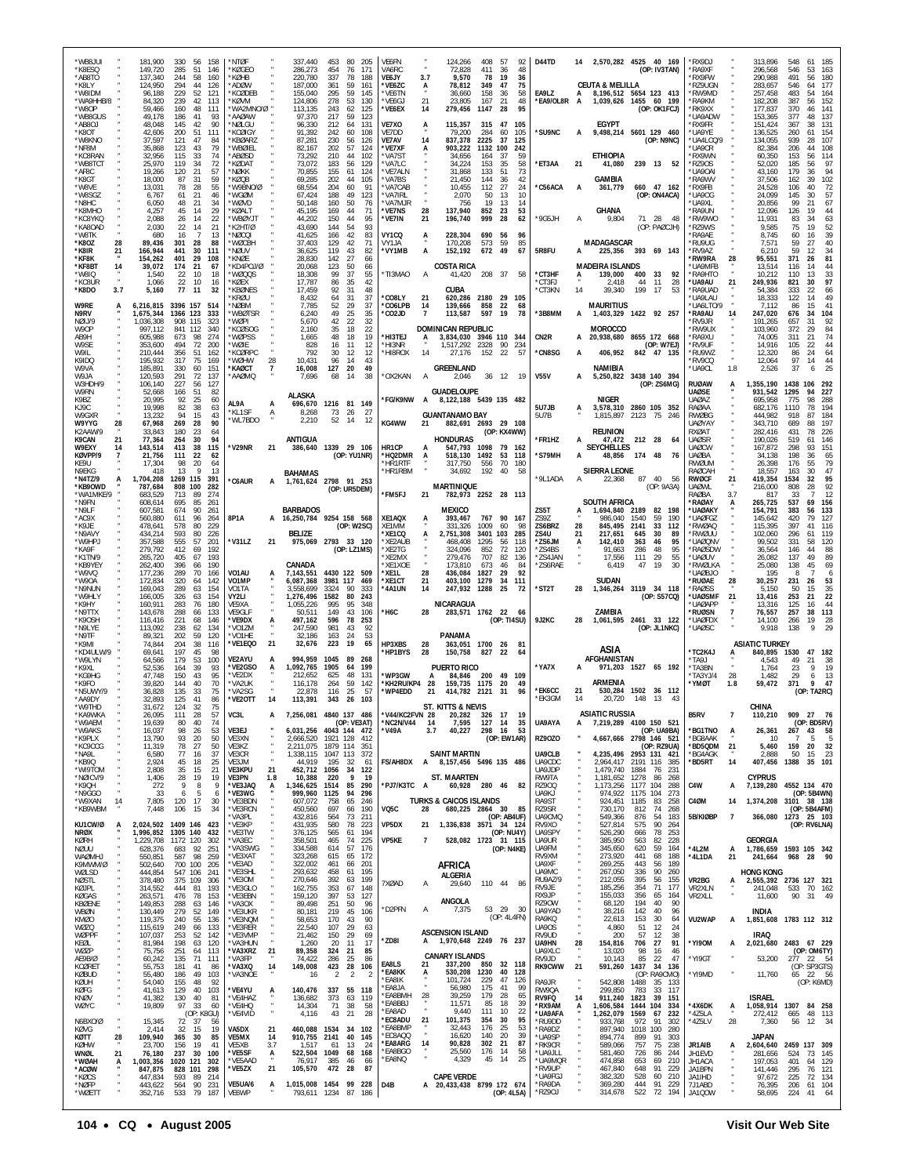| *WB8JUI<br>*K8FSO<br>*AB8TO<br>*K8I Y<br>*W8IDM<br>*WA9HHB/8<br>*W8OP<br>*WB8GUS | 181,900<br>149,720<br>137,340<br>124.950<br>96,188<br>84,320<br>59,466<br>49.178 | 330<br>56<br>158<br>285<br>51<br>146<br>244<br>58<br>160<br>294<br>44<br>126<br>229<br>52<br>121<br>239<br>42<br>113<br>160<br>48<br>111<br>186<br>41<br>93 | *NTØF<br>*KØGFO<br>*KØHB<br>*ADØW<br>*KCØDEB<br>*KØVM<br>*WA2MNO/Ø "<br>*AAØAW | 337,440<br>286,273<br>220,780<br>187,000<br>155,040<br>124,806<br>113,135<br>97,370 | 453<br>80<br>205<br>454<br>171<br>76<br>337<br>78<br>188<br>361<br>59<br>161<br>295<br>59<br>145<br>278<br>53<br>130<br>243<br>62<br>125<br>217<br>59<br>123 | VE6FN<br>VA6RC<br>VE6JY<br>*VE6ZC<br>*VE6TN<br>*VE6GJ<br>*VE6EX        | 124,266<br>408<br>- 57<br>92<br>72,828<br>411<br>-36<br>48<br>3.7<br>9,570<br>78<br>19<br>36<br>75<br>78.812<br>349<br>47<br>A<br>158<br>58<br>36.660<br>-36<br>21<br>48<br>21<br>23,805<br>167<br>279,456<br>14<br>1147<br>28<br>95 | D44TD<br>EA9LZ<br>*EA9/OL8R A           | 2,570,282 4525 40 169<br>(OP: IV3TAN)<br><b>CEUTA &amp; MELILLA</b><br>8,196,512 5654 123 413<br>1,039,626 1455 60 199<br>(OP: OK1FCJ) | *RX9DJ<br>*RA9XF<br>'RX9FW<br>'R79UGN<br>*RW9MD<br>*RA9KM<br><b>RK9XX</b><br>'UA9ADW | 313,896<br>296,568<br>290,988<br>283,657<br>257,458<br>182,208<br>177,837<br>153,365 | 548<br>185<br>-61<br>53<br>546<br>163<br>491<br>56<br>180<br>177<br>546<br>64<br>54<br>164<br>483<br>387<br>56<br>152<br>370<br>46<br>141<br>377<br>48<br>137 |
|----------------------------------------------------------------------------------|----------------------------------------------------------------------------------|-------------------------------------------------------------------------------------------------------------------------------------------------------------|--------------------------------------------------------------------------------|-------------------------------------------------------------------------------------|--------------------------------------------------------------------------------------------------------------------------------------------------------------|------------------------------------------------------------------------|--------------------------------------------------------------------------------------------------------------------------------------------------------------------------------------------------------------------------------------|-----------------------------------------|----------------------------------------------------------------------------------------------------------------------------------------|--------------------------------------------------------------------------------------|--------------------------------------------------------------------------------------|---------------------------------------------------------------------------------------------------------------------------------------------------------------|
| *AB8OJ<br>*K8OT<br>*W8KNO<br>*NF8M<br>*KC8RAN<br>*WB8TCT<br>*AF8C                | 48,048<br>42,606<br>37,597<br>35,868<br>32,956<br>25,970<br>19,266               | 145<br>42<br>90<br>111<br>200<br>-51<br>121<br>47<br>84<br>43<br>79<br>123<br>115<br>33<br>74<br>119<br>34<br>72<br>120<br>21<br>57                         | *NØLGU<br>*KCØIGY<br>*KBØARZ<br>*WBØIEL<br>*ABØSD<br>*KØDAT<br>*NØKK           | 96,330<br>91,392<br>87,281<br>82,167<br>73,292<br>73,072<br>70,855                  | 212<br>131<br>64<br>242<br>60<br>108<br>230<br>56<br>126<br>202<br>57<br>124<br>210<br>44<br>102<br>183<br>56<br>129<br>155<br>61<br>124                     | VE7XO<br>VE7DD<br>VE7AV<br>*VE7XF<br>*VA7ST<br>*VA7LC<br><b>VE7ALN</b> | 115,357<br>315<br>47<br>105<br>Ą<br>79,200<br>284<br>60<br>105<br>14<br>837,378<br>2225<br>37<br>125<br>1132<br>903,222<br>100<br>242<br>34,656<br>37<br>59<br>164<br>34,224<br>153<br>35<br>58<br>51<br>73<br>31,868<br>133         | 'SU9NC<br>*ET3AA                        | <b>EGYPT</b><br>9,498,214 5601 129 460<br>(OP: N9NC)<br><b>ETHIOPIA</b><br>21<br>41,080<br>239 13 52                                   | 'RX9FR<br>*UA9YE<br>UA4LCQ/9<br>'UA9CR<br>*RX9WN<br>*RZ9OS<br>UA90AI                 | 151,424<br>136,525<br>134,055<br>82,384<br>60,350<br>52,020<br>43,160                | 367<br>38<br>131<br>260<br>61<br>154<br>939<br>28<br>107<br>108<br>206<br>44<br>153<br>56<br>114<br>185<br>97<br>56<br>94<br>179<br>36                        |
| *K8GT<br>*W8VE<br>*W8SGZ                                                         | 18,000<br>13,031<br>6,767                                                        | 31<br>59<br>87<br>55<br>78<br>28<br>46<br>61<br>21                                                                                                          | *KØQB<br>*W9BNO/Ø<br>*WGØM                                                     | 69,285<br>68.554<br>67,424                                                          | 202<br>44<br>105<br>204<br>60<br>91<br>188<br>49<br>123                                                                                                      | *VA7BS<br>VA7CAB<br>*VA7IRL                                            | 21,450<br>144<br>36<br>42<br>10,455<br>112<br>27<br>-24<br>2,070<br>10<br>50<br>13                                                                                                                                                   | *C56ACA                                 | GAMBIA<br>660 47 162<br>A<br>361,779<br>(OP: ON4ACA)                                                                                   | 'RA9WV<br><b>RX9FB</b><br>'UA9OG                                                     | 37,506<br>24,528<br>24,099                                                           | 39<br>102<br>162<br>106<br>40<br>72<br>145<br>30<br>57                                                                                                        |
| *N8HC<br>*K8MHO<br>*KC8YKQ                                                       | 6,050<br>4,257<br>2,088                                                          | 48<br>34<br>-21<br>45<br>29<br>14<br>14<br>22<br>26                                                                                                         | *WØVD<br>*KØALT<br>*WBØYJT                                                     | 50.148<br>45,195<br>44,202                                                          | 160<br>50<br>76<br>169<br>71<br>44<br>150<br>44<br>95                                                                                                        | VA7MJR<br>*VE7NS<br>*VE7IN                                             | 19<br>13<br>14<br>756<br>28<br>137,940<br>852<br>23<br>53<br>999<br>196,740<br>28<br>62<br>21                                                                                                                                        | *9G5JH                                  | GHANA<br>9,804<br>71 28 48<br>A                                                                                                        | <b>IXPALI</b><br>'RA9UN<br>*RW9WO                                                    | 20.856<br>12,096<br>11,931                                                           | 99<br>21<br>67<br>126<br>19<br>44<br>83<br>34<br>63                                                                                                           |
| *KA8OAD<br>*W8TK<br>*K8OZ<br>28                                                  | 2,030<br>680<br>89,436                                                           | 22<br>14<br>21<br>16<br>7<br>13<br>301<br>28<br>88                                                                                                          | *K2HT/Ø<br>*NØCQI<br>*WØCBH                                                    | 43,690<br>41,625<br>37,403                                                          | 144<br>54<br>93<br>42<br>166<br>83<br>129<br>42<br>71                                                                                                        | VY1CQ<br>VY1JA                                                         | 228,304<br>690<br>56<br>96<br>59<br>85<br>170,208<br>573                                                                                                                                                                             |                                         | (OP: PAØCJH)<br>MADAGASCAR                                                                                                             | *RZ9WS<br>'RA9AE<br>'RU9UG                                                           | 9,585<br>8,745<br>7,571                                                              | 75<br>19<br>52<br>39<br>60<br>16<br>40<br>59<br>27                                                                                                            |
| *K8IR<br>21<br>*KF8K<br>*KF8BT<br>14                                             | 166,944<br>154,262<br>39.072                                                     | 441<br>30<br>111<br>401<br>29<br>108<br>174<br>-21<br>67                                                                                                    | *NØUV<br>*KNØF<br>*KD4POJ/Ø                                                    | 36,625<br>28,830<br>20,068                                                          | 119<br>43<br>82<br>142<br>27<br>66<br>123<br>50<br>66                                                                                                        | *VY1MB                                                                 | 672<br>49<br>А<br>152,192<br>67<br>COSTA RICA                                                                                                                                                                                        | 5R8FU                                   | 225,356<br>393 69 143<br><b>MADEIRA ISLANDS</b>                                                                                        | *RV9AZ<br>'RW9RA<br>28<br>'UA9MFB                                                    | 6,210<br>95,551<br>13.514                                                            | 59<br>34<br>12<br>371<br>26<br>81<br>116<br>14<br>44                                                                                                          |
| 'W8IQ<br>*KC8UR<br>*K8DO<br>3.7                                                  | 1,540<br>1,066<br>5,160                                                          | 22<br>10<br>18<br>22<br>10<br>16<br>77<br>11<br>32                                                                                                          | *WØQQS<br>*KØEX<br>*KBØNFS                                                     | 18,308<br>17,787<br>17,459                                                          | 99<br>37<br>55<br>86<br>35<br>42<br>92<br>31<br>48                                                                                                           | *TI3MAO                                                                | 208<br>А<br>41,420<br>- 37<br>58<br><b>CUBA</b>                                                                                                                                                                                      | *CT3HF<br>*CT3FJ<br>*CT3KN              | 139,000<br>400<br>33<br>92<br>A<br>2,418<br>44<br>11<br>28<br>199<br>17<br>14<br>39,340<br>53                                          | <b>RA9HTO</b><br>*UA9AU<br>21<br>*RA9UAD                                             | 10,212<br>249,936<br>54.384                                                          | 110<br>13<br>33<br>97<br>821<br>30<br>22<br>333<br>66                                                                                                         |
| W9RE<br>A<br>N9RV                                                                | 6,216,815<br>1,675,344                                                           | 3396 157<br>514<br>1366 123<br>333                                                                                                                          | *KRØU<br>*NØBM<br>*WBØTSR                                                      | 8,432<br>7,785<br>6,240                                                             | 31<br>37<br>64<br>52<br>37<br>29<br>49<br>25<br>35                                                                                                           | *CO8LY<br>*CO6LPB<br>°CO2JD                                            | 21<br>620,286 2180 29 105<br>14<br>139,666<br>858<br>22<br>68<br>113,587<br>597<br>19<br>78                                                                                                                                          | *3B8MM                                  | <b>MAURITIUS</b><br>1,403,329 1422 92 257                                                                                              | *UA9LAU<br><b>IJA6LTO/S</b><br>*RA9AU                                                | 18,333<br>7.112<br>247,020                                                           | 122<br>49<br>14<br>41<br>86<br>15<br>676<br>34<br>104                                                                                                         |
| NØIJ/9<br>W9OP<br>AB9H                                                           | 1,036,308<br>997,112<br>605.988                                                  | 908 115<br>323<br>841<br>112<br>340<br>274<br>673<br>98                                                                                                     | *WØPI<br>*KCØSOG<br>*WØPSS                                                     | 5,670<br>2,160<br>1,665                                                             | 22<br>32<br>42<br>35<br>18<br>22<br>48<br>19<br>18                                                                                                           | *HI3TEJ                                                                | <b>DOMINICAN REPUBLIC</b><br>3,834,030 3946 110 344<br>А                                                                                                                                                                             | CN <sub>2R</sub>                        | MOROCCO<br>20,938,680 8655 172 668                                                                                                     | RV9 IR<br>RW9UX<br><b>RA9XU</b>                                                      | 191,265<br>103,960<br>74,005                                                         | 657<br>31<br>92<br>29<br>84<br>372<br>74<br>21<br>311                                                                                                         |
| W9SE<br>W9IL<br>K9IDQ                                                            | 353,600<br>210,444<br>195.932                                                    | 494<br>72<br>200<br>356<br>51<br>162<br>317<br>75<br>169                                                                                                    | *WØIF<br>*KCØRPC<br>*WØHW                                                      | 828<br>792<br>28<br>10,431                                                          | 16<br>11<br>12<br>12<br>-30<br>12<br>96<br>14<br>43                                                                                                          | *HI3NR<br>*HI8ROX                                                      | 1,517,292 2328<br>90<br>234<br>14<br>27.176<br>152<br>-22<br>-57                                                                                                                                                                     | *CN8SG                                  | (OP: W7EJ)<br>406,952<br>842 47 135<br>A                                                                                               | 'RV9UF<br>*RU9WZ<br>*RV9CQ                                                           | 14,916<br>12.320<br>12,064                                                           | 105<br>22<br>44<br>24<br>86<br>64<br>97<br>14<br>44                                                                                                           |
| W9VA<br>W9JA<br>W3HDH/9                                                          | 185,891<br>120,593<br>106,140                                                    | 330<br>60<br>151<br>291<br>72<br>137<br>127<br>227<br>56                                                                                                    | *KAØCT<br>AAØMQ*                                                               | 16,008<br>7,696                                                                     | 127<br>20<br>49<br>68<br>14<br>38                                                                                                                            | *OX2KAN                                                                | <b>GREENLAND</b><br>А<br>2,046<br>36 12 19                                                                                                                                                                                           | <b>V55V</b>                             | NAMIBIA<br>5,250,822 3438 140 394<br>A<br>(OP: ZS6MG)                                                                                  | *UA9CL<br>1.8<br><b>RUØAW</b><br>А                                                   | 2,526<br>1,355,190                                                                   | 25<br>37<br>1438<br>106<br>292                                                                                                                                |
| W9RN<br>K9BZ<br>K.19C                                                            | 52,668<br>20,995<br>19.998                                                       | 166<br>51<br>82<br>92<br>25<br>60<br>82<br>38<br>63                                                                                                         | AL9A                                                                           | ALASKA<br>696,670<br>A                                                              | 1216 81 149                                                                                                                                                  | *FG/K9NW                                                               | <b>GUADELOUPE</b><br>8, 122, 188 5439 135 482<br>A                                                                                                                                                                                   | 5U7JB                                   | NIGER<br>3,578,310 2860 105 352<br>A                                                                                                   | <b>UAØSE</b><br><b>UAØAZ</b><br>RAØAA                                                | 931,542<br>695,958<br>682.176                                                        | 1295<br>94<br>227<br>775<br>98<br>288<br>194<br>1110<br>78                                                                                                    |
| W9GXR<br>W9YYG<br>28<br>K2AAW/9                                                  | 13,232<br>67,968<br>33,843                                                       | 94<br>15<br>43<br>269<br>28<br>90<br>180<br>23<br>64                                                                                                        | *KL1SF<br>*WL7BDO                                                              | 8,268<br>A<br>2.210                                                                 | 73<br>26<br>27<br>52<br>-14<br>-12                                                                                                                           | KG4WW                                                                  | <b>GUANTANAMO BAY</b><br>882,691 2693 29 108<br>21<br>(OP: KX4WW)                                                                                                                                                                    | 5U7B                                    | 2123<br>1.815.897<br>- 75<br>-246<br><b>REUNION</b>                                                                                    | RWØBG<br><b>UAØYAY</b><br>RXØAT                                                      | 444,982<br>343,710<br>282,416                                                        | 918<br>87<br>184<br>197<br>689<br>88<br>226<br>431<br>78                                                                                                      |
| K9CAN<br>21<br>W9EXY<br>KØVPP/9                                                  | 77,364<br>143,514<br>21,756                                                      | 94<br>264<br>30<br>413<br>38<br>115<br>111<br>22<br>62                                                                                                      | *V29NR                                                                         | ANTIGUA<br>21                                                                       | 386,640 1339 29 106<br>(OP: YU1NR)                                                                                                                           | HR1CP<br>*HQ2DMR                                                       | <b>HONDURAS</b><br>547,793<br>1098<br>79 162<br>1492 53 118<br>518,130<br>A                                                                                                                                                          | *FR1HZ<br>*S79MH                        | 212 28<br>47,472<br>А<br>64<br><b>SEYCHELLES</b><br>174 48<br>A<br>48,856<br>- 76                                                      | <b>UAØSR</b><br><b>UAØCW</b><br><b>UAØBA</b>                                         | 190.026<br>167,872<br>34,138                                                         | 146<br>519<br>61<br>93<br>151<br>298<br>198<br>36<br>65                                                                                                       |
| KE9U<br>N9EKG<br>*N4TZ/9                                                         | 17,304<br>418<br>1,704,208                                                       | 98<br>20<br>64<br>13<br>13<br>9<br>1269<br>115<br>391                                                                                                       | *C6AUR                                                                         | <b>BAHAMAS</b><br>A                                                                 | 1,761,624 2798 91 253                                                                                                                                        | *HR1RTF<br>*HR1RBM                                                     | 317,750<br>556<br>70<br>180<br>192<br>34,692<br>58<br>40                                                                                                                                                                             | *9L1ADA                                 | <b>SIERRA LEONE</b><br>87<br>40<br>22,368<br>56                                                                                        | RWØUM<br>RAØCAH<br>RWØCF<br>21                                                       | 26,398<br>18.557<br>419,354                                                          | 176<br>55<br>79<br>47<br>30<br>163<br>95<br>1534<br>32                                                                                                        |
| *KB9OWD<br>*WA1MKE/9<br>*N9FN                                                    | 787,684<br>683,529<br>608,614                                                    | 808<br>100<br>282<br>713<br>89<br>274<br>695<br>85<br>261                                                                                                   |                                                                                |                                                                                     | (OP: UR5DEM)                                                                                                                                                 | *FM5FJ                                                                 | <b>MARTINIQUE</b><br>21<br>782,973 2252 28 113                                                                                                                                                                                       |                                         | (OP: 9A3A)<br><b>SOUTH AFRICA</b>                                                                                                      | <b>UAØWL</b><br>RAØBA<br>3.7<br>*RAØAY                                               | 216,000<br>817<br>265,725                                                            | 92<br>808<br>28<br>12<br>33<br>69<br>537<br>156                                                                                                               |
| *N9LF<br>*AC9X<br>*K9.IF                                                         | 607,581<br>560,880<br>478,641                                                    | 674<br>90<br>261<br>611<br>96<br>264<br>578<br>80<br>229                                                                                                    | 8P1A                                                                           | <b>BARBADOS</b><br>16,250,784                                                       | 9254 158 568<br>(OP: W2SC)                                                                                                                                   | XE1AQX<br>XE1MM                                                        | MEXICO<br>393,467<br>767<br>90<br>- 167<br>1009<br>331.326<br>60<br>-98                                                                                                                                                              | ZS5T<br>ZS9Z<br>ZS6BRZ                  | 1,694,840 2189<br>82<br>198<br>986,040<br>1540<br>59<br>190<br>845.495<br>2141<br>33<br>112<br>28                                      | *UAØAKY<br><b>UAØFGZ</b><br>'RWØAQ                                                   | 154,791<br>145,642<br>115,395                                                        | 383<br>56<br>133<br>420<br>79<br>127<br>397<br>41<br>116                                                                                                      |
| *N9AVY<br>*W9HPJ<br>*KA9F                                                        | 434,214<br>357,588<br>279,792                                                    | 593<br>80<br>226<br>555<br>57<br>201<br>412<br>69<br>192                                                                                                    | *V31LZ                                                                         | <b>BELIZE</b><br>21                                                                 | 975,069 2793 33 120<br>(OP: LZ1MS)                                                                                                                           | *XE1CQ<br>*XE2AUB<br>*XE2TG                                            | 2,751,308<br>3401<br>103<br>285<br>1295<br>118<br>468.408<br>56<br>72<br>324.096<br>852<br>120                                                                                                                                       | ZS4U<br>*ZS6JM<br>*ZS4BS                | 217,651<br>645<br>21<br>30<br>89<br>142,410<br>363<br>46<br>95<br>A<br>91,663<br>286<br>95<br>48                                       | 'RWØUU<br>UAØQNV<br>*RAØSDW                                                          | 102,060<br>99.502<br>36,564                                                          | 119<br>296<br>61<br>331<br>58<br>120<br>44<br>146<br>88                                                                                                       |
| *K1TN/9<br>*KB9YEY<br>*W9VQ                                                      | 265,720<br>262,400<br>177,236                                                    | 405<br>193<br>67<br>190<br>396<br>66<br>289<br>70<br>166                                                                                                    | VO1AU                                                                          | CANADA<br>7,143,551                                                                 | 4430 122 509                                                                                                                                                 | <b>XF2MX</b><br>XE1XOE<br>XE1L*                                        | 707<br>279.476<br>82<br>136<br>173,810<br>673<br>46<br>84<br>92<br>28<br>436,084<br>1827<br>29                                                                                                                                       | *ZS4JAN<br>*ZS6RAE                      | 17,556<br>29<br>111<br>55<br>6,419<br>47<br>30<br>19                                                                                   | *UAØUV<br>*RWØLKA<br><b>UAØBJO</b>                                                   | 26.082<br>25,080<br>195                                                              | 137<br>49<br>89<br>45<br>69<br>138<br>6<br>8<br>-7                                                                                                            |
| *W9OA<br>*N9NUN<br>*W9HLY                                                        | 172,834<br>169,043<br>166,005                                                    | 320<br>64<br>142<br>289<br>63<br>154<br>326<br>63<br>154                                                                                                    | VO1MP<br>VO <sub>1</sub> TA<br>VY2LI                                           | 6,087,368<br>3,558,699<br>1,276,496                                                 | 3981 117<br>469<br>3324<br>90<br>333<br>1582<br>80<br>243                                                                                                    | *XE1CT<br>'4A1UN                                                       | 21<br>403,100<br>1279<br>34<br>111<br>247,932<br>25<br>14<br>1288<br>-72                                                                                                                                                             | *ST2T                                   | <b>SUDAN</b><br>28<br>1,346,264 3119 34 118<br>(OP: S57CQ)                                                                             | 'RUØAE<br>28<br>*RAØSS<br>*UAØSMF<br>21                                              | 30,257<br>5,150<br>13,416                                                            | 231<br>26<br>53<br>35<br>50<br>15<br>22<br>253<br>21                                                                                                          |
| *K9HY<br>*N9TTX<br>*K9OSH                                                        | 160,911<br>143,678<br>116,416                                                    | 283<br>76<br>180<br>288<br>133<br>66<br>221<br>68<br>146                                                                                                    | VE9XA<br>VE9GLF<br>*VE9DX                                                      | 1,055,226<br>50,511<br>497,162                                                      | 995<br>95<br>348<br>149<br>43<br>106<br>596<br>78<br>253                                                                                                     | *Н6С                                                                   | NICARAGUA<br>28<br>283,571 1762 22<br>66<br>(OP: TI4SU)                                                                                                                                                                              | 9J2KC                                   | ZAMBIA<br>28<br>1,061,595<br>2461 33 122                                                                                               | <b>UAØAPP</b><br>'ruøsn<br>*UAØFDX                                                   | 13,316<br>76,557<br>14.100                                                           | 44<br>125<br>16<br>113<br>257<br>38<br>28<br>266<br>19                                                                                                        |
| *N9LYE<br>*N9TF<br>*K9MI                                                         | 113,092<br>89,321<br>74.844                                                      | 238<br>62<br>134<br>202<br>59<br>120<br>204<br>38<br>116                                                                                                    | *VO1ZM<br>*VO1HF<br>*VE1EQO                                                    | 247,590<br>32,186<br>21<br>32,676                                                   | 981<br>43<br>92<br>53<br>163<br>24<br>223<br>19<br>65                                                                                                        | HP3XBS                                                                 | PANAMA<br>28<br>363,051 1700 26<br>81                                                                                                                                                                                                |                                         | (OP: JL1NKC)                                                                                                                           | *UAØSC                                                                               | 9,918<br><b>ASIATIC TURKEY</b>                                                       | 138                                                                                                                                                           |
| *KD4ULW/9<br>*W9LYN<br>*K9XL                                                     | 69,641<br>64.566<br>52,536                                                       | 197<br>45<br>98<br>179<br>53<br>100<br>39<br>93<br>164                                                                                                      | <b>VE2AYU</b><br>*VE2GSO                                                       | 994,959<br>A<br>1,092,765                                                           | 1045<br>89<br>-268<br>1905<br>199<br>64                                                                                                                      | <b>HP1BYS</b>                                                          | 28<br>150,758<br>827<br>22<br>64<br><b>PUERTO RICO</b>                                                                                                                                                                               | *YA7X                                   | ASIA<br>AFGHANISTAN<br>971,203 1527 65 192                                                                                             | *TC2K4J<br>LPAT*<br>*TA3BN                                                           | 840,895<br>4.543<br>1,764                                                            | 1530<br>47<br>182<br>49<br>21<br>38<br>19<br>23<br>9                                                                                                          |
| *KG9HG<br>*K9FO<br>N5UWY/9*                                                      | 47,748<br>39,820<br>36,828                                                       | 150<br>43<br>95<br>144<br>40<br>70<br>135<br>-33<br>75                                                                                                      | *VF2DX<br>*VA2UK<br>*VA2SG                                                     | 212.652<br>116,178<br>22.878                                                        | 48<br>131<br>625<br>264<br>59<br>142<br>116<br>25<br>-57                                                                                                     | WP3GW<br>*KH2RU/KP4<br>*WP4EDD                                         | 84,846 200<br>49<br>109<br>A<br>28<br>159,735<br>1175<br>49<br>20<br>414,782 2121<br>21<br>31<br>96                                                                                                                                  | *EK6CC                                  | ARMENIA<br>530,284<br>1502 36 112<br>21                                                                                                | 28<br>TA3YJ/4<br>*YMØT<br>1.8                                                        | 1.482<br>59,472                                                                      | 29<br>13<br>6<br>371<br>9<br>47<br>(OP: TA2RC)                                                                                                                |
| *AA9DY<br>*W9THD<br>*KA9WKA                                                      | 32,893<br>31,672<br>26,095                                                       | 125<br>41<br>86<br>124<br>32<br>75<br>111<br>28<br>57                                                                                                       | *VE2OTT<br>VC3L                                                                | 14<br>113,391<br>A                                                                  | 343<br>26<br>103<br>7,256,081 4840 137 486                                                                                                                   | *V44/KC2FVN 28                                                         | <b>ST. KITTS &amp; NEVIS</b><br>20,282 326 17<br>19                                                                                                                                                                                  | *EK3GM                                  | 20,720<br>148<br>14<br><b>ASIATIC RUSSIA</b>                                                                                           | <b>B5RV</b>                                                                          | CHINA<br>110,210                                                                     | 909<br>27<br>76                                                                                                                                               |
| *W9AEM<br>*W9AKS<br>*K9PLX                                                       | 19,639<br>16,037<br>13,790                                                       | 80<br>40<br>74<br>98<br>26<br>53<br>93<br>50<br>20                                                                                                          | VE3EJ<br>VE3XN                                                                 | 2,666,520                                                                           | (OP: VE3AT)<br>6,031,256 4043 144 472<br>1921 128<br>-412                                                                                                    | *NC2N/V44<br>*V49A                                                     | 14<br>7,595<br>127<br>- 14<br>35<br>3.7<br>40,227<br>298 16<br>53<br>(OP: EW1AR)                                                                                                                                                     | UA9AYA<br><b>RZ90Z0</b>                 | 4100 150 521<br>7,219,289<br>(OP: UA9BA)<br>4,667,666 2798 146 521                                                                     | *BG1TNO<br>A<br>*BG8AAK                                                              | 26,361<br>10                                                                         | (OP: BD5RV)<br>267<br>58<br>43<br>5<br>5                                                                                                                      |
| *KC9CCG<br>*NA9L<br>*KB9Q                                                        | 11,319<br>6,580<br>2,924                                                         | 78<br>50<br>27<br>77<br>16<br>37<br>45<br>18<br>25                                                                                                          | VE3KZ<br>VE3CR<br>VE3JM                                                        | 2,211,075<br>1,338,115<br>44,919                                                    | 1879 114<br>351<br>1047 113<br>372<br>195<br>32<br>-61                                                                                                       | <b>FS/AH8DX</b>                                                        | <b>SAINT MARTIN</b><br>8,157,456 5496 135 486<br>A                                                                                                                                                                                   | <b>UA9CLB</b><br>UA9CDC                 | (OP: RZ9UA)<br>4,235,496 2953 131 421<br>2,964,417 2191 116<br>385                                                                     | *BD5QDM<br>21<br>*BG4AGK<br>*BD5RT<br>14                                             | 5,460<br>2,888<br>407,456                                                            | 32<br>159<br>20<br>50<br>15<br>23<br>35 101<br>1388                                                                                                           |
| *WI9TOM<br>*NØICV/9<br>*K9QH                                                     | 2,808<br>1,406<br>272                                                            | 35<br>15<br>21<br>28<br>19<br>19<br>9<br>8<br>9                                                                                                             | <b>VE3KPU</b><br>VE3PN<br>*VE3JAQ                                              | 21<br>452,712<br>1.8<br>10,388<br>1,346,625<br>А                                    | 1056<br>34<br>122<br>220<br>9<br>19<br>1514<br>85<br>290                                                                                                     | *PJ7/K3TC A                                                            | <b>ST. MAARTEN</b><br>60,928 280 46<br>82                                                                                                                                                                                            | UA9JDP<br>RW9TA<br><b>RZ900</b>         | 1,479,740<br>1884<br>76<br>231<br>1,181,652<br>1278<br>86<br>268<br>1,173,256<br>1177 104<br>288                                       | C4W<br>А                                                                             | <b>CYPRUS</b><br>7,139,280                                                           | 4552 134 470                                                                                                                                                  |
| *N9GGO<br>*W9XAN<br>14<br>*KB9WBM                                                | -33<br>7,805<br>7,448                                                            | -5<br>-6<br>6<br>120<br>17<br>30<br>34<br>106<br>15                                                                                                         | *VE3WG<br>*VE3BDN<br>*VE3RCN                                                   | 999,960<br>607,072<br>450,560                                                       | 1125<br>94<br>296<br>758<br>65<br>246<br>697<br>190<br>66                                                                                                    | VQ5C                                                                   | <b>TURKS &amp; CAICOS ISLANDS</b><br>28<br>680,225 2864 30<br>85                                                                                                                                                                     | UA9KJ<br>RA9ST<br>RZ9SR                 | 974,922<br>1175 104<br>273<br>924,451<br>1185<br>83<br>258<br>730,170<br>74<br>812<br>268                                              | C4ØM<br>14                                                                           |                                                                                      | (OP: 5B4WN)<br>1,374,208 3101 38 138<br>(OP: 5B4AFM)                                                                                                          |
| KU1CW/Ø<br>А<br>NRØX                                                             |                                                                                  | 2,024,502 1409 146<br>423<br>1,996,852 1305 140<br>432                                                                                                      | *VA3PL<br>*VE3KP<br>*VE3TW                                                     | 432,816<br>431,935<br>376,125                                                       | 564<br>73<br>211<br>580<br>78<br>223<br>565<br>61<br>194                                                                                                     | VP5DX                                                                  | (OP: AB4UF)<br>21<br>1,336,838 3571<br>34 124<br>(OP: NU4Y)                                                                                                                                                                          | UA9CMQ<br>RV9XO<br>UA9SPY               | 549,366<br>876<br>54<br>183<br>90<br>527,814<br>575<br>264<br>526,290<br>78<br>253<br>666                                              | 5B/KIØBP<br>$\overline{7}$                                                           |                                                                                      | 366.080 1273 25 103<br>(OP: RV6LNA)                                                                                                                           |
| <b>KØRH</b><br>NØUU<br>WAØMHJ                                                    | 628,376<br>550,851                                                               | 1,229,708 1172 120<br>302<br>683<br>92<br>251<br>587<br>98<br>259                                                                                           | *VA3EC<br>*VA3SWG<br>*VE3XAT                                                   | 358,501<br>334,588<br>323,268                                                       | 465<br>74<br>225<br>614<br>57<br>176<br>615<br>65<br>172                                                                                                     | VP5KE                                                                  | 528,082 1723 31 115<br>7<br>(OP: N4KE)                                                                                                                                                                                               | UA9UR<br>UA9FM<br>RV9XM                 | 385,950<br>228<br>82<br>563<br>345,650<br>620<br>59<br>164<br>273,920<br>441<br>68<br>188                                              | *4L2M<br>A<br>*4L1DA<br>21                                                           | <b>GEORGIA</b><br>241,664                                                            | 1,786,659 1593 105 342<br>968 28 90                                                                                                                           |
| K9MWM/Ø<br>WØLSD<br>NØSTL                                                        | 502,640<br>444,854<br>378,480                                                    | 700 100<br>205<br>547 106<br>241<br>375 109<br>306                                                                                                          | *VE3AD<br>*VE3SHL<br>*VE3OM                                                    | 322,002<br>293,632<br>270,646                                                       | 461<br>201<br>66<br>458<br>61<br>195<br>392<br>63<br>199                                                                                                     | 7XØAD                                                                  | AFRICA<br>ALGERIA                                                                                                                                                                                                                    | UA9XF<br>UA9MC<br>RU9AZ/9               | 269,255<br>443<br>189<br>56<br>267,050<br>336<br>90<br>260<br>395<br>212,055<br>56<br>155                                              | <b>VR2BG</b><br>А                                                                    | <b>HONG KONG</b>                                                                     | 2,555,392 2736 127 321                                                                                                                                        |
| KØJPL<br>KØGAS<br>KBØENE                                                         | 314,552<br>263,571<br>149,853                                                    | 444<br>81<br>193<br>476<br>78<br>153<br>288<br>63<br>146                                                                                                    | *VE3GLO<br>*VE3EBN<br>*VA3OX                                                   | 162,755<br>159,120<br>89,498                                                        | 353<br>67<br>148<br>397<br>53<br>127<br>251<br>50<br>96                                                                                                      |                                                                        | 110 44 86<br>Α<br>29,640<br>ANGOLA                                                                                                                                                                                                   | RV9JE<br>RX9JP<br>RZ90W                 | 71<br>354<br>185,256<br>177<br>155,033<br>356<br>164<br>65<br>68,120<br>194<br>40<br>90                                                | VR2XLN<br>VR2XLL                                                                     | 241,048<br>11,600                                                                    | 533<br>70 162<br>90<br>-31<br>- 49                                                                                                                            |
| <b>WBØN</b><br>KMØ0<br>WØZQ                                                      | 130,449<br>119,375<br>115,619                                                    | 279<br>149<br>-52<br>240<br>55<br>136<br>249<br>133<br>66                                                                                                   | *VE3UKR<br>*VE3NQM<br>*VE3RER                                                  | 80,181<br>58,653<br>22,540                                                          | 219<br>45<br>106<br>170<br>43<br>90<br>107<br>29<br>63                                                                                                       | *D2PFN                                                                 | 53 29 30<br>Α<br>7,375<br>(OP: 4L4FN)                                                                                                                                                                                                | UA9YAD<br>RA9KQ<br><b>UA90S</b>         | 38,216<br>142<br>40<br>96<br>22,613<br>153<br>30<br>64<br>51<br>12<br>4,860<br>24                                                      | VU2WAP<br>А                                                                          | <b>INDIA</b>                                                                         | 1,851,608 1783 112 312                                                                                                                                        |
| <b>WØPPF</b><br>KEØL<br>WØZP                                                     | 107,037<br>81,984<br>75,756                                                      | 253<br>52<br>142<br>198<br>120<br>63<br>251<br>64<br>113                                                                                                    | *VE3VMP<br>*VA3HUN<br>*VA3XRZ                                                  | 21,462<br>1,260<br>21<br>89,358                                                     | 150<br>29<br>69<br>20<br>11<br>17<br>324<br>21<br>85                                                                                                         | *ZD8I                                                                  | <b>ASCENSION ISLAND</b><br>1,970,648 2249 76 237<br>A                                                                                                                                                                                | RV9UD<br>UA9HN<br>UA9XLC                | 200<br>57<br>12<br>38<br>706<br>27<br>91<br>28<br>154,816<br>13,020<br>98<br>16<br>46                                                  | *YI9OM<br>А                                                                          | <b>IRAQ</b>                                                                          | 2,021,680 2483 67 229<br>(OP: OM6TY)                                                                                                                          |
| AE9B/Ø<br><b>KCØRET</b><br>KØBUD                                                 | 60,242<br>55,753<br>55,480                                                       | 135<br>71<br>111<br>181<br>41<br>86<br>186<br>49<br>103                                                                                                     | *VA3FP<br>*VA3XQ<br>*VA3NOE                                                    | 74,422<br>14<br>149,008<br>16                                                       | 286<br>25<br>86<br>423<br>28<br>106<br>2<br>2<br>2                                                                                                           | EA8LS<br>*ЕА8КК                                                        | <b>CANARY ISLANDS</b><br>21<br>337,200<br>850<br>32 118<br>A<br>530,208<br>1230<br>40<br>128                                                                                                                                         | RV9JD<br>RK9CWW                         | 10,143<br>85<br>22<br>47<br>21<br>591,260<br>1437<br>34 136<br>(OP: RA9CMO)                                                            | *YI9GT<br>*YI9MD                                                                     | 53,200<br>11,760                                                                     | 277 22 54<br>(OP: SP3GTS)<br>65 22 56                                                                                                                         |
|                                                                                  | 54,040<br>41,613                                                                 | 155<br>48<br>92<br>129<br>40<br>103<br>130<br>40<br>81                                                                                                      | *VE4YU<br>*VE4HAZ                                                              | 140,476<br>A<br>136,682                                                             | 337<br>55<br>118<br>373<br>63<br>119                                                                                                                         | *EA8IK<br>*EA8JA<br>*EA8BMH                                            | 101,724<br>229<br>47<br>126<br>56,980<br>175<br>41<br>99<br>179<br>28<br>39,259<br>28<br>65                                                                                                                                          | RA9JR<br>RW9QA<br>RV9FQ                 | 542,808<br>1488<br>35 133<br>299,850<br>783<br>33<br>-117<br>14<br>911,240<br>1823<br>39<br>151                                        |                                                                                      | <b>ISRAEL</b>                                                                        | (OP: K6MD)                                                                                                                                                    |
| KØUH<br>KØFG<br><b>KNØV</b>                                                      | 41,382                                                                           |                                                                                                                                                             | *VE4HQ                                                                         | 14,304                                                                              | 71<br>38<br>58                                                                                                                                               | *EA8BBJ<br>*EA8AD                                                      | 11,571<br>85<br>18<br>39<br>$\blacksquare$<br>9,440<br>111<br>10<br>22                                                                                                                                                               | *RX9AM<br>*UA9AFA                       | 1,606,584<br>A<br>1444 104<br>334                                                                                                      | *4X6DK<br>Ą.<br>*4Z5LA                                                               | 1,058,914 1307                                                                       | 84 258<br>48 113<br>665                                                                                                                                       |
| WØYC<br>N6BXO/Ø                                                                  | 19,809<br>15,345                                                                 | 97<br>33<br>60<br>(OP: K8GU)<br>72<br>37<br>56                                                                                                              | *VE4VID                                                                        | 4,116                                                                               | 43<br>28<br>21                                                                                                                                               | *EC8ADU                                                                | 21<br>101,375<br>354<br>30<br>95                                                                                                                                                                                                     | *RU9DD                                  | 1,262,079<br>1569<br>67<br>232<br>933,768<br>972<br>91<br>302                                                                          | *4Z5LV<br>28                                                                         | 272,412<br>7,360                                                                     | 56<br>12<br>- 34                                                                                                                                              |
| KØVG<br>KØTT<br>28<br><b>KØHW</b>                                                | 2,414<br>109,940<br>23,700                                                       | 32<br>15<br>19<br>365<br>30<br>85<br>156<br>19<br>41                                                                                                        | VA5DX<br>VE5MX<br>VF5XB                                                        | 460,088<br>21<br>14<br>910,755<br>3.7<br>1,517                                      | 1534<br>34 102<br>2141<br>40<br>145<br>-61<br>13<br>- 24                                                                                                     | *EA8BMP<br>*EC8AQQ<br>*EA8ARG                                          | 32,443<br>176<br>25<br>53<br>16,620<br>140<br>20<br>39<br>302<br>21<br>87<br>14<br>90,828                                                                                                                                            | *RA9DZ<br>*UA9SP<br>*RK9CR              | 897,940<br>1018 100<br>280<br>894,774<br>899<br>91<br>303<br>757<br>589,066<br>75<br>238                                               | JR1AIB<br>А                                                                          | <b>JAPAN</b>                                                                         | 2459 137 309                                                                                                                                                  |
| WNØL<br>21<br>*WØAH<br>A<br>*ACØW                                                | 76,180<br>1,003,356<br>847,875                                                   | 237<br>30<br>100<br>1020 121<br>302<br>828 101<br>298                                                                                                       | *VE5SF<br>*VE5AAD<br>*VE5ZX                                                    | 522,504<br>А<br>76,917<br>21<br>105,570                                             | 1049<br>68<br>168<br>385<br>46<br>-66<br>472<br>28<br>87                                                                                                     | *EA8BGO<br>*EA8NQ                                                      | 25,560<br>176<br>14<br>58<br>25<br>4,329<br>45<br>14                                                                                                                                                                                 | *UA9JLL<br>*UA9MQR<br>*RV9UP<br>*UA9FGJ | 581,460<br>726<br>244<br>86<br>474,858<br>653<br>69<br>210<br>467,840<br>648<br>91<br>229<br>382,320<br>528<br>60<br>210               | JH1EVD<br>JH1ACA<br>JA1BPN                                                           | 2,604,640<br>281,656<br>197,053<br>141,446                                           | 524<br>73<br>145<br>129<br>401<br>-64<br>295<br>76<br>121                                                                                                     |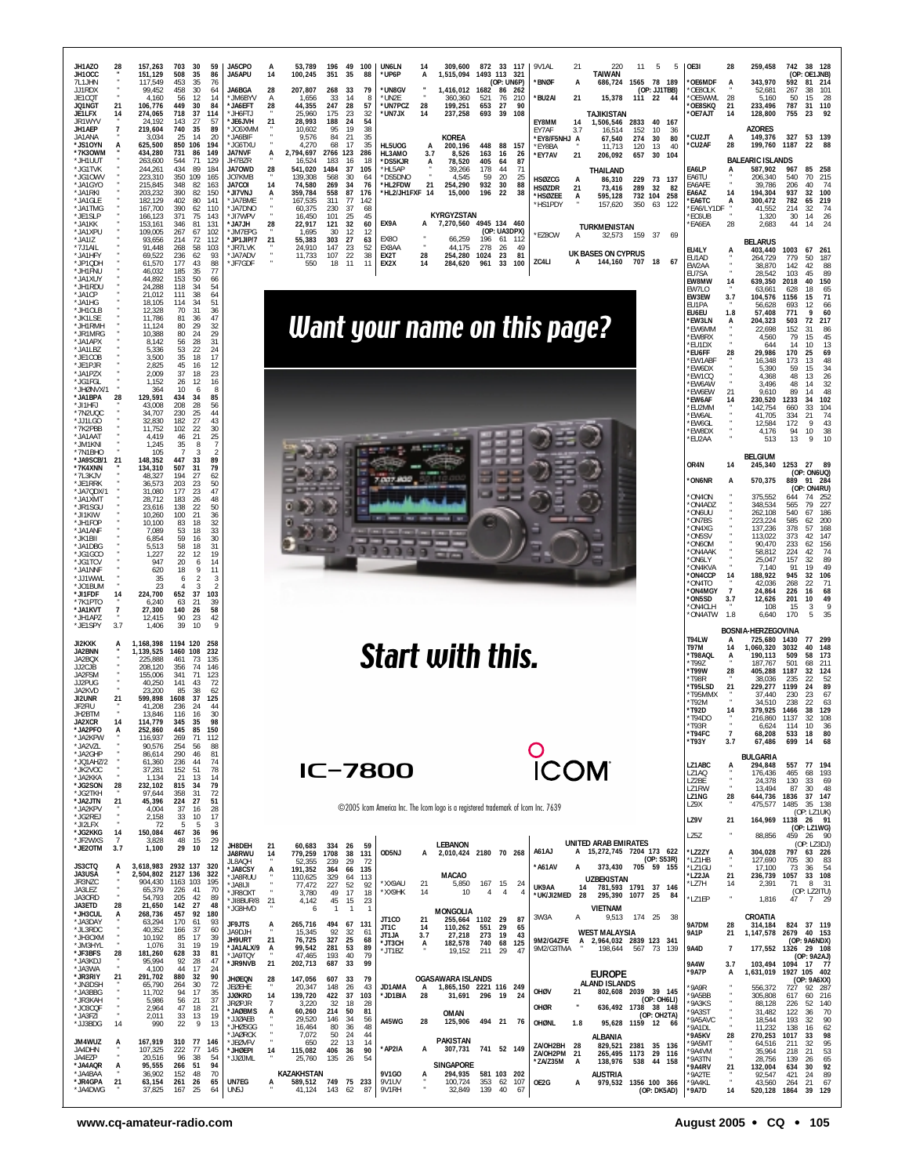

www.cq-amateur-radio.com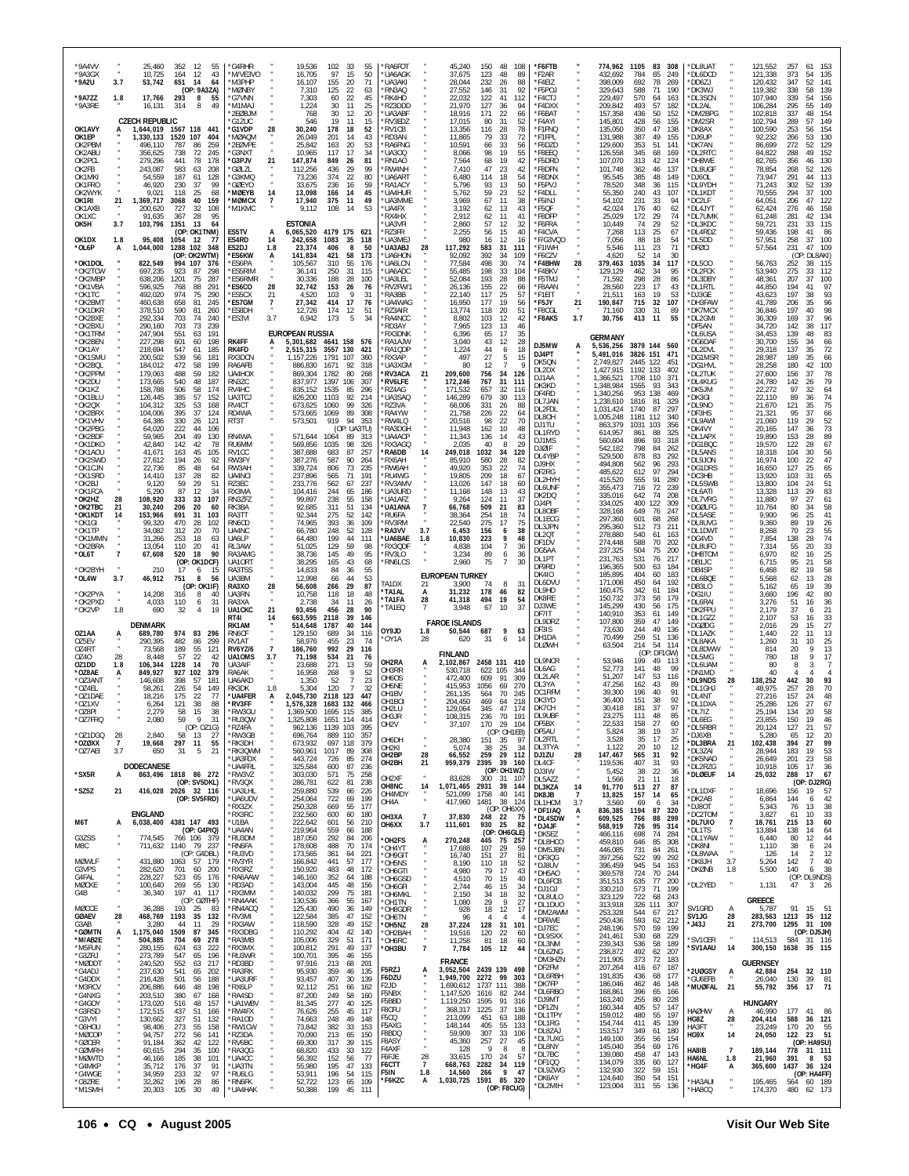| *9A4VV<br>*9A3GX<br>*9A2U<br>*9A7ZZ<br>*9A3RE | 3.7<br>1.8           | 25,460<br>10,725<br>53,742<br>17,766<br>16,131 | 352<br>- 12<br>55<br>43<br>164<br>12<br>651<br>14<br>64<br>(OP: 9A3ZA)<br>293<br>8<br>55<br>314<br>8<br>49 | 'G4RHR<br>*M/VE3VO<br>M3PHP<br>*MØNBY<br>*G7VNN<br>*M1MA. |                             | 19,536<br>16,705<br>16,107<br>7,310<br>7,303<br>1,224 | 102<br>- 33<br>55<br>97<br>50<br>15<br>71<br>155<br>20<br>125<br>22<br>63<br>60<br>22<br>45<br>30<br>25<br>-11 | RA6FOT<br>'UA6AGK<br>'UA3AKI<br>'RN3AQ<br>'RK4HD<br>RZ3DDD  |                           | 45,240<br>37,675<br>28,044<br>27,552<br>22,032<br>21,970 | 150<br>123<br>232<br>146<br>122<br>127 | 48<br>108<br>48<br>89<br>26<br>88<br>92<br>31<br>41<br>112<br>36<br>94 | *F6FTB<br>*F2AR<br>*F4EIZ<br>*F5POJ<br>*F4CTJ<br>*F4DXX |                      | 774,962<br>432,692<br>398,009<br>329,643<br>229,497<br>209,842 | 1105<br>784<br>692<br>588<br>570<br>493 | 83<br>308<br>65<br>249<br>78<br>269<br>71<br>190<br>64<br>163<br>57<br>182 | DL8UAT<br>DL6DCD<br>DD6ZJ<br>'DK3WJ<br>DL3SCN<br>'DL2AL |                | 121,552<br>121,338<br>120,432<br>119,382<br>107,940<br>106,284 | 257<br>373<br>347<br>338<br>339<br>295 | 61<br>153<br>135<br>54<br>52<br>141<br>139<br>58<br>54<br>156<br>149<br>55 |
|-----------------------------------------------|----------------------|------------------------------------------------|------------------------------------------------------------------------------------------------------------|-----------------------------------------------------------|-----------------------------|-------------------------------------------------------|----------------------------------------------------------------------------------------------------------------|-------------------------------------------------------------|---------------------------|----------------------------------------------------------|----------------------------------------|------------------------------------------------------------------------|---------------------------------------------------------|----------------------|----------------------------------------------------------------|-----------------------------------------|----------------------------------------------------------------------------|---------------------------------------------------------|----------------|----------------------------------------------------------------|----------------------------------------|----------------------------------------------------------------------------|
| OK1AVY<br>OK1EP                               |                      | <b>CZECH REPUBLIC</b><br>1,644,019             | 1567 118<br>441<br>404                                                                                     | 2EØBJM<br>'G1ZUC<br>'G1VDP<br>'MØAQM                      | 28                          | 768<br>546<br>30,240                                  | 30<br>12<br>20<br>19<br>11<br>15<br>178<br>18<br>52<br>43<br>14                                                | 'UA3ABF<br>'RV3EDZ<br>'RV1CB<br>'RD3AN                      |                           | 18,916<br>17,015<br>13,356<br>11,865                     | 171<br>80<br>116<br>79                 | 22<br>66<br>31<br>52<br>78<br>28<br>33                                 | *F6BAT<br>*F4AYI<br>*F1FNQ<br>*F1FPL                    |                      | 157,358<br>145,801<br>135,050<br>131,988                       | 436<br>428<br>350<br>387                | 50<br>152<br>56<br>155<br>47<br>138<br>49<br>155                           | DM2BPG<br>DM2SR<br>DK8AX                                |                | 102,818<br>102,794<br>100,590                                  | 337<br>289<br>253                      | 48<br>154<br>57<br>149<br>154<br>56<br>130<br>53                           |
| OK2PBM<br>OK2ABU<br>OK2PCL                    |                      | 1,330,133<br>496.110<br>356,625<br>279,296     | 1520 107<br>259<br>787<br>86<br>738<br>72<br>245<br>441<br>78<br>178                                       | <b>2FØVPF</b><br>'G3NXT<br>'G3PJV                         | 21                          | 26,049<br>25,842<br>10,965<br>147,874                 | 201<br>163<br>20<br>53<br>117<br>17<br>34<br>849<br>26<br>81                                                   | RA6FNG<br>UA300<br>RN1AO                                    |                           | 10,591<br>8,066<br>7,564                                 | 66<br>98<br>68                         | 72<br>33<br>56<br>55<br>19<br>19<br>42                                 | *F6DZD<br>*F8EEQ<br>*F5DRD                              |                      | 129,600<br>126,558<br>107,070                                  | 353<br>345<br>313                       | 51<br>141<br>68<br>169<br>42<br>124                                        | DJ6UP<br>DK7AN<br>'DL2RTC<br>DH8WE                      |                | 92,232<br>86,699<br>84,822<br>82,765                           | 266<br>272<br>288<br>356               | 129<br>52<br>49<br>152<br>46<br>130                                        |
| OK2FB<br>OK1MKI<br>OK1FRO                     |                      | 243,087<br>54,559<br>46,920                    | 583<br>63<br>208<br>187<br>128<br>61<br>230<br>37<br>99                                                    | 'GØLZL<br>G3KMQ<br>'GØEYO                                 |                             | 112,256<br>73,236<br>33,675                           | 436<br>29<br>99<br>374<br>22<br>80<br>236<br>16<br>59                                                          | 'RW4NH<br>'UA6ART<br>'RA1ACY                                |                           | 7,410<br>6,480<br>5,796                                  | 47<br>114<br>93                        | 23<br>42<br>18<br>54<br>50<br>13                                       | *F8DFN<br>*F8DNX<br>*F5PVJ                              |                      | 101,748<br>95,545<br>78,520                                    | 362<br>385<br>348                       | 46<br>137<br>48<br>149<br>36<br>115                                        | <b>DL8UGF</b><br>DJ6OL'<br>DL9YDH                       |                | 78,854<br>73,947<br>71,243                                     | 268<br>291<br>302                      | 52<br>126<br>113<br>44<br>52<br>139                                        |
| OK2WYK<br>OK1RI<br>OK1AXB<br>OK1XC            | 21                   | 9,021<br>1,369,717<br>200,620<br>91,635        | 118<br>25<br>68<br>40<br>159<br>3068<br>32<br>108<br>727<br>95<br>367<br>28                                | *MØEYB<br>*MØMCX<br>*M1KMC                                | 14<br>$\overline{7}$        | 13,098<br>17,940<br>9,112                             | 166<br>14<br>45<br>375<br>11<br>49<br>108<br>53<br>-14                                                         | 'UA4HUR<br>'UA3MME<br>`UA4FX<br>RX4HX                       |                           | 5,762<br>3,969<br>3,192<br>2,912                         | 59<br>67<br>62                         | 23<br>52<br>11<br>38<br>43<br>13<br>11<br>41                           | *F4DLL<br>*F5INJ<br>*F5QF<br>*F8DFP                     |                      | 55.350<br>54,102<br>42,024<br>25,029                           | 240<br>231<br>176<br>172                | 43<br>107<br>33<br>94<br>40<br>62<br>29<br>74                              | *DL1KDT<br>DC2LF<br>'DL4JYT<br>DL7UMK                   |                | 70.555<br>64,051<br>62,424<br>61,248                           | 294<br>206<br>276<br>281               | 100<br>37<br>47<br>122<br>46<br>158<br>42<br>134                           |
| OK5H<br>OK1DX                                 | 3.7<br>1.8           | 103,796<br>95,408                              | 1351<br>13<br>64<br>(OP: OK1TNM)<br>1054<br>- 12<br>77                                                     | ES5TV<br>ES4RD                                            | A<br>14                     | ESTONIA<br>6,065,520<br>242,658                       | 4179 175 621<br>1083<br>35<br>118                                                                              | 'UA3VFI<br>'RZ3FR<br>'UA3MEJ                                |                           | 2,860<br>2,255<br>980                                    | 62<br>57<br>56<br>16                   | 12<br>32<br>15<br>40<br>12<br>16                                       | *F6FRA<br>*F4CVA<br>*F/G3VQ0                            |                      | 10,449<br>7,268<br>7,056                                       | 74<br>113<br>88                         | 29<br>52<br>25<br>67<br>18<br>54                                           | *DL3KDC<br>DL4RDZ<br>DL5DD                              |                | 59,721<br>59,436<br>57,951                                     | 231<br>198<br>258                      | 33<br>115<br>41<br>86<br>37<br>100                                         |
| *OL6P<br>*OK1DOL                              | A                    | 1,044,000<br>822,549                           | 1288 102<br>348<br>(OP: OK2WTM)<br>994 107<br>-376                                                         | ES2DJ<br>*ES6KW<br>'ES6PA                                 | 1.8<br>А                    | 23,374<br>141,834<br>105.567                          | 406<br>8<br>50<br>421<br>58<br>173<br>310<br>55<br>176                                                         | <b>UA3ABJ</b><br><b>UA6HON</b><br>UA6LCN                    | 28                        | 117,292<br>92,092<br>77,584                              | 583<br>392<br>498                      | 31<br>111<br>34<br>109<br>30<br>74                                     | *F1IWH<br>*F6CZV<br>*F4BHW                              | 28                   | 5.546<br>4,620<br>379,463                                      | 111<br>52<br>1035                       | 23<br>71<br>14<br>30<br>34<br>117                                          | *DFØCI<br>DL500                                         |                | 57,564<br>56,763                                               | 231<br>(OP<br>252                      | 47<br>109<br>DL8AKI)<br>115<br>38                                          |
| *OK2TCW<br>*OK2MBP<br>*OK1VBA                 |                      | 697,235<br>638,206<br>596,925                  | 923<br>87<br>298<br>1201<br>75<br>287<br>768<br>88<br>291                                                  | 'ES5RIM<br>'ES6RMR<br>*ES6CO                              | 28                          | 36,141<br>30,336<br>32,742                            | 250<br>31<br>115<br>188<br>28<br>100<br>153<br>26<br>76<br>$\mathsf{Q}$                                        | 'UA6ADC<br>UA3LEL<br>'RV2FW/1                               |                           | 55,485<br>52,084<br>26,136                               | 198<br>193<br>155                      | 33<br>104<br>28<br>88<br>22<br>66                                      | *F4BKV<br>*F5TMJ<br>*F8AAN                              |                      | 129,129<br>71,592<br>28,560                                    | 462<br>298<br>223                       | 34<br>95<br>28<br>86<br>17<br>43                                           | DL2FCK<br>DL3DBY<br>'DL1RTL                             |                | 53,940<br>48,361<br>44,850                                     | 275<br>207<br>194                      | 112<br>33<br>37<br>100<br>41<br>97                                         |
| *OK1TC<br>*OK2BM1<br>*OK1DKR<br>*OK2BXE       |                      | 492,020<br>460,638<br>378,510<br>292,334       | 974<br>75<br>290<br>658<br>81<br>245<br>590<br>260<br>81<br>703<br>74<br>240                               | *ES5CX<br>*ES7GM<br>*ES8DH<br>*ES3VI                      | 21<br>$\overline{7}$<br>3.7 | 4,520<br>27,342<br>12,726<br>6,942                    | 103<br>31<br>414<br>17<br>76<br>174<br>12<br>51<br>173<br>34<br>5                                              | RA3BB<br>'UA4WAG<br>'RZ3AIR<br>'RA4NCC                      |                           | 22,140<br>16,950<br>13,774<br>8,802                      | 117<br>177<br>118<br>103               | 25<br>57<br>19<br>56<br>51<br>20<br>12<br>42                           | *F1EIT<br>*F5JY<br>*F8CGL<br>*F8AKS                     | 21<br>3.7            | 21,511<br>190,847<br>71,160<br>30,756                          | 163<br>715<br>330<br>413                | 19<br>53<br>32<br>107<br>31<br>89<br>11<br>55                              | 'DJ3GE<br>`DH3FAW<br>`DK7MCX<br>'DL2GMI                 |                | 43,623<br>41,789<br>36,846<br>36,309                           | 197<br>206<br>197<br>169               | 93<br>38<br>35<br>96<br>98<br>40<br>37<br>96                               |
| *OK2BXU<br>*OK1TRM<br>*OK2BEN                 |                      | 290,160<br>247,904<br>227,298                  | 703<br>73<br>239<br>551<br>63<br>191<br>601<br>198<br>60                                                   | RK4FF                                                     |                             | <b>EUROPEAN RUSSIA</b><br>5,301,682                   | 4641 158<br>576                                                                                                | RD3AY<br>RX3DNK<br>RA1AJW                                   |                           | 7,965<br>6,396<br>3,040                                  | 123<br>65<br>43                        | 13<br>46<br>35<br>17<br>28<br>12                                       | DJ5MW                                                   |                      | GERMANY                                                        |                                         | 3879 144 560                                                               | DF5AN<br>DL6USA<br>DG6DAF                               |                | 34,720<br>34,453<br>30,700                                     | 142<br>139<br>155                      | 117<br>38<br>48<br>83<br>34<br>66                                          |
| *OK1AY<br>*OK1SMU<br>*OK2BQL                  |                      | 218,694<br>200,502<br>184,012                  | 547<br>61<br>185<br>539<br>56<br>181<br>472<br>58<br>199                                                   | RK4FD<br>RX3DCN<br>RA6AFB                                 |                             | 2,515,315<br>1.157.226<br>886.830                     | 3557<br>130<br>421<br>1791<br>107<br>360<br>1671<br>92<br>318                                                  | RA1QDP<br>RX3AP<br>UA3XGM                                   |                           | 1,224<br>497<br>80                                       | 44<br>27<br>12                         | 6<br>18<br>5<br>15<br>$\overline{7}$                                   | DJ4PT<br>DK50N<br>DL2DX                                 | А                    | 5,536,256<br>5,491,016<br>2.749.827<br>1,427,915               | 3826 151<br>2445<br>1192                | 471<br>122<br>451<br>133<br>402                                            | DL2DVL<br>'DG1MSR<br>DG1HVL                             |                | 29,318<br>28,987<br>28,258                                     | 137<br>189<br>180                      | 72<br>35<br>35<br>66<br>42<br>100                                          |
| *OK2PPM<br>*OK2DU<br>*OK1KZ<br>*OK1BLU        |                      | 179,063<br>173,665<br>158,788<br>126,445       | 488<br>59<br>182<br>540<br>48<br>187<br>506<br>58<br>174<br>385<br>57<br>152                               | UA4HOX<br>RN3ZC<br>RV4HC<br>UA3TC.                        |                             | 869,304<br>837,977<br>835,152<br>826,200              | 1782<br>80<br>268<br>1397<br>106<br>307<br>1535<br>85<br>296<br>1103<br>92<br>214                              | <b>RV3ACA</b><br>RV6LFE<br>'RZ4AG<br>UA3SAQ                 | 21                        | 209,600<br>172,246<br>171,532<br>146,289                 | 756<br>767<br>657<br>679               | 34<br>126<br>31<br>111<br>32<br>116<br>30<br>113                       | DJ1AA<br>DK3KD<br>DF4RD                                 |                      | 1,366,521<br>1,348,984<br>1,340,256                            | 1708<br>1555<br>953                     | 110<br>371<br>93<br>343<br>138<br>469                                      | DL2TUK<br>DL4KUG<br>DK5JM<br>DK3GI                      |                | 27,600<br>24,780<br>22,272<br>22.110                           | 156<br>142<br>97<br>89                 | 37<br>78<br>79<br>26<br>32<br>64<br>74<br>36                               |
| *OK2QX<br>*OK2BRX<br>*OK1VHV                  |                      | 104,312<br>104,006<br>64,386                   | 325<br>53<br>168<br>395<br>37<br>124<br>330<br>26<br>121                                                   | RV4CT<br>RD4WA<br>RT3T                                    |                             | 673,625<br>573,665<br>573,501                         | 1060<br>99<br>326<br>1069<br>89<br>308<br>919<br>94<br>353                                                     | RZ3VA<br>RA4YW<br>RW4LQ                                     |                           | 66,006<br>21,758<br>20,516                               | 331<br>226<br>98                       | 26<br>88<br>22<br>64<br>22<br>70                                       | DL7JAN<br>DL2FDL<br>DL8OH<br>DJ1TU                      |                      | 1,238,610<br>1,031,424<br>1,005,248<br>863,379                 | 1816<br>1740<br>1181<br>1031            | 81<br>329<br>87<br>297<br>112<br>340<br>103<br>356                         | DL9NO<br>DF3HS<br>DL9AWI                                |                | 21,670<br>21,321<br>21,060                                     | 121<br>95<br>119                       | 75<br>35<br>37<br>66<br>$\frac{52}{73}$<br>29                              |
| *OK2PBG<br>*OK2BDF<br>*OK1DKO                 |                      | 64,020<br>59,965<br>42,840                     | 222<br>44<br>106<br>49<br>130<br>204<br>142<br>42<br>78<br>45                                              | RN4WA<br>RU6MM                                            |                             | 571,644<br>569,856                                    | (OP: UA3TU)<br>1064<br>89<br>313<br>1035<br>98<br>326                                                          | RA3DGH<br>'UA4ACP<br>RX3AGQ                                 |                           | 11,948<br>11,343<br>2,035<br>249,018                     | 162<br>136<br>40                       | 10<br>48<br>14<br>43<br>8<br>29                                        | DL1RYD<br>DJ1MS<br>DJØIF                                |                      | 614.957<br>560,604<br>542,182                                  | 861<br>896<br>798                       | 88<br>325<br>93<br>318<br>84<br>262                                        | 'DK4VY<br>DL1APX<br>DG1BQC<br>DL5ANS                    |                | 20,165<br>19,890<br>19,570                                     | 147<br>153<br>122                      | 36<br>89<br>28<br>67<br>28<br>56                                           |
| *OK1AOU<br>*OK2SWD<br>*OK1CJN<br>*OK1SRD      |                      | 41,671<br>27,612<br>22,736<br>14,410           | 163<br>105<br>194<br>26<br>92<br>85<br>48<br>64<br>137<br>28<br>82                                         | RV1CC<br>RW3FY<br>RW3AH<br>UA4NCI                         |                             | 387,688<br>387,276<br>339,724<br>237,896              | 683<br>87<br>257<br>587<br>90<br>264<br>806<br>73<br>235<br>565<br>71<br>191                                   | RA6DB<br>RX6AH<br>RW6AH<br>RU4WG                            | 14                        | 85,910<br>49,920<br>19,805                               | 1032<br>580<br>353<br>209              | 34<br>120<br>28<br>82<br>22<br>74<br>18<br>67                          | DL4YBP<br>DJ9HX<br>DF2RG                                |                      | 529,500<br>494,808<br>485,622                                  | 878<br>562<br>612                       | 83<br>292<br>96<br>293<br>97<br>294                                        | DL9JON<br>DG1DRS<br>DC3HB                               |                | 18,318<br>16,974<br>16,650<br>13,920                           | 104<br>100<br>127<br>103               | 30<br>47<br>22<br>25<br>65<br>31<br>65                                     |
| *OK2BJ<br>*OK1FCA<br>*OK2HZ                   | 28                   | 9,120<br>5,290<br>108,920                      | 29<br>51<br>59<br>87<br>12<br>34<br>333<br>33<br>107                                                       | R73FC<br>RX3MA<br>RN3ZFZ                                  |                             | 233,776<br>104,416<br>99,897                          | 562<br>67<br>237<br>244<br>65<br>186<br>238<br>55<br>158                                                       | RV3AMV<br>'UA3URD<br>'UA1AF7                                |                           | 13,026<br>11,168<br>9,264                                | 147<br>148<br>124                      | 18<br>60<br>13<br>43<br>11<br>37                                       | DL2HYH<br>DL6UNF<br>DK2DQ<br>DJ4PI                      |                      | 415,520<br>355,473<br>335,016<br>334,025                       | 555<br>716<br>642<br>400                | 91<br>280<br>72<br>239<br>74<br>208<br>122<br>309                          | DL5SWB<br>DL6ATI<br>DL7VRG                              |                | 13,800<br>13,328<br>11,880                                     | 104<br>113<br>97                       | 51<br>24<br>29<br>83<br>27<br>61                                           |
| *OK2TBC<br>*OK1KDT<br>*OK1GI                  | 21<br>14             | 30,240<br>153,966<br>99,320                    | 206<br>20<br>60<br>691<br>31<br>103<br>470<br>28<br>102                                                    | RK3BA<br>RA3TT<br>RN6CD                                   |                             | 92,685<br>92,344<br>74,965                            | 311<br>51<br>134<br>275<br>52<br>142<br>393<br>36<br>109<br>248                                                | 'UA1ANA<br>RU6FA<br>'RV3RM                                  |                           | 66,768<br>38,364<br>22,540                               | 509<br>254<br>275                      | 21<br>83<br>74<br>18<br>17<br>75                                       | DL80BF<br>DL1ECG<br>DL3JPN                              |                      | 328,168<br>297,360<br>295,360                                  | 649<br>601<br>512                       | 247<br>76<br>68<br>268<br>73<br>211                                        | <b>DGØLFG</b><br>DL5ASE<br><b>DL8UVG</b>                |                | 10,764<br>9,900<br>9,360                                       | 80<br>96<br>89<br>70                   | 58<br>34<br>41<br>25<br>19<br>26                                           |
| *OK1TP<br>*OK1MMN<br>*OK2BRA<br>*OL6T         | $\overline{7}$       | 34,082<br>31,266<br>13,054<br>67,608           | 312<br>20<br>70<br>253<br>18<br>63<br>110<br>20<br>41<br>18<br>520<br>90                                   | UA4NC<br>UA6LP<br>RL3AW<br>RA3AMG                         |                             | 66,780<br>64,480<br>51,025<br>38,736                  | 52<br>128<br>199<br>44<br>111<br>129<br>59<br>98<br>95<br>145<br>49                                            | <b>RA3VV</b><br>UA6BAE<br>RX3QDF<br>RV3LO                   | 3.7<br>1.8                | 6,453<br>10,830<br>4,838<br>3,234                        | 156<br>223<br>104<br>89                | 38<br>6<br>9<br>48<br>$\boldsymbol{7}$<br>36<br>36<br>6                | DL2QT<br>DF1DV<br>DG5AA                                 |                      | 278,880<br>274,448<br>237,325                                  | 540<br>588<br>504                       | 61<br>163<br>70<br>202<br>75<br>200                                        | 'DL1DWT<br>DG4VD<br>DL8UFO<br>DH8TOM                    |                | 8,268<br>7,854<br>7,314<br>6,970                               | 138<br>55<br>82                        | 23<br>55<br>74<br>28<br>33<br>20<br>25<br>16                               |
| *OK2BYH<br>*OL4W                              | 3.7                  | 210<br>46,912                                  | (OP: OK1DCF)<br>17<br>6<br>15<br>8<br>751<br>56                                                            | UA10RT<br>RA3TSS<br>UA3BM                                 |                             | 38,295<br>14,833<br>12,998                            | 165<br>43<br>68<br>84<br>36<br>55<br>66<br>53<br>44                                                            | 'RN6LCS<br>TA1DX                                            | 21                        | 2,960<br><b>EUROPEAN TURKEY</b><br>3,900                 | 75<br>74                               | 7<br>30<br>8<br>-31                                                    | DL1PT<br>DF9RD<br><b>DK410</b><br>DL6DVU                |                      | 231,763<br>196,365<br>185,895<br>171,008                       | 531<br>500<br>404<br>450                | 76<br>217<br>184<br>63<br>60<br>183<br>64<br>192                           | `DB1JC<br>DB4SP<br>DL6BQE                               |                | 6,715<br>6,468<br>5,568                                        | 95<br>82<br>62                         | 58<br>21<br>58<br>19<br>28<br>13                                           |
| *OK2PYA<br>*OK2PXD<br>*OK2VP                  | 1.8                  | 14,208<br>4,033<br>690                         | (OP: OK1IF)<br>316<br>8<br>40<br>110<br>6<br>31<br>32<br>4<br>19                                           | RA3XO<br>UA3RN<br>RA3XA<br>UA1CKC                         | 28<br>21                    | 56,608<br>10,758<br>2,738<br>93,456                   | 29<br>87<br>266<br>118<br>18<br>48<br>34<br>11<br>26<br>456<br>28<br>90                                        | <b>`TA1AL</b><br>'TA1FA<br>'TA1EQ                           | A<br>28<br>$\overline{7}$ | 31,232<br>41,318<br>3,948                                | 178<br>494<br>67                       | 46<br>82<br>19<br>54<br>37<br>10                                       | DL9HD<br>DK8RE<br>DJ3WE                                 |                      | 160,475<br>150,732<br>145,299                                  | 342<br>373<br>430                       | 61<br>184<br>58<br>179<br>56<br>175                                        | DB3LO<br>DG1IU<br>DL6RAI<br>DK2FPU                      |                | 5,162<br>3,660<br>3,276<br>2,179                               | 65<br>196<br>51<br>37                  | 19<br>39<br>42<br>80<br>36<br>16<br>21<br>6                                |
| OZ1AA                                         |                      | DENMARK<br>689,780                             | 974 83<br>296                                                                                              | RT41<br>RK1AM<br>RN6CF                                    | 14                          | 663,595<br>514,648<br>129,150                         | 146<br>2118<br>39<br>1787<br>40<br>144<br>689<br>34<br>116                                                     | OY9JD<br>'OY1A                                              | 1.8<br>28                 | <b>FAROE ISLANDS</b><br>50,544<br>620                    | 687<br>31                              | 9<br>63<br>6<br>14                                                     | DF7IT<br>DL9DRZ<br>DF3IS<br>DH1DA                       |                      | 140,910<br>107,800<br>73,630<br>70,499                         | 353<br>359<br>244<br>259                | 61<br>149<br>47<br>149<br>49<br>136<br>51<br>136                           | DL1GZZ<br><b>DGØDG</b><br>DL1AZK                        |                | 2.107<br>2,016<br>1.440                                        | 53<br>29<br>22                         | $\frac{33}{27}$<br>16<br>15<br>13<br>11                                    |
| OZ5EV<br>OZ4RT<br>0Z40<br>OZ1DD               | 28<br>1.8            | 290,395<br>73,568<br>8,448<br>106,344          | 482<br>86<br>299<br>189<br>55<br>121<br>22<br>57<br>42<br>1228<br>14<br>70                                 | RV1AT<br><b>RV6YZ/6</b><br>UA10MS<br>UA3AIF               | $\overline{7}$<br>3.7       | 58,976<br>186,760<br>71,198<br>23,688                 | 455<br>23<br>74<br>992<br>29<br>116<br>534<br>21<br>76<br>271<br>13<br>59                                      | OH2RA                                                       | A                         | <b>FINLAND</b><br>2,102,867                              | 2458 131                               | 410                                                                    | <b>DLØWH</b><br>DL9NCR                                  |                      | 63,504<br>53,946                                               | 214<br>199                              | 54<br>114<br>(OP: DF1GW)<br>49<br>113                                      | 'DL8AKA<br>DL8DWW<br>DL5MG<br>DL6UAM                    |                | 1,260<br>814<br>780<br>80                                      | 31<br>20<br>18<br>8                    | 10<br>25<br>13<br>9<br>9<br>17                                             |
| *OZ8AE<br>*OZ3AN1<br>*OZ4EL                   | A                    | 849,927<br>146,608<br>58,261                   | 927<br>102<br>379<br>398<br>57<br>181<br>226<br>54<br>149                                                  | RA6AK<br>UA6AKD<br>RK3DK                                  | 1.8                         | 16,958<br>1,350<br>5,304                              | 268<br>9<br>52<br>52<br>7<br>23<br>120<br>32                                                                   | OH3RR<br>OH6OS<br>OH5NE                                     |                           | 530,718<br>472,400<br>415,953                            | 622<br>609<br>1056                     | 105<br>344<br>91<br>309<br>69<br>270                                   | DL6AG<br>DL2LAR<br>DL3YA<br>DC1RFM                      |                      | 52,773<br>51,207<br>47,256<br>39,300                           | 141<br>147<br>162<br>196                | 48<br>99<br>53<br>116<br>43<br>89<br>40<br>91                              | DN1MD<br>'DL9NDS<br>DL1GHJ                              | 28             | 40<br>138,252<br>48,975                                        | 442<br>257                             | 93<br>30<br>28<br>70                                                       |
| *OZ1DAE<br>*OZ1XV<br>*OZ8PI                   |                      | 18,216<br>6,264<br>2,279                       | 77<br>175<br>22<br>121<br>38<br>88<br>58<br>15<br>38                                                       | *UA4FER<br>*RV3FF<br>*RW3GL                               |                             | 2,045,730<br>1,576,328<br>1,369,500                   | 2118 123<br>447<br>1683 132<br>466<br>1695 115<br>385                                                          | OH <sub>1</sub> BV<br>OH <sub>1</sub> BOI<br>OH2LU<br>OH3JR |                           | 261,135<br>204,450<br>129,064<br>108.315                 | 564<br>469<br>345<br>236               | 70<br>245<br>218<br>64<br>47<br>174<br>191<br>70                       | DK3YD<br>DK7CH<br>DL9UBF                                |                      | 36.400<br>30,418<br>23,275                                     | 151<br>181<br>111                       | 38<br>92<br>37<br>97<br>85<br>48                                           | DL4NT<br>DL1DXA<br>DL7IZ                                |                | 27,216<br>25,286<br>25,194                                     | 157<br>126<br>134                      | 24<br>48<br>27<br>67<br>20<br>58                                           |
| *OZ7FRQ<br>*071DGO<br>*OZØXX                  | 28<br>$\overline{7}$ | 2,080<br>2,840<br>19,668                       | 59<br>9<br>31<br>(OP: OZ1G)<br>58<br>27<br>- 13<br>297<br>11<br>55                                         | *RU3QW<br>'RZ4FA<br>'RW3GB<br>*RK3DH                      |                             | 1,325,808<br>962,136<br>696,764<br>673,932            | 1651 114<br>414<br>1139 103<br>395<br>889 110<br>357<br>697 118<br>379                                         | OH <sub>2</sub><br><b>OH6DH</b>                             |                           | 37,107<br>28,380                                         | 170<br>151                             | -29.<br>104<br>(OP: OH1EB)<br>97<br>35                                 | <b>DF5BX</b><br>DF5AU<br>DL2RTL                         |                      | 22.533<br>5,824<br>3,528                                       | 158<br>38<br>35                         | $\mathcal{L}^{\prime}$<br>0U<br>19<br>37<br>17<br>25                       | 'DL6EG<br>'DL5RBR<br>DJ6XB<br>'DL3BRA                   | 21             | 23,855<br>20,124<br>5.280<br>102,438                           | 150<br>127<br>65<br>394                | 19<br>46<br>57<br>21<br>20<br>12<br>27<br>99                               |
| *OZ7AEI                                       | 3.7                  | 650<br>DODECANESE                              | 21<br>31<br>5                                                                                              | *RK3QWM<br>*UA3FDX<br>*UA4FRL                             |                             | 560,961<br>443,724<br>325,584                         | 1017<br>89<br>308<br>726<br>85<br>274<br>600<br>87<br>236                                                      | OH <sub>2KI</sub><br>OH <sub>2</sub> BP<br>OH2BH            | 28<br>21                  | 5,074<br>66,552<br>959,379                               | 38<br>259<br>2395                      | 25<br>34<br>29<br>112<br>-39<br>160<br>(OP: OH1WZ)                     | DL3TYA<br>DJ1ZU<br>DL4CF<br>DJ3IW                       | 28<br>٠              | 1,122<br>147,467<br>119,536<br>5,452                           | 20<br>565<br>407<br>38                  | 10<br>12<br>31<br>92<br>31<br>93<br>22<br>36                               | `DL3ZAI<br>`DK5NAD<br>'DL2RZG                           |                | 28.944<br>26,649<br>10,918                                     | 183<br>201<br>105                      | 53<br>19<br>23<br>58<br>36<br>17                                           |
| *SX5R<br>*SZ5Z                                | A<br>21              |                                                | 863,496 1818 86 272<br>(OP: SV5DKL)<br>416,028 2026 32 116<br>(OP: SV5FRD)                                 | *RW3VZ<br>*RV3QX<br>*UA3LHL<br>*UA6UDV                    |                             | 303,030<br>286,781<br>259,880<br>254,064              | 571<br>75<br>258<br>622<br>-81<br>238<br>539<br>66<br>226<br>722<br>69<br>199                                  | OH2XF<br>OH8NC<br>OH4MDY                                    | 14                        | 83,628<br>,071,465<br>521,099                            | 300<br>2931<br>1758                    | -31<br>- 107<br>39<br>144<br>40<br>141                                 | DL5AZZ<br>DL3KZA<br>DK8JB                               | 14<br>$\overline{1}$ | 1,566<br>91,770<br>13,825                                      | 21<br>513<br>157                        | 11<br>18<br>27<br>87<br>14<br>65                                           | <b>DLØEUF</b><br>DL1DXF<br>*DK2AB                       | 14             | 25,032<br>18,696<br>6,864                                      | 288<br>156<br>144                      | 17<br>67<br>(OP: DJ2RG)<br>19<br>57<br>42<br>6                             |
| M6T                                           | A                    | <b>ENGLAND</b>                                 | 6,038,400 4381 147 493                                                                                     | <b>RX3ZX</b><br>*RX3RC<br>*U1BA                           |                             | 250,328<br>232,560<br>222,642                         | 669<br>55<br>177<br>600<br>60<br>180<br>601<br>56<br>210                                                       | OH4A<br>OH3XA<br>OH6XX                                      | $\overline{7}$<br>3.7     | 417,960<br>37,830<br>111,601                             | 1481<br>248 22<br>930 25               | 38 124<br>(OP: OH6XX)<br>75<br>82                                      | DL1HCM<br>*DF1IAQ<br>*DL4SDW<br>*DJ4JF                  | 3.7<br>А             | 3,560<br>836,385<br>609,525<br>568,919                         | 69<br>1194<br>766<br>726                | 34<br>-6<br>87<br>320<br>88<br>299<br>95<br>314                            | TO8LO <sup>*</sup><br>DC2TOM<br>DL7UIO                  | 7              | 5,343<br>3,827<br>18,761                                       | 76<br>61<br>215                        | 38<br>13<br>33<br>10<br>60<br>13                                           |
| G3ZSS<br>M8C                                  |                      | 774.545<br>711,632                             | (OP: G4PIQ)<br>766 106 379<br>1140 79 237<br>(OP: G4DBL)                                                   | *UA4AN<br>*RU3DM<br>*RN6FA<br>*RU3VD                      |                             | 219,964<br>187,050<br>178,608<br>173,565              | 559<br>66<br>188<br>292<br>206<br>-84<br>488<br>70<br>174<br>361<br>221<br>64                                  | OH2FS<br>OH4YT*                                             | A                         | 270,248<br>17,688                                        | 445<br>107                             | (OP: OH6GLE)<br>75<br>257<br>29<br>59                                  | *DK5EZ<br>*DL8HCO<br>*DM5JBN                            |                      | 466,116<br>459,810<br>446,085                                  | 698<br>646<br>731                       | 74<br>284<br>85<br>308<br>84<br>261                                        | 'DL1TS<br>*DL1YAW<br>*DK8NI<br>DI 8WAA                  |                | 13,884<br>6,440<br>1,110<br>126                                | 138<br>80<br>38<br>14                  | 14<br>64<br>44<br>12<br>6<br>24<br>12<br>$\overline{2}$                    |
| <b>MØWLF</b><br>G3VPS<br>G4FAL                |                      | 431,880<br>282,620<br>228,227                  | 1063 57<br>179<br>701<br>-60<br>-200<br>523<br>65<br>176                                                   | *RV3YR<br>RX3RZ<br>*RA6AAW                                |                             | 166,842<br>150,920<br>146,160                         | 441<br>57<br>177<br>483<br>48<br>172<br>352<br>188<br>64                                                       | OH9GIT<br>OH5NS<br>'OH6GTI<br>OH6GSD*                       |                           | 16,740<br>8,190<br>4,980<br>4,510                        | 151<br>110<br>79<br>70                 | 27<br>81<br>18<br>52<br>17<br>43<br>15<br>40                           | *DF3QG<br>*DJ8UV<br>*DH5AO<br>*DL6FCB                   |                      | 397,256<br>396,459<br>369,578<br>351,513                       | 522<br>945<br>724<br>635                | 99<br>292<br>54<br>163<br>70<br>244<br>77<br>200                           | DK8JH<br>`DKØNB                                         | 3.7<br>1.8     | 5,264<br>5,500                                                 | 142<br>140                             | 7<br>40<br>38<br>6<br>(OP: DL9NDS)                                         |
| MØCKE<br>G4B<br>MØCCE                         |                      | 100,640<br>36,340<br>36,288                    | 269<br>130<br>55<br>197<br>41<br>117<br>(OP: GØTHF)<br>193 25<br>83                                        | *RD3AD<br>'RX3MM<br>*RN4AAK<br>*RN4ACQ                    |                             | 143,004<br>140,032<br>130,536<br>125,430              | 445<br>48<br>156<br>299<br>75<br>181<br>55<br>366<br>167<br>490<br>36<br>149                                   | OH6GFI<br>OH6MKL<br>OH1TN                                   |                           | 2,744<br>2,150<br>1,080                                  | 46<br>34<br>29                         | 15<br>34<br>32<br>18<br>9<br>27                                        | LOrLO*<br>*DL8ULO<br>*DL1DU0                            |                      | 330,210<br>323,129<br>313,918                                  | 573<br>722<br>326                       | 71<br>199<br>68<br>243<br>111<br>307                                       | *DL2YED<br>SV1GRD                                       | Α              | 1,131<br><b>GREECE</b><br>5,787                                | 47<br>91                               | 26<br>3<br>15<br>51                                                        |
| <b>GØAEV</b><br>G3AB<br>*GØMTN                | 28<br>А              | 468,769<br>3,280<br>1,175,040                  | 1193<br>35 132<br>44<br>11<br>29<br>1509<br>87<br>345                                                      | *RV3MI<br><b>RX3AW</b><br>*RX3DBG                         |                             | 122,584<br>118,590<br>110,292                         | 385<br>47<br>152<br>328<br>49<br>152<br>404<br>42<br>140                                                       | OH8GDR'<br>*OH6TN<br>OH5NZ*<br>OH2BAH                       | $^{28}$                   | 928<br>96<br>37,224<br>19,516                            | 18<br>$\overline{4}$<br>128<br>120     | 12<br>17<br>$\overline{4}$<br>31<br>101<br>22<br>60                    | *DM2AWM<br>*DF6WF<br>*DJ7EC                             |                      | 253,328<br>250,436<br>248,196                                  | 544<br>593<br>570                       | 67<br>217<br>212<br>-62<br>59<br>199                                       | SV <sub>1J</sub> G<br>* J43J                            | 28<br>21       | 283,563<br>273,700                                             | 1213<br>1295                           | 35 112<br>31 109<br>(OP: DJ5JH)                                            |
| *M/AB2E<br>*M5FUN<br>*G3ZRJ                   |                      | 504,885<br>280,155<br>273,789                  | 704<br>69<br>278<br>624<br>63<br>222<br>196<br>547<br>65                                                   | RA3MB<br>*RX3MX<br>'RU3WR                                 |                             | 105,006<br>100,812<br>100,701                         | 329<br>51<br>171<br>291<br>49<br>137<br>395<br>46<br>155                                                       | <b>OH6RC</b><br>*OH3BU                                      | $\overline{7}$            | 11,258<br>7,784<br><b>FRANCE</b>                         | 81<br>105                              | 18<br>60<br>12<br>44                                                   | *DL9SXX<br>*DL3NM<br>*DL6ZNG<br>DM3HZN                  |                      | 241,461<br>239,343<br>238,872<br>211,905                       | 530<br>536<br>492<br>373                | 68<br>229<br>58<br>189<br>62<br>207<br>72<br>183                           | 'SV1CER<br>*SV1AAU                                      | ×<br>14        | 114,513<br>300,150 1638 35 115                                 |                                        | 584 31 116                                                                 |
| *MØDDT<br>*G4ADJ<br>*G4DDX<br>*M3RCV          |                      | 240,520<br>237,630<br>216,428<br>206,886       | 552<br>63<br>217<br>541<br>65<br>202<br>501<br>56<br>188<br>198<br>646<br>48                               | *RD3BD<br>*RA3RK<br>*UA3URF<br>*RX6I P                    |                             | 97,916<br>95,930<br>93,457<br>92,112                  | 213<br>68<br>201<br>359<br>46<br>135<br>407<br>30<br>139<br>251<br>162<br>66                                   | F5RZJ<br>F6DZU<br>F2JD                                      | A                         | 3,052,504<br>1,949,700<br>1,690,612                      | 2272<br>1737                           | 2439 139 498<br>99<br>303<br>111<br>388                                | 'DF2FM<br>*DL6RBH<br>*DK7FP<br>*DL6RBO                  |                      | 207,264<br>191,835<br>186,046<br>168,861                       | 416<br>436<br>462<br>396                | 67<br>187<br>68<br>177<br>46<br>148<br>65<br>166                           | *2UØGSY<br>'GU6EFB<br>*MUØFAL                           | Ą<br>21        | <b>GUERNSEY</b><br>42,884<br>26,040<br>55,792                  | 254<br>130<br>356                      | 32 110<br>39<br>81<br>17<br>71                                             |
| *G4NXG<br>*G4GOY<br>*G3RSD                    |                      | 203,510<br>173,020<br>172,515                  | 380<br>67<br>168<br>516<br>157<br>48<br>437<br>51<br>166                                                   | *RA4SD<br>*UA1WBV<br>*RW4FX                               |                             | 87,200<br>81,345<br>76,626                            | 249<br>58<br>160<br>277<br>40<br>125<br>255<br>45<br>117                                                       | F5NBX<br>F5BBD<br>F8CFU<br>F5CQ                             |                           | 1,147,520<br>1,119,250<br>368,317<br>213,099             | 1616<br>1595<br>1225<br>451            | 82<br>244<br>91<br>316<br>37<br>136<br>63<br>188                       | *DJ9MT<br>*DF1ZN<br>*DL1TPY                             |                      | 163,240<br>160,344<br>159,012                                  | 255<br>405<br>480                       | 80<br>228<br>57<br>147<br>55<br>197                                        | <b>HAØHW</b>                                            | A              | <b>HUNGARY</b><br>46,990                                       | 177                                    | 41<br>86                                                                   |
| *G3VYI<br>*G6HOU<br>*MØCOP<br>*GØCER          |                      | 130,662<br>98,406<br>94,757<br>91,184          | 132<br>327<br>51<br>273<br>55<br>158<br>272<br>56<br>141<br>362<br>42<br>122                               | *RA1OD<br>'RW1CW<br>*RZ3DA<br>*RV6BC                      |                             | 74,663<br>73,842<br>70,090<br>69,300                  | 248<br>49<br>148<br>33<br>382<br>153<br>213<br>65<br>150<br>39<br>317<br>115                                   | F5AXG<br>F8BDQ<br><b>F8ASY</b>                              |                           | 148,144<br>59,909<br>45,360                              | 405<br>307<br>257                      | 55<br>133<br>33<br>106<br>27<br>45                                     | *DI 1RG<br>*DL8ZAJ<br>*DL7UXG                           |                      | 154,744<br>153,517<br>149,100                                  | 411<br>349<br>355                       | 45<br>139<br>61<br>180<br>56<br>154                                        | HG8Z<br>HA3FT<br>HG9X                                   | 28<br>14       | 204,414<br>23,249<br>24,050                                    | 588<br>170<br>122                      | 36 121<br>20<br>55<br>$\overline{51}$<br>23<br>(OP: HA9SU)                 |
| *GØMRH<br>*MØWTD<br>*G4MKP                    |                      | 60,615<br>46,166<br>35,712                     | 35<br>294<br>100<br>185<br>38<br>101<br>176<br>37<br>91                                                    | *RA3QG<br>*UA4CC<br>*UA3TN                                |                             | 68,820<br>56,392<br>55,980                            | 433<br>33<br>122<br>152<br>56<br>77<br>195<br>47<br>133                                                        | F4AXF<br>F6FJE<br>F6CTT                                     | 28<br>$\overline{7}$      | 128<br>33,615<br>668,763                                 | - 9<br>170<br>2282                     | -8<br>-8<br>24<br>57<br>34<br>119                                      | *DL8NY<br>*DL7BC<br>*DF1QQ<br>*DL9ZWG                   |                      | 145,040<br>139,080<br>134,079<br>132,930                       | 354<br>458<br>335<br>322                | 69<br>176<br>47<br>143<br>60<br>127<br>59<br>151                           | HA8IB<br>HA6NL<br>*HG4F                                 | -7<br>1.8<br>A | 189,144<br>21,960<br>365,600                                   | 778<br>391<br>1437                     | 31 111<br>8<br>53<br>36 124                                                |
| *G4WGE<br>*G8ZRE<br>*M1SMH                    |                      | 34,959<br>32,262<br>20,303                     | 233<br>32<br>97<br>196<br>28<br>86<br>105<br>30<br>49                                                      | *RU6LG<br>*RN6FK<br>*UA4HAK                               |                             | 53,911<br>52,722<br>50,388                            | 196<br>115<br>54<br>123<br>65<br>109<br>199<br>45 111                                                          | F5IN<br>*F6KZC                                              | 1.8<br>А                  | 14,560<br>1,030,725                                      | 266<br>1591                            | - 9<br>-47<br>85 320<br>(OP: F8CUG)                                    | *DK6AY<br>*DL2MIH                                       |                      | 124,640<br>123,004                                             | 350<br>311                              | 54<br>151<br>55<br>136                                                     | *HA3AUI<br>*HA8CQ                                       |                | 195,465<br>174,370                                             | 480                                    | (OP: HA4FF)<br>564 60 189<br>62 173                                        |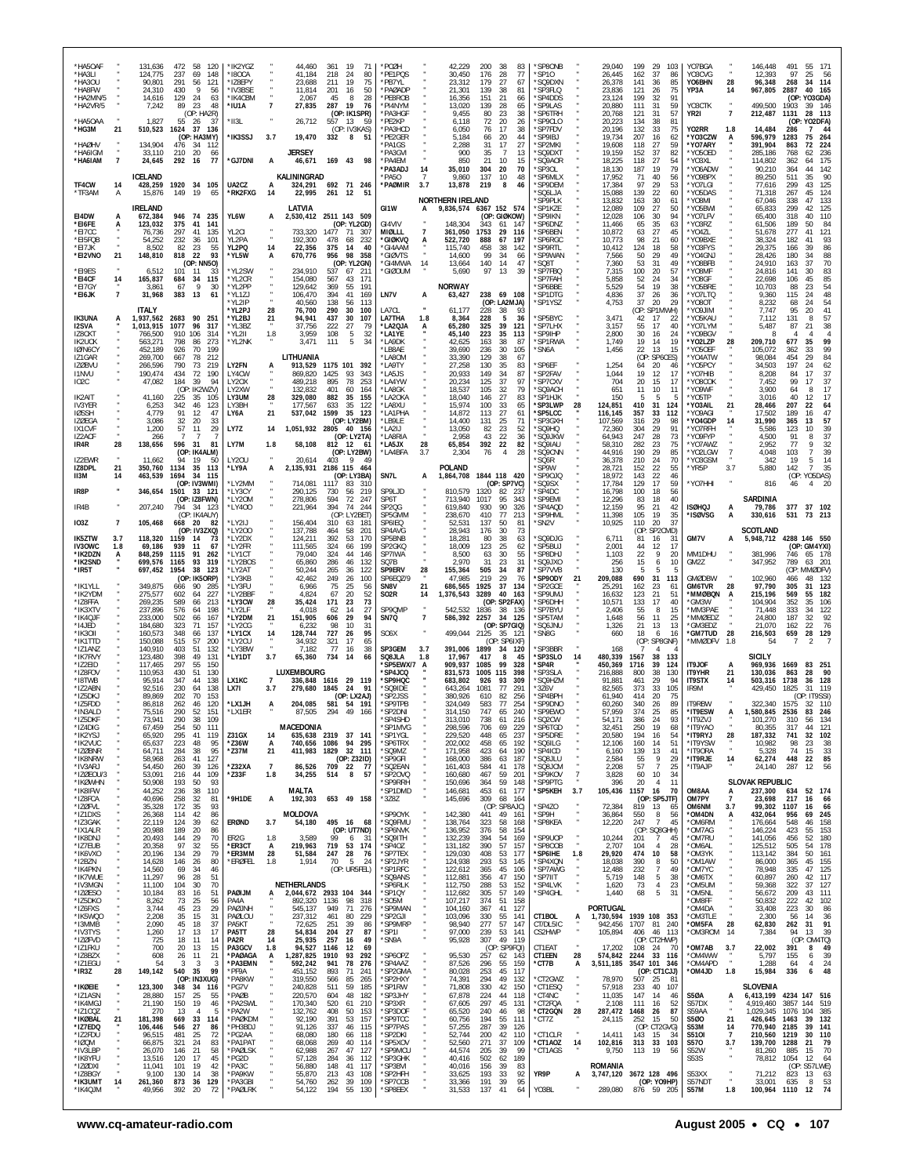| *HA5OAF<br>*HA3LI<br>*HA3OU<br>*HA8FW<br>*HA2MN/5<br>*HA2VR/5<br>*HA5OAA<br>*HG3M | 21                   | 472<br>131,636<br>124,775<br>237<br>291<br>90,801<br>24,310<br>430<br>129<br>14,616<br>7,242<br>89<br>1,827<br>55<br>510,523<br>1624 | 58<br>120<br>69<br>148<br>121<br>56<br>9<br>56<br>24<br>63<br>23<br>48<br>(OP: HA2R)<br>26<br>37<br>37<br>136<br>(OP: HA3MY) | *IK2YGZ<br>*I8OCA<br>*IZ8EPY<br>*IV3BSE<br>*IK4CBM<br>*IU1A<br>*II3L<br>*IK3SSJ | $\overline{7}$<br>3.7     | 44,460<br>41,184<br>23,688<br>11,814<br>2,067<br>27,835<br>26,712<br>19,470 | 361 19<br>71<br>218<br>24<br>80<br>75<br>19<br>211<br>201<br>16<br>50<br>8<br>28<br>45<br>287 19<br>-76<br>(OP: IK1SPR)<br>557 13<br>59<br>(OP: IV3KAS)<br>332<br>8<br>51 | *PCØH<br>*PE1PQS<br>*PB7YL<br>*PAØADP<br>*PF8ROB<br>*PI4NYM<br>*PA3HGF<br>*PE2KP<br>*PA3HCD<br>*PE2GER |                                 | 42,229<br>30,450<br>23,312<br>21,301<br>16,356<br>13,020<br>9,455<br>6,118<br>6,050<br>5,184 | 200<br>176<br>179<br>139<br>151<br>139<br>80<br>72<br>76<br>66 | 38<br>28<br>27<br>38<br>21<br>28<br>23<br>20<br>17<br>20             | 83<br>77<br>67<br>81<br>66<br>65<br>38<br>26<br>38<br>44 | *SP8ONB<br>*SP10<br>'SQ9DXN<br>*SP3FLQ<br>*SP4DDS<br>*SP9LAS<br>*SP6TRH<br>*SP9CLO<br>*SP7FDV<br>*SP9IBJ |                       | 29,040<br>26,445<br>26,378<br>23,836<br>23.124<br>20,880<br>20,768<br>20,223<br>20.196<br>19,734 | 199<br>29<br>162<br>37<br>141<br>36<br>121<br>26<br>199<br>32<br>111<br>31<br>31<br>121<br>134<br>38<br>132<br>33<br>207<br>16 | 103<br>86<br>85<br>75<br>91<br>59<br>57<br>81<br>75<br>62 | YO7BGA<br>YO3CVG<br>YO6BHN<br>YP3A<br>YO3CTK<br>YR2I<br>Y02RR<br>*YO3CZW | 28<br>14<br>$\overline{7}$<br>1.8<br>A | 146,448<br>12,393<br>96,348<br>967,805<br>499,500<br>212,487<br>14,484<br>596,979 | 491<br>97<br>268<br>2887<br>1903<br>1131<br>286<br>1283 | 55<br>171<br>25<br>- 56<br>114<br>34<br>40<br>165<br>(OP: YO3GDA)<br>39 146<br>28<br>113<br>(OP: YO2DFA)<br>7<br>44<br>75<br>264 |
|-----------------------------------------------------------------------------------|----------------------|--------------------------------------------------------------------------------------------------------------------------------------|------------------------------------------------------------------------------------------------------------------------------|---------------------------------------------------------------------------------|---------------------------|-----------------------------------------------------------------------------|---------------------------------------------------------------------------------------------------------------------------------------------------------------------------|--------------------------------------------------------------------------------------------------------|---------------------------------|----------------------------------------------------------------------------------------------|----------------------------------------------------------------|----------------------------------------------------------------------|----------------------------------------------------------|----------------------------------------------------------------------------------------------------------|-----------------------|--------------------------------------------------------------------------------------------------|--------------------------------------------------------------------------------------------------------------------------------|-----------------------------------------------------------|--------------------------------------------------------------------------|----------------------------------------|-----------------------------------------------------------------------------------|---------------------------------------------------------|----------------------------------------------------------------------------------------------------------------------------------|
| *HAØHV<br>*HA6IGM<br>*HA6IAM                                                      | $\overline{7}$       | 134,904<br>476<br>33,110<br>210<br>24,645<br>292                                                                                     | -34<br>112<br>20<br>66<br>16<br>77                                                                                           | *GJ7DNI                                                                         | A                         | <b>JERSEY</b><br>46,671                                                     | 169 43<br>- 98                                                                                                                                                            | 'PA1GS<br>*PA3GVI<br>*PA4EM<br>*PA3ADJ                                                                 | 14                              | 2,288<br>900<br>850<br>35,010                                                                | 31<br>35<br>21<br>304                                          | 17<br>$\overline{7}$<br>10<br>20                                     | 27<br>13<br>15<br>70                                     | *SP2MKI<br>SQ9DXT<br>*SQ9AOR<br>*SP30L                                                                   |                       | 19,608<br>19,159<br>18,225<br>18,130                                                             | 27<br>118<br>37<br>152<br>27<br>118<br>187<br>19                                                                               | 59<br>82<br>54<br>79                                      | *YO7ARY<br>'Y050ED<br>*YO3XL<br>*Y06ADW                                  |                                        | 391,904<br>285,186<br>114,802<br>90,210                                           | 863<br>768<br>362<br>364                                | 224<br>72<br>62<br>236<br>175<br>64<br>44<br>142                                                                                 |
| TF4CW<br>*TF3AM                                                                   | 14<br>Α              | ICELAND<br>428,259<br>15,876<br>149                                                                                                  | 1920 34 105<br>19<br>65                                                                                                      | UA2CZ<br>*RK2FXG                                                                | А<br>14                   | KALININGRAD<br>324,291<br>22,995                                            | 692 71 246<br>261 12 51                                                                                                                                                   | PA50<br>*PAØMIR                                                                                        | $\overline{7}$<br>3.7           | 9,860<br>13,878<br><b>NORTHERN IRELAND</b>                                                   | 137<br>219                                                     | 10<br>8                                                              | 48<br>46                                                 | *SP6MLX<br>*SP9DEM<br>*SQ6LJA<br>*SP9PLK                                                                 |                       | 17,952<br>17,384<br>15,088<br>13,832                                                             | 71<br>40<br>97<br>29<br>139<br>22<br>30<br>163                                                                                 | 56<br>53<br>60<br>61                                      | *YO9BPX<br>'YO7LGI<br>*Y05DAS<br>IM80Y'                                  |                                        | 89,250<br>77,616<br>71,318<br>67,046                                              | 511<br>299<br>267<br>338                                | 35<br>90<br>125<br>43<br>45<br>124<br>133<br>47                                                                                  |
| EI4DW<br>*EI6FE<br>*EI7CC<br>*EI5FQB                                              | А<br>A               | <b>IRELAND</b><br>946<br>672,384<br>123,032<br>375<br>297<br>76,736<br>54,252<br>232                                                 | 74<br>235<br>41<br>141<br>41<br>135<br>36<br>101                                                                             | YL6W<br>YL <sub>2</sub> CI<br>YL2PA                                             | А                         | LATVIA<br>733,320<br>192,300                                                | 2,530,412 2511 143 509<br>(OP: YL2GD)<br>71<br>1477<br>- 307<br>478<br>68<br>232                                                                                          | GI1W<br>GI4VIV<br>MIØLLL<br>*GIØKVQ                                                                    | А<br>$\overline{7}$<br>A        | 9,836,574<br>148,304<br>361,050<br>522,720                                                   | 343<br>1753<br>888                                             | 6367 152 574<br>(OP: GIØKOW)<br>61<br>-147<br>29<br>116<br>67<br>197 |                                                          | *SP1KZE<br>*SP9IKN<br>*SP6DNZ<br>*SP6BEN<br>*SP6RGC                                                      |                       | 12,089<br>12,028<br>11,466<br>10,872<br>10,773                                                   | 109<br>27<br>106<br>30<br>65<br>35<br>27<br>63<br>21<br>98                                                                     | 50<br>94<br>63<br>45<br>60                                | *Y05BWI<br>'YO7LFV<br>*YO3RZ<br>*YO4ZL<br>*YO9BXE                        |                                        | 65,833<br>65,400<br>61,506<br>51,678<br>38,324                                    | 299<br>318<br>189<br>277<br>182                         | 42<br>125<br>110<br>40<br>50<br>84<br>41<br>121<br>41<br>93                                                                      |
| *EI7JK<br>*EI2VNO<br>*EI9ES                                                       | 21                   | 82<br>8.502<br>148,810<br>818<br>6,512<br>101                                                                                        | 23<br>55<br>22<br>93<br>(OP: NN5O)<br>33<br>-11                                                                              | YL2PQ<br>*YL5W<br>*YL2SW                                                        | 14<br>Α                   | 22,356<br>670,776<br>234,910                                                | 375<br>-14<br>40<br>956<br>98<br>358<br>(OP: YL2GN)<br>537<br>67 211                                                                                                      | *GI4AAM<br><b>'GIØVTS</b><br>*GI4MWA<br><b>GIØOUM</b>                                                  | 14                              | 115,740<br>14,600<br>13,664<br>5,690                                                         | 458<br>99<br>140<br>97                                         | 38<br>142<br>34<br>14<br>13                                          | 66<br>47<br>39                                           | *SP9RTL<br>*SP9WAN<br>*SQ8T<br>*SP7FBQ                                                                   |                       | 10,412<br>7,566<br>7,360<br>7,315                                                                | 124<br>18<br>50<br>29<br>53<br>31<br>100<br>20                                                                                 | 58<br>49<br>49<br>57                                      | *Y03FYS<br>*YO4GNJ<br>*YO8BFB<br>*YO8MF                                  |                                        | 29.375<br>28,426<br>24,910<br>24,816                                              | 166<br>180<br>163<br>141                                | 39<br>86<br>34<br>88<br>70<br>37<br>30<br>83                                                                                     |
| *EI4CF<br>*EI7GY<br>*EI6JK                                                        | 14<br>$\overline{7}$ | 165,837<br>684<br>3,861<br>67<br>31,968<br>383                                                                                       | 34<br>115<br>9<br>30<br>13<br>61                                                                                             | *YL2CR<br>*YL2PP<br>*YL1ZJ<br>*YL2IP                                            |                           | 154,080<br>129,642<br>106,470<br>40,560                                     | 43<br>567<br>171<br>369<br>55<br>191<br>394<br>41<br>169<br>138<br>-56<br>113                                                                                             | LN7V                                                                                                   | А                               | <b>NORWAY</b><br>63,427                                                                      | 238                                                            | 69 108<br>(OP: LA2MJA)                                               |                                                          | 'SP7FAH<br>'SP6BBE<br>*SP1DTG<br>*SP1YSZ                                                                 |                       | 5,858<br>5,529<br>4,836<br>4,753                                                                 | 52<br>24<br>54<br>19<br>37<br>26<br>37<br>20                                                                                   | -34<br>38<br>36<br>29                                     | *YO8GF<br>'Y05BRE<br>*YO7LTQ<br>TO8OY*                                   |                                        | 22,698<br>10,703<br>9,360<br>8.232                                                | 106<br>88<br>115<br>68                                  | 85<br>45<br>54<br>23<br>48<br>24<br>24<br>54                                                                                     |
| <b>IK3UNA</b><br><b>I2SVA</b><br>IZ8CKT                                           | A                    | <b>ITALY</b><br>1,937,562<br>2683<br>1,013,915<br>1077<br>910 106<br>766,500                                                         | 90<br>251<br>96<br>317<br>314                                                                                                | *YL2PJ<br>*YL2BJ<br>*YL3BZ<br>*YL2II                                            | 28<br>21<br>1.8           | 76,700<br>94,941<br>37,756<br>3,959                                         | 290<br>30<br>100<br>437<br>30<br>107<br>222<br>27<br>79<br>108<br>$\,$ 5<br>32                                                                                            | LA7CL<br><b>LA7THA</b><br>*LA2QJA<br>*LA1YE                                                            | 1.8<br>А                        | 61,177<br>8,364<br>65,280<br>45,140                                                          | 228<br>228<br>325<br>223                                       | 38<br>-5<br>39<br>121<br>35<br>113                                   | 93<br>36                                                 | *SP5BYC<br>*SP7LHX<br>*SP9IHP                                                                            |                       | 3,471<br>3,157<br>2,800                                                                          | (OP: SP1MWH)<br>17<br>42<br>55<br>17<br>30<br>16                                                                               | -22<br>40<br>24                                           | NILQOY*<br>'YO5KAU<br>*YO7LYM<br>'YO9BGV                                 |                                        | 7,747<br>7.112<br>5.487<br>8                                                      | 95<br>131<br>87                                         | 20<br>41<br>57<br>8<br>21<br>38<br>$\overline{4}$                                                                                |
| <b>IK2UCK</b><br>IØ/N6CY<br>IZ1GAR<br><b>IZØBVU</b>                               |                      | 563,271<br>798<br>452,189<br>926<br>269,700<br>667<br>790<br>266,596                                                                 | 273<br>86<br>70<br>199<br>78<br>212<br>73<br>219                                                                             | *YL2NK<br>LY2FN                                                                 |                           | 3,471<br>LITHUANIA<br>913,529                                               | 111<br>5<br>34<br>1175 101 392                                                                                                                                            | *LA9DK<br>*LB8AE<br>LA80M<br>*LA9TY                                                                    |                                 | 42,625<br>39,690<br>33,390<br>27,258                                                         | 163<br>236<br>129<br>130                                       | 38<br>87<br>30<br>105<br>38<br>35                                    | 67<br>83                                                 | *SP1RWA<br>*SN6A<br>*SP6EF                                                                               |                       | 1,749<br>1,456<br>1,254                                                                          | 19<br>14<br>22<br>13<br>(OP: SP6CES)<br>20<br>64                                                                               | 19<br>15<br>46                                            | *YO2LZP<br>'Y050EF<br>*Y04ATW<br>*YO5PCY                                 | 28                                     | 209,710<br>105,072<br>98,084<br>34,503                                            | 677<br>362<br>454<br>197                                | 99<br>35<br>99<br>33<br>29<br>84<br>62<br>24                                                                                     |
| <b>I1NVU</b><br>IO <sub>2</sub> C<br>IK2AIT                                       |                      | 190,474<br>434<br>47,082<br>184<br>41,160<br>225                                                                                     | 72<br>190<br>94<br>-39<br>(OP: IK2WZV)<br>35<br>105                                                                          | LY4CW<br>LY20X<br>LY2XW<br>LY3UM                                                | 28                        | 869,820<br>489.218<br>132,832<br>329,080                                    | 1425<br>93<br>343<br>895<br>78<br>253<br>401<br>60<br>164<br>882<br>35<br>155                                                                                             | *LA5JS<br>*LA4YW<br>*LA8GK<br>*LA2OKA                                                                  |                                 | 20,933<br>20,234<br>18,537<br>18,040                                                         | 149<br>125<br>105<br>146                                       | 34<br>37<br>32<br>27                                                 | 87<br>97<br>79<br>83                                     | *SP2FAV<br>*SP7CXV<br>*SQ9ACH<br>*SP1HJK                                                                 |                       | 1,044<br>704<br>651<br>150                                                                       | 19<br>12<br>20<br>15<br>11<br>10<br>-5<br>-5                                                                                   | 17<br>-17<br>11                                           | *YO7HIB<br>*YO8COK<br>*Y09WF<br>'Y05TP                                   |                                        | 8,208<br>7,452<br>3,900<br>3,016                                                  | 84<br>99<br>64<br>40                                    | 37<br>17<br>37<br>17<br>17<br>8<br>17<br>12                                                                                      |
| <b>IV3YER</b><br><b>IØSSH</b><br><b>IZØEGA</b><br>IX1CVF                          |                      | 6,253<br>342<br>4,779<br>91<br>32<br>3.086<br>1,200<br>57                                                                            | 123<br>46<br>12<br>47<br>20<br>33<br>11<br>29                                                                                | LY3BH<br>LY6A<br>LY7Z                                                           | 21<br>14                  | 177,567<br>537,042<br>1,051,932 2805                                        | 633<br>35<br>122<br>1599<br>35 123<br>(OP: LY2BM)<br>40 156                                                                                                               | *LA8XU<br>*LA1PHA<br>*I B9I F<br>LA2IJ                                                                 |                                 | 15,974<br>14,872<br>14.400<br>13,050                                                         | 100<br>113<br>131<br>82                                        | 33<br>27<br>25<br>23                                                 | 65<br>61<br>71<br>52                                     | *SP3LWP<br>*SP5LCC<br>'SP3GXH<br>*SQ9HQ                                                                  | 28                    | 124,851<br>116,145<br>107,569<br>72,360                                                          | 410<br>31<br>357<br>33<br>29<br>316<br>304<br>29                                                                               | 124<br>112<br>98<br>91                                    | *YO3AIL<br>'YO9AGI<br><b>YO4GDP</b><br>'YO7RFH                           | 21<br>14                               | 28,466<br>17,502<br>31,990<br>5,586                                               | 207<br>189<br>365<br>123                                | 22<br>64<br>47<br>16<br>57<br>13<br>10<br>39                                                                                     |
| IZ2ACF<br>IR4R<br>IZ2EWR                                                          | 28                   | 266<br>138,656<br>596<br>11,662<br>94                                                                                                | -7<br>- 7<br>31<br>81<br>(OP: IK4ALM)<br>19<br>50                                                                            | LY7M<br>LY20U                                                                   | 1.8                       | 58,108<br>20,614                                                            | (OP: LY2TA)<br>812 12<br>-61<br>(OP: LY2BW)<br>403<br>9<br>49                                                                                                             | *I A8RIA<br>*LA5JX<br>*LA4BFA                                                                          | 28<br>3.7                       | 2,958<br>65,854<br>2,304                                                                     | 43<br>392<br>76                                                | 22<br>22<br>$\overline{4}$                                           | 36<br>82<br>28                                           | *SQ9JKW<br>*SQ9IAU<br>*SQ9CNN<br>*SQ6R                                                                   |                       | 64,943<br>58,310<br>44,916<br>36,378                                                             | 247<br>28<br>282<br>23<br>190<br>29<br>210<br>24                                                                               | 73<br>75<br>85<br>70                                      | *Y09FYP<br>*YO7AWZ<br>*YO2LGW<br>'YO3GSM                                 | $\frac{7}{4}$                          | 4,500<br>2,952<br>4,048<br>342                                                    | 91<br>77<br>103<br>19                                   | 37<br>8<br>9<br>32<br>39<br>$\overline{7}$<br>14<br>5                                                                            |
| IZ8DPL<br>II3M<br>IR8P                                                            | 21<br>14             | 350,760<br>1134<br>463,539<br>1694<br>346,654<br>1501                                                                                | 35<br>113<br>34<br>115<br>(OP: IV3WMI)<br>33 121                                                                             | *LY9A<br>*LY2MM<br>*LY3CY                                                       | А                         | 2,135,931<br>714,081<br>290,125                                             | 2186 115 464<br>(OP: LY3BA)<br>1117<br>-83<br>-310<br>730<br>56<br>219                                                                                                    | SN7L<br>SP9LJD                                                                                         | A                               | POLAND<br>1,864,708<br>810,579                                                               | 1320                                                           | 1844 118 420<br>(OP: SP7VC)<br>82 237                                |                                                          | *SP9W<br>*SP90JQ<br>'SQ9SX<br>'SP4DC                                                                     |                       | 28,721<br>18,972<br>17,784<br>16,798                                                             | 152<br>22<br>143<br>22<br>129<br>17<br>100<br>18                                                                               | 55<br>46<br>59<br>56                                      | 'YR5P<br>*YO7HHI                                                         | 3.7                                    | 5,880<br>816                                                                      | 142<br>46                                               | $\overline{7}$<br>35<br>(OP: YO5DAS)<br>20<br>4                                                                                  |
| IR4B<br><b>IO3Z</b>                                                               | $\overline{7}$       | 794<br>207,240<br>105,468<br>668 20                                                                                                  | (OP: IZ8FWN)<br>34 123<br>(OP: IK4AUY)<br>-82                                                                                | *LY20M<br>*LY400<br>*LY2IJ                                                      |                           | 278.806<br>221,964<br>156,404                                               | 72<br>594<br>247<br>394<br>74<br>244<br>(OP: LY2BET)<br>310<br>63 181                                                                                                     | SP6T<br>SP <sub>2</sub> Q <sub>G</sub><br>SP5GMM<br>SP6IEQ                                             |                                 | 713,940<br>619,840<br>238,670<br>52,531                                                      | 1017<br>930<br>410<br>137                                      | 95<br>343<br>90<br>326<br>77<br>213<br>50                            | 81                                                       | *SP9EMI<br>*SP4AQD<br>*SP9HML<br>*SN2V                                                                   |                       | 12,296<br>12,159<br>11,398<br>10,925                                                             | 83<br>18<br>21<br>95<br>105<br>-19<br>110<br>20                                                                                | 40<br>42<br>35<br>37                                      | ISØHQJ<br>*ISØVSG                                                        | А<br>A                                 | <b>SARDINIA</b><br>79,786<br>330,616                                              | 377<br>531                                              | 37 102<br>73 213                                                                                                                 |
| <b>IK5ZTW</b><br><b>IV3OWC</b><br>*IK2DZN                                         | 3.7<br>1.8<br>A      | 118,320<br>1159<br>69,186<br>939<br>848,259<br>1115                                                                                  | (OP: IV3ZXQ)<br>-14<br>-73<br>11<br>67<br>91<br>262                                                                          | *LY200<br>*LY2DX<br>*LY2FR<br>*I Y1CT                                           |                           | 137,788<br>124,211<br>111,565<br>79,040                                     | 464<br>58<br>201<br>170<br>392<br>53<br>324<br>66<br>199<br>324<br>44<br>146                                                                                              | SP4AVG<br>SP5BNB<br>SP2GKQ<br>SP7IWA                                                                   |                                 | 28,943<br>18,281<br>18,009<br>8,500                                                          | 176<br>80<br>123<br>63                                         | 30<br>38<br>25<br>30                                                 | 73<br>63<br>62<br>55                                     | 'SQ9DJG<br>*SP5BUJ<br>*SP8DHJ                                                                            |                       | 6,711<br>2,001<br>1,103                                                                          | (OP)<br>SP2CMD)<br>81<br>16<br>44<br>12<br>22<br>9                                                                             | 31<br>17<br>20                                            | GM7V<br>MM1DHU                                                           | А                                      | SCOTLAND<br>5,948,712<br>381.996                                                  | 746                                                     | 4288 146 550<br>(OP: GM4YXI)<br>65 178                                                                                           |
| *IK2SND<br>*IR5T<br>*IK1YLL                                                       |                      | 699,576<br>1165<br>697,452<br>1954<br>349,875<br>666                                                                                 | 93<br>319<br>38<br>123<br>(OP: IK5ORP)<br>90<br>-285                                                                         | *LY2BOS<br>*LY2AT<br>*LY3KB<br>*LY3FU                                           |                           | 65,860<br>50,244<br>42,462<br>6,966                                         | 286<br>46<br>132<br>265<br>36<br>122<br>249<br>26<br>100<br>75<br>25<br>56                                                                                                | SQ7B<br>SP9ERV<br>SP6EQZ/9<br>SN8V                                                                     | 28<br>21                        | 2,970<br>155,364<br>47,985<br>686,565                                                        | 31<br>505<br>219<br>1925                                       | 23<br>34<br>29<br>37<br>134                                          | 31<br>87<br>-76                                          | *SQ9JXO<br>*SP7VVB<br>*SP9ODY<br>*SP2GCE                                                                 | 21                    | 256<br>130<br>209,088<br>25,291                                                                  | 15<br>6<br>-5<br>-5<br>690<br>31<br>162<br>23                                                                                  | 10<br>5<br>113<br>-61                                     | GM2Z<br><b>GMØDBW</b><br><b>GM6TVR</b>                                   | 28                                     | 347,952<br>102,960<br>97,790                                                      | 789<br>466<br>305                                       | 63<br>201<br>(OP: MMØDFV)<br>48<br>132<br>31<br>123                                                                              |
| *IK2YDM<br>*IZ8FFA<br>*IK3XTV<br>*IK4QJF                                          |                      | 275,577<br>602<br>589<br>269,235<br>237,896<br>576<br>233,000                                                                        | 64<br>227<br>66<br>213<br>64<br>198                                                                                          | *LY2BBF<br>*LY3CW<br>*LY2LF<br>*LY2DM                                           | 28                        | 4,824<br>35,424<br>4,018<br>151,905                                         | 67<br>20<br>52<br>171<br>23<br>73<br>14<br>27<br>62<br>606<br>29<br>94                                                                                                    | <b>SO2R</b><br>SP9QMP<br>SN7Q                                                                          | 14<br>$\cdot$<br>$\overline{7}$ | 1,376,543<br>542,532<br>586,392                                                              | 3289<br>1836                                                   | 40<br>163<br>(OP: SP2FAX)<br>38 136<br>34 125                        |                                                          | *SP9UMJ<br>*SP6DHH<br>*SP7BYU                                                                            |                       | 16,632<br>10,571<br>2,406                                                                        | 123<br>21<br>133<br>17<br>55<br>8<br>56                                                                                        | 51<br>40<br>15<br>25                                      | *MMØBQN<br>'GM3W<br>'MM3PAE<br>'MMØEDZ                                   | A                                      | 215,196<br>104,904<br>71,448<br>24,800                                            | 569<br>352<br>333                                       | 55<br>182<br>35<br>106<br>34<br>122<br>32<br>92                                                                                  |
| *I4JED<br>*IK3OII<br>*IK1TTD<br>*IZ1ANZ                                           |                      | 502<br>323<br>184,680<br>160,573<br>348<br>150,088<br>515<br>140,910<br>403                                                          | 66<br>167<br>71<br>157<br>137<br>66<br>57<br>200<br>51<br>132                                                                | *LY2CG<br>*LY1CX<br>*LY2CU<br>*LY3BW                                            | 21<br>14<br>$\cdot$       | 6,232<br>128,744<br>34,932                                                  | 98<br>10<br>31<br>727<br>26<br>95<br>321<br>17<br>65<br>77<br>16<br>38                                                                                                    | SO <sub>6</sub> X<br>SP3GEM                                                                            | 3.7                             | 499,044<br>391,006                                                                           | 2257<br>2125<br>1899                                           | (OP: SP7GIQ)<br>35 121<br>(OP: SP6IXF)<br>34 120                     |                                                          | *SP5TAM<br>'SQ6JNU<br>*SN8G<br>*SP3BBR                                                                   |                       | 1,648<br>1,326<br>660<br>168                                                                     | 11<br>21<br>13<br>18<br>6<br>(OP: SP8GNF)<br>$\overline{4}$<br>7                                                               | 13<br>16                                                  | 'GM3EDZ<br>*GM7TUD<br>`MMØDFV                                            | 28<br>1.8                              | 21,070<br>216,503<br>54                                                           | 187<br>162<br>659                                       | 22<br>76<br>28<br>129                                                                                                            |
| *IK7RVY<br>*IZ2EID<br>*IZ8FOV<br>*I8TWB                                           |                      | 123,480<br>398<br>117,465<br>297<br>110,953<br>430<br>95,914<br>347                                                                  | 131<br>49<br>55<br>150<br>130<br>51<br>44<br>138                                                                             | *LY1DT<br><b>LX1KC</b>                                                          | 3.7<br>$\overline{7}$     | 7,182<br>65,360<br>LUXEMBOURG                                               | 734 14<br>66<br>336,848 1616 29 119                                                                                                                                       | SQ8JLA<br>'SP5EWX/7<br>'SP4JCQ<br>*SP9HQC                                                              | 1.8                             | 17,967<br>909,937<br>831,573<br>683,802                                                      | 417<br>1085<br>1005<br>926                                     | 8<br>99<br>328<br>115<br>398<br>309<br>93                            | 45                                                       | *SP3SLO<br>*SP4R<br>*SP3SLA<br>*SQ9HZM                                                                   | 14                    | 480,339<br>450,369<br>216.888<br>91,881                                                          | 1567<br>38<br>39<br>1716<br>38<br>800<br>29<br>461                                                                             | 133<br>124<br>130<br>94                                   | IT9JOF<br>IT9YHR<br><b>IT9STX</b>                                        | A<br>21                                | <b>SICILY</b><br>969,936<br>130,036<br>503,316                                    | 1669<br>863<br>1738                                     | 83<br>-251<br>- 90<br>28<br>36<br>128                                                                                            |
| *IZ2ABN<br>*IZ5DKJ<br>*IZ5FDD                                                     |                      | 92.516<br>230<br>89,869<br>202<br>86,818<br>262                                                                                      | 138<br>64<br>70<br>153<br>120<br>46                                                                                          | LX7I<br>*LX1JH                                                                  | 3.7<br>A                  | 279,680<br>204,085                                                          | 1845 24<br>91<br>(OP: LX2AJ)<br>581 54 191                                                                                                                                | 'SQ9IDE<br>'SP2JSS<br>*SP9TPB                                                                          |                                 | 643.264<br>380,926<br>324,049                                                                | 1081<br>610<br>583                                             | 77<br>291<br>82<br>256<br>77<br>254                                  |                                                          | 376V<br>*SP4BPH<br>*SP9DNO                                                                               |                       | 82,565<br>61,940<br>60,260                                                                       | 373<br>33<br>414<br>20<br>340<br>26                                                                                            | 105<br>75<br>89                                           | IR9M<br>IT9RBW                                                           | 14                                     | 429,450<br>322.340 1575                                                           | 1825                                                    | 119<br>31<br>(OP: IT9SSI)<br>32 110                                                                                              |
| *IN3ALD<br>*IZ5DKF<br>*IZ4DIG<br>*IK2YSJ                                          |                      | 75,516<br>290<br>73,941<br>290<br>67,459<br>254<br>295<br>65,920                                                                     | 52<br>151<br>38<br>109<br>50<br>111<br>41<br>119                                                                             | *LX1ER<br><b>Z31GX</b>                                                          | 14                        | 87,505<br>MACEDONIA                                                         | 294 49 166<br>635,638 2319 37<br>141                                                                                                                                      | *SP2DNI<br>*SP4SHD<br>'SP1MVG<br>*SP1YGL                                                               |                                 | 314,150<br>313,010<br>298,596<br>229,520                                                     | 747<br>738<br>706<br>448                                       | 65<br>240<br>61<br>216<br>69<br>229<br>237<br>65                     |                                                          | *SP9EWO<br>*SQ2CW<br>*SP6TGD<br>*SP5DRE                                                                  |                       | 57,959<br>54,171<br>32,451<br>20,580                                                             | 374<br>25<br>386<br>24<br>250<br>19<br>194<br>16                                                                               | 85<br>93<br>68<br>54                                      | *IT9ESW<br>*IT9ZVJ<br>*IT9YAO<br>*IT9RYJ                                 | А<br>28                                | 1,580,845 2536<br>101,270<br>80,355<br>187,332                                    | 310<br>317<br>741                                       | 83 246<br>56 134<br>44<br>121<br>32<br>102                                                                                       |
| *IK2VUC<br>*IZØBNR<br>*IK8NRW<br>*IV3ARJ                                          |                      | 223<br>65,637<br>64,711<br>284<br>58,968<br>263<br>54,450<br>260                                                                     | 48<br>95<br>38<br>95<br>41<br>127<br>39<br>126                                                                               | *Z36W<br>*Z37M<br>*Z32XA                                                        | A<br>21<br>$\overline{7}$ | 740,656<br>411,983<br>86,526                                                | 1086<br>94 295<br>1829 32 111<br>(OP: Z32ID)<br>709 22<br>77                                                                                                              | *SP6TRX<br>*SQ9MZ<br>*SP9GFI<br>*SQ2EAN                                                                |                                 | 202,002<br>171,958<br>168,000<br>161,403                                                     | 458<br>423<br>386<br>584                                       | 65<br>192<br>64<br>190<br>63<br>187<br>41<br>178                     |                                                          | *SQ6ILG<br>*SP4ICD<br>*SQ8JLU<br>*SQ8JCM                                                                 |                       | 12,106<br>6,160<br>2,584<br>2,208                                                                | 160<br>14<br>139<br>13<br>9<br>55<br>57<br>$\overline{7}$                                                                      | 51<br>41<br>29<br>25                                      | *IT9YSW<br>*IT9ORA<br>*IT9RJE<br>*IT9AJP                                 | 14                                     | 10,982<br>5,328<br>62,274<br>24,140                                               | 98<br>74<br>448<br>287                                  | 23<br>38<br>33<br>15<br>22<br>85<br>12<br>56                                                                                     |
| *IZØEOU/3<br>*IKØWHN<br>*IK8IFW<br>*IZ8FCA                                        |                      | 53,091<br>216<br>50,908<br>193<br>44,252<br>236<br>40,696<br>258                                                                     | 44<br>109<br>50<br>93<br>38<br>110<br>32<br>81                                                                               | *Z33F<br>*9H1DE                                                                 | 1.8<br>А                  | 34,255<br><b>MALTA</b><br>192,303                                           | 8<br>514<br>57<br>653 49 158                                                                                                                                              | *SP20VQ<br>*SP9RRH<br>'SP1DMD<br>*3Z8Z                                                                 |                                 | 160,680<br>150,696<br>146,681<br>145,696                                                     | 467<br>364<br>453<br>309                                       | 59<br>201<br>59<br>148<br>61 177<br>68<br>-164                       |                                                          | *SP9KOV<br>*SP9PTG<br>*SP5KEH                                                                            | $\overline{7}$<br>3.7 | 3,828<br>396<br>105,436                                                                          | 10<br>60<br>20<br>$\overline{4}$<br>1157<br>- 16<br>(OP: SP5JTF)                                                               | 34<br>11<br>70                                            | OM8AA<br>OM7PY                                                           | A<br>$\overline{7}$                    | <b>SLOVAK REPUBLIC</b><br>237,300<br>23,698                                       | 634<br>217                                              | 52 174<br>16<br>66                                                                                                               |
| *IZØFVL<br>*IZ1DXS<br>*IZ3GAK<br>*IX1ALR                                          |                      | 172<br>35,328<br>26,368<br>114<br>22,119<br>124<br>20,988<br>189                                                                     | 35<br>93<br>42<br>86<br>39<br>62<br>20<br>86                                                                                 | ERØND                                                                           | 3.7                       | <b>MOLDOVA</b><br>54,180                                                    | 495 16<br>-68<br>(OP: UT7ND)                                                                                                                                              | 'SP90YK<br>*SQ9FMU<br>*SP6NVK                                                                          |                                 | 142,380<br>138,764<br>136,952                                                                | 441<br>323<br>376                                              | (OP: SP8AJC)<br>49<br>161<br>58<br>168<br>58<br>154                  |                                                          | *SP4ZO<br>*SP9H<br>*SP8KEA                                                                               |                       | 72,384<br>36,864<br>12,220                                                                       | 819<br>13<br>550<br>8<br>247<br>7<br>(OP: SQ8GHH)                                                                              | -65<br>56<br>45                                           | OM6NM<br>*OM4DN<br>*OM6RM<br>*OM7AG                                      | 3.7<br>Ą                               | 99,302<br>432,064<br>176,664<br>146,224                                           | 1107<br>956<br>548<br>423                               | 16<br>-66<br>245<br>69<br>158<br>46<br>153<br>55                                                                                 |
| *IK8DNJ<br>*IZ7EUB<br>*IK6VXO<br>*12BZN                                           |                      | 144<br>20,493<br>97<br>20,358<br>134<br>20,196<br>14,628<br>146                                                                      | 29<br>70<br>32<br>55<br>29<br>79<br>26<br>80                                                                                 | ER2G<br>*ER3CT<br>*ER3MM<br>*ERØFEL                                             | 1.8<br>А<br>28<br>1.8     | 3,589<br>219,963<br>51,584<br>1,914                                         | 99<br>6<br>-31<br>719<br>53 174<br>247<br>28<br>- 76<br>70<br>5<br>24                                                                                                     | *SQ9ITH<br>*SP4OZ<br>*SP7TEX<br>*SP2JYR                                                                |                                 | 132,239<br>131,182<br>129,030<br>124,938                                                     | 394<br>390<br>408<br>293                                       | 54<br>169<br>57<br>157<br>-53<br>177<br>53<br>145                    |                                                          | *SP9UOP<br>*SP800B<br>*SP6IHE<br>'SP4XQN                                                                 | 1.8                   | 10,244<br>2,707<br>29,920<br>18,038                                                              | 201<br>7<br>104<br>$\overline{4}$<br>10<br>474<br>390<br>8                                                                     | 45<br>28<br>58<br>50                                      | *OM7RU<br>*OM6AL<br>*OM3YK<br>*OM1AW                                     |                                        | 141,056<br>125,512<br>113,142<br>86,000                                           | 456<br>505<br>384<br>365                                | 180<br>52<br>54<br>178<br>50<br>161<br>45<br>155                                                                                 |
| *IK4PKN<br>*IK7WUE<br>*IV3MGN<br>*IZØESO                                          |                      | 14,560<br>69<br>11,297<br>96<br>11,100<br>104<br>10,184<br>83                                                                        | 34<br>46<br>28<br>51<br>30<br>70<br>51<br>16                                                                                 | PAØIJM                                                                          | А                         | <b>NETHERLANDS</b>                                                          | (OP: UR5FEL)<br>2,044,672 2933 104 344                                                                                                                                    | *SP1RFC<br>*SQ9ANS<br>'SP6RLK<br>*SP1QY                                                                |                                 | 122,612<br>112,881<br>112,750<br>112,682                                                     | 365<br>356<br>288<br>305                                       | 45<br>106<br>47<br>150<br>53<br>152<br>57<br>149                     |                                                          | *SP7AWG<br>*SP7IIT<br>*SP4LVK<br>*SP4GHL                                                                 |                       | 12,488<br>5,719<br>1,620<br>1,440                                                                | 232<br>-7<br>5<br>148<br>73<br>$\overline{4}$<br>5<br>68                                                                       | 49<br>38<br>23<br>31                                      | *OM7YC<br>*OM6TX<br>*OM5UM<br>*OM5NL                                     |                                        | 78,948<br>60,897<br>59,368<br>56,672                                              | 335<br>260<br>322<br>209                                | 125<br>47<br>117<br>42<br>37<br>127<br>43<br>111                                                                                 |
| *IZ5DKO<br>*IZ6FXS<br>*IK5WQ0<br>*I3MMB                                           |                      | 8,262<br>73<br>3,744<br>45<br>2,208<br>35<br>45<br>2,090                                                                             | 25<br>56<br>23<br>29<br>15<br>31<br>18<br>37                                                                                 | PA4A<br>PAØJNH<br>PAØLOU<br>PA5KT                                               |                           | 892.320<br>545.137<br>237,312<br>72.625                                     | 1136<br>98<br>318<br>949<br>71<br>276<br>461<br>80<br>229<br>251<br>39<br>-86                                                                                             | *S05M<br>*SP9MAN<br>*SP2GJI<br>*SP9MRP                                                                 |                                 | 107,217<br>104,160<br>103,096<br>98,940                                                      | 374<br>367<br>330<br>277                                       | 51<br>158<br>41<br>127<br>55<br>141<br>57<br>147                     |                                                          | CT1BOL<br>CT/DL5IC                                                                                       | A                     | PORTUGAL<br>1,730,594<br>942,456                                                                 | 1939 108 353<br>1707 81                                                                                                        | -240                                                      | *OM8FF<br>OM4DA<br>*OM3TLE<br>*OM5FA                                     | ٠<br>×<br>28                           | 50,832<br>33,408<br>2,300<br>62,830                                               | 222<br>223<br>56<br>262                                 | 42<br>102<br>-30<br>- 86<br>14<br>36<br>91<br>31                                                                                 |
| *IV3TYS<br>*IZØFVD<br>*IZ1FKU<br>*IZ8BZX                                          |                      | 1,260<br>17<br>725<br>18<br>700<br>20<br>608<br>26                                                                                   | 13<br>17<br>11<br>14<br>13<br>15<br>11<br>21                                                                                 | PA5TT<br>PA2R<br>PA3GCV<br>*PAØAGA                                              | 28<br>14<br>1.8<br>Ă.     | 54,834<br>25,935<br>94,527<br>1,287,825                                     | 204<br>27<br>87<br>257<br>49<br>16<br>1146<br>12<br>69<br>1910<br>93<br>292                                                                                               | *SP1I<br>*SN9A<br>*SP6OPZ                                                                              |                                 | 97,000<br>95,928<br>95,530                                                                   | 239<br>307<br>257                                              | 53<br>141<br>49 119<br>(OP: SP9FQI)<br>62 143                        |                                                          | CS2HWP<br>CT1EAT<br>CT1EEN                                                                               | 28                    | 105,894<br>17,202<br>574,842                                                                     | 46 113<br>406<br>(OP: CT2HWP)<br>108<br>24<br>2244<br>33 116                                                                   | 70                                                        | OM3ROM*<br>*OM7AB<br>*OM4WW                                              | 14<br>3.7                              | 7,384<br>22,002<br>5,797                                                          | 94<br>(OP)<br>391<br>155                                | 13<br>39<br>OM4TQ)<br>49<br>8<br>39<br>6                                                                                         |
| *IZ1EGU<br>*IR3Z<br>*IKØEIE                                                       | 28                   | 54<br>3<br>149,142<br>540<br>123,300<br>348                                                                                          | 3<br>-3<br>35<br>99<br>(OP: IN3XUG)<br>34<br>116                                                                             | *PA3EMN<br>*PF9A<br>*PA8KW<br>*PG7V                                             |                           | 592,242<br>451,152<br>319,550<br>240,828                                    | 78<br>941<br>276<br>893<br>71<br>241<br>566<br>85<br>265<br>511<br>185<br>59                                                                                              | 'SP4AAZ<br>*SP2GMA<br>*SP2HXY<br>*SP1RW                                                                |                                 | 87,526<br>80,028<br>74,391<br>71,808                                                         | 296<br>253<br>294<br>330                                       | 55<br>159<br>45<br>117<br>49<br>132<br>42<br>150                     |                                                          | *CT7B<br>*CT2GWZ<br>*CT1ESQ                                                                              | А                     | 3,511,185<br>78.970<br>57,918                                                                    | 3547 101<br>(OP: CTTCJJ)<br>507<br>25<br>233<br>40                                                                             | 346<br>- 81<br>-107                                       | *OM4APD<br>*OM4JD                                                        | 1.8                                    | 1,288<br>15,984<br>SLOVENIA                                                       | 64<br>336                                               | 24<br>4<br>48<br>6                                                                                                               |
| *IZ1ASN<br>*IK4MGJ<br>*IZ1CQZ<br>*IKØBAL                                          | 21                   | 28,880<br>157<br>21,190<br>150<br>270<br>-13<br>181,398<br>669                                                                       | 25<br>55<br>19<br>46<br>-5<br>4<br>33<br>114                                                                                 | *PAØB<br>*PA2SWL<br>*PA2W<br>*PAØKDM                                            |                           | 220,570<br>170,340<br>132,762<br>92,190                                     | 604<br>48<br>182<br>520<br>61<br>210<br>408<br>50<br>153<br>391<br>53<br>157                                                                                              | *SP3JHY<br>*SP3XR<br>*SP3DOF<br>*SP9TCC                                                                |                                 | 67,878<br>67,605<br>65,520<br>60,756                                                         | 224<br>297<br>240<br>194                                       | 44<br>118<br>45<br>131<br>46<br>55<br>111                            | 98                                                       | *CT4NC<br>*CT2FQA<br>*CT2GQN<br>*CT7Z                                                                    | 28                    | 11,035<br>2,108<br>287,472<br>24,115                                                             | 147<br>14<br>111<br>16<br>1468<br>26<br>252<br>15                                                                              | 46<br>52<br>87<br>50                                      | <b>S50A</b><br>S57DX<br><b>S59AA</b><br>S5Ø0                             | А<br>×<br>21                           | 6,413,199 4234 147 516<br>4,919,460<br>1,029,345<br>426,645                       | 3857<br>1076<br>1463                                    | 144<br>519<br>385<br>104<br>39<br>132                                                                                            |
| *IZ7EDQ<br>*IZ2FDU<br>*IØQM<br>*IV3LBP                                            |                      | 106,446<br>546<br>96,515<br>481<br>321<br>66,875<br>26,070<br>146                                                                    | 27<br>86<br>25<br>72<br>24<br>83<br>21<br>58                                                                                 | *PH3BDJ<br>*PG2AA<br>*PA1PAT<br>*PAØLSK                                         |                           | 91,126<br>68,080<br>68.068<br>62,988                                        | 337<br>115<br>46<br>180<br>66<br>118<br>269<br>40<br>114<br>267<br>47 127                                                                                                 | *SP7PAS<br>*SP2DKI<br>*SP5XOV<br>*SP9MCU                                                               |                                 | 57,255<br>52,744<br>52,560<br>44,574                                                         | 287<br>200<br>271<br>205                                       | 39<br>126<br>42<br>110<br>37<br>109<br>39                            | 99                                                       | *CT1CLR<br>*CT1AOZ<br>*CT1AGS                                                                            | 14                    | 14,411<br>102,816<br>9,750                                                                       | (OP: CT2GVG)<br>143<br>15<br>313<br>33<br>113<br>- 19                                                                          | 34<br>103<br>56                                           | <b>S53M</b><br><b>S510I</b><br>S570<br><b>S52W</b>                       | 14<br>$\overline{7}$<br>3.7<br>×       | 770,940<br>210,560<br>139,700<br>81,260                                           | 2185<br>1219<br>1288<br>885                             | 141<br>-39<br>30<br>110<br>79<br>-21<br>15<br>70                                                                                 |
| *IK8YFU<br>*IZØDXI<br>*IZ8BGY<br>*IK3UMT<br>*IK4QJM                               | 14                   | 13,516<br>120<br>11,041<br>101<br>130<br>9,100<br>261,360<br>873<br>49,956<br>392                                                    | 17<br>45<br>19<br>42<br>-14<br>38<br>36<br>129<br>20<br>72                                                                   | *PG2D<br>*PA3C<br>*PA9KW<br>*PA3GBI<br>*PAØLRK                                  |                           | 57,128<br>56,880<br>55,870<br>54,760<br>54,122                              | 284<br>36 112<br>148<br>41<br>117<br>213<br>43<br>108<br>262<br>39<br>109<br>194<br>55<br>130                                                                             | *SP3GHK<br>*SP3BVI<br>*SP2HFH<br>*SP7CCB<br>*SP8EEX                                                    |                                 | 40,416<br>40,016<br>33,625<br>33,366<br>31,533                                               | 502<br>156<br>193<br>191<br>137                                | 189<br>62<br>39<br>33<br>39<br>-41                                   | 83<br>92<br>95<br>64                                     | YR9P<br>Y03BL                                                                                            | А                     | <b>ROMANIA</b><br>3,747,120<br>289,080                                                           | 3672 128 496<br>(OP: YO9HP)<br>876 59 205                                                                                      |                                                           | <b>S53S</b><br>S53XX<br>S57NDT<br>S57M                                   | $\bullet$<br>$\cdot$<br>1.8            | 78,812<br>71,212<br>33,001                                                        | 1054<br>(OP<br>823<br>635                               | 12<br>- 64<br>S57LWE)<br>13<br>63<br>8<br>53<br>100,964 1110 12 74                                                               |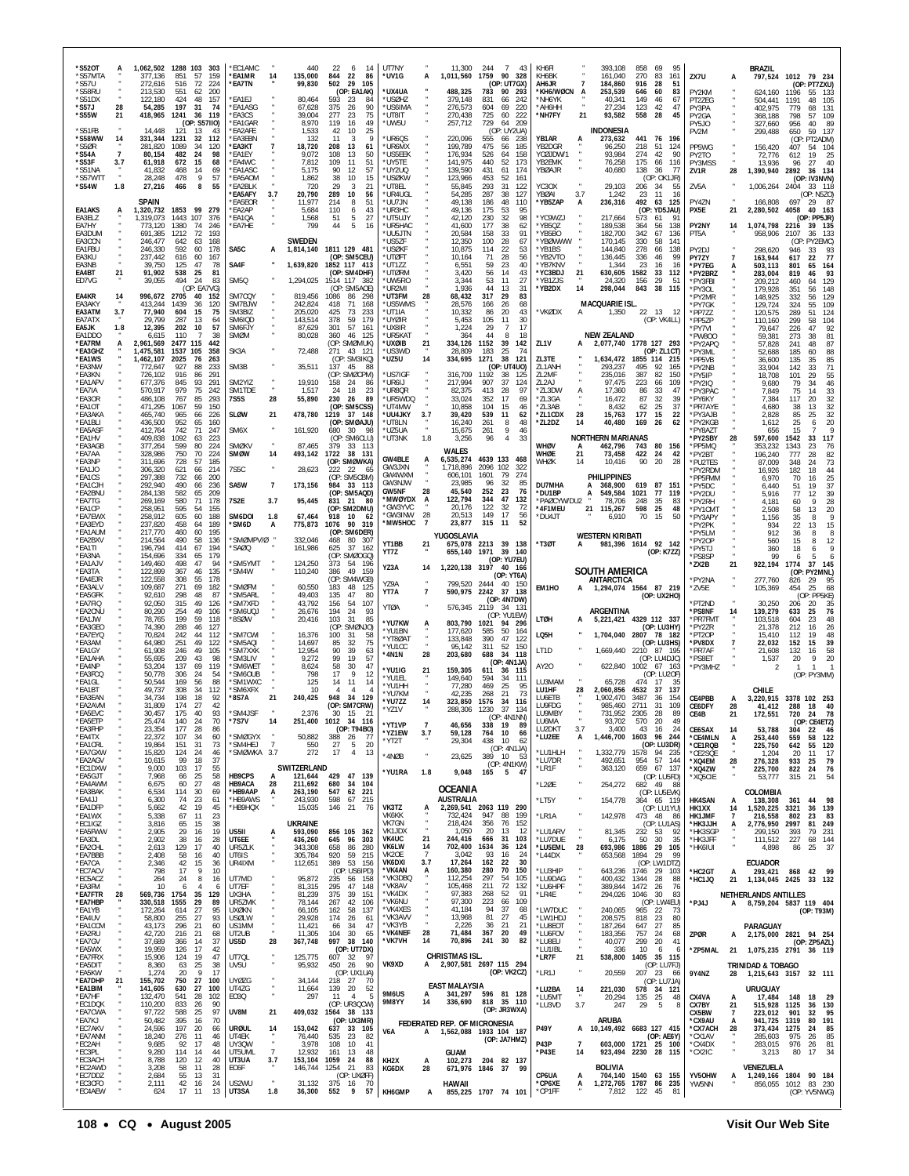| *S520T<br>*S57MTA                        |                      | 1,062,502 1288 103 303<br>377.136        | 851                      | 57                         | 159                       | *EC1AMC<br>*EA1MR                      | 14                    | 440<br>135,000                       | 22<br>14<br>6<br>844 22<br>86                                                | UT7NY<br>*UV1G                    |                | 11.300<br>1,011,560                    | 244<br>1759 90 328                                 | 7 43                    | KH6FI<br>KH6BK                           |                     | 393.108<br>161,040                                   | 858<br>270               | 69<br>95<br>83<br>161                         | ZX7U                                  | A                         | <b>BRAZIL</b><br>797,524                                                       |                       | 1012 79 234                                      |
|------------------------------------------|----------------------|------------------------------------------|--------------------------|----------------------------|---------------------------|----------------------------------------|-----------------------|--------------------------------------|------------------------------------------------------------------------------|-----------------------------------|----------------|----------------------------------------|----------------------------------------------------|-------------------------|------------------------------------------|---------------------|------------------------------------------------------|--------------------------|-----------------------------------------------|---------------------------------------|---------------------------|--------------------------------------------------------------------------------|-----------------------|--------------------------------------------------|
| *S57U<br>*S58RU<br>"S51DX<br>*S57J       | 28                   | 272,616<br>213,530<br>122.180<br>54,285  | 516<br>551<br>424<br>197 | 72<br>62<br>48<br>31       | 224<br>200<br>157<br>- 74 | *EA7TN<br>'FA1FJ<br>*EA1ASG            |                       | 99,830<br>80,464<br>67,628           | 502<br>- 29<br>105<br>(OP: EA1AK)<br>593<br>23<br>84<br>375<br>26<br>90      | 'UX4UA<br>*USØHZ<br>*US6IMA       |                | 488,325<br>379,148<br>276,573          | (OP: UT7GX)<br>783<br>90<br>831<br>66<br>604<br>69 | 293<br>242<br>220       | AH6JR<br>*KH6/WØCN A<br>*NH6YK<br>*АН6НН |                     | 184,860<br>253,539<br>40,341<br>27,234               | 916<br>646<br>149<br>123 | -28<br>51<br>60<br>83<br>46<br>67<br>42<br>47 | PY2KM<br>PT2ZEG<br>PY3PA              |                           | 624.160<br>504,441<br>402.975                                                  | 1196<br>1191<br>779   | (OP: PT7ZXU)<br>55 133<br>48<br>105<br>131<br>68 |
| *S55W<br>*S51FB                          | 21                   | 418,965<br>14,448                        | 1241<br>121              | 36<br>13                   | 119<br>(OP: S57IIO)<br>43 | "EA3CS<br><b>EA1GAR</b><br>"EA2AFE     |                       | 39,004<br>8,970<br>1,533             | 277<br>23<br>75<br>119<br>16<br>49<br>25<br>42<br>10                         | *UT8IT<br>*UW5U                   |                | 270,438<br>257,712                     | 725<br>60<br>729<br>64 209<br>(OP: UY2UA)          | 222                     | *NH7FY                                   | 21                  | 93,582<br><b>INDONESIA</b>                           | 558                      | -28<br>45                                     | PY2GA<br>PY5JO<br>PV2M                |                           | 368,188<br>327,660<br>299,488                                                  | 798<br>956<br>650     | 109<br>57<br>89<br>40<br>59<br>137               |
| *S58WW<br>*S50R<br>*S54A                 | 14<br>$\overline{7}$ | 331,344<br>281,820<br>80.154             | 1231<br>1089<br>482      | 32<br>34<br>24             | 112<br>120<br>98          | <b>FA3FBN</b><br>*EA3KT<br>'FA1FY      |                       | 132<br>18,720<br>9,072               | 11<br>-9<br>3<br>208<br>13<br>61<br>108<br>13<br>50                          | *UR6QS<br>*UR6MX<br>*US5EEK       |                | 220,096<br>199,789<br>176,934          | 555<br>66<br>475<br>56<br>526<br>64                | 238<br>185<br>158       | YB1AR<br>YB2DGR<br>YCØJDW/1              |                     | 273,632<br>96,250<br>93,984                          | 218<br>274               | 441 76 196<br>51<br>124<br>42<br>90           | PP5WG<br>PY2TO                        |                           | 156,420<br>72,776                                                              | 407<br>612            | (OP: PT2ADM)<br>54 104<br>19<br>25               |
| 'S53F<br>*S51NA<br>*S57WTT               | 3.7                  | 61,918<br>41,832<br>28,248               | 672<br>468<br>478        | 15<br>14<br>9              | 68<br>69<br>57            | *EA4WC<br><b>EA1ASC</b><br>*EA5AOM     |                       | 7,812<br>5,175<br>1,862              | 109<br>11<br>51<br>57<br>90<br>12<br>38<br>10<br>15                          | *UY5TE<br>*UY2UQ<br>*USØKW        |                | 141,975<br>139,590<br>123,966          | 440<br>52<br>431<br>61<br>453<br>52                | 173<br>174<br>161       | YB2EMK<br>YBØAJR                         |                     | 76,258<br>40,680                                     | 175<br>138               | 66<br>116<br>36<br>77<br>(OP: OK1JR)          | PY3MSS<br>ZV1R                        | 28                        | 13,936<br>1,390,940                                                            | 96<br>2892            | 27<br>40<br>36 134<br>(OP: IV3NVN)               |
| *S54W                                    | 1.8                  | 27,216<br><b>SPAIN</b>                   | 466                      | 8                          | 55                        | *EA2BLK<br>*EA5AFY<br>*EA5EOR          | 3.7                   | 720<br>20,790<br>11,977              | 29<br>$\mathcal{R}$<br>21<br>289<br>10<br>56<br>214<br>8<br>51               | *UT8EL<br>*UR4UGL<br>*UU7JN       |                | 55,845<br>54,285<br>49,138             | 293<br>31<br>287<br>38<br>186<br>48                | 122<br>127<br>110       | YC3OX<br>YBØAI<br>*YB5ZAP                | 3.7<br>A            | 29,103<br>1,242<br>236,316                           | 206<br>23<br>492         | - 34<br>55<br>11<br>16<br>63<br>125           | ZV5A<br>PY4ZN                         |                           | 1,006,264<br>166,808                                                           | 2404<br>697           | 33 118<br>(OP: N5ZO)<br>29 87                    |
| EA1AKS<br>EA3ELZ<br>EA7HY                | A                    | 1,320,732<br>1.319.073<br>773,120        | 1853<br>1443 107<br>1380 | - 99<br>74                 | 279<br>376<br>246         | <b>EA2AP</b><br>"EA1OA<br><b>EA7HE</b> |                       | 5,684<br>1,568<br>799                | 110<br>43<br>6<br>27<br>51<br>5<br>44<br>5<br>16                             | *UR3HC<br>*UT5UJY<br>*UR5HAC      |                | 49,136<br>42,120<br>41,600             | 175<br>53<br>230<br>32<br>177<br>38                | 95<br>98<br>62          | *YC9WZJ<br>*YB5QZ                        |                     | 217,664<br>189,538                                   | 573<br>364               | (OP: YD5JAU)<br>61<br>91<br>56<br>138         | PX5E<br>PY2NY                         | 21<br>14                  | 2,280,502<br>1,074,798 2216                                                    | 4058                  | 40 163<br>(OP: PP5JR)<br>39 135                  |
| EA3DUM<br>EA3CCN<br>EA1FBU               |                      | 691.385<br>246,477<br>246,330            | 1212<br>642<br>592       | 72<br>63<br>60             | 193<br>168<br>178         | SA5C                                   | A                     | <b>SWEDEN</b>                        | 1,814,140 1811 129 481                                                       | *UU5JTN<br>*US5ZF<br>*USØKF       |                | 20,584<br>12,350<br>10,875             | 33<br>158<br>28<br>100<br>114<br>22                | 91<br>67<br>53          | *YB5BO<br>*YBØWWW<br>*YB1BS              |                     | 182,700<br>170,145<br>144,840                        | 342<br>330<br>278        | 67<br>136<br>58<br>141<br>66<br>138           | PT5A<br>PY2DJ                         |                           | 958,906<br>298,620                                                             | 2107<br>(OP)<br>946   | 36<br>133<br>PY2EMC)<br>33<br>93                 |
| FA3KU<br>EA3NB<br>EA4BT                  | 21                   | 237.442<br>39,750<br>91,902              | 616<br>125<br>538        | 60<br>47<br>25             | 167<br>78<br>81           | SA4F                                   |                       |                                      | (OP: SM5CEU)<br>1,639,820 1852 117 413<br>(OP: SM4DHF)                       | *UTØFT<br>*UT1ZZ<br><b>UTØRM</b>  |                | 10,164<br>6,551<br>3,420               | 71<br>28<br>59<br>23<br>56<br>14                   | 56<br>40<br>43          | *YB2VTO<br>*YB7KNV<br>*YC3BDJ            | 21                  | 136,445<br>1,344<br>630,605                          | 336<br>23<br>1582        | 46<br>99<br>16<br>16<br>33<br>112             | PY77Y<br>*PY7EG<br>*PY2BRZ            | $\overline{7}$<br>A       | 163,944<br>503,113<br>283,004                                                  | 617<br>801<br>819     | 77<br>22<br>65<br>164<br>93<br>46                |
| ED7VG<br>EA4KR                           | 14                   | 39,055<br>996,672                        | 494<br>2705              | -24<br>40                  | 83<br>(OP: EAYVG)<br>152  | SM <sub>50</sub><br>SM7CQY             |                       | 1,294,025<br>819,456                 | 1514 117 382<br>(OP: SM5AOE)<br>1086<br>86<br>-298                           | *UW5RO<br>UR2MI<br>*UT3FM         | 28             | 3,344<br>1.936<br>68,432               | 53<br>11<br>44<br>13<br>317<br>29                  | 27<br>31<br>83          | *YB1ZJS<br>*YB2DX                        | 14                  | 24,320<br>298,044                                    | 156<br>843               | 29<br>-51<br>38<br>115                        | *PY3FBI<br>*PY3OL<br>*PY2MR           |                           | 209,212<br>179,928<br>148,925                                                  | 460<br>351<br>332     | 129<br>64<br>148<br>56<br>129<br>56              |
| FA3AKY<br>EA3ATM<br>EA7ATX               | 3.7                  | 413,244<br>77,940<br>29,799              | 1439<br>604<br>287       | 36<br>15<br>-13            | 120<br>75<br>64           | SM7BJW<br>SM3BIZ<br>SM6IQD             |                       | 242,824<br>205,020<br>143,514        | 418<br>71<br>168<br>425<br>73<br>233<br>378<br>179<br>59                     | US5WMS<br>*UT1IA<br>*UYØIR        |                | 28,576<br>10,332<br>5,453              | 26<br>166<br>86<br>20<br>105<br>11                 | 68<br>43<br>30          | *VKØDX                                   | A                   | MACQUARIE ISL.<br>1,350                              |                          | 22 13 12<br>(OP: VK4LL)                       | *PY7GK<br>*PP7ZZ<br>*PP5ZP            |                           | 129,724<br>120,575<br>110,160                                                  | 324<br>289<br>299     | 109<br>55<br>51<br>124<br>58<br>104              |
| EA5JK<br>EA1DDO<br>*EA7RM                | 1.8<br>A             | 12,395<br>6,615<br>2,961,569             | 202<br>110<br>2477 115   | 10                         | 57<br>38<br>442           | SM6FJY<br>SMØM                         |                       | 87,629<br>80,028                     | 301<br>57<br>161<br>360<br>46<br>-125<br>(OP: SMØMUK)                        | *UX8IR<br>*UR5KAT<br>*UXØIB       | 21             | 1,224<br>364<br>334,126                | 29<br>$\overline{7}$<br>44<br>-8<br>1152<br>39     | 17<br>18<br>142         | ZL1V                                     |                     | <b>NEW ZEALAND</b><br>2,077,740 1778 127 293         |                          |                                               | *PY7VI<br>*PW800<br>*PY2APQ           |                           | 79,647<br>59,381<br>57,828                                                     | 226<br>273<br>241     | 92<br>47<br>81<br>38<br>87<br>48                 |
| *EA3GHZ<br>*EA1WS<br>*EA3NW              |                      | 1,475,581<br>1,462,107<br>772,647        | 1537 105<br>2025<br>927  | 76<br>88                   | 358<br>263<br>233         | SK3A<br>SM3B                           |                       | 72,488<br>35,511                     | 271<br>43 121<br>(OP: SM3IKQ)<br>137<br>45<br>-88                            | *US3WD<br>*UZ5U                   | 14             | 28,809<br>334,695                      | 25<br>183<br>38<br>1271<br>(OP: UT4UO)             | 74<br>121               | ZL3TE<br>ZL1ANH                          |                     | 1,634,472<br>293,237                                 | 495                      | (OP: ZL1CT)<br>1855 114 215<br>-92<br>165     | *PY3ML<br>*PP5VB<br>*PY2NB            |                           | 52,688<br>36,600<br>33,904                                                     | 185<br>135<br>142     | 60<br>88<br>85<br>35<br>33<br>71                 |
| *EA3KN<br>*EA1APV<br>*FA7IA              |                      | 726,102<br>677,376<br>570,917            | 916<br>845<br>979        | 86<br>93<br>75             | 291<br>291<br>242         | SM2YIZ<br>SM1TDF                       |                       | 19,910<br>1,517                      | (OP: SMØCPM)<br>158<br>-24<br>86<br>24<br>23<br>-18                          | US7IGF<br>*UR6IJ<br>*UR80R        |                | 316,709<br>217,994<br>82,375           | 1192<br>38<br>907<br>37<br>413<br>28               | 125<br>124<br>97        | ZL2MF<br>ZL2AJ<br>*ZL3DW                 | A                   | 235.016<br>97,475<br>17,360                          | 387<br>223<br>86         | 82<br>150<br>109<br>66<br>33<br>47            | *PY5IP<br>*PY2IQ<br>*PY3PAC           |                           | 18,708<br>9,680<br>7,849                                                       | 101<br>79<br>75       | 55<br>29<br>46<br>34<br>14                       |
| *EA3OR<br>*EA1OT<br>*EA3AKA              |                      | 486,108<br>471,295<br>465,740            | 767<br>1067<br>965       | 85<br>59<br>66             | 293<br>150<br>226         | <b>7S5S</b><br><b>SLØW</b>             | 28<br>21              | 55,890<br>478,780                    | 230<br>26<br>89<br>(OP: SM5CSS)<br>1219<br>37 148                            | *UR5WDQ<br>*UT4MW<br>*UU4JKY      | 3.7            | 33,024<br>10,858<br>39,420             | 352<br>17<br>104<br>15<br>539<br>11                | 69<br>46<br>62          | *ZL3GA<br>*713AB<br>*ZL1CDX              | 28                  | 16,472<br>8,432<br>15,763                            | 87<br>62<br>177          | 32<br>39<br>25<br>37<br>15<br>22              | *PY6KY<br>*PR7AYE<br>*PY3AJB          |                           | 7,384<br>4,680<br>2,828                                                        | 117<br>38<br>85       | $33$<br>$32$<br>$32$<br>20<br>13<br>32<br>25     |
| *EA1BLI<br>*EA5ASF<br>*EA1HV             |                      | 436,500<br>412,764<br>409,838            | 952<br>742<br>1092       | 65<br>71<br>63             | 160<br>247<br>223         | SM6X                                   |                       | 161,920                              | (OP: SMØAJU)<br>680<br>30<br>(OP: SM6CLU)                                    | *UT8I N<br>*UZ5UA<br>*UT3NK       | 1.8            | 16,240<br>15,675<br>3,256              | 261<br>8<br>261<br>9<br>$\overline{4}$<br>96       | 48<br>46<br>33          | *ZL2DZ                                   | 14                  | 40,480<br><b>NORTHERN MARIANAS</b>                   | 169                      | 26<br>62                                      | *PY2KGB<br>*PY8AZT<br>*PY2SBY         | 28                        | 1,612<br>656<br>597,600                                                        | 25<br>15<br>1542      | 20<br>6<br>117<br>33                             |
| *EA3AGB<br>*EA7AA<br>*EA3NP              |                      | 377,264<br>328,986<br>311,696            | 599<br>750<br>728        | 80<br>70<br>57             | 224<br>-224<br>185        | <b>SMØKV</b><br>SMØW                   | 14                    | 87,465<br>493,142                    | 379<br>33 113<br>1722<br>38 131<br>(OP: SMØWKA)                              | GW4BLE<br>GW3JXN                  | A              | <b>WALES</b><br>6,535,274<br>1,718,896 | 4639 133<br>2096 102                               | 468<br>322              | WHØV<br>WHØE<br>WHØK                     | A<br>21<br>14       | 462,796<br>73,458<br>10,416                          | 743<br>422<br>90         | 80 156<br>-24<br>42<br>20<br>28               | *PP5MQ<br>*PY2BT<br>*PU2TES           |                           | 353,232<br>196,240<br>87,009                                                   | 1343<br>777<br>348    | 23<br>76<br>28<br>82<br>73<br>24                 |
| *EA1JO<br>*EA1CS<br>*EA1CJH              |                      | 306,320<br>297,388<br>292,940            | 621<br>732<br>490        | 66<br>66<br>66             | 214<br>200<br>236         | 7S5C<br>SA5W                           | 7                     | 28,623<br>173,156                    | 222<br>-22<br>-65<br>(OP: SM5CBM)<br>984<br>33 113                           | GW4WXM<br>GW3NJW<br>GW5NF         | 28             | 606,101<br>23,985<br>45,540            | 79<br>1601<br>96<br>32<br>252<br>23                | 274<br>85<br>76         | DU7MHA                                   |                     | <b>PHILIPPINES</b><br>368,900                        | 619 87                   | - 151                                         | *PY2RDM<br>*PP5FMM<br>*PY5DC          |                           | 16,926<br>6,970<br>6.440                                                       | 182<br>70<br>51       | 18<br>44<br>25<br>16<br>37<br>19                 |
| *EA2BNU<br>*EA7TG<br>*EA1CP              |                      | 284,138<br>269,169<br>258,951            | 582<br>580<br>595        | 65<br>71<br>54             | 209<br>178<br>155         | 7S2E                                   | 3.7                   | 95,445                               | (OP: SM5AQD)<br>831<br>21<br>80<br>(OP: SM2DMU)                              | *MWØYDX<br>*GW3YVC<br>*GW3INW     | A<br>28        | 122,794<br>20,176<br>20,513            | 344<br>47<br>122<br>32<br>149<br>17                | 132<br>72<br>56         | *DU1BP<br>*PAØCYW/DU2<br>*4F1MEU         |                     | 549,584<br>А<br>78,706<br>21<br>115,267              | 1021<br>248<br>598       | 77<br>119<br>35<br>83<br>25<br>48             | *PY2DU<br>*PY2RH<br>*PY1CMT           |                           | 5,916<br>4,181<br>2.508                                                        | 77<br>60<br>58        | 39<br>12<br>28<br>9<br>20<br>13                  |
| *EA7EWX<br>*EA3EYD<br>*EA1AUM<br>*EA2BXV |                      | 258,912<br>237,820<br>217,770<br>214,564 | 605<br>458<br>460<br>490 | 60<br>64<br>60<br>58       | 188<br>189<br>195<br>136  | SM6DOI<br>'SM6D<br>SMØMPV/Ø            | 1.8<br>A              | 67,464<br>775,873<br>332,046         | 918<br>10<br>- 62<br>90 319<br>1076<br>(OP: SM6DER)<br>468<br>80<br>- 307    | *MW5HOC                           | $\overline{7}$ | 23,877<br>YUGOSLAVIA                   | 315<br>-11                                         | 52                      | *DU4JT                                   |                     | 6,910<br><b>WESTERN KIRIBATI</b>                     | 70                       | 15<br>50                                      | *PY3APY<br>*PY2PK<br>*PY5LM<br>*PY20P |                           | 1,156<br>934<br>912<br>560                                                     | 35<br>22<br>36        | 8<br>15<br>13<br>8<br>8                          |
| *EA1TI<br>*EA3NA<br>*EA1AJV              |                      | 196,794<br>154,696<br>149,460            | 414<br>334<br>498        | 67<br>65<br>47             | 194<br>179<br>94          | 'SAØQ<br>SM5YMT                        |                       | 161,986<br>124,250                   | 625<br>37<br>162<br>(OP: SMØOGQ)<br>373<br>54<br>196                         | YT1BB<br>YT7Z                     | 21             | 655,140                                | 675,078 2213 39 138<br>1971 39 140<br>(OP: YU7EU)  |                         | *T3ØT                                    | A                   | 981,396 1614 92 142                                  |                          | (OP: K7ZZ)                                    | *PY5TJ<br>*PS8SP<br>*ZX2B             | 21                        | 360<br>99<br>922,194                                                           | 15<br>18<br>6<br>1774 | 12<br>37<br>145                                  |
| *EA3TA<br>*EA4EJR<br>*EA3ALV             |                      | 122,899<br>122,558<br>109,687            | 367<br>308<br>271        | 46<br>55<br>69             | 135<br>178<br>182         | 'SM4W<br>'SMØFM                        |                       | 110,240<br>60,550                    | 49<br>159<br>386<br>(OP: SM4WGB)<br>183<br>48<br>125                         | YZ3A<br>YZ9A                      | 14             | 799,520                                | 1,220,138 3197 40 166<br>(OP: YT6A)<br>2444<br>40  | 150                     | EM1HO                                    |                     | SOUTH AMERICA<br>ANTARCTICA<br>1,294,074 1564 87 219 |                          |                                               | *PY2NA<br>*ZV5E                       |                           | 277,760<br>105,369                                                             | 826<br>454            | (OP: PY2MNL)<br>29<br>95<br>25<br>68             |
| *EA5GFK<br>*EA7FIQ<br>*EA2CNU            |                      | 92,610<br>92,050<br>80,290               | 298<br>315<br>254        | 48<br>49<br>49             | 87<br>126<br>106          | SM5ARL<br>'SM7XFD<br><b>SM6UO</b>      |                       | 49,403<br>43,792<br>26,676           | 135<br>47<br>80<br>156<br>-54<br>107<br>194<br>24<br>93                      | YT7A<br><b>YTØA</b>               | $\overline{7}$ | 590,975<br>576,345                     | 2242<br>37<br>(OP: 4N7DW)<br>2119<br>-34           | 138<br>-131             |                                          |                     | ARGENTINA                                            |                          | (OP: UX2HO)                                   | *PT2ND<br>*PS8NF                      | 14                        | 30,250<br>139,279                                                              | 206<br>633            | (OP: PP5KE)<br>35<br>20<br>76<br>25              |
| *EA1JW<br>*EA3GEO<br>*EA7EYQ             |                      | 78,765<br>74,390<br>70,824               | 199<br>288<br>242        | 59<br>46<br>44             | 118<br>127<br>112         | '8SØW<br>SM7CWI                        |                       | 20,416<br>16,376                     | 103<br>31<br>85<br>(OP: SMØNJO)<br>100<br>31<br>58                           | *YU7KW<br>*YU1BN                  | A              | 803,790<br>177,620                     | (OP: YU1EW)<br>1021<br>94<br>585<br>50             | -296<br>164             | LTØH<br>LQ5H                             |                     | 5,221,421 4329 112 337<br>1,704,040 2807 78 182      |                          | (OP: LU3HY)                                   | *PR7FMT<br>*PY2ZR<br>*PT2OP           |                           | 103,518<br>21,378<br>15,410                                                    | 604<br>212<br>112     | 48<br>23<br>26<br>16<br>19<br>48                 |
| *EA3AM<br>*EA1GY<br>*FA1AHA              |                      | 64,980<br>61,908<br>55,695               | 251<br>246<br>209        | 49<br>49<br>43             | 122<br>105<br>98          | 'SM5AQI<br>*SM7XXK<br>'SM3LIV          |                       | 14,697<br>12,954<br>9,272            | 75<br>32<br>85<br>90<br>39<br>63<br>99<br>19<br>57                           | *YT8ØAT<br>*YU1CC<br>*4N1N        | 28             | 133,848<br>95,142<br>203,680           | 390<br>47<br>311<br>52<br>688<br>-34               | 122<br>150<br>118       | LT1D                                     |                     | 1,669,440 2210 87 195                                |                          | (OP: LU3HS)<br>(OP: LU4DJC)                   | *PV8DX<br>*PR7AF<br>*PS8ET            |                           | 22,032<br>21,608<br>1,537                                                      | 152<br>132<br>20      | 15<br>39<br>16<br>58<br>20<br>9                  |
| *EA4NP<br>*EA3FCQ<br>*EA1GL              |                      | 53,204<br>50,778<br>50,544               | 137<br>306<br>169        | 69<br>-24<br>56            | 119<br>54<br>88           | 'SM6WET<br>'SM6OUB<br>'SM1WXC          |                       | 8.624<br>798<br>125                  | 58<br>30<br>47<br>9<br>17<br>-12<br>14<br>11<br>14                           | *YU1IG<br>*YU1FI                  |                | 159,305<br>149,640                     | (OP: 4N1JA)<br>611<br>36<br>594<br>-34             | 115<br>111              | AY20<br>LU3MAM                           |                     | 622.840 1002 67 163<br>65,728                        | 474                      | (OP: LU2OF)<br>17<br>-35                      | *PY3MHZ                               |                           |                                                                                | $\mathbf{1}$          | $\mathbf{1}$<br>(OP: PY3MM)                      |
| *EA1BT<br>*EA3EAN<br>*EA2AVM             |                      | 49,737<br>34,734<br>31.809               | 308<br>198<br>174        | 34<br>18<br>27             | 112<br>92<br>42           | 'SM6XFX<br>*8S7A                       | 21                    | 10<br>240,425                        | 4<br>Δ<br>34<br>948<br>129<br>(OP: SM7CRW)                                   | *YU1HH<br>*YU7KM<br>*YU7ZZ        | 14             | 77,280<br>42,235<br>323,850            | 469<br>25<br>268<br>21<br>1576<br>34<br>37         | 95<br>73<br>116<br>134  | LU1HF<br>LU6ETB<br>LU9FDG                | 28                  | 2,060,856<br>1,902,470<br>985,460                    | 4532<br>3487<br>2711     | 137<br>-37<br>36<br>154<br>31<br>109          | CE4PBB<br>CE6DFY                      | A<br>28                   | CHILE<br>3,220,915<br>41,412                                                   | 288                   | 3378 102 253<br>18<br>40                         |
| *EA5EVC<br>*EA5ETP<br>*EA3FHP            |                      | 30,457<br>25,474<br>23,354               | 175<br>140<br>177        | 40<br>24<br>28             | 93<br>70<br>86            | *SM4JSF<br>*7S7V                       | 14                    | 2,376<br>251,400                     | 30<br>15<br>-21<br>1012 34 116<br>(OP: T94BO)                                | *YZ1V<br>YT1VP                    |                | 288,306<br>46,656                      | 1230<br>(OP: 4N1NN)<br>338<br>-19                  | -89                     | LU9MBY<br>LU6MA<br>LU2DKT                | 3.7                 | 731,952<br>93.702<br>3,400                           | 2305<br>570<br>43        | 28<br>-89<br>-20<br>16<br>- 24                | CE4B<br><b>CE6SAX</b>                 | 21<br>14                  | 172,551<br>53,788                                                              | 720<br>304            | 78<br>24<br>(OP: CE4ETZ)<br>22<br>46             |
| *EA4TX<br>*EA1CRL<br>*EA7GXW             |                      | 22,372<br>19,864<br>15,820               | 107<br>151<br>124        | 34<br>31<br>24             | 60<br>73<br>46            | 'SMØGYX<br>'SM4HEJ<br>*SMØWKA 3.7      | $\overline{7}$        | 50,882<br>550<br>272                 | 388<br>-26<br>-77<br>27<br>5<br>20<br>17<br>$\overline{4}$<br>13             | *YZ1EW<br>*YT2T<br>*4NØB          | 3.7            | 59,128<br>29,304<br>23,625             | 764<br>10<br>438<br>10<br>(OP: 4N1JA)<br>389 10    | 66<br>62                | *LU2EE<br>*LU1HLH                        | А                   | 1,446,700<br>1,332,779                               | 1578                     | 1603 96 244<br>(OP: LU3DR)<br>94 235          | *CE4MLN<br>*CE1RQB<br>*CE2SQE         | А                         | 253,440<br>225,750<br>1,204                                                    | 559<br>642<br>20      | 122<br>58<br>55<br>120<br>11<br>17               |
| *EA2AGV<br>*EC1DXW<br>*EA5GJT            |                      | 10,615<br>9,000<br>7,968                 | 99<br>103<br>66          | 18<br>17<br>25             | 37<br>55<br>58            | <b>HB9CPS</b>                          | A                     | SWITZERLAND<br>121,644               | 429 47 139                                                                   | *YU1RA                            | 1.8            | 9,048                                  | (OP: 4N1KW)<br>165<br>5 47                         | - 53                    | *LU7DR<br>*LR1F                          |                     | 492,651<br>363,120                                   | 659                      | 954 57 144<br>67 137<br>(OP: LU5FD)           | *XQ4EM<br>*XQ4ZW<br>*XQ5CIE           | 28                        | 276,328<br>225,700<br>53,777                                                   | 933<br>822<br>315     | 79<br>25<br>76<br>24<br>54<br>21                 |
| *EA4AWM<br>*EA3BAK<br>*EA4JJ             |                      | 6,675<br>6,534<br>6,300                  | 60<br>114<br>74          | 27<br>30<br>23             | 48<br>69<br>61            | <b>HB9ACA</b><br>*HB9AAP<br>*HB9AWS    | 28<br>А               | 211,692<br>263,190<br>243,930        | 680<br>34 104<br>547<br>62<br>-221<br>598<br>67<br>215                       |                                   |                | OCEANIA<br><b>AUSTRALIA</b>            |                                                    |                         | *L2ØE<br>*LT5Y                           |                     | 254,272<br>154,778                                   |                          | 682 49 88<br>(OP: LU5EVK)<br>364 65 119       | <b>HK4SAN</b>                         | A                         | COLOMBIA<br>138,308                                                            | 361                   | 44<br>98                                         |
| *EA1DFP<br>*EA1WX<br>*EC1IGZ             |                      | 5,662<br>5,338<br>3,816                  | 42<br>67<br>65           | 19<br>11<br>15             | 45<br>23<br>38            | *HB9HQX                                |                       | 15,035<br>UKRAINE                    | 146<br>- 21<br>76                                                            | VK3TZ<br>VK6KK<br>VK7GN           | A              | 732,424<br>218,424                     | 2,269,541 2063 119 290<br>947<br>88<br>356<br>76   | 199<br>152              | *LR1A                                    |                     | 142,978                                              | 473 48                   | (OP: LU1YU)<br>-86<br>(OP: LU1AS)             | HK1XX<br>HK1.JMF<br>*НКЗЈЈН           | 14<br>$\overline{7}$<br>А | 1,520,225<br>216,558<br>2,776,950 2997                                         | 3321<br>802           | 36<br>139<br>83<br>23<br>81 249                  |
| *EA5FWW<br>*EA3DL<br>*EA2CHL             |                      | 2,905<br>2,902<br>2,613                  | 29<br>38<br>129          | 16<br>16<br>17             | 19<br>28<br>40            | US5II<br>UT6EE<br>UR5ZLK               | A                     | 593,090<br>436,260<br>343,308        | 856 105<br>362<br>645<br>96<br>303<br>658<br>86<br>280                       | VK1JDX<br>VK4UC<br>VK6LW<br>VK20F | 21<br>14<br>7  | 1,050<br>244,416<br>702,400            | 20<br>13<br>31<br>666<br>1634<br>36<br>93          | 12<br>103<br>124        | *LU1ARV<br>*LU7DUE<br>*LU5EML            | 28                  | 81,345<br>6,175<br>693,986                           | 232 53<br>50<br>1886 29  | 92<br>30<br>35<br>105                         | *HK3SGP<br>*HK3JFF<br>*HK6IUI         |                           | 299,150<br>111,512<br>4,898                                                    | 393<br>227<br>86      | 231<br>79<br>68<br>144<br>37<br>25               |
| *EA7BBB<br>*EA7CA<br>*EC7ACV             |                      | 2,408<br>2,346<br>798                    | 58<br>42<br>17           | 16<br>15<br>9<br>8         | 40<br>36<br>10            | UT6IS<br>UR4IXM<br>UT7MD               |                       | 305,784<br>112,651                   | 920<br>59<br>215<br>389<br>53<br>- 156<br>(OP: US6IPD)                       | VK6DXI<br>*VK4AN<br>*VK3DBQ       | 3.7<br>А       | 3,042<br>17,264<br>160,380<br>112,254  | 16<br>162<br>22<br>280<br>70<br>297<br>54          | -24<br>30<br>150<br>105 | *L44DX<br>*LU3HIP                        |                     | 653,568<br>643,236                                   | 1894<br>1746 29          | 29<br>99<br>(OP: LW1DTZ)<br>103               | *HC2GT                                | А                         | <b>ECUADOR</b><br>293,421                                                      |                       | 868 42 99                                        |
| *EC5ACZ<br>*EA3FM<br>*EA7FTR<br>*EA7HBP  | 28                   | 264<br>10<br>569.736 1754<br>330,518     | 24<br>6<br>1555          | $\overline{4}$<br>35<br>29 | 16<br>6<br>129<br>89      | UT7EF<br>UX3HA<br>UR5ZMK               |                       | 95,872<br>81,315<br>81,239<br>78,144 | 235<br>158<br>56<br>295<br>47<br>148<br>375<br>39<br>151<br>267<br>42<br>106 | *VK8AV<br>*VK4DX<br>*VK6NU        |                | 105,468<br>97,383<br>97,300            | 72<br>211<br>268<br>52<br>223<br>66                | 132<br>91<br>109        | *LU9DAG<br>*LU6HPF<br>*LR4E              |                     | 400,432<br>389,844 1472<br>294,026 1046 30           | 1344                     | 28<br>-88<br>26<br>76<br>83<br>(OP: LW4EU)    | *HC1JQ<br>*PJ4J                       | 21                        | 1,134,045 2425<br>NETHERLANDS ANTILLES<br>8,759,204 5837 119 404               |                       | 33 132                                           |
| *EA1YB<br>*EA4UV<br>*EA1CCM              |                      | 172,264<br>58,800                        | 614<br>255               | 27<br>27                   | 95<br>93<br>60            | <b>UXØKN</b><br><b>USØLW</b>           |                       | 66,105<br>29,928                     | 137<br>162<br>58<br>174<br>26<br>61<br>47                                    | *VK4XES<br>*VK3AVV<br>*VK3YB      |                | 41,184<br>13,968<br>2,226              | 37<br>94<br>81<br>27<br>21<br>36                   | 68<br>45<br>21          | *LW7DUC<br>*LW1HDJ<br>*LU8EOT            |                     | 240,065<br>208,575<br>187,264                        | 965<br>818               | 22<br>73<br>23<br>80<br>27                    |                                       | A                         | PARAGUAY                                                                       |                       | (OP: T93M)                                       |
| *EA2RU<br>*EA7GV<br>*EA5WX               |                      | 43,173<br>42,720<br>37,689<br>19,959     | 296<br>216<br>366<br>126 | -21<br>21<br>14<br>17      | 68<br>37<br>42            | US1MM<br>UT2UB<br>US5D                 | 28                    | 11,421<br>11,305<br>367,748          | 66<br>34<br>104<br>30<br>65<br>997<br>38 140<br>(OP: UT7DX)                  | *VK4NEF<br>*VK7VH                 | 28<br>14       | 71,484<br>70,896                       | 367<br>20<br>241<br>30                             | 49<br>82                | *LU6FOV<br>*LU8EU<br>*LU1IBL             |                     | 183,356<br>40,077<br>336                             | 647<br>757<br>299<br>10  | 85<br>24<br>68<br>20<br>41                    | ZPØR<br>*ZP5MAL<br>6                  | А<br>21                   | 2,175,000 2821 94 254                                                          |                       | (OP: ZP5AZL)                                     |
| *EA7FRX<br>*EA5DIT<br>*EA5KW             |                      | 15,906<br>8,360<br>1,274                 | 124<br>63<br>20          | 19<br>25<br>-9             | 47<br>38<br>17            | UT7QL<br>UV5U                          |                       | 125,775<br>95,932                    | 607 32<br>-97<br>450<br>26<br>90<br>(OP: UX1UA)                              | VK9XD                             | A              | CHRISTMAS ISL.                         | 2,907,581 2697 115 294<br>(OP: VK2CZ)              |                         | *LR7F<br>*LR1J                           | 21                  | 538,800<br>20,559                                    | 207 23                   | 6<br>1405 35 115<br>(OP: LU7FJ)<br>-66        | 9Y4NZ                                 | 28                        | 1,075,235 2791 36 119<br><b>TRINIDAD &amp; TOBAGO</b><br>1,215,643 3157 32 111 |                       |                                                  |
| *EA7DHP<br>*EA1BIM<br>*FA7HF             | 21                   | 155,702<br>141,605<br>132,470            | 750<br>630<br>541        | 27<br>27<br>28             | 100<br>100<br>102         | <b>UYØZG</b><br>UT4ZG<br>E030          |                       | 34.144<br>11,664<br>297              | 218<br>27<br>- 70<br>139<br>20<br>52<br>11<br>$\overline{4}$<br>5            | 9M6US                             | A              | <b>EAST MALAYSIA</b><br>341,297        | 596 81 128                                         |                         | *LU2BA<br>*I U5MT                        | 14                  | 221,030<br>20,294                                    | 135                      | (OP: LU7JA)<br>578 34 121<br>25<br>48         | CX4VA                                 | A                         | URUGUAY<br>17,484                                                              | 148                   | 18<br>- 29                                       |
| *EC1DQK<br>*EA7CWA<br>*EA7KJ             |                      | 110,200<br>97,722<br>50,482              | 833<br>588<br>395        | 26<br>25<br>16             | 90<br>97<br>70            | UV8M                                   | 21                    | 409,032                              | (OP: UR3QCW)<br>1564 38 133<br>(OP: UX3MR)                                   | 9M8YY                             | 14             | 336,690                                | 818 35 110<br>(OP: JR3WXA)                         |                         | *LU3VD                                   | 3.7                 | 247<br>ARUBA                                         | 29                       | 5                                             | 8<br>CX7BY<br>CX5BW<br>*CX9AU         | 21<br>-7<br>A             | 515,928 1125<br>223,012<br>941,725                                             | 901<br>1319           | 36<br>130<br>95<br>32<br>191<br>80               |
| *EC7AKV<br>*EA7ANM<br>*EC2AH             |                      | 24,596<br>18,240<br>9,685                | 197<br>276<br>92         | 20<br>11<br>-17            | 66<br>46<br>48            | <b>URØUL</b><br>UT4EK<br>UY30W         | 14                    | 153,042<br>76,440<br>3,978           | 637 33 105<br>535<br>23<br>82<br>108<br>10<br>41                             | V6A                               | A              | FEDERATED REP. OF MICRONESIA           | 1,562,088 1933 104 187<br>(OP: JA7HMZ)             |                         | <b>P49Y</b><br><b>P43P</b>               | А<br>$\overline{7}$ | 10,149,492 6683 127 415<br>603,000 1721 25 100       |                          | (OP: AE6Y)                                    | *CX7ACH<br>*CX1AV<br>*CX4DX           | 28                        | 373,434 1275<br>285,603<br>283,015                                             | 975<br>976            | 24<br>85<br>85<br>-26<br>81<br>26                |
| *EC3PL<br>*EC3ACH<br>*EC2AWD             |                      | 9,280<br>8,788<br>3,208                  | 114<br>120<br>58         | 14<br>12<br>11             | 44<br>40<br>28            | UT5UML<br>UT3UA<br>EO6F                | $\overline{7}$<br>3.7 | 12,932<br>153,104<br>146,744         | 161<br>13<br>48<br>88<br>1059<br>-24<br>21<br>1254<br>83                     | KH <sub>2</sub> X<br>KG6DX        | A<br>28        | GUAM<br>102,273                        | 204 82 137<br>671,976 1846 37                      | 99                      | *P43E                                    | 14                  | 923,494 2230 28 115<br><b>BOLIVIA</b>                |                          |                                               | *CX2IC                                |                           | 3,213<br>VENEZUELA                                                             | 80                    | 17<br>34                                         |
| *EC7DDZ<br>*EC3CFO<br>*EC4AEW            |                      | 2,684<br>2,111<br>624                    | 55<br>42<br>17           | 13<br>16<br>11             | 31<br>24<br>13            | US2WU<br>UT3SA                         | 1.8                   | 31,132<br>36,300                     | (OP: UXØFF)<br>375 16<br>- 70<br>552<br>- 9<br>57                            | KH6GMP                            | А              | HAWAII                                 | 855,225 1707 74 101                                |                         | CP6UA<br>*CP6XE<br>*CP1FF                | А<br>A              | 704,140<br>1,272,765 1787<br>7,812                   | 1540<br>122              | 63 155<br>-86<br>235<br>45<br>81              | YV50HW<br>YW5NN                       | А                         | 1,249,166 1804 90 184<br>856,055                                               |                       | 1012 83 230<br>(OP: YV5NWG)                      |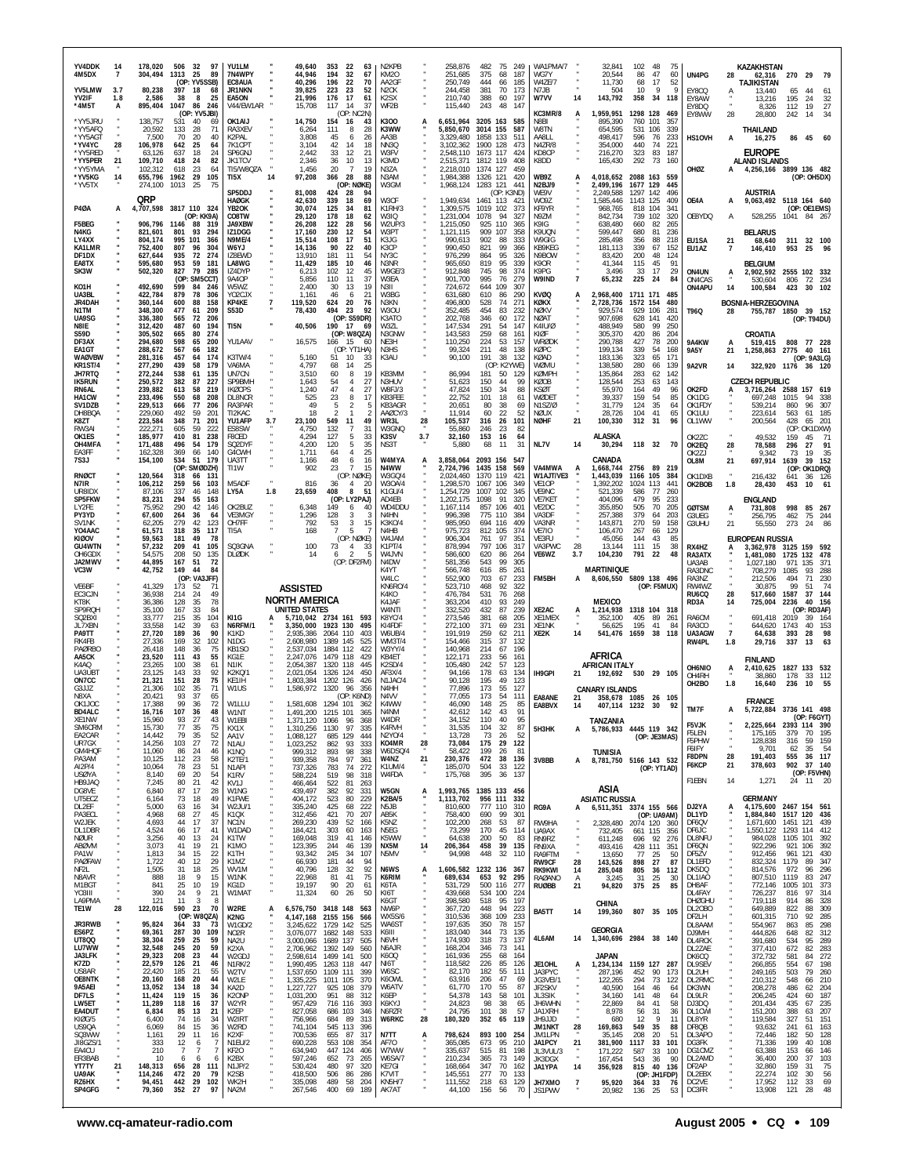| YV4DDK<br>4M5DX<br>YV5LMW<br>YV2IF                | 14<br>3.7<br>1.8 | 178,020<br>304,494<br>80,238<br>2,586    | 506 32<br>97<br>1313<br>25<br>89<br>(OP: YV5SSB)<br>397<br>- 18<br>68<br>38<br>8<br>25  | YU1LM<br>7N4WPY<br>EC8AUA<br><b>JR1NKN</b><br>EA5ON      |                                                          | 49,640<br>353<br>-22<br>44,946<br>194<br>32<br>40,296<br>196<br>22<br>39,825<br>223<br>23<br>21,996<br>17<br>176 | N <sub>2</sub> KPB<br>63<br>KM20<br>67<br>70<br>AA2GF<br>N <sub>2</sub> CK<br>52<br>61<br>K <sub>2</sub> SX |            | 258,876<br>251,685<br>250,749<br>244.458<br>210,740 | 482<br>375<br>444<br>381<br>388              | 75 249<br>68<br>187<br>66<br>185<br>70<br>173<br>60<br>197 | WA1PMA/7<br>WG7Y<br>W4ZE/7<br>N7JB<br>W7VV          | 14                   | 32,841<br>20,544<br>11,730<br>504<br>143,792                       | 102<br>86<br>68<br>10<br>358               | 48<br>75<br>47<br>60<br>17<br>52<br><b>Q</b><br><b>Q</b><br>34 118 | UN4PG<br>EY8CQ<br>EY8AW                    | 28                    | KAZAKHSTAN<br>62,316<br><b>TAJIKISTAN</b><br>13.440<br>13,216 | 65<br>195                  | 270 29 79<br>44<br>24                                                              |
|---------------------------------------------------|------------------|------------------------------------------|-----------------------------------------------------------------------------------------|----------------------------------------------------------|----------------------------------------------------------|------------------------------------------------------------------------------------------------------------------|-------------------------------------------------------------------------------------------------------------|------------|-----------------------------------------------------|----------------------------------------------|------------------------------------------------------------|-----------------------------------------------------|----------------------|--------------------------------------------------------------------|--------------------------------------------|--------------------------------------------------------------------|--------------------------------------------|-----------------------|---------------------------------------------------------------|----------------------------|------------------------------------------------------------------------------------|
| *4M5T<br>*YY5JRU<br>*YY5AFQ                       | А                | 895,404<br>138,757<br>20,592             | 1047<br>86<br>-246<br>(OP: YV5JBI)<br>531<br>40<br>69<br>133<br>28<br>71                | V44/EW1AR<br>OK1AIJ<br>RA3XFV                            | 14,750                                                   | 14<br>15,708<br>117<br>(OP: NC2N)<br>154<br>16<br>6,264<br>111<br>8                                              | 37<br>WF <sub>2</sub> B<br>K300<br>43<br>K3WW<br>28                                                         |            | 115,440<br>6,651,964<br>5,850,670                   | 243<br>3205 163<br>3014 155                  | 48<br>147<br>585<br>587                                    | KC3MR/8<br>N8BI<br>W8TN                             | A                    | 1,959,951<br>895,390<br>654,595                                    | 1298 128 469<br>760<br>531 106             | 101<br>357<br>339                                                  | EY8DQ<br>EY8WW                             | 28                    | 8,326<br>28,800<br>THAILAND                                   | 112<br>242                 | $\frac{32}{27}$<br>19<br>34<br>14                                                  |
| *YY5AGT<br>*YV4YC<br>*YY5RED<br>*YY5PER           | 28<br>21         | 7,500<br>106,978<br>63.126<br>109,710    | 70<br>20<br>40<br>642<br>25<br>64<br>637<br>18<br>24<br>24<br>82<br>418                 | K2PAL<br>7K1CPT<br>SP6GNJ<br>JK1TCV                      |                                                          | 3,808<br>45<br>6<br>3,104<br>42<br>14<br>2,442<br>33<br>12<br>2,346<br>10<br>36                                  | AA3B<br>26<br>NN3Q<br>18<br>W3FV<br>21<br>K3MD<br>13                                                        |            | 3,329,480<br>3,102,362<br>2,548,110<br>2,515,371    | 1858 133<br>1900 128<br>1673 117<br>1812 119 | 511<br>473<br>424<br>408                                   | AA8LL<br>N47R/8<br>KD8CP<br>K8DD                    |                      | 498,417<br>354,000<br>216,270<br>165,430                           | 596<br>440<br>323<br>292                   | 76<br>233<br>74<br>221<br>83<br>187<br>73<br>160                   | HS10VH                                     | А                     | 16,275<br><b>EUROPE</b><br><b>ALAND ISLANDS</b>               |                            | 86 45 60                                                                           |
| *YY5YMA<br>*YV5KG<br>*YV5TX                       | 14               | 102,312<br>655,796<br>274,100            | 618<br>23<br>64<br>29<br>1962<br>105<br>1013<br>25                                      | TI5/W8QZA<br>TI5X                                        | 14                                                       | 1,456<br>20<br>$\overline{7}$<br>28<br>97,208<br>366<br>(OP: NØKE)                                               | N3ZA<br>19<br>N3AM<br>88<br>W3GM                                                                            |            | 2,218,010<br>1,984,388<br>1,968,124                 | 1374 127<br>1326 121<br>1283 121             | 459<br>420<br>441                                          | WB9Z<br>N2BJ/9                                      |                      | 4,018,652<br>2,499,196                                             | 2088 163<br>1677 129                       | - 559<br>445                                                       | OHØZ                                       | А                     | 4,256,166 3899 136 482                                        |                            | (OP: OH5DX)                                                                        |
| <b>P40A</b>                                       | А                | QRP                                      | 4,707,598 3817 110 324<br>(OP: KK9A)                                                    | SP5DDJ<br><b>HAØGK</b><br><b>YB2OK</b><br>CO8TW          |                                                          | 81,008<br>424<br>- 28<br>42,630<br>339<br>18<br>30,074<br>125<br>-34<br>29,120<br>178<br>18                      | 94<br>W3CF<br>69<br>K1RH/3<br>81<br>W3IQ<br>62                                                              |            | 1,949,634<br>1,309,575<br>1,231,004                 | 1461 113 421<br>1019 102<br>1078             | (OP: K3ND)<br>373<br>94<br>327                             | WE9V<br>WO9Z<br>KF9YR<br>N9ZM                       |                      | 2,249,588<br>1,585,446<br>968,765<br>842,734                       | 1297 142<br>1143 125<br>818 104<br>739 102 | 496<br>409<br>34 <sup>′</sup><br>320                               | OE4A<br>OE8YDQ                             | A<br>$\overline{A}$   | <b>AUSTRIA</b><br>9,063,492 5118 164 640<br>528,255           |                            | (OP: OE1EMS)<br>1041 84 267                                                        |
| F5BEG<br>N4KG<br>LY4XX<br>KA1LMR                  |                  | 821,601<br>804,174<br>752,400            | 906,796 1146 88<br>319<br>801<br>93<br>294<br>995<br>101<br>366<br>807<br>96<br>304     | JA9XBW<br>IZ1DGG<br>N9ME/4<br>W6Y.J                      | 17,160                                                   | 26,208<br>122<br>-28<br>230<br>12<br>15,514<br>108<br>17<br>14,136<br>90<br>22                                   | W2UP/3<br>56<br>54<br>W3PT<br>51<br>K3JG<br>40<br>K3CP                                                      |            | 1,215,050<br>1,121,115<br>990,613<br>990,450        | 110<br>925<br>909<br>107<br>902<br>821       | 365<br>358<br>88<br>333<br>99<br>366                       | K9IG<br>K9UQN<br>W9GIG<br>KB9KFG                    |                      | 638,480<br>599,447<br>285,498<br>181,113                           | 660<br>680<br>356<br>339                   | 82<br>265<br>81<br>236<br>88<br>218<br>67<br>152                   | EU1SA<br>EU1AZ                             | 21<br>7               | <b>BELARUS</b><br>68,640<br>146,410                           | 311<br>953                 | 32 100<br>25<br>- 96                                                               |
| DF1DX<br><b>FASTX</b><br>SK3W                     |                  | 627,644<br>595,680<br>502,320            | 935<br>72<br>274<br>953<br>59<br>181<br>827<br>79<br>285<br>(OP: SM5CCT)                | IZ8EWD<br>LA8WG<br>IZ4DYP<br>9A40P                       | 11,429                                                   | 13,910<br>181<br>11<br>185<br>10<br>6,213<br>102<br>12<br>11<br>5,856<br>110                                     | NY3C<br>54<br>N3NR<br>46<br>W9GE/3<br>45<br>37<br>W3EA                                                      |            | 976,299<br>965,650<br>912,848<br>901,700            | 864<br>819<br>745<br>995                     | 95<br>326<br>95<br>339<br>98<br>374<br>76<br>279           | N9BOW<br>K90R<br>K9PG<br>W9IND                      | $\overline{7}$       | 83,420<br>41,344<br>3,496<br>65,232                                | 200<br>115<br>33<br>225                    | 48<br>124<br>91<br>45<br>17<br>29<br>24<br>84                      | ON4UN<br>ON4CAS                            | A                     | <b>BELGIUM</b><br>2,902,592<br>530,604                        | 806                        | 2555 102 332<br>72 234                                                             |
| KO1H<br>UA3BL<br><b>JR4DAH</b>                    |                  | 492,690<br>422,784<br>360,144            | 599<br>84<br>246<br>879<br>78<br>306<br>600<br>88<br>158                                | W5WZ<br>YO2CJX<br>KP4KE                                  | 119,520                                                  | 2,400<br>30<br>13<br>46<br>1,161<br>6<br>624<br>20                                                               | 19<br>N3II<br>W3BG<br>21<br>76<br>N3KN<br>92                                                                |            | 724,672<br>631,680<br>496,800                       | 644<br>109<br>610<br>528                     | 307<br>290<br>-86<br>74<br>271                             | <b>KVØQ</b><br>KØKX                                 |                      | 2,968,400<br>2,728,736                                             | 1711 171<br>1572 154                       | 485<br>480                                                         | ON4APU                                     | 14                    | 100,584<br>BOSNIA-HERZEGOVINA                                 | 423                        | 102<br>30                                                                          |
| N1TM<br>UA9SG<br>N8IE<br><b>S59D</b>              |                  | 348,300<br>336,380<br>312,420<br>305,502 | 477<br>61<br>209<br>565<br>72<br>206<br>487<br>194<br>60<br>665<br>80<br>274            | S53D<br><b>TI5N</b>                                      | 78,430                                                   | 494<br>23<br>(OP: S59DR)<br>40,506<br>190 17<br>(OP: W8QZA)                                                      | W3OU<br>K3ATO<br>69<br>W3ZL<br>N3GNW                                                                        |            | 352,485<br>202,768<br>147,534<br>143,583            | 454<br>346<br>291<br>259                     | 83<br>232<br>60<br>172<br>54<br>147<br>68<br>161           | NØKV<br><b>NØAT</b><br>K41U/Ø<br>KIØF               |                      | 929,574<br>907,698<br>488,949<br>305,370                           | 929<br>628<br>580<br>420                   | 106<br>281<br>141<br>420<br>99<br>250<br>86<br>204                 | T96Q                                       | 28                    | 755,787 1850<br><b>CROATIA</b>                                |                            | 39 152<br>(OP: T94DU)                                                              |
| DF3AX<br>EA1GT<br><b>WAØVBW</b><br><b>KR1ST/4</b> |                  | 294,680<br>288,672<br>281,316<br>277,290 | 598<br>65<br>200<br>567<br>182<br>66<br>457<br>174<br>64<br>439<br>58<br>179            | YU1AAV<br>K3TW/4<br>VA6MA                                |                                                          | 16,575<br>166<br>15<br>(OP: YT1HA)<br>5,160<br>51<br>10<br>4,797<br>14<br>68                                     | NE3H<br>60<br>N3HS<br>K3AU<br>33<br>25                                                                      |            | 110,250<br>99,324<br>90,100                         | 224<br>211<br>191                            | 53<br>157<br>48<br>138<br>38<br>132<br>(OP: K2YWE)         | WRØDK<br>KØPC<br>KØAD<br>WØMU                       |                      | 290,788<br>199,134<br>183,136<br>138.580                           | 427<br>339<br>323<br>280                   | 78<br>200<br>54<br>168<br>65<br>171<br>139<br>66                   | 9A4KW<br><b>9A5Y</b><br>9A2VR              | A<br>21<br>14         | 519,415<br>1,258,863                                          | 808<br>2775                | 77 228<br>40 161<br>(OP: 9A3LG)<br>322,920 1176 36 120                             |
| JH7RTQ<br><b>IK5RUN</b><br>RN6AL<br>HA1CW         |                  | 272,244<br>250,572<br>239,882<br>233,496 | 538<br>61<br>135<br>382<br>227<br>87<br>613<br>58<br>219<br>550<br>68<br>208            | UN7CN<br><b>SP9BMH</b><br><b>IKØCPS</b><br>DL8NCR        |                                                          | 3,510<br>60<br>8<br>1,643<br>54<br>$\overline{4}$<br>1,240<br>47<br>$\overline{4}$<br>23<br>8<br>525             | KB3MM<br>19<br>N3HUV<br>27<br>27<br>W8FJ/3<br>KB3FEE<br>17                                                  |            | 86,994<br>51,623<br>47,824<br>22,752                | 181<br>150<br>150<br>101                     | 50<br>129<br>99<br>44<br>88<br>-34<br>18<br>61             | <b>KØMPH</b><br>KØOB<br><b>KSØT</b><br><b>WØDET</b> |                      | 135,864<br>128,544<br>55,970<br>39,337                             | 283<br>253<br>164<br>159                   | 62<br>142<br>63<br>143<br>49<br>96<br>54<br>85                     | OK2FD<br>OK1DG                             | A                     | <b>CZECH REPUBLIC</b><br>3,716,264 2588 157 619<br>697,248    | 1015                       | 94<br>- 338                                                                        |
| SV1DZB<br>DH8BQA<br>K8ZT<br>RW3AI                 |                  | 229,513<br>229,060<br>223,584<br>222.271 | 666<br>77<br>206<br>492<br>59<br>201<br>348<br>71<br>201<br>605<br>59<br>222            | RA3PAR<br>TI2KAC<br>YU1AFP<br>ES8SW                      | 3.7                                                      | 49<br>5<br>18<br>2<br>23,100<br>549<br>11<br>4,750<br>132<br>7                                                   | KB3AGR<br>AAØCY/3<br>2<br>49<br>WR3L<br>W3GNQ<br>31                                                         | 28         | 20,651<br>11.914<br>105,537<br>55,860               | 80<br>60<br>316<br>246                       | 38<br>69<br>22<br>52<br>26<br>101<br>-23<br>82             | N1SZ/Ø<br>NØUX<br><b>NØHF</b>                       | 21                   | 31,779<br>28,726<br>100,330                                        | 124<br>104<br>312                          | 35<br>64<br>41<br>65<br>31<br>96                                   | OK1FDY<br>OK1UU<br>OL1WW                   |                       | 539,214<br>223,614<br>200,564                                 | 860<br>563<br>428          | 96<br>307<br>61<br>185<br>201<br>65<br>(OP: OK1DXW)                                |
| OK1ES<br>OH4MFA<br>EA3FF<br>7S3J                  |                  | 185,977<br>171,488<br>162,328<br>154,100 | 410<br>81<br>238<br>496<br>54<br>179<br>369<br>66<br>140<br>534<br>51<br>179            | F8CED<br>SQ2DYF<br>G4CWH<br>UA3TT                        |                                                          | 127<br>5<br>4,294<br>5<br>120<br>4,200<br>1,711<br>64<br>$\overline{4}$<br>48                                    | 33<br>K3SV<br>35<br>NS3T<br>25<br>W4MYA<br>16                                                               | 3.7        | 32,160<br>5,880<br>3,858,064                        | 153<br>68<br>2093 156                        | 16<br>64<br>11<br>31<br>547                                | NL7V                                                | 14                   | ALASKA<br>30,294<br>CANADA                                         | 118 32                                     | 70                                                                 | OK2ZC<br>OK2EQ<br>OK2ZJ                    | 28                    | 49.532<br>78,588<br>9,342                                     | 159<br>296<br>73           | 71<br>45.<br>27<br>91<br>35<br>19                                                  |
| RNØCT<br>N7IR                                     |                  | 120,564<br>106,212                       | (OP: SMØDZH)<br>318<br>66<br>131<br>259<br>103<br>56                                    | TI1W<br>M5ADF                                            |                                                          | 1,166<br>6<br>902<br>23<br>$\overline{7}$<br>(OP: NØKE)<br>816<br>36<br>$\overline{4}$                           | N4WW<br>15<br>W3GQ/4<br>W30A/4<br>-20                                                                       |            | 2,724,796<br>2,024,460<br>1,298,570                 | 1435 158<br>1370 119<br>1067 106             | 569<br>421<br>349                                          | VA4MWA<br>W1AJT/VE3<br>VF <sub>10</sub> P           | A                    | 1,668,744<br>1,443,039<br>1,392,202                                | 2756 89 219<br>1166 105<br>1024            | 384<br>113<br>441                                                  | OL8M<br>OK1DXB<br>OK2BOB                   | 21<br>1.8             | 697,914<br>216,432<br>28,430                                  | 1639<br>641<br>453         | 39 152<br>(OP: OK1DRQ)<br>36 126<br>61<br>10                                       |
| UR8IDX<br>SP5FKW<br>LY2FE<br>PY3YD                |                  | 87,106<br>83,231<br>75.952<br>67,600     | 337<br>148<br>46<br>294<br>55<br>163<br>290<br>42<br>146<br>264<br>36<br>64             | LY5A<br>OK2BUZ<br>VE3MGY                                 | 1.8                                                      | 8<br>23,659<br>408<br>(OP: LY2PAJ)<br>6,348<br>149<br>6<br>128<br>1,296<br>3                                     | 51<br>K1GU/4<br>AD4FB<br>WD4DDU<br>N4HN<br>-3                                                               |            | 1,254,729<br>1,202,175<br>1,167,114<br>996,398      | 1007 102<br>1098<br>857<br>106<br>775 110    | 345<br>91<br>320<br>$40^\circ$<br>384                      | VE9NC<br>VE7KET<br>VE2DC<br>VA3DF                   |                      | 521,339<br>404,096<br>355,850<br>257,388                           | 586<br>479<br>505<br>379                   | 77<br>260<br>95<br>233<br>70<br>205<br>64<br>203                   | <b>GØTSM</b><br>G3UEG                      | А                     | <b>ENGLAND</b><br>731,808<br>256,795                          | 998<br>462                 | 85<br>267<br>75<br>244                                                             |
| SV1NK<br>YO4AAC<br>KIØOV<br><b>GU4WTN</b>         |                  | 62.205<br>61,571<br>59,563<br>57,232     | 279<br>42<br>123<br>318<br>35<br>117<br>181<br>49<br>78<br>209<br>41<br>105             | OH7FF<br>TI5A<br>SQ3GNA                                  |                                                          | 792<br>53<br>3<br>168<br>5<br>7<br>(OP: NØKE)<br>100<br>73<br>4                                                  | <b>K3KO/4</b><br>15<br>N4HB<br>W4JAM<br>K1PT/4<br>33                                                        |            | 985,950<br>975,723<br>906,304<br>878,994            | 694 116<br>812 105<br>761<br>797<br>106      | 409<br>374<br>97<br>351<br>317                             | VA3NR<br><b>VE7IO</b><br>VE3FU<br>VA3PWC            | 28                   | 143,871<br>106,470<br>45,056<br>13,144                             | 270<br>267<br>144<br>111                   | 59<br>158<br>66<br>129<br>43<br>85<br>15<br>38                     | G3UHU<br>RX4HZ                             | 21                    | 55,550<br><b>EUROPEAN RUSSIA</b><br>3,362,978 3125            | 273                        | 86<br>24<br>159 592                                                                |
| OH6GDX<br>JA2MWV<br>VC3W                          |                  | 54,575<br>44,895<br>42,752               | 208<br>50<br>135<br>167<br>51<br>72<br>149<br>44<br>84<br>(OP: VA3JFF)                  | <b>DLØDK</b>                                             |                                                          | 14<br>$\mathcal{P}$<br>6<br>(OP: DF2FM)                                                                          | W4JVN<br>N4DW<br>K4YT<br>W4LC                                                                               |            | 586,600<br>581,356<br>566,748<br>552,900            | 620<br>543<br>616<br>703                     | 86<br>264<br>99<br>305<br>261<br>85<br>67<br>233           | VE6WZ<br>FM5BH                                      | 3.7<br>A             | 104,230<br><b>MARTINIQUE</b><br>8,606,550 5809 138 496             | 791                                        | 22<br>48                                                           | RA3ATX<br>UA3AB<br>RA3DNC<br>RA3NZ         |                       | 1,481,080<br>1.027.180<br>708,279<br>212,506                  | 1725<br>971<br>1085<br>494 | 478<br>132<br>371<br>135<br>93<br>288<br>230<br>71                                 |
| VE6BF<br>EC3CJN<br>KT8K<br>SP9RQH                 |                  | 41,329<br>36,938<br>36,386<br>35,100     | 173<br>52<br>71<br>214<br>24<br>49<br>128<br>35<br>78<br>167<br>33<br>84                |                                                          | <b>ASSISTED</b><br><b>NORTH AMERICA</b><br>UNITED STATES |                                                                                                                  | KN6RO/4<br>K4KO<br>K4 JAF<br>W4NTI                                                                          |            | 523,710<br>476,784<br>363,204<br>332,520            | 468<br>531<br>410<br>432                     | 92<br>322<br>76<br>268<br>249<br>93<br>87<br>239           | XE2AC                                               | A                    | <b>MEXICO</b><br>1,214,938                                         | 1318 104 318                               | (OP: F5MUX)                                                        | RW4WZ<br>RU <sub>6</sub> CQ<br>RD3A        | 28<br>14              | 30,875<br>517,660<br>725,004                                  | 99<br>1587<br>2236         | 74<br>51<br>37 144<br>40 156<br>(OP: RD3AF)                                        |
| SQ2BXI<br>JL7XBN<br>PA9TT<br>RK4FB                |                  | 33.777<br>33,558<br>27,720<br>27.336     | 35<br>215<br>104<br>142<br>39<br>63<br>189<br>36<br>90<br>169<br>32<br>102              | KI1G<br>N6RFM/1<br>K1KD<br>N1DG                          | 3,350,000<br>2.935.386<br>2,608,980                      | 5,710,042 2734 161<br>593<br>1923 130<br>2064 110<br>1389<br>145                                                 | K8YC/4<br>KI4FDF<br>495<br>W6UB/4<br>403<br>WM3T/4<br>525                                                   |            | 273,546<br>272,100<br>191,919<br>154,466            | 381<br>371<br>259<br>315                     | 68<br>205<br>69<br>231<br>211<br>62<br>37<br>132           | XE1MEX<br>XE1NK<br>XE2K                             | 14                   | 352,100<br>56,625<br>541,476 1659 38 118                           | 405<br>195                                 | 89<br>261<br>41<br>84                                              | RA6CM<br>RA3CO<br>UA3AGW<br>RW4PL          | $\overline{7}$<br>1.8 | 691,418<br>644,620<br>64,638<br>29,716                        | 2019<br>1743<br>393<br>337 | 39<br>-164<br>40<br>153<br>98<br>28<br>63<br>13                                    |
| PAØRBO<br>AA5CK<br>K4AQ                           |                  | 26,418<br>23,520<br>23,265               | 148<br>36<br>75<br>111<br>43<br>55<br>38<br>100<br>61                                   | KB1SO<br>KG1E<br>N <sub>1</sub> K                        | 2.537.034<br>2,247,076<br>2,054,387                      | 1884 112<br>1479 118<br>1320 118<br>445                                                                          | W3YY/4<br>422<br>429<br>KB4ET<br>K2SD/4                                                                     |            | 140,968<br>122,171<br>105,480                       | 214<br>233<br>242                            | 67<br>196<br>56<br>161<br>123<br>57                        |                                                     |                      | AFRICA<br><b>AFRICAN ITALY</b>                                     |                                            |                                                                    | OH6NIO                                     | А                     | <b>FINLAND</b><br>2,410,625                                   |                            | 1827 133 532                                                                       |
| UA3UB1<br>ON7CC<br>G3JJZ<br>N8XA                  |                  | 23,125<br>21,321<br>21,306<br>20,421     | 143<br>33<br>92<br>28<br>151<br>75<br>102<br>35<br>71<br>93<br>37<br>65                 | K2KQ/1<br>KE1IH<br>W1US                                  |                                                          | 2,021,054 1326 124<br>450<br>1,803,384 1202 126<br>1,586,972 1320 96<br>356<br>(OP: K6ND)                        | AF3X/4<br>N <sub>1</sub> JAC/4<br>426<br>N4HH<br>N <sub>4</sub> VV                                          |            | 94,166<br>90,128<br>77,896<br>77,055                | 178<br>195<br>173<br>173                     | 63<br>134<br>49<br>123<br>55<br>127<br>54<br>111           | IH9GPI<br>EA8ANE                                    | 21<br>21             | 192,692 530 29 105<br><b>CANARY ISLANDS</b><br>358,678 1085 26 105 |                                            |                                                                    | OH4RH<br>OH2BO                             | 1.8                   | 38.860<br>16,640<br><b>FRANCE</b>                             | 178<br>236                 | 112<br>33<br>10<br>55                                                              |
| OK1JOC<br><b>BD4ALC</b><br><b>XF1NW</b><br>SM6CRM |                  | 17,388<br>16,716<br>15 ዓለበ<br>15,730     | 99<br>72<br>36<br>107<br>36<br>48<br>93<br>27<br>77<br>35<br>75                         | W1LLU<br>W1NT<br>KX1X                                    | 1 371 120<br>1,310,256                                   | 1,581,608 1294 101<br>-362<br>1,491,200 1215 101<br>1066<br>96<br>1130<br>97                                     | K4WW<br>N4NM<br>365<br><b>W4DR</b><br>368<br>335<br>K4RVH                                                   |            | 46,090<br>42,612<br>34 152<br>31,535                | 148<br>142<br>110<br>104                     | 25<br>85<br>43<br>91<br>40<br>32<br>87                     | EA8BVX<br>5H3HK                                     | 14<br>A              | 407,114 1232 30<br>TANZANIA<br>5,786,933                           |                                            | 92<br>4445 119 342                                                 | TM7F<br><b>F5VJK</b>                       |                       | 5,722,884 3736 141 498<br>2,225,664                           | 2393                       | (OP: F6GYT)<br>390<br>114                                                          |
| EA2CAR<br>UR7GX<br>GM4HQF<br>PA3AM                |                  | 14,442<br>14,256<br>11,060<br>10,125     | 79<br>$\frac{35}{27}$<br>52<br>103<br>72<br>24<br>86<br>46<br>112<br>23<br>58           | AA1V<br>N <sub>1</sub> AU<br>K1NQ<br>K2TE/1              | 1,088,127<br>1,023,252<br>999,312<br>939,358             | 685 129<br>444<br>862<br>93<br>893<br>98<br>97<br>784                                                            | N2Y0/4<br>K04MR<br>333<br>W6DSQ/4<br>338<br>W4NZ<br>361                                                     | 28<br>21   | 13,728<br>73,084<br>58,422<br>230,376               | 73<br>175<br>199<br>472                      | 26<br>-52<br>29<br>122<br>26<br>-81<br>38<br>136           | 3V8BB                                               | А                    | TUNISIA<br>8,781,750 5166 143 532                                  |                                            | (OP: JE3MAS)                                                       | F5LEN<br>F5PHW<br><b>F6IFY</b><br>F8DPN    | 28                    | 175,165<br>128,838<br>9,701<br>191,403                        | 379<br>316<br>62<br>555    | 195<br>70<br>159<br>59<br>$\begin{array}{cc}\n 35 & 54 \\  36 & 117\n \end{array}$ |
| AI2P/4<br><b>USØYA</b><br>HB9JAQ<br>DG8VE         |                  | 10,064<br>8,140<br>7,245<br>6,840        | 78<br>23<br>51<br>69<br>20<br>54<br>80<br>21<br>42<br>87<br>17<br>28                    | N1API<br>K <sub>1</sub> RV<br>KV1J<br>W1NG               | 737,326<br>588,224<br>466,464<br>439,497                 | 783<br>74<br>519<br>98<br>522<br>81<br>382<br>92<br>331                                                          | K1UM/4<br>272<br>W4FDA<br>318<br>263<br>W5GN                                                                |            | 185,070<br>175,768<br>1,993,765 1385 133 456        | 504<br>395                                   | 33<br>122<br>36<br>137                                     |                                                     |                      | ASIA                                                               |                                            | (OP: YT1AD)                                                        | F6KCP<br>F1EBN                             | 21<br>14              | 378,603<br>1,271                                              | 902                        | 37 140<br>(OP: F5VHN)<br>24 11 20                                                  |
| UT5ECZ<br>DL2EF<br>PA3ECL<br>W2JEK                |                  | 6,164<br>5,000<br>4,968<br>4,693         | 73<br>-18<br>49<br>63<br>16<br>34<br>68<br>27<br>45<br>37<br>44<br>17                   | K1FWE<br>W2JU/1<br>K1QX                                  | 404,172<br>335,240<br>312,456                            | 523<br>80<br>425<br>68<br>421<br>70<br>439                                                                       | K2BA/5<br>229<br>N5JB<br>222<br>207<br>AB5K<br>K5NZ                                                         | $\ddot{a}$ | 1,113,702<br>810,600<br>758,400<br>102,200          | 956 111<br>777 110<br>690<br>268             | 332<br>310<br>99<br>301<br>53<br>87                        | RG9A                                                | А                    | <b>ASIATIC RUSSIA</b><br>6,511,351 3374 155 566                    |                                            | (OP: UA9AM)                                                        | DJ2YA<br>DL1YD                             | $\ddot{A}$            | <b>GERMANY</b><br>4,175,600<br>1,884,840                      | 1517                       | 2467 154 561<br>120 436<br>121 439                                                 |
| DL1DBR<br>NØUR<br>ABØVM                           |                  | 4,524<br>3,256<br>3,073                  | 66<br>17<br>41<br>40<br>13<br>24<br>41<br>19<br>21                                      | NC1N<br>W1DAD<br>K1TW<br>K1MO                            | 269,230<br>184,421<br>169,048<br>123,395                 | 52<br>303<br>60<br>319<br>41<br>244<br>46                                                                        | 166<br>N5EG<br>163<br>K5WW<br>146<br>139<br>NX5M                                                            | ×<br>14    | 73,299<br>64,638<br>206,364                         | 170<br>200<br>458                            | 45<br>114<br>-50<br>83<br>39<br>135                        | RW9HA<br>UA9AX<br>RN9RZ<br>RN9XA                    |                      | 2,328,480<br>732,405<br>611,248<br>493,416                         | 2074 120<br>661 115<br>696 92<br>428 111   | 360<br>356<br>276<br>351                                           | DF6QV<br>DF6JC<br>DL8NFU<br>DF6QN          |                       | 1,671,600<br>1,550,122<br>984,028<br>922,296                  | 1451<br>1105<br>921        | 1293 114 412<br>392<br>101<br>106<br>392                                           |
| PA1W<br>PAØFAW<br>NF2L<br>N8AVR                   |                  | 1,813<br>1,722<br>1,505<br>888           | 22<br>34<br>15<br>40<br>12<br>29<br>31<br>18<br>25<br>18<br>9<br>15                     | K1TH<br>K1MZ<br>WV1M<br>W1NK                             | 66,930                                                   | 93,342<br>245<br>34<br>181<br>44<br>40,796<br>128<br>32<br>41<br>22,968<br>81                                    | N5MV<br>107<br>94<br>N6WS<br>92<br>75<br>K6RIM                                                              | A          | 94,998<br>606,582 1232 136 367<br>689,634           | 448<br>653 92                                | 32<br>110<br>295                                           | RA9FTM<br>RW9CF<br><b>RK9KWI</b><br><b>RAØANO</b>   | 28<br>14<br>Α        | 13,650<br>143,526<br>285,048<br>3,245                              | 77<br>898<br>805<br>31                     | 25<br>50<br>27<br>87<br>36<br>112<br>25<br>-30                     | DF5ZV<br>DL1EFD<br>DK5DQ<br>DL1IAO         |                       | 912,456<br>832,324<br>814,576<br>807,510                      | 961<br>1179<br>972<br>1119 | 430<br>121<br>347<br>89<br>296<br>96<br>247<br>83                                  |
| M1BGT<br>Y03III<br>LA9PMA<br>TE1W                 | 28               | 841<br>390<br>121<br>122,016             | 25<br>10<br>19<br>24<br>9<br>21<br>11<br>-3<br>-8<br>590<br>23<br>70                    | KG1D<br>W1MAT<br>W2RE                                    | 19,197<br>11,324<br>А                                    | 90<br>20<br>60<br>-26<br>6,576,750 3418 148                                                                      | K6TA<br>61<br>50<br>KI6T<br>K6GT<br>NW6P<br>563                                                             |            | 531,729<br>439,668<br>398,580<br>367,720            | 500 116<br>534 100<br>518<br>448             | 277<br>224<br>197<br>95<br>94<br>223                       | <b>RUØBB</b>                                        | 21                   | 94,820<br>CHINA                                                    | 375                                        | 25<br>85                                                           | DH8AF<br>DL4FAY<br><b>DHØGHU</b><br>DL2OBO |                       | 772,146<br>726,237<br>719,118<br>649,889                      | 1005<br>816<br>914<br>822  | 373<br>101<br>314<br>97<br>328<br>86<br>309<br>88                                  |
| JR3RWB<br>ES6PZ<br>UT8QQ                          |                  | 95,824<br>69,361<br>38,304               | (OP: W8QZA)<br>364<br>33<br>73<br>30<br>287<br>109<br>259<br>25<br>59                   | K2NG<br><b>W1GD/2</b><br>NO2R<br>NA2U                    | 4,147,168<br>3,245,622<br>3,076,077                      | 2155 156<br>1729 142<br>1682 148<br>3,000,066 1689 137                                                           | <b>WX5S/6</b><br>566<br>WA6ST<br>525<br>533<br>K6III<br>N6VH<br>505                                         |            | 310,536<br>197,635<br>183,040<br>174,930            | 109<br>368<br>350<br>344<br>318              | 233<br>78<br>157<br>73<br>135<br>73<br>137                 | BA5TT<br>4L6AM                                      | 14<br>14             | 199,360<br><b>GEORGIA</b><br>1,340,696 2984 38 140                 |                                            | 807 35 105                                                         | DF2LH<br>DL8AAM<br>DJ9MH<br>DL4RCK         |                       | 601,315<br>554,967<br>444,826<br>391,680                      | 710<br>863<br>648<br>534   | 285<br>92<br>85<br>298<br>82<br>312<br>95<br>289                                   |
| LU7WW<br>JA3LFK<br>K7ZD                           |                  | 32,548<br>29,323<br>22,579               | 245<br>20<br>59<br>208<br>23<br>44<br>126<br>21<br>46                                   | K <sub>2</sub> XA<br>W2GDJ<br>N1RK/2                     | 2,706,962<br>2,598,614<br>1,990,495                      | 1392 149<br>1499 141<br>1263 118                                                                                 | 560<br>N6AJR<br>500<br>K600<br>NI6T<br>447                                                                  |            | 168,204<br>161,936<br>118,582                       | 346<br>255<br>226                            | 73<br>141<br>68<br>164<br>85<br>126                        | JE10HL                                              | А                    | <b>JAPAN</b><br>1,234,134                                          | 1159 127 287                               |                                                                    | DL2ZAE<br>DK6CQ<br>DL9SEV                  |                       | 377,410<br>372,732<br>266,855                                 | 672<br>581<br>554          | 82<br>283<br>272<br>84<br>67<br>198                                                |
| US8AR<br><b>OE8NTK</b><br>9A5AEI<br>DF7LS         |                  | 22,420<br>20,160<br>13,052<br>11,424     | 55<br>185<br>21<br>168<br>20<br>44<br>134<br>18<br>34<br>119<br>15<br>36                | W2TV<br>W2LE<br>KA2D<br>K2ONP                            | 1,537,650<br>1,335,225<br>1,227,727<br>1,031,200         | 1109 111<br>1011 105<br>925 108<br>951<br>88                                                                     | W6SC<br>399<br>K6OWL<br>370<br>W6ATV<br>379<br>K6EP<br>312                                                  |            | 82,170<br>63,916<br>61,770<br>54,378                | 182<br>206<br>170<br>143                     | 55<br>111<br>47<br>69<br>55<br>87<br>58<br>101             | JA3PYC<br>JG3VEI/1<br>JF2SKV<br>JL3SIK              |                      | 287,196<br>122,265<br>40,590<br>34,160                             | 452<br>294<br>164<br>141                   | 90<br>173<br>73<br>122<br>46<br>64<br>48<br>64                     | DL2UH<br>DL2RMC<br>DK3WN<br>DL9LR          |                       | 249,165<br>210,312<br>208,278<br>206,245                      | 503<br>548<br>486<br>424   | 260<br>79<br>210<br>66<br>204<br>62<br>187<br>60                                   |
| LW5ET<br>EA4DUT<br>KIØG/5<br>US9QA                |                  | 11,289<br>6,834<br>6,400<br>6,069        | 37<br>118<br>-16<br>85<br>13<br>21<br>74<br>16<br>34<br>84<br>15<br>36                  | W2YR<br>K <sub>2</sub> EP<br>W2IRT<br>W2RD               | 957,429<br>827,058<br>756,966<br>741,104                 | 716 116<br>686 103<br>684<br>89<br>545 113                                                                       | K6KYJ<br>393<br>N6RZR<br>346<br><b>W6RKC</b><br>313<br>396                                                  | 28         | 24,823<br>24,795<br>180,320                         | 98<br>101<br>352                             | 38<br>65<br>38<br>57<br>65<br>119                          | JH6WHN<br>JA1XRH<br>JH9JJD<br><b>JM1NKT</b>         | 28                   | 22,869<br>8,978<br>680<br>169,863                                  | 84<br>56<br>12<br>549                      | 41<br>58<br>31<br>36<br>9<br>11<br>35<br>88                        | DJ3DQ<br>DL1CWI<br>DL8YR<br>DF8QB          |                       | 201,434<br>151,200<br>119,584<br>93,632                       | 435<br>388<br>327<br>241   | 235<br>67<br>207<br>63<br>151<br>51<br>163<br>61                                   |
| SQ3WW<br>JI8GZS/1<br>EA4CU<br>ER3BAB              |                  | 1,161<br>333<br>210<br>10                | 29<br>11<br>16<br>12<br>6<br>$\overline{7}$<br>-7<br>$\overline{7}$<br>7<br>6<br>6<br>6 | K2XF<br>N1EU/2<br>KF <sub>20</sub><br>K <sub>2</sub> BX  | 700,536<br>690,228<br>634,940<br>597,246                 | 655<br>87<br>553 108<br>354<br>447<br>124<br>652<br>73                                                           | N7TT<br>317<br>AF70<br>W7WW<br>406<br>W6SA/7<br>265                                                         | A          | 798,624<br>365,085<br>335,637<br>210,234            | 673<br>515<br>365                            | 893 100 254<br>95<br>210<br>81<br>198<br>73<br>149         | JM1LPN<br>JA1PCY<br>JL3VUL/3<br>JK3DGX              | 21<br>٠.             | 35,145<br>381,900<br>171,222<br>167,454                            | 208<br>1117<br>587<br>543                  | 20<br>51<br>101<br>33<br>33<br>100<br>90<br>36                     | DL3APO<br>DG3FK<br>DG1CMZ<br>DL2AMD        |                       | 72,446<br>71,336<br>63,388<br>36,400                          | 182<br>199<br>153<br>200   | 128<br>50<br>108<br>40<br>66<br>146<br>103<br>37                                   |
| YT7TY<br>UA9AK<br>RZ6HX<br>SP4GFG                 | 21               | 148,313<br>114,246<br>94,451<br>79,360   | 656<br>28<br>111<br>472<br>20<br>79<br>442<br>29<br>102<br>27<br>97<br>352              | N <sub>1JP</sub> /2<br>K <sub>2</sub> SB<br>WK2H<br>NA2M | 530,424<br>418,500<br>335,098<br>267,546                 | 480<br>97<br>506<br>86<br>489<br>58<br>400<br>69                                                                 | 320<br>KE7GI<br>K7VIT<br>286<br>204<br><b>KN5H/7</b><br>AK7AT<br>189                                        |            | 168,664<br>145,551<br>111,552<br>44,100             | 347<br>277<br>218<br>156                     | 70<br>162<br>70<br>133<br>63<br>129<br>70<br>56            | JA1YPA<br>JH7XMO<br>JS1PWV                          | 14<br>$\overline{7}$ | 356,928<br>95,920<br>20,982                                        | 815<br>364<br>136                          | 40<br>136<br>(OP: JH1FDP)<br>33<br>76<br>25<br>53                  | DF2AP<br>DL2EBX<br>DC2VE<br>DC3FR          |                       | 32,860<br>22,274<br>17,952<br>13,908                          | 159<br>102<br>112<br>121   | 31<br>75<br>56<br>69<br>30<br>33<br>48<br>28                                       |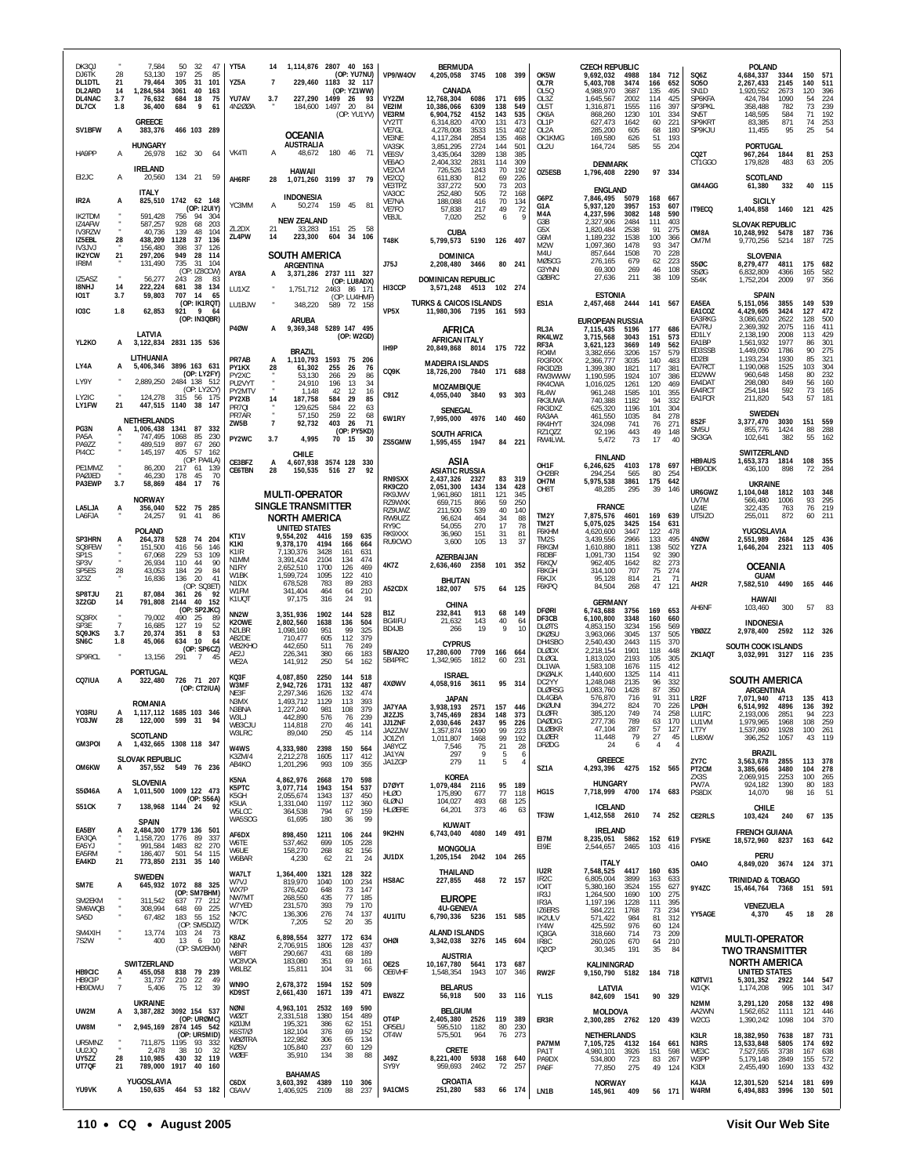| DK3QJ<br>DJ6TK<br>DL1DTL        | 7,584<br>50<br>32<br>47<br>28<br>53,130<br>197<br>25<br>85<br>305<br>21<br>79,464<br>31<br>101              | YT5A<br>14<br>YZ5A<br>7                                                                 | 1,114,876 2807 40 163<br>(OP: YU7NU)<br>229,460 1183 32 117    | <b>VP9/W4OV</b>                                 | <b>BERMUDA</b><br>4,205,058 3745 108 399                                |                                                  | OK5W<br>OL7R                                             | <b>CZECH REPUBLIC</b><br>9,692,032<br>4988<br>3474<br>5,403,708                | 184<br>166                  | 712<br>652                | SQ6Z<br><b>SO50</b>                           | <b>POLAND</b><br>4,684,337<br>3344<br>2145<br>2,267,433                       | 150<br>140            | 571<br>511                    |
|---------------------------------|-------------------------------------------------------------------------------------------------------------|-----------------------------------------------------------------------------------------|----------------------------------------------------------------|-------------------------------------------------|-------------------------------------------------------------------------|--------------------------------------------------|----------------------------------------------------------|--------------------------------------------------------------------------------|-----------------------------|---------------------------|-----------------------------------------------|-------------------------------------------------------------------------------|-----------------------|-------------------------------|
| DL2ARD<br>DL4NAC<br>DL7CX       | 14<br>1,284,584<br>3061<br>40<br>163<br>75<br>3.7<br>76,632<br>684<br>18<br>9<br>1.8<br>36,400<br>684<br>61 | YU7AV<br>227,290 1499<br>3.7<br>4N200A<br>184,600                                       | (OP: YZ1WW)<br>-26<br>93<br>1497<br>20<br>84<br>(OP: YU1YV)    | VY2ZM<br>VE2IM<br>VE3RM                         | CANADA<br>12.768.304<br>6086<br>10,386,066<br>6309<br>6,904,752<br>4152 | 171<br>695<br>138<br>549<br>143<br>535           | 0150<br>OL3Z<br>01.5T<br>OK6A                            | 4,988,970<br>3687<br>1,645,567<br>2002<br>1,316,871<br>1555<br>868,260<br>1230 | 135<br>114<br>116<br>101    | 495<br>425<br>397<br>334  | SN <sub>1</sub> D<br>SP6KFA<br>SP3PKL<br>SN5T | 1.920.552<br>2673<br>424,784<br>1090<br>358.488<br>782<br>148,595<br>584      | 120<br>54<br>73<br>71 | 396<br>224<br>239<br>192      |
| SV1BFW                          | GREECE<br>А<br>466 103 289<br>383,376                                                                       | <b>OCEANIA</b><br><b>AUSTRALIA</b>                                                      |                                                                | <b>VY2TT</b><br>VE7GL<br>VF3NF                  | 6,314,820<br>4700<br>4,278,008<br>3533<br>4,117,284<br>2854             | 131<br>473<br>151<br>402<br>135<br>468           | $OI$ 1P<br>OL <sub>2</sub> A<br>OK1KMG                   | 627,473<br>1642<br>285,200<br>605<br>169,580<br>626                            | 60<br>68<br>51              | 221<br>180<br>193         | SP9KRT<br>SP9KJU                              | 83,385<br>871<br>11,455<br>95                                                 | 74<br>25              | 253<br>54                     |
| HA9PP                           | <b>HUNGARY</b><br>162 30<br>$\mathsf{A}$<br>26,978<br>64<br><b>IRELAND</b>                                  | VK4TI<br>48,672<br>А                                                                    | 180 46<br>71                                                   | VA3SK<br>VE <sub>6</sub> SV<br>VE6AO            | 3,851,295<br>2724<br>3,435,064<br>3289<br>2,404,332<br>2831             | 144<br>501<br>138<br>385<br>114<br>309           | OL2U                                                     | 164,724<br>585<br><b>DENMARK</b>                                               | 55                          | 204                       | CQ2T<br>CT1GGO                                | PORTUGAL<br>967,264<br>1844<br>179,828<br>483                                 | 81<br>63              | 253<br>205                    |
| EI2JC                           | 20,560<br>134 21<br>59<br>A<br><b>ITALY</b>                                                                 | <b>HAWAII</b><br>AH6RF<br>28<br>1,071,260                                               | 3199 37<br>79                                                  | VE <sub>2</sub> CVI<br>VE2CQ<br>VE3TPZ<br>VA3OC | 726,526<br>1243<br>611,830<br>812<br>337,272<br>500<br>252,480<br>505   | 70<br>192<br>69<br>226<br>73<br>203<br>72<br>168 | OZ5ESB                                                   | 1,796,408 2290<br><b>ENGLAND</b>                                               | 97 334                      |                           | GM4AGG                                        | <b>SCOTLAND</b><br>61,380<br>332                                              |                       | 40 115                        |
| IR <sub>2</sub> A<br>IK2TDM     | 825,510 1742 62 148<br>A<br>(OP: I2UIY)<br>591,428<br>756<br>94<br>- 304                                    | <b>INDONESIA</b><br>YC3MM<br>А<br>50,274                                                | 159 45<br>81                                                   | VE7NA<br>VE7FO                                  | 188,088<br>416<br>57,838<br>217                                         | 70<br>134<br>49<br>72<br>6<br>9                  | G6PZ<br>G1A<br>M4A                                       | 7,846,495<br>5079<br>5,937,120<br>3957<br>4,237,596<br>3082                    | 168 667<br>153<br>148       | 607<br>590                | IT9ECQ                                        | <b>SICILY</b><br>1,404,858 1460                                               |                       | 121 425                       |
| IZ4AFW<br>IV3RZW<br>IZ5EBL      | $\cdot$<br>587,257<br>928<br>68<br>203<br>40.736<br>139<br>48<br>104<br>28<br>438,209<br>1128<br>37<br>136  | <b>NEW ZEALAND</b><br>ZL2DX<br>21<br>33,283<br>ZL4PW<br>14<br>223,300                   | 151<br>25<br>58<br>604<br>34<br>106                            | VE8JL<br><b>T48K</b>                            | 7,020<br>252<br><b>CUBA</b><br>5,799,573 5190                           | 126 407                                          | G3B<br>G5X<br>G6M                                        | 2,327,906<br>2484<br>1,820,484<br>2538<br>1,189,232<br>1538                    | 111<br>91<br>100            | 403<br>275<br>366         | OM8A<br>OM7M                                  | <b>SLOVAK REPUBLIC</b><br>10,248,992 5478<br>9,770,256<br>5214                | 187<br>187            | 736<br>725                    |
| IV3JVJ<br><b>IK2YCW</b><br>IR8M | 156,480<br>398<br>37<br>126<br>21<br>297,206<br>949<br>28<br>114<br>131,490<br>735<br>31<br>104             | <b>SOUTH AMERICA</b>                                                                    |                                                                | J75J                                            | <b>DOMINICA</b><br>2,208,480<br>3466                                    | 80 241                                           | M2W<br>M4U<br>MØSCG                                      | 1,097,360<br>1478<br>857,644<br>1508<br>276,165<br>679                         | 93<br>70<br>62              | 347<br>228<br>223         | <b>S50C</b>                                   | <b>SLOVENIA</b><br>8.279.477<br>4811                                          |                       | 175 682                       |
| IZ5ASZ<br><b>I8NHJ</b>          | (OP: IZ8CCW)<br>56,277<br>243<br>28<br>-83<br>14<br>222.224<br>681<br>38 134                                | ARGENTINA<br>AY8A<br>3,371,286<br>LU1XZ                                                 | 2737 111 327<br>(OP: LU8ADX)<br>1,751,712 2463 86 171          | HI3CCP                                          | <b>DOMINICAN REPUBLIC</b><br>3,571,248 4513 102 274                     |                                                  | G3YNN<br><b>GØBRC</b>                                    | 69,300<br>269<br>27,636<br>211                                                 | 46<br>38                    | 108<br>109                | <b>S50G</b><br>S54K                           | 6,832,809<br>4366<br>1,752,204<br>2009                                        | 165<br>97             | 582<br>356                    |
| <b>IO1T</b><br><b>103C</b>      | 3.7<br>59,803<br>707<br>14<br>-65<br>(OP: IK1RQT)<br>62,853<br>921<br>9<br>1.8<br>-64                       | LU1BJW<br>348,220                                                                       | (OP: LU4HMF)<br>589 72 158                                     | VP <sub>5</sub> X                               | <b>TURKS &amp; CAICOS ISLANDS</b><br>11,980,306 7195 161 593            |                                                  | ES1A                                                     | <b>ESTONIA</b><br>2,457,468<br>2444                                            | 141 567                     |                           | EA5EA<br>EA1COZ                               | <b>SPAIN</b><br>5,151,056<br>3855<br>4,429,605<br>3424                        | 149<br>127            | 539<br>472                    |
|                                 | (OP: IN3QBR)<br>LATVIA                                                                                      | <b>ARUBA</b><br><b>P40W</b><br>9,369,348<br>A                                           | 5289 147 495<br>(OP: W2GD)                                     |                                                 | AFRICA                                                                  |                                                  | RL3A<br>RK4LWZ                                           | <b>EUROPEAN RUSSIA</b><br>7,115,435<br>5196<br>3,715,568<br>3043               | 177<br>151                  | 686<br>573                | EA3RKG<br>EA7RU<br>ED1LY                      | 3,086,620<br>2622<br>2,369,392<br>2075<br>2,138,190<br>2008                   | 128<br>116<br>113     | 500<br>411<br>429             |
| YL2KO                           | 3,122,834 2831 135 536<br>А<br>LITHUANIA                                                                    | <b>BRAZIL</b><br>1.110.793<br>PR7AB<br>A                                                | 1593<br>75<br>206                                              | IH9P                                            | AFRICAN ITALY<br>20,849,868 8014                                        | 175 722                                          | RF3A<br>RO4M<br>RX3RXX                                   | 3,621,123<br>3669<br>3,382,656<br>3206<br>2,366,777<br>3035                    | 149<br>157<br>140           | 562<br>579<br>483         | FA1BP<br>ED3SSB<br>FD <sub>2</sub> BI         | 1,561,932<br>1977<br>1,449,050<br>1786<br>1,193,234<br>1930                   | 86<br>90<br>85        | 301<br>275<br>321             |
| LY4A<br>LY9Y                    | 5,406,346 3896 163 631<br>A<br>(OP: LY2FY)<br>2,889,250<br>2484 138 512                                     | PY1KX<br>28<br>61,302<br>PY2XC<br>53,130<br>PU2VYT<br>24,910                            | 76<br>255<br>-26<br>266<br>29<br>86<br>34<br>196<br>-13        | CQ9K                                            | <b>MADEIRA ISLANDS</b><br>18,726,200 7840                               | 171 688                                          | RK3DZB<br>RW3WWW<br>RK4CWA                               | 1,399,380<br>1821<br>1,190,595<br>1924<br>1,016,025<br>1261                    | 117<br>107<br>120           | 381<br>386<br>469         | EA7RCT<br>ED2WW<br>EA4DAT                     | 1,190,068<br>1525<br>1458<br>960,648<br>298,080<br>849                        | 103<br>80<br>56       | 304<br>232<br>160             |
| LY2IC<br>LY1FW                  | (OP: LY2CY)<br>124,278<br>315<br>56 175<br>21<br>447,515 1140<br>38<br>147                                  | PY2MTV<br>1,148<br>187,758<br>PY2XB<br>14<br>PR7QI<br>129,625                           | 16<br>42<br>12<br>584<br>29<br>85<br>584<br>22<br>63           | C91Z                                            | <b>MOZAMBIQUE</b><br>4,055,040 3840<br><b>SENEGAL</b>                   | 93 303                                           | RL4W<br>RK3UWA<br>RK3DXZ                                 | 961,248<br>1585<br>740,388<br>1182<br>625,320<br>1196                          | 101<br>94<br>101            | 355<br>332<br>304         | EA4RCT<br>EA1FCR                              | 254,184<br>592<br>211,820<br>543                                              | 73<br>57              | 165<br>181                    |
| PG3N                            | <b>NETHERLANDS</b><br>1,006,438 1341<br>87<br>- 332                                                         | $\cdot$<br>PR7AR<br>57,150<br>$\overline{7}$<br><b>7W5B</b><br>92,732                   | 259<br>22<br>68<br>403<br>26<br>71<br>(OP: PY5KD)              | 6W1RY                                           | 7,995,000 4976<br><b>SOUTH AFRICA</b>                                   | 140 460                                          | RA3AA<br>RK4HYT<br>RZ10ZZ                                | 461,550<br>1035<br>324,098<br>741<br>92,196<br>443                             | 84<br>76<br>49              | 278<br>271<br>148         | 8S2F<br>SM <sub>5U</sub>                      | <b>SWEDEN</b><br>3030<br>3,377,470<br>855,776<br>1424                         | 151<br>88             | 559<br>288                    |
| PA5A<br>PA9ZZ<br>PI4CC          | 747.495<br>1068<br>85<br>230<br>897<br>489,519<br>67<br>260<br>405<br>57<br>145,197<br>162                  | PY2WC<br>4,995<br>3.7<br><b>CHILE</b>                                                   | 70 15<br>- 30                                                  | ZS5GMW                                          | 1,595,455 1947                                                          | 84 221                                           | RW4LWL                                                   | 5,472<br>73<br><b>FINLAND</b>                                                  | 17                          | 40                        | SK3GA                                         | 382<br>102,641<br>SWITZERLAND                                                 | 55                    | -162                          |
| PE1MMZ<br>PAØJED                | (OP: PA4LA)<br>86,200<br>217 61<br>139<br>46,230<br>178<br>45<br>70<br>3.7                                  | CE3BFZ<br>4,607,938<br>А<br><b>CE6TBN</b><br>28<br>150,535                              | 3574 128<br>330<br>516<br>- 27<br>92                           | <b>RN9SXX</b>                                   | ASIA<br><b>ASIATIC RUSSIA</b><br>2,437,326<br>2327                      | 83 319                                           | OH <sub>1</sub> F<br>OH2BR<br>OH7M                       | 4103<br>6,246,625<br>294,254<br>565<br>3861<br>5,975,538                       | 178<br>80<br>175            | 697<br>254<br>642         | <b>HB9AUS</b><br>HB9ODK                       | 1,653,373<br>1814<br>436,100<br>898                                           | 108<br>72             | 355<br>284                    |
| PA3EWP<br>LA5LJA                | 17<br>58,869<br>484<br>76<br><b>NORWAY</b><br>522 75 285<br>356,040<br>A                                    | <b>MULTI-OPERATOR</b><br>SINGLE TRANSMITTER                                             |                                                                | RK9CZO<br>RK9JWV<br>RZ9WXK                      | 2,051,300<br>1434<br>1,961,860<br>1811<br>659,715<br>866                | 134<br>428<br>121<br>345<br>59<br>250            | OH8T                                                     | 48,285<br>295<br><b>FRANCE</b>                                                 | 39                          | 146                       | UR6GWZ<br>UV7M                                | <b>UKRAINE</b><br>1,104,048<br>1812<br>566,480<br>1006                        | 93                    | 103 348<br>295                |
| LA6FJA                          | 91<br>41<br>86<br>24.257<br>POLAND                                                                          | <b>NORTH AMERICA</b><br><b>UNITED STATES</b>                                            |                                                                | RZ9UWZ<br>RW9UZZ<br>RY9C                        | 211,500<br>539<br>96,624<br>464<br>270<br>54.055                        | 40<br>140<br>34<br>88<br>17<br>78                | TM2Y<br>TM2T<br>F6KHM                                    | 7,875,576<br>4601<br>5,075,025<br>3425<br>4,620,600<br>3447                    | 169<br>154<br>122           | 639<br>631<br>478         | UZ4E<br>UT5IZO                                | 322,435<br>763<br>255,011<br>872<br>YUGOSLAVIA                                | 76<br>60              | 219<br>211                    |
| SP3HRN<br>SQ8FEW<br>SP1S        | 264,378<br>528<br>74 204<br>A<br>416<br>56<br>151.500<br>146<br>229<br>53<br>109<br>67.068                  | KT <sub>1</sub> V<br>9,554,202<br>9,378,170<br>K1KI<br>K <sub>1</sub> IR<br>7,130,376   | 4416<br>159<br>635<br>664<br>4194<br>166<br>3428<br>161<br>631 | RK9XXX<br>RU9CWO                                | 36,960<br>151<br>3,600<br>105<br>AZERBAIJAN                             | 31<br>81<br>13<br>37                             | TM <sub>2</sub> S<br>F8KGM<br><b>F8DBF</b>               | 3,439,556<br>2966<br>1,610,880<br>1811<br>1,091,730<br>1154                    | 133<br>138<br>92            | 495<br>502<br>390         | 4NØW<br>YZ7A                                  | 2,551,989<br>2684<br>1,646,204<br>2321                                        | 113                   | 125 436<br>405                |
| SP3V<br>SP5ES<br>3Z3Z           | 26,934<br>110<br>44<br>90<br>28<br>29<br>84<br>43,053<br>184<br>16,836<br>136<br>20<br>41                   | N <sub>1</sub> MM<br>3,391,424<br>N <sub>1</sub> RY<br>2,652,510<br>1,599,724<br>W1BK   | 2104<br>134<br>474<br>1700<br>126<br>469<br>1095<br>122<br>410 | 4K7Z                                            | 2,636,460 2358<br><b>BHUTAN</b>                                         | 101 352                                          | F6KQV<br>F8KGH<br>F6KJX                                  | 962,405<br>1642<br>314,100<br>707<br>95,128<br>814                             | 82<br>75<br>21              | 273<br>274<br>71          |                                               | OCEANIA<br><b>GUAM</b>                                                        |                       |                               |
| SP8TJU<br>3Z2GD                 | (OP: SQ3ET)<br>87,084<br>21<br>361 26<br>-92<br>14<br>791,808<br>2144<br>40<br>152                          | N <sub>1</sub> DX<br>678,528<br>W1FM<br>341,404<br>97,175<br>K1UQT                      | 783<br>89<br>283<br>464<br>64<br>210<br>24<br>91<br>316        | A52CDX                                          | 182,007<br>575<br>CHINA                                                 | 64<br>125                                        | F6KPQ                                                    | 268<br>84,504<br><b>GERMANY</b>                                                | 47                          | 121                       | AH2R                                          | 7,582,510 4490<br>HAWAII                                                      |                       | 165 446                       |
| SQ3RX<br>SP3E                   | (OP: SP2JKC)<br>79,002<br>490<br>25<br>-89<br>$\overline{7}$<br>127<br>16,685<br>19<br>52                   | NN <sub>2</sub> W<br>3,351,936<br>K20WE<br>2,802,560<br>N <sub>2</sub> LBR<br>1,098,160 | 1902<br>144<br>528<br>1638<br>136<br>504<br>99<br>951<br>325   | <b>B17</b><br>BG4IFU<br>BD4JB                   | 913<br>232,841<br>21,632<br>143<br>266<br>19                            | 149<br>68<br>40<br>64<br>9<br>10                 | <b>DFØRI</b><br>DF3CB<br><b>DLØTS</b>                    | 6,743,688<br>3756<br>6,100,800<br>3348<br>4,853,150<br>3234                    | 169<br>160<br>156           | 653<br>660<br>569         | AH6NF                                         | 103,460<br>300<br><b>INDONESIA</b>                                            | 57                    | -83                           |
| SQ9JKS<br>SN <sub>6</sub> C     | 3.7<br>20,374<br>351<br>8<br>53<br>10<br>634<br>64<br>1.8<br>45,066<br>(OP: SP6CZ)<br>٠                     | AB2DE<br>710,477<br>WB2KHO<br>442,650<br>AE2J<br>226,341                                | 605<br>112<br>379<br>249<br>511<br>76<br>380<br>66<br>183      | 5B/AJ20                                         | <b>CYPRUS</b><br>17,280,600<br>7709                                     | 166 664                                          | <b>DKØSU</b><br>DH4SBO<br>DI ØDX                         | 3,963,066<br>3045<br>2,540,430<br>2443<br>2,218,154<br>1901                    | 137<br>115<br>118           | 505<br>370<br>448         | <b>YBØZZ</b><br>ZK1AQT                        | 2,978,400 2592 112 326<br><b>SOUTH COOK ISLANDS</b><br>3,032,991 3127         | 116 235               |                               |
| SP9RCL                          | 13,156<br>291<br>$\overline{7}$<br>45<br><b>PORTUGAL</b>                                                    | 141,912<br>WE2A<br>KQ3F<br>4,087,850                                                    | 250<br>54<br>162<br>2250<br>144<br>518                         | 5B4PRC                                          | 1,342,965<br>1812<br><b>ISRAEL</b>                                      | 60<br>231                                        | <b>DLØGL</b><br>DI 1WA<br><b>DKØALK</b>                  | 1,813,020<br>2193<br>1,583,108<br>1676<br>1,440,600<br>1325                    | 105<br>115<br>114           | 305<br>412<br>411         |                                               | <b>SOUTH AMERICA</b>                                                          |                       |                               |
| CQ7IUA                          | 726 71 207<br>322,480<br>A<br>(OP: CT2IUA)<br><b>ROMANIA</b>                                                | W3MF<br>2,942,726<br>NE3F<br>2,297,346<br>N3MX<br>1,493,712                             | 1731<br>132<br>487<br>132<br>1626<br>474<br>1129<br>113<br>393 | 4XØWV                                           | 4,058,916<br>3611<br><b>JAPAN</b>                                       | 95 314                                           | DC2YY<br><b>DLØRSG</b><br>DL4GBA                         | 1,248,048<br>2135<br>1,083,760<br>1428<br>576,870<br>716<br>824                | 96<br>87<br>91              | 332<br>350<br>311         | LR <sub>2</sub> F                             | ARGENTINA<br>7,071,940 4713                                                   |                       | 135 413                       |
| Y03RU<br>YO3JW                  | 1,117,112 1685 103 346<br>A<br>599<br>94<br>28<br>122,000<br>-31                                            | N3BNA<br>1,227,240<br>W3L<br>442,890<br>WB3CJU<br>114,818                               | 981<br>108<br>379<br>576<br>239<br>76<br>270<br>46<br>141      | <b>JA7YAA</b><br>JI2ZJS<br>JJ1ZNF               | 3,938,193<br>2571<br>3,745,469<br>2834<br>2.030.646<br>2437             | 157<br>446<br>148<br>373<br>95<br>226            | <b>DKØUNI</b><br><b>DLØFR</b><br><b>DAØDIG</b><br>DLØBKR | 394,272<br>385,120<br>749<br>789<br>211.130<br>47,104<br>287                   | 70<br>74<br><b>03</b><br>57 | 226<br>258<br>17 U<br>127 | LPØH<br>LU1FC<br>LU1VM<br>LT7Y                | 6,514,992 4896<br>2.193.006<br>2851<br>1.979.965<br>1968<br>1,537,860<br>1928 | 94<br>108<br>100      | 136 392<br>223<br>-259<br>261 |
| GM3POI                          | <b>SCOTLAND</b><br>1,432,665 1308 118 347<br>A                                                              | W3LRC<br>89,040<br>W4WS<br>4,333,980                                                    | 250<br>45<br>114<br>2398<br>150<br>564                         | JA2ZJW<br>JO1ZYI<br>JA8YCZ                      | 1,357,874<br>1590<br>1,011,807<br>1468<br>7,546<br>75<br>297<br>9       | 99<br>223<br>99<br>192<br>28<br>21               | DLØER<br><b>DFØDG</b>                                    | 79<br>11,448<br>24<br>6                                                        | 27<br>4                     | 45                        | LU8XW                                         | 1057<br>396,252<br><b>BRAZIL</b>                                              | 43                    | 119                           |
| OM6KW                           | <b>SLOVAK REPUBLIC</b><br>357,552 549 76 236<br>A                                                           | 2,212,278<br>K3ZM/4<br>1,201,296<br>AB4KO                                               | 1605<br>117<br>412<br>109<br>993<br>355                        | JA1YAI<br>JA1ZGP                                | 279<br>11<br>KOREA                                                      | 5<br>6<br>4<br>5                                 | SZ1A                                                     | <b>GREECE</b><br>4,293,396 4275 152 565                                        |                             |                           | ZY7C<br>PT2CM<br>ZX3S                         | 3,563,678<br>2855<br>3480<br>3,385,666<br>2,069,915<br>2253                   | 113<br>104<br>100     | 378<br>278<br>265             |
| S5046A                          | <b>SLOVENIA</b><br>1,011,500 1009 122 473<br>A<br>(OP: S56A)                                                | K5NA<br>4,862,976<br>3,077,714<br>K5PTC<br>K5GH<br>2,055,674<br>1,331,040               | 170<br>2668<br>598<br>1943<br>154<br>537<br>137<br>1343<br>450 | D70YT<br><b>HLØO</b><br>6LØNJ                   | 1,079,484<br>2116<br>175,890<br>677<br>493<br>104,027                   | 95<br>189<br>77<br>118<br>125<br>68              | HG1S                                                     | <b>HUNGARY</b><br>7,718,999 4700                                               | 174 683                     |                           | PW7A<br>PS8DX                                 | 924,182<br>1390<br>14,070<br>98                                               | 80<br>16              | 183<br>51                     |
| S51CK                           | 138,968 1144 24<br>$\overline{7}$<br>92<br><b>SPAIN</b>                                                     | K5UA<br>364,538<br>W5LCC<br>WA5SOG<br>61,695                                            | 1197<br>112<br>360<br>159<br>794<br>67<br>180<br>36<br>99      | HLØERE                                          | 64,201<br>373<br><b>KUWAIT</b>                                          | 46<br>63                                         | TF3W                                                     | <b>ICELAND</b><br>1,412,558 2610                                               | 74 252                      |                           | <b>CE2RLS</b>                                 | <b>CHILE</b><br>103,424<br>240                                                |                       | 67 135                        |
| EA5BY<br>EA3QA<br>EA5YJ         | 2.484.300 1779 136 501<br>A<br>1,158,720 1776 89<br>-337<br>991,584 1483 82 270                             | AF6DX<br>898,450<br>537,462<br>W6TE<br>158,270<br><b>W6UF</b>                           | 1211<br>106<br>244<br>699<br>105<br>228<br>268<br>156<br>82    | 9K2HN                                           | 6,743,040 4080 149 491<br><b>MONGOLIA</b>                               |                                                  | F17M<br>E19E                                             | <b>IRELAND</b><br>8,235,051<br>2,544,657<br>2465                               | 5862 152 619<br>103         | 416                       | <b>FY5KE</b>                                  | <b>FRENCH GUIANA</b><br>18,572,960 8237                                       |                       | 163 642                       |
| EA5RM<br>EA4KD                  | 186,407<br>501<br>54<br>115<br>21<br>773,850 2131 35 140                                                    | W6BAR<br>4,230<br>WA7LT<br>1,364,400                                                    | 62<br>21<br>24<br>1321<br>128<br>322                           | JU1DX                                           | 1,205,154 2042 104 265<br>THAILAND                                      |                                                  | IU2R                                                     | ITALY<br>7,548,525<br>4417                                                     | 160                         | 635                       | <b>OA40</b>                                   | PERU<br>4,849,020 3674                                                        |                       | 124 371                       |
| SM7E<br>SM2EKM                  | <b>SWEDEN</b><br>645,932<br>1072 88 325<br>A<br>(OP: SM7BHM)<br>311,542<br>637 77 212                       | 819,970<br>W7V.I<br>WX7P<br>376,420<br>NW7M1<br>268,550                                 | 100<br>234<br>1040<br>73<br>648<br>147<br>77<br>435<br>185     | HS8AC                                           | 468<br>227,855<br><b>EUROPE</b>                                         | 72 157                                           | IR <sub>2</sub> C<br>IO4T<br>IR3J                        | 6,805,004<br>3899<br>5,380,160<br>3524<br>1,264,500<br>1690                    | 163<br>155<br>100           | 633<br>627<br>275         | 9Y4ZC                                         | <b>TRINIDAD &amp; TOBAGO</b><br>15,464,764 7368                               |                       | 151 591                       |
| SM6WQB<br>SA5D                  | $\cdot$<br>648 69 225<br>308,994<br>183<br>55 152<br>67,482<br>(OP: SM5DJZ)                                 | W7YED<br>231,570<br>NK7C<br>136,306<br>7,205<br>W7DK                                    | 79<br>393<br>170<br>74<br>276<br>137<br>20<br>35<br>52         | 4U1ITU                                          | <b>4U-GENEVA</b><br>6,790,336 5236                                      | 151 585                                          | IR3A<br>IZ6ERS<br>IK2ULV                                 | 1,197,196<br>1228<br>584,221<br>1768<br>571,422<br>984<br>425,592<br>976       | 111<br>73<br>81             | 395<br>234<br>312         | YY5AGE                                        | VENEZUELA<br>4,370<br>45                                                      | 18                    | 28                            |
| SM4XIH<br>7S2W                  | 13,774<br>103 24<br>73<br>$\cdot$<br>400<br>-13<br>6<br>- 10<br>(OP: SM2EKM)                                | K8AZ<br>6,898,554<br>N8NR<br>2,706,915                                                  | 3277<br>172<br>634<br>1806<br>128<br>437                       | OHØI                                            | <b>ALAND ISLANDS</b><br>3,342,038 3276                                  | 145 604                                          | IY4W<br>IQ3GA<br>IR8C<br>IQ <sub>2</sub> CP              | 714<br>318,660<br>260,026<br>670<br>30,345<br>191                              | 60<br>73<br>64<br>35        | 124<br>209<br>210<br>84   |                                               | <b>MULTI-OPERATOR</b>                                                         |                       |                               |
| HB9CIC                          | SWITZERLAND<br>455,058<br>838 79 239<br>A                                                                   | 290,667<br><b>W8FT</b><br>WC8VOA<br>183,080<br>W8LBZ<br>15,811                          | 431<br>68<br>189<br>351<br>69<br>161<br>104<br>31<br>66        | OE2S<br>OE6VHF                                  | <b>AUSTRIA</b><br>10, 167, 780 5641 173 687<br>1943<br>1,548,354        | 107<br>-346                                      | RW2F                                                     | KALININGRAD<br>9,150,790 5182                                                  | 184 718                     |                           |                                               | <b>TWO TRANSMITTER</b><br>NORTH AMERICA<br><b>UNITED STATES</b>               |                       |                               |
| HB9CIP<br>HB9DWU                | 210 22<br>31.737<br>49<br>$\overline{7}$<br>5,406<br>75<br>12<br>39                                         | <b>WN90</b><br>2,678,372<br>KD9ST<br>2,661,430                                          | 1594<br>152<br>509<br>1671<br>139<br>471                       | EW8ZZ                                           | <b>BELARUS</b><br>56,918 500                                            | 33 116                                           | YL1S                                                     | LATVIA<br>842,609 1541                                                         | 90 329                      |                           | KØTV/1<br>W1QK                                | 5,301,352 2922<br>1,174,208<br>995                                            |                       | 144 547<br>101 347            |
| UW2M                            | <b>UKRAINE</b><br>3,387,282 3092 154 537<br>A<br>(OP: URØMC)                                                | NØNI<br>4,963,101<br>2,331,518<br>WØZT<br>KØJJM<br>195,321                              | 2532<br>169<br>590<br>489<br>1380<br>154<br>386<br>62<br>151   | OT4P                                            | <b>BELGIUM</b><br>2,405,380<br>2526                                     | 119<br>389                                       | ER3R                                                     | <b>MOLDOVA</b><br>2,300,285 2762 120 439                                       |                             |                           | N2MM<br>AA2WN<br>W2CG                         | 3,291,120<br>2058<br>1,562,652<br>1111<br>1,390,242<br>1098                   |                       | 132 498<br>121 446<br>104 370 |
| UW8M<br>UR5MNZ                  | 2,945,169 2874 145 542<br>(OP: UR5MID)<br>711,875 1195 93 332                                               | K6ST/Ø<br>182,104<br><b>WBØTRA</b><br>122,982<br>105,840<br><b>KØSV</b>                 | 69<br>152<br>376<br>306<br>65<br>134<br>237<br>60<br>129       | OR5EU<br>OT4W                                   | 595,510<br>1182<br>575,501<br>964                                       | 80<br>-230<br>76 273                             | PA7MM                                                    | <b>NETHERLANDS</b><br>7,105,725 4132                                           | 164 661                     |                           | K3LR<br>N3RS                                  | 18,382,950<br>7638<br>13,533,848<br>5805                                      | 187                   | 731<br>174 692                |
| UU2JQ<br>UY5ZZ<br>UT7QF         | 2,478<br>38<br>10<br>32<br>28<br>110,985<br>32 119<br>430<br>21<br>789,000 1917 40 160                      | 35,910<br>WØEF                                                                          | 38<br>134<br>88                                                | J49Z<br>SY9Y                                    | CRETE<br>8,221,400 5938<br>959,693<br>2462                              | 168<br>640<br>72<br>257                          | PA1T<br>PA9DX<br>PA6F                                    | 4,980,101<br>3926<br>534,800<br>723<br>77,850<br>275                           | 151<br>83<br>49             | 598<br>267<br>124         | WE3C<br>W3PP<br>K3DI                          | 7,527,555<br>3738<br>5,179,148<br>2849<br>2,455,490<br>1690                   | 167<br>155<br>133     | 638<br>572<br>432             |
| YU9VK                           | YUGOSLAVIA<br>150,635 464 53 182<br>A                                                                       | <b>BAHAMAS</b><br>C6DX<br>3,603,392 4389<br>C6AVV<br>1,406,925                          | 110 306<br>2109<br>88<br>237                                   | 9A1CMS                                          | CROATIA<br>583<br>251,280                                               | 66 174                                           | LN1B                                                     | <b>NORWAY</b><br>145,961<br>409                                                | 56 171                      |                           | K4.JA<br>W4RM                                 | 12,301,520 5214<br>6,494,883<br>3996                                          |                       | 181 699<br>130 501            |